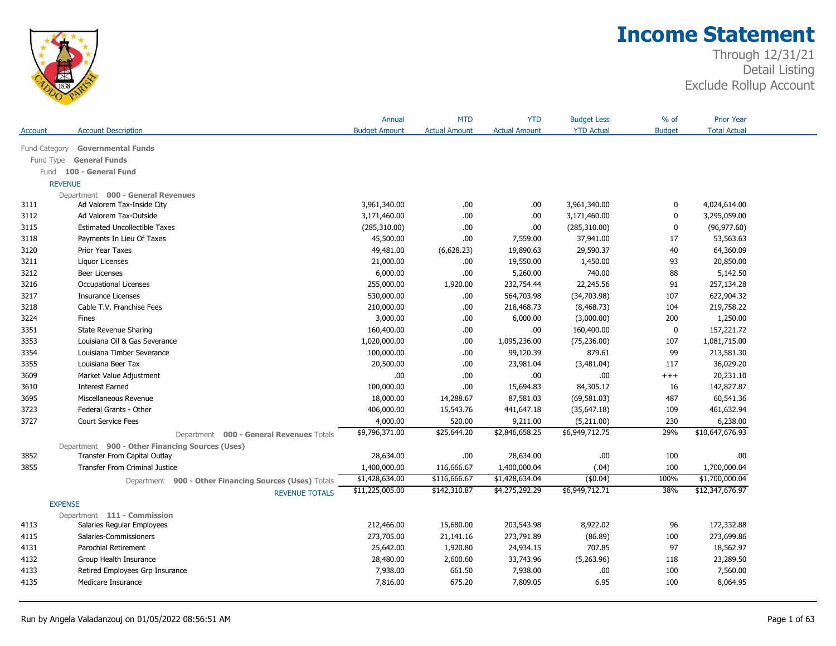

|                |                                                        | Annual               | <b>MTD</b>           | <b>YTD</b>           | <b>Budget Less</b> | % of          | <b>Prior Year</b>   |  |
|----------------|--------------------------------------------------------|----------------------|----------------------|----------------------|--------------------|---------------|---------------------|--|
| <b>Account</b> | <b>Account Description</b>                             | <b>Budget Amount</b> | <b>Actual Amount</b> | <b>Actual Amount</b> | <b>YTD Actual</b>  | <b>Budget</b> | <b>Total Actual</b> |  |
| Fund Category  | <b>Governmental Funds</b>                              |                      |                      |                      |                    |               |                     |  |
| Fund Type      | <b>General Funds</b>                                   |                      |                      |                      |                    |               |                     |  |
|                | Fund 100 - General Fund                                |                      |                      |                      |                    |               |                     |  |
| <b>REVENUE</b> |                                                        |                      |                      |                      |                    |               |                     |  |
|                | Department 000 - General Revenues                      |                      |                      |                      |                    |               |                     |  |
| 3111           | Ad Valorem Tax-Inside City                             | 3,961,340.00         | .00                  | .00.                 | 3,961,340.00       | 0             | 4,024,614.00        |  |
| 3112           | Ad Valorem Tax-Outside                                 | 3,171,460.00         | .00                  | .00                  | 3,171,460.00       | $\mathbf 0$   | 3,295,059.00        |  |
| 3115           | <b>Estimated Uncollectible Taxes</b>                   | (285,310.00)         | .00                  | .00                  | (285, 310.00)      | $\mathbf 0$   | (96, 977.60)        |  |
| 3118           | Payments In Lieu Of Taxes                              | 45,500.00            | .00.                 | 7,559.00             | 37,941.00          | 17            | 53,563.63           |  |
| 3120           | Prior Year Taxes                                       | 49,481.00            | (6,628.23)           | 19,890.63            | 29,590.37          | 40            | 64,360.09           |  |
| 3211           | Liquor Licenses                                        | 21,000.00            | .00                  | 19,550.00            | 1,450.00           | 93            | 20,850.00           |  |
| 3212           | <b>Beer Licenses</b>                                   | 6,000.00             | .00.                 | 5,260.00             | 740.00             | 88            | 5,142.50            |  |
| 3216           | Occupational Licenses                                  | 255,000.00           | 1,920.00             | 232,754.44           | 22,245.56          | 91            | 257,134.28          |  |
| 3217           | <b>Insurance Licenses</b>                              | 530,000.00           | .00.                 | 564,703.98           | (34,703.98)        | 107           | 622,904.32          |  |
| 3218           | Cable T.V. Franchise Fees                              | 210,000.00           | .00.                 | 218,468.73           | (8,468.73)         | 104           | 219,758.22          |  |
| 3224           | <b>Fines</b>                                           | 3,000.00             | .00.                 | 6,000.00             | (3,000.00)         | 200           | 1,250.00            |  |
| 3351           | <b>State Revenue Sharing</b>                           | 160,400.00           | .00.                 | .00.                 | 160,400.00         | $\mathbf 0$   | 157,221.72          |  |
| 3353           | Louisiana Oil & Gas Severance                          | 1,020,000.00         | .00.                 | 1,095,236.00         | (75, 236.00)       | 107           | 1,081,715.00        |  |
| 3354           | Louisiana Timber Severance                             | 100,000.00           | .00.                 | 99,120.39            | 879.61             | 99            | 213,581.30          |  |
| 3355           | Louisiana Beer Tax                                     | 20,500.00            | .00                  | 23,981.04            | (3,481.04)         | 117           | 36,029.20           |  |
| 3609           | Market Value Adjustment                                | .00                  | .00.                 | .00.                 | .00                | $++++$        | 20,231.10           |  |
| 3610           | <b>Interest Earned</b>                                 | 100,000.00           | .00                  | 15,694.83            | 84,305.17          | 16            | 142,827.87          |  |
| 3695           | Miscellaneous Revenue                                  | 18,000.00            | 14,288.67            | 87,581.03            | (69, 581.03)       | 487           | 60,541.36           |  |
| 3723           | Federal Grants - Other                                 | 406,000.00           | 15,543.76            | 441,647.18           | (35, 647.18)       | 109           | 461,632.94          |  |
| 3727           | <b>Court Service Fees</b>                              | 4,000.00             | 520.00               | 9,211.00             | (5,211.00)         | 230           | 6,238.00            |  |
|                | Department 000 - General Revenues Totals               | \$9,796,371.00       | \$25,644.20          | \$2,846,658.25       | \$6,949,712.75     | 29%           | \$10,647,676.93     |  |
|                | Department 900 - Other Financing Sources (Uses)        |                      |                      |                      |                    |               |                     |  |
| 3852           | Transfer From Capital Outlay                           | 28,634.00            | .00.                 | 28,634.00            | .00                | 100           | .00                 |  |
| 3855           | <b>Transfer From Criminal Justice</b>                  | 1,400,000.00         | 116,666.67           | 1,400,000.04         | (.04)              | 100           | 1,700,000.04        |  |
|                | Department 900 - Other Financing Sources (Uses) Totals | \$1,428,634.00       | \$116,666.67         | \$1,428,634.04       | (\$0.04)           | 100%          | \$1,700,000.04      |  |
|                | <b>REVENUE TOTALS</b>                                  | \$11,225,005.00      | \$142,310.87         | \$4,275,292.29       | \$6,949,712.71     | 38%           | \$12,347,676.97     |  |
| <b>EXPENSE</b> |                                                        |                      |                      |                      |                    |               |                     |  |
|                | Department 111 - Commission                            |                      |                      |                      |                    |               |                     |  |
| 4113           | Salaries Regular Employees                             | 212,466.00           | 15,680.00            | 203,543.98           | 8,922.02           | 96            | 172,332.88          |  |
| 4115           | Salaries-Commissioners                                 | 273,705.00           | 21,141.16            | 273,791.89           | (86.89)            | 100           | 273,699.86          |  |
| 4131           | Parochial Retirement                                   | 25,642.00            | 1,920.80             | 24,934.15            | 707.85             | 97            | 18,562.97           |  |
| 4132           | Group Health Insurance                                 | 28,480.00            | 2,600.60             | 33,743.96            | (5,263.96)         | 118           | 23,289.50           |  |
| 4133           | Retired Employees Grp Insurance                        | 7,938.00             | 661.50               | 7,938.00             | .00                | 100           | 7,560.00            |  |
| 4135           | Medicare Insurance                                     | 7,816.00             | 675.20               | 7,809.05             | 6.95               | 100           | 8,064.95            |  |
|                |                                                        |                      |                      |                      |                    |               |                     |  |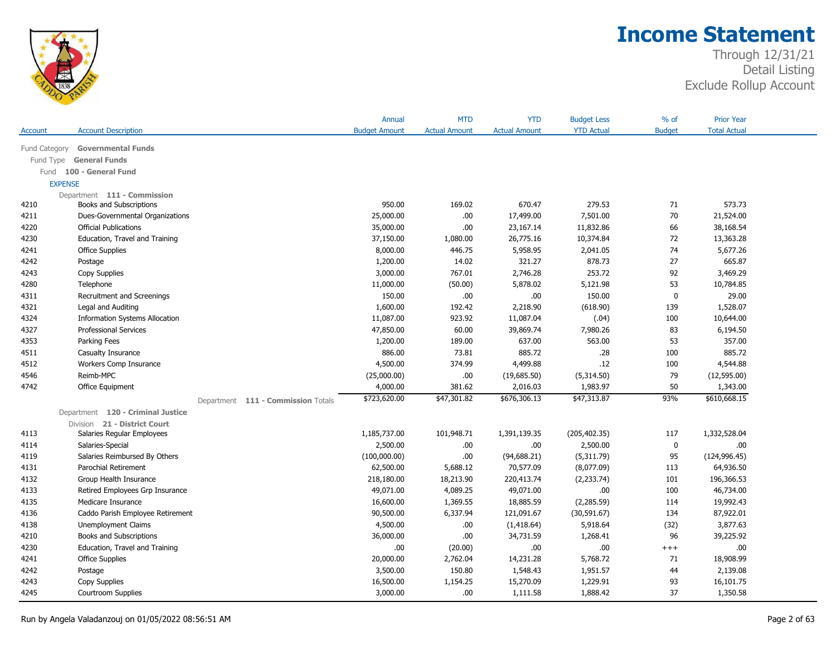

|                |                                       | Annual               | <b>MTD</b>           | <b>YTD</b>           | <b>Budget Less</b> | $%$ of        | <b>Prior Year</b>   |  |
|----------------|---------------------------------------|----------------------|----------------------|----------------------|--------------------|---------------|---------------------|--|
| Account        | <b>Account Description</b>            | <b>Budget Amount</b> | <b>Actual Amount</b> | <b>Actual Amount</b> | <b>YTD Actual</b>  | <b>Budget</b> | <b>Total Actual</b> |  |
| Fund Category  | <b>Governmental Funds</b>             |                      |                      |                      |                    |               |                     |  |
| Fund Type      | <b>General Funds</b>                  |                      |                      |                      |                    |               |                     |  |
|                | Fund 100 - General Fund               |                      |                      |                      |                    |               |                     |  |
| <b>EXPENSE</b> |                                       |                      |                      |                      |                    |               |                     |  |
|                | Department 111 - Commission           |                      |                      |                      |                    |               |                     |  |
| 4210           | Books and Subscriptions               | 950.00               | 169.02               | 670.47               | 279.53             | 71            | 573.73              |  |
| 4211           | Dues-Governmental Organizations       | 25,000.00            | .00.                 | 17,499.00            | 7,501.00           | 70            | 21,524.00           |  |
| 4220           | <b>Official Publications</b>          | 35,000.00            | .00.                 | 23,167.14            | 11,832.86          | 66            | 38,168.54           |  |
| 4230           | Education, Travel and Training        | 37,150.00            | 1,080.00             | 26,775.16            | 10,374.84          | 72            | 13,363.28           |  |
| 4241           | Office Supplies                       | 8,000.00             | 446.75               | 5,958.95             | 2,041.05           | 74            | 5,677.26            |  |
| 4242           | Postage                               | 1,200.00             | 14.02                | 321.27               | 878.73             | 27            | 665.87              |  |
| 4243           | Copy Supplies                         | 3,000.00             | 767.01               | 2,746.28             | 253.72             | 92            | 3,469.29            |  |
| 4280           | Telephone                             | 11,000.00            | (50.00)              | 5,878.02             | 5,121.98           | 53            | 10,784.85           |  |
| 4311           | Recruitment and Screenings            | 150.00               | .00.                 | .00.                 | 150.00             | $\bf{0}$      | 29.00               |  |
| 4321           | Legal and Auditing                    | 1,600.00             | 192.42               | 2,218.90             | (618.90)           | 139           | 1,528.07            |  |
| 4324           | <b>Information Systems Allocation</b> | 11,087.00            | 923.92               | 11,087.04            | (.04)              | 100           | 10,644.00           |  |
| 4327           | Professional Services                 | 47,850.00            | 60.00                | 39,869.74            | 7,980.26           | 83            | 6,194.50            |  |
| 4353           | Parking Fees                          | 1,200.00             | 189.00               | 637.00               | 563.00             | 53            | 357.00              |  |
| 4511           | Casualty Insurance                    | 886.00               | 73.81                | 885.72               | .28                | 100           | 885.72              |  |
| 4512           | Workers Comp Insurance                | 4,500.00             | 374.99               | 4,499.88             | .12                | 100           | 4,544.88            |  |
| 4546           | Reimb-MPC                             | (25,000.00)          | .00.                 | (19,685.50)          | (5,314.50)         | 79            | (12, 595.00)        |  |
| 4742           | Office Equipment                      | 4,000.00             | 381.62               | 2,016.03             | 1,983.97           | 50            | 1,343.00            |  |
|                | Department 111 - Commission Totals    | \$723,620.00         | \$47,301.82          | \$676,306.13         | \$47,313.87        | 93%           | \$610,668.15        |  |
|                | Department 120 - Criminal Justice     |                      |                      |                      |                    |               |                     |  |
|                | Division 21 - District Court          |                      |                      |                      |                    |               |                     |  |
| 4113           | Salaries Regular Employees            | 1,185,737.00         | 101,948.71           | 1,391,139.35         | (205, 402.35)      | 117           | 1,332,528.04        |  |
| 4114           | Salaries-Special                      | 2,500.00             | .00.                 | .00.                 | 2,500.00           | $\bf{0}$      | .00.                |  |
| 4119           | Salaries Reimbursed By Others         | (100,000.00)         | .00.                 | (94, 688.21)         | (5,311.79)         | 95            | (124, 996.45)       |  |
| 4131           | Parochial Retirement                  | 62,500.00            | 5,688.12             | 70,577.09            | (8,077.09)         | 113           | 64,936.50           |  |
| 4132           | Group Health Insurance                | 218,180.00           | 18,213.90            | 220,413.74           | (2, 233.74)        | 101           | 196,366.53          |  |
| 4133           | Retired Employees Grp Insurance       | 49,071.00            | 4,089.25             | 49,071.00            | .00.               | 100           | 46,734.00           |  |
| 4135           | Medicare Insurance                    | 16,600.00            | 1,369.55             | 18,885.59            | (2,285.59)         | 114           | 19,992.43           |  |
| 4136           | Caddo Parish Employee Retirement      | 90,500.00            | 6,337.94             | 121,091.67           | (30, 591.67)       | 134           | 87,922.01           |  |
| 4138           | <b>Unemployment Claims</b>            | 4,500.00             | .00.                 | (1,418.64)           | 5,918.64           | (32)          | 3,877.63            |  |
| 4210           | Books and Subscriptions               | 36,000.00            | .00.                 | 34,731.59            | 1,268.41           | 96            | 39,225.92           |  |
| 4230           | Education, Travel and Training        | .00.                 | (20.00)              | .00.                 | .00.               | $^{+++}$      | .00.                |  |
| 4241           | <b>Office Supplies</b>                | 20,000.00            | 2,762.04             | 14,231.28            | 5,768.72           | 71            | 18,908.99           |  |
| 4242           | Postage                               | 3,500.00             | 150.80               | 1,548.43             | 1,951.57           | 44            | 2,139.08            |  |
| 4243           | Copy Supplies                         | 16,500.00            | 1,154.25             | 15,270.09            | 1,229.91           | 93            | 16,101.75           |  |
| 4245           | Courtroom Supplies                    | 3,000.00             | .00.                 | 1,111.58             | 1,888.42           | 37            | 1,350.58            |  |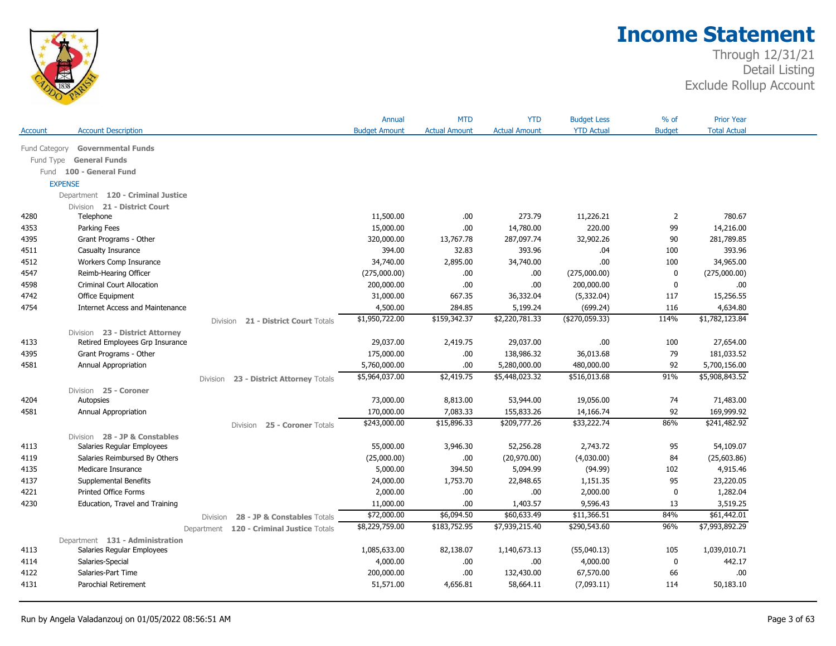

|               |                                        |                                               | Annual               | <b>MTD</b>           | <b>YTD</b>           | <b>Budget Less</b> | $%$ of         | <b>Prior Year</b>   |  |
|---------------|----------------------------------------|-----------------------------------------------|----------------------|----------------------|----------------------|--------------------|----------------|---------------------|--|
| Account       | <b>Account Description</b>             |                                               | <b>Budget Amount</b> | <b>Actual Amount</b> | <b>Actual Amount</b> | <b>YTD Actual</b>  | <b>Budget</b>  | <b>Total Actual</b> |  |
| Fund Category | <b>Governmental Funds</b>              |                                               |                      |                      |                      |                    |                |                     |  |
| Fund Type     | <b>General Funds</b>                   |                                               |                      |                      |                      |                    |                |                     |  |
|               | Fund 100 - General Fund                |                                               |                      |                      |                      |                    |                |                     |  |
|               | <b>EXPENSE</b>                         |                                               |                      |                      |                      |                    |                |                     |  |
|               | Department 120 - Criminal Justice      |                                               |                      |                      |                      |                    |                |                     |  |
|               | Division 21 - District Court           |                                               |                      |                      |                      |                    |                |                     |  |
| 4280          | Telephone                              |                                               | 11,500.00            | .00.                 | 273.79               | 11,226.21          | $\overline{2}$ | 780.67              |  |
| 4353          | Parking Fees                           |                                               | 15,000.00            | .00.                 | 14,780.00            | 220.00             | 99             | 14,216.00           |  |
| 4395          | Grant Programs - Other                 |                                               | 320,000.00           | 13,767.78            | 287,097.74           | 32,902.26          | 90             | 281,789.85          |  |
| 4511          | Casualty Insurance                     |                                               | 394.00               | 32.83                | 393.96               | .04                | 100            | 393.96              |  |
| 4512          | Workers Comp Insurance                 |                                               | 34,740.00            | 2,895.00             | 34,740.00            | .00.               | 100            | 34,965.00           |  |
| 4547          | Reimb-Hearing Officer                  |                                               | (275,000.00)         | .00.                 | .00                  | (275,000.00)       | $\mathbf 0$    | (275,000.00)        |  |
| 4598          | <b>Criminal Court Allocation</b>       |                                               | 200,000.00           | .00                  | .00                  | 200,000.00         | 0              | .00                 |  |
| 4742          | Office Equipment                       |                                               | 31,000.00            | 667.35               | 36,332.04            | (5, 332.04)        | 117            | 15,256.55           |  |
| 4754          | <b>Internet Access and Maintenance</b> |                                               | 4,500.00             | 284.85               | 5,199.24             | (699.24)           | 116            | 4,634.80            |  |
|               |                                        | 21 - District Court Totals<br><b>Division</b> | \$1,950,722.00       | \$159,342.37         | \$2,220,781.33       | (4270, 059.33)     | 114%           | \$1,782,123.84      |  |
|               | Division 23 - District Attorney        |                                               |                      |                      |                      |                    |                |                     |  |
| 4133          | Retired Employees Grp Insurance        |                                               | 29,037.00            | 2,419.75             | 29,037.00            | .00.               | 100            | 27,654.00           |  |
| 4395          | Grant Programs - Other                 |                                               | 175,000.00           | .00.                 | 138,986.32           | 36,013.68          | 79             | 181,033.52          |  |
| 4581          | Annual Appropriation                   |                                               | 5,760,000.00         | .00                  | 5,280,000.00         | 480,000.00         | 92             | 5,700,156.00        |  |
|               |                                        | 23 - District Attorney Totals<br>Division     | \$5,964,037.00       | \$2,419.75           | \$5,448,023.32       | \$516,013.68       | 91%            | \$5,908,843.52      |  |
|               | Division 25 - Coroner                  |                                               |                      |                      |                      |                    |                |                     |  |
| 4204          | Autopsies                              |                                               | 73,000.00            | 8,813.00             | 53,944.00            | 19,056.00          | 74             | 71,483.00           |  |
| 4581          | Annual Appropriation                   |                                               | 170,000.00           | 7,083.33             | 155,833.26           | 14,166.74          | 92             | 169,999.92          |  |
|               |                                        | 25 - Coroner Totals<br><b>Division</b>        | \$243,000.00         | \$15,896.33          | \$209,777.26         | \$33,222.74        | 86%            | \$241,482.92        |  |
|               | Division 28 - JP & Constables          |                                               |                      |                      |                      |                    |                |                     |  |
| 4113          | Salaries Regular Employees             |                                               | 55,000.00            | 3,946.30             | 52,256.28            | 2,743.72           | 95             | 54,109.07           |  |
| 4119          | Salaries Reimbursed By Others          |                                               | (25,000.00)          | .00.                 | (20,970.00)          | (4,030.00)         | 84             | (25,603.86)         |  |
| 4135          | Medicare Insurance                     |                                               | 5,000.00             | 394.50               | 5,094.99             | (94.99)            | 102            | 4,915.46            |  |
| 4137          | Supplemental Benefits                  |                                               | 24,000.00            | 1,753.70             | 22,848.65            | 1,151.35           | 95             | 23,220.05           |  |
| 4221          | <b>Printed Office Forms</b>            |                                               | 2,000.00             | .00.                 | .00                  | 2,000.00           | $\mathbf 0$    | 1,282.04            |  |
| 4230          | Education, Travel and Training         |                                               | 11,000.00            | .00.                 | 1,403.57             | 9,596.43           | 13             | 3,519.25            |  |
|               |                                        | 28 - JP & Constables Totals<br>Division       | \$72,000.00          | \$6,094.50           | \$60,633.49          | \$11,366.51        | 84%            | \$61,442.01         |  |
|               |                                        | Department 120 - Criminal Justice Totals      | \$8,229,759.00       | \$183,752.95         | \$7,939,215.40       | \$290,543.60       | 96%            | \$7,993,892.29      |  |
|               | Department 131 - Administration        |                                               |                      |                      |                      |                    |                |                     |  |
| 4113          | Salaries Regular Employees             |                                               | 1,085,633.00         | 82,138.07            | 1,140,673.13         | (55,040.13)        | 105            | 1,039,010.71        |  |
| 4114          | Salaries-Special                       |                                               | 4,000.00             | .00.                 | .00                  | 4,000.00           | 0              | 442.17              |  |
| 4122          | Salaries-Part Time                     |                                               | 200,000.00           | .00.                 | 132,430.00           | 67,570.00          | 66             | .00.                |  |
| 4131          | <b>Parochial Retirement</b>            |                                               | 51,571.00            | 4,656.81             | 58,664.11            | (7,093.11)         | 114            | 50,183.10           |  |
|               |                                        |                                               |                      |                      |                      |                    |                |                     |  |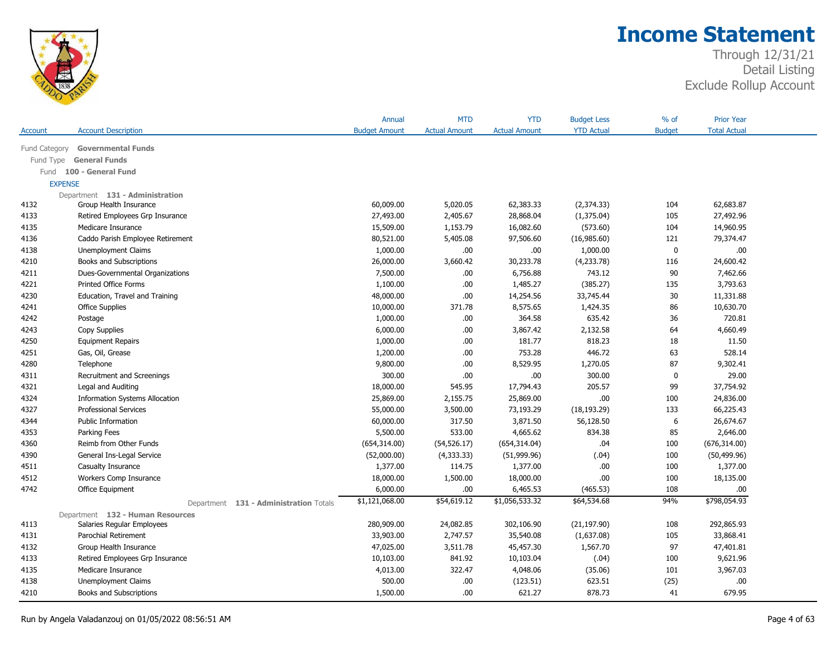

| <b>Account Description</b><br><b>Budget Amount</b><br><b>Actual Amount</b><br><b>Actual Amount</b><br><b>YTD Actual</b><br><b>Budget</b><br><b>Total Actual</b><br>Account<br><b>Governmental Funds</b><br>Fund Category<br><b>General Funds</b><br>Fund Type<br>100 - General Fund<br>Fund<br><b>EXPENSE</b><br>Department 131 - Administration<br>60,009.00<br>62,383.33<br>(2,374.33)<br>62,683.87<br>4132<br>Group Health Insurance<br>5,020.05<br>104<br>27,493.00<br>28,868.04<br>(1,375.04)<br>27,492.96<br>4133<br>Retired Employees Grp Insurance<br>2,405.67<br>105<br>1,153.79<br>16,082.60<br>14,960.95<br>4135<br>Medicare Insurance<br>15,509.00<br>(573.60)<br>104<br>79,374.47<br>4136<br>Caddo Parish Employee Retirement<br>80,521.00<br>5,405.08<br>97,506.60<br>(16,985.60)<br>121<br>.00.<br>1,000.00<br>.00.<br>.00.<br>$\mathbf 0$<br>4138<br><b>Unemployment Claims</b><br>1,000.00<br>24,600.42<br>4210<br>Books and Subscriptions<br>26,000.00<br>3,660.42<br>30,233.78<br>(4,233.78)<br>116<br>4211<br>Dues-Governmental Organizations<br>7,500.00<br>.00.<br>6,756.88<br>743.12<br>90<br>7,462.66<br>4221<br>Printed Office Forms<br>1,100.00<br>.00.<br>1,485.27<br>(385.27)<br>135<br>3,793.63<br>30<br>4230<br>Education, Travel and Training<br>48,000.00<br>.00.<br>14,254.56<br>33,745.44<br>11,331.88<br>4241<br><b>Office Supplies</b><br>10,000.00<br>371.78<br>8,575.65<br>1,424.35<br>86<br>10,630.70<br>4242<br>1,000.00<br>.00.<br>364.58<br>635.42<br>36<br>720.81<br>Postage<br>4243<br>6,000.00<br>.00.<br>3,867.42<br>2,132.58<br>64<br>4,660.49<br>Copy Supplies<br>818.23<br>11.50<br>4250<br>1,000.00<br>.00.<br>181.77<br>18<br><b>Equipment Repairs</b><br>446.72<br>528.14<br>4251<br>Gas, Oil, Grease<br>1,200.00<br>.00.<br>753.28<br>63<br>9,800.00<br>.00.<br>8,529.95<br>1,270.05<br>87<br>9,302.41<br>4280<br>Telephone<br>$.00$<br>300.00<br>0<br>29.00<br>300.00<br>.00.<br>4311<br>Recruitment and Screenings<br>18,000.00<br>545.95<br>17,794.43<br>205.57<br>99<br>37,754.92<br>4321<br>Legal and Auditing<br>.00.<br>25,869.00<br>2,155.75<br>25,869.00<br>24,836.00<br>4324<br><b>Information Systems Allocation</b><br>100 |      |                              | Annual    | <b>MTD</b> | <b>YTD</b> | <b>Budget Less</b> | $%$ of | <b>Prior Year</b> |  |
|---------------------------------------------------------------------------------------------------------------------------------------------------------------------------------------------------------------------------------------------------------------------------------------------------------------------------------------------------------------------------------------------------------------------------------------------------------------------------------------------------------------------------------------------------------------------------------------------------------------------------------------------------------------------------------------------------------------------------------------------------------------------------------------------------------------------------------------------------------------------------------------------------------------------------------------------------------------------------------------------------------------------------------------------------------------------------------------------------------------------------------------------------------------------------------------------------------------------------------------------------------------------------------------------------------------------------------------------------------------------------------------------------------------------------------------------------------------------------------------------------------------------------------------------------------------------------------------------------------------------------------------------------------------------------------------------------------------------------------------------------------------------------------------------------------------------------------------------------------------------------------------------------------------------------------------------------------------------------------------------------------------------------------------------------------------------------------------------------------------------------------------------------------------------------------------------|------|------------------------------|-----------|------------|------------|--------------------|--------|-------------------|--|
|                                                                                                                                                                                                                                                                                                                                                                                                                                                                                                                                                                                                                                                                                                                                                                                                                                                                                                                                                                                                                                                                                                                                                                                                                                                                                                                                                                                                                                                                                                                                                                                                                                                                                                                                                                                                                                                                                                                                                                                                                                                                                                                                                                                             |      |                              |           |            |            |                    |        |                   |  |
|                                                                                                                                                                                                                                                                                                                                                                                                                                                                                                                                                                                                                                                                                                                                                                                                                                                                                                                                                                                                                                                                                                                                                                                                                                                                                                                                                                                                                                                                                                                                                                                                                                                                                                                                                                                                                                                                                                                                                                                                                                                                                                                                                                                             |      |                              |           |            |            |                    |        |                   |  |
|                                                                                                                                                                                                                                                                                                                                                                                                                                                                                                                                                                                                                                                                                                                                                                                                                                                                                                                                                                                                                                                                                                                                                                                                                                                                                                                                                                                                                                                                                                                                                                                                                                                                                                                                                                                                                                                                                                                                                                                                                                                                                                                                                                                             |      |                              |           |            |            |                    |        |                   |  |
|                                                                                                                                                                                                                                                                                                                                                                                                                                                                                                                                                                                                                                                                                                                                                                                                                                                                                                                                                                                                                                                                                                                                                                                                                                                                                                                                                                                                                                                                                                                                                                                                                                                                                                                                                                                                                                                                                                                                                                                                                                                                                                                                                                                             |      |                              |           |            |            |                    |        |                   |  |
|                                                                                                                                                                                                                                                                                                                                                                                                                                                                                                                                                                                                                                                                                                                                                                                                                                                                                                                                                                                                                                                                                                                                                                                                                                                                                                                                                                                                                                                                                                                                                                                                                                                                                                                                                                                                                                                                                                                                                                                                                                                                                                                                                                                             |      |                              |           |            |            |                    |        |                   |  |
|                                                                                                                                                                                                                                                                                                                                                                                                                                                                                                                                                                                                                                                                                                                                                                                                                                                                                                                                                                                                                                                                                                                                                                                                                                                                                                                                                                                                                                                                                                                                                                                                                                                                                                                                                                                                                                                                                                                                                                                                                                                                                                                                                                                             |      |                              |           |            |            |                    |        |                   |  |
|                                                                                                                                                                                                                                                                                                                                                                                                                                                                                                                                                                                                                                                                                                                                                                                                                                                                                                                                                                                                                                                                                                                                                                                                                                                                                                                                                                                                                                                                                                                                                                                                                                                                                                                                                                                                                                                                                                                                                                                                                                                                                                                                                                                             |      |                              |           |            |            |                    |        |                   |  |
|                                                                                                                                                                                                                                                                                                                                                                                                                                                                                                                                                                                                                                                                                                                                                                                                                                                                                                                                                                                                                                                                                                                                                                                                                                                                                                                                                                                                                                                                                                                                                                                                                                                                                                                                                                                                                                                                                                                                                                                                                                                                                                                                                                                             |      |                              |           |            |            |                    |        |                   |  |
|                                                                                                                                                                                                                                                                                                                                                                                                                                                                                                                                                                                                                                                                                                                                                                                                                                                                                                                                                                                                                                                                                                                                                                                                                                                                                                                                                                                                                                                                                                                                                                                                                                                                                                                                                                                                                                                                                                                                                                                                                                                                                                                                                                                             |      |                              |           |            |            |                    |        |                   |  |
|                                                                                                                                                                                                                                                                                                                                                                                                                                                                                                                                                                                                                                                                                                                                                                                                                                                                                                                                                                                                                                                                                                                                                                                                                                                                                                                                                                                                                                                                                                                                                                                                                                                                                                                                                                                                                                                                                                                                                                                                                                                                                                                                                                                             |      |                              |           |            |            |                    |        |                   |  |
|                                                                                                                                                                                                                                                                                                                                                                                                                                                                                                                                                                                                                                                                                                                                                                                                                                                                                                                                                                                                                                                                                                                                                                                                                                                                                                                                                                                                                                                                                                                                                                                                                                                                                                                                                                                                                                                                                                                                                                                                                                                                                                                                                                                             |      |                              |           |            |            |                    |        |                   |  |
|                                                                                                                                                                                                                                                                                                                                                                                                                                                                                                                                                                                                                                                                                                                                                                                                                                                                                                                                                                                                                                                                                                                                                                                                                                                                                                                                                                                                                                                                                                                                                                                                                                                                                                                                                                                                                                                                                                                                                                                                                                                                                                                                                                                             |      |                              |           |            |            |                    |        |                   |  |
|                                                                                                                                                                                                                                                                                                                                                                                                                                                                                                                                                                                                                                                                                                                                                                                                                                                                                                                                                                                                                                                                                                                                                                                                                                                                                                                                                                                                                                                                                                                                                                                                                                                                                                                                                                                                                                                                                                                                                                                                                                                                                                                                                                                             |      |                              |           |            |            |                    |        |                   |  |
|                                                                                                                                                                                                                                                                                                                                                                                                                                                                                                                                                                                                                                                                                                                                                                                                                                                                                                                                                                                                                                                                                                                                                                                                                                                                                                                                                                                                                                                                                                                                                                                                                                                                                                                                                                                                                                                                                                                                                                                                                                                                                                                                                                                             |      |                              |           |            |            |                    |        |                   |  |
|                                                                                                                                                                                                                                                                                                                                                                                                                                                                                                                                                                                                                                                                                                                                                                                                                                                                                                                                                                                                                                                                                                                                                                                                                                                                                                                                                                                                                                                                                                                                                                                                                                                                                                                                                                                                                                                                                                                                                                                                                                                                                                                                                                                             |      |                              |           |            |            |                    |        |                   |  |
|                                                                                                                                                                                                                                                                                                                                                                                                                                                                                                                                                                                                                                                                                                                                                                                                                                                                                                                                                                                                                                                                                                                                                                                                                                                                                                                                                                                                                                                                                                                                                                                                                                                                                                                                                                                                                                                                                                                                                                                                                                                                                                                                                                                             |      |                              |           |            |            |                    |        |                   |  |
|                                                                                                                                                                                                                                                                                                                                                                                                                                                                                                                                                                                                                                                                                                                                                                                                                                                                                                                                                                                                                                                                                                                                                                                                                                                                                                                                                                                                                                                                                                                                                                                                                                                                                                                                                                                                                                                                                                                                                                                                                                                                                                                                                                                             |      |                              |           |            |            |                    |        |                   |  |
|                                                                                                                                                                                                                                                                                                                                                                                                                                                                                                                                                                                                                                                                                                                                                                                                                                                                                                                                                                                                                                                                                                                                                                                                                                                                                                                                                                                                                                                                                                                                                                                                                                                                                                                                                                                                                                                                                                                                                                                                                                                                                                                                                                                             |      |                              |           |            |            |                    |        |                   |  |
|                                                                                                                                                                                                                                                                                                                                                                                                                                                                                                                                                                                                                                                                                                                                                                                                                                                                                                                                                                                                                                                                                                                                                                                                                                                                                                                                                                                                                                                                                                                                                                                                                                                                                                                                                                                                                                                                                                                                                                                                                                                                                                                                                                                             |      |                              |           |            |            |                    |        |                   |  |
|                                                                                                                                                                                                                                                                                                                                                                                                                                                                                                                                                                                                                                                                                                                                                                                                                                                                                                                                                                                                                                                                                                                                                                                                                                                                                                                                                                                                                                                                                                                                                                                                                                                                                                                                                                                                                                                                                                                                                                                                                                                                                                                                                                                             |      |                              |           |            |            |                    |        |                   |  |
|                                                                                                                                                                                                                                                                                                                                                                                                                                                                                                                                                                                                                                                                                                                                                                                                                                                                                                                                                                                                                                                                                                                                                                                                                                                                                                                                                                                                                                                                                                                                                                                                                                                                                                                                                                                                                                                                                                                                                                                                                                                                                                                                                                                             |      |                              |           |            |            |                    |        |                   |  |
|                                                                                                                                                                                                                                                                                                                                                                                                                                                                                                                                                                                                                                                                                                                                                                                                                                                                                                                                                                                                                                                                                                                                                                                                                                                                                                                                                                                                                                                                                                                                                                                                                                                                                                                                                                                                                                                                                                                                                                                                                                                                                                                                                                                             |      |                              |           |            |            |                    |        |                   |  |
|                                                                                                                                                                                                                                                                                                                                                                                                                                                                                                                                                                                                                                                                                                                                                                                                                                                                                                                                                                                                                                                                                                                                                                                                                                                                                                                                                                                                                                                                                                                                                                                                                                                                                                                                                                                                                                                                                                                                                                                                                                                                                                                                                                                             |      |                              |           |            |            |                    |        |                   |  |
|                                                                                                                                                                                                                                                                                                                                                                                                                                                                                                                                                                                                                                                                                                                                                                                                                                                                                                                                                                                                                                                                                                                                                                                                                                                                                                                                                                                                                                                                                                                                                                                                                                                                                                                                                                                                                                                                                                                                                                                                                                                                                                                                                                                             |      |                              |           |            |            |                    |        |                   |  |
|                                                                                                                                                                                                                                                                                                                                                                                                                                                                                                                                                                                                                                                                                                                                                                                                                                                                                                                                                                                                                                                                                                                                                                                                                                                                                                                                                                                                                                                                                                                                                                                                                                                                                                                                                                                                                                                                                                                                                                                                                                                                                                                                                                                             | 4327 | <b>Professional Services</b> | 55,000.00 | 3,500.00   | 73,193.29  | (18, 193.29)       | 133    | 66,225.43         |  |
| Public Information<br>60,000.00<br>317.50<br>3,871.50<br>56,128.50<br>6<br>26,674.67<br>4344                                                                                                                                                                                                                                                                                                                                                                                                                                                                                                                                                                                                                                                                                                                                                                                                                                                                                                                                                                                                                                                                                                                                                                                                                                                                                                                                                                                                                                                                                                                                                                                                                                                                                                                                                                                                                                                                                                                                                                                                                                                                                                |      |                              |           |            |            |                    |        |                   |  |
| 5,500.00<br>533.00<br>4,665.62<br>834.38<br>85<br>2,646.00<br>4353<br>Parking Fees                                                                                                                                                                                                                                                                                                                                                                                                                                                                                                                                                                                                                                                                                                                                                                                                                                                                                                                                                                                                                                                                                                                                                                                                                                                                                                                                                                                                                                                                                                                                                                                                                                                                                                                                                                                                                                                                                                                                                                                                                                                                                                          |      |                              |           |            |            |                    |        |                   |  |
| 4360<br>Reimb from Other Funds<br>.04<br>100<br>(676, 314.00)<br>(654, 314.00)<br>(54, 526.17)<br>(654, 314.04)                                                                                                                                                                                                                                                                                                                                                                                                                                                                                                                                                                                                                                                                                                                                                                                                                                                                                                                                                                                                                                                                                                                                                                                                                                                                                                                                                                                                                                                                                                                                                                                                                                                                                                                                                                                                                                                                                                                                                                                                                                                                             |      |                              |           |            |            |                    |        |                   |  |
| (.04)<br>100<br>(50, 499.96)<br>4390<br>General Ins-Legal Service<br>(52,000.00)<br>(4,333.33)<br>(51,999.96)                                                                                                                                                                                                                                                                                                                                                                                                                                                                                                                                                                                                                                                                                                                                                                                                                                                                                                                                                                                                                                                                                                                                                                                                                                                                                                                                                                                                                                                                                                                                                                                                                                                                                                                                                                                                                                                                                                                                                                                                                                                                               |      |                              |           |            |            |                    |        |                   |  |
| 1,377.00<br>114.75<br>1,377.00<br>.00.<br>100<br>1,377.00<br>4511<br>Casualty Insurance                                                                                                                                                                                                                                                                                                                                                                                                                                                                                                                                                                                                                                                                                                                                                                                                                                                                                                                                                                                                                                                                                                                                                                                                                                                                                                                                                                                                                                                                                                                                                                                                                                                                                                                                                                                                                                                                                                                                                                                                                                                                                                     |      |                              |           |            |            |                    |        |                   |  |
| 4512<br>18,000.00<br>1,500.00<br>18,000.00<br>.00.<br>100<br>18,135.00<br>Workers Comp Insurance                                                                                                                                                                                                                                                                                                                                                                                                                                                                                                                                                                                                                                                                                                                                                                                                                                                                                                                                                                                                                                                                                                                                                                                                                                                                                                                                                                                                                                                                                                                                                                                                                                                                                                                                                                                                                                                                                                                                                                                                                                                                                            |      |                              |           |            |            |                    |        |                   |  |
| 4742<br>6,000.00<br>108<br>Office Equipment<br>.00.<br>6,465.53<br>(465.53)<br>.00                                                                                                                                                                                                                                                                                                                                                                                                                                                                                                                                                                                                                                                                                                                                                                                                                                                                                                                                                                                                                                                                                                                                                                                                                                                                                                                                                                                                                                                                                                                                                                                                                                                                                                                                                                                                                                                                                                                                                                                                                                                                                                          |      |                              |           |            |            |                    |        |                   |  |
| \$1,121,068.00<br>\$54,619.12<br>\$1,056,533.32<br>\$64,534.68<br>94%<br>\$798,054.93<br>Department 131 - Administration Totals                                                                                                                                                                                                                                                                                                                                                                                                                                                                                                                                                                                                                                                                                                                                                                                                                                                                                                                                                                                                                                                                                                                                                                                                                                                                                                                                                                                                                                                                                                                                                                                                                                                                                                                                                                                                                                                                                                                                                                                                                                                             |      |                              |           |            |            |                    |        |                   |  |
| Department 132 - Human Resources                                                                                                                                                                                                                                                                                                                                                                                                                                                                                                                                                                                                                                                                                                                                                                                                                                                                                                                                                                                                                                                                                                                                                                                                                                                                                                                                                                                                                                                                                                                                                                                                                                                                                                                                                                                                                                                                                                                                                                                                                                                                                                                                                            |      |                              |           |            |            |                    |        |                   |  |
| 280,909.00<br>24,082.85<br>302,106.90<br>(21, 197.90)<br>108<br>292,865.93<br>4113<br>Salaries Regular Employees                                                                                                                                                                                                                                                                                                                                                                                                                                                                                                                                                                                                                                                                                                                                                                                                                                                                                                                                                                                                                                                                                                                                                                                                                                                                                                                                                                                                                                                                                                                                                                                                                                                                                                                                                                                                                                                                                                                                                                                                                                                                            |      |                              |           |            |            |                    |        |                   |  |
| 2,747.57<br>35,540.08<br>33,868.41<br>4131<br>Parochial Retirement<br>33,903.00<br>(1,637.08)<br>105                                                                                                                                                                                                                                                                                                                                                                                                                                                                                                                                                                                                                                                                                                                                                                                                                                                                                                                                                                                                                                                                                                                                                                                                                                                                                                                                                                                                                                                                                                                                                                                                                                                                                                                                                                                                                                                                                                                                                                                                                                                                                        |      |                              |           |            |            |                    |        |                   |  |
| 97<br>4132<br>47,025.00<br>3,511.78<br>45,457.30<br>1,567.70<br>47,401.81<br>Group Health Insurance                                                                                                                                                                                                                                                                                                                                                                                                                                                                                                                                                                                                                                                                                                                                                                                                                                                                                                                                                                                                                                                                                                                                                                                                                                                                                                                                                                                                                                                                                                                                                                                                                                                                                                                                                                                                                                                                                                                                                                                                                                                                                         |      |                              |           |            |            |                    |        |                   |  |
| 841.92<br>9,621.96<br>4133<br>Retired Employees Grp Insurance<br>10,103.00<br>10,103.04<br>(.04)<br>100                                                                                                                                                                                                                                                                                                                                                                                                                                                                                                                                                                                                                                                                                                                                                                                                                                                                                                                                                                                                                                                                                                                                                                                                                                                                                                                                                                                                                                                                                                                                                                                                                                                                                                                                                                                                                                                                                                                                                                                                                                                                                     |      |                              |           |            |            |                    |        |                   |  |
| 4,013.00<br>322.47<br>3,967.03<br>4135<br>Medicare Insurance<br>4,048.06<br>(35.06)<br>101                                                                                                                                                                                                                                                                                                                                                                                                                                                                                                                                                                                                                                                                                                                                                                                                                                                                                                                                                                                                                                                                                                                                                                                                                                                                                                                                                                                                                                                                                                                                                                                                                                                                                                                                                                                                                                                                                                                                                                                                                                                                                                  |      |                              |           |            |            |                    |        |                   |  |
| 623.51<br>4138<br><b>Unemployment Claims</b><br>500.00<br>.00.<br>(123.51)<br>(25)<br>.00.                                                                                                                                                                                                                                                                                                                                                                                                                                                                                                                                                                                                                                                                                                                                                                                                                                                                                                                                                                                                                                                                                                                                                                                                                                                                                                                                                                                                                                                                                                                                                                                                                                                                                                                                                                                                                                                                                                                                                                                                                                                                                                  |      |                              |           |            |            |                    |        |                   |  |
| 878.73<br>679.95<br>4210<br>1,500.00<br>.00.<br>621.27<br>41<br>Books and Subscriptions                                                                                                                                                                                                                                                                                                                                                                                                                                                                                                                                                                                                                                                                                                                                                                                                                                                                                                                                                                                                                                                                                                                                                                                                                                                                                                                                                                                                                                                                                                                                                                                                                                                                                                                                                                                                                                                                                                                                                                                                                                                                                                     |      |                              |           |            |            |                    |        |                   |  |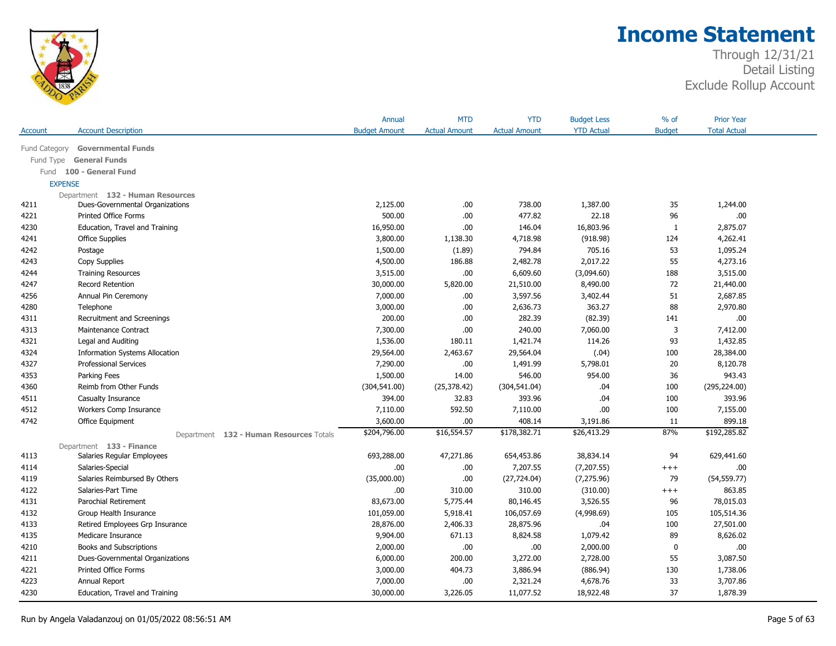

|                |                                         | Annual               | <b>MTD</b>           | <b>YTD</b>           | <b>Budget Less</b> | $%$ of        | <b>Prior Year</b>   |  |
|----------------|-----------------------------------------|----------------------|----------------------|----------------------|--------------------|---------------|---------------------|--|
| Account        | <b>Account Description</b>              | <b>Budget Amount</b> | <b>Actual Amount</b> | <b>Actual Amount</b> | <b>YTD Actual</b>  | <b>Budget</b> | <b>Total Actual</b> |  |
| Fund Category  | <b>Governmental Funds</b>               |                      |                      |                      |                    |               |                     |  |
| Fund Type      | <b>General Funds</b>                    |                      |                      |                      |                    |               |                     |  |
| Fund           | 100 - General Fund                      |                      |                      |                      |                    |               |                     |  |
| <b>EXPENSE</b> |                                         |                      |                      |                      |                    |               |                     |  |
|                | Department 132 - Human Resources        |                      |                      |                      |                    |               |                     |  |
| 4211           | Dues-Governmental Organizations         | 2,125.00             | .00.                 | 738.00               | 1,387.00           | 35            | 1,244.00            |  |
| 4221           | <b>Printed Office Forms</b>             | 500.00               | .00.                 | 477.82               | 22.18              | 96            | .00.                |  |
| 4230           | Education, Travel and Training          | 16,950.00            | .00.                 | 146.04               | 16,803.96          | 1             | 2,875.07            |  |
| 4241           | <b>Office Supplies</b>                  | 3,800.00             | 1,138.30             | 4,718.98             | (918.98)           | 124           | 4,262.41            |  |
| 4242           | Postage                                 | 1,500.00             | (1.89)               | 794.84               | 705.16             | 53            | 1,095.24            |  |
| 4243           | Copy Supplies                           | 4,500.00             | 186.88               | 2,482.78             | 2,017.22           | 55            | 4,273.16            |  |
| 4244           | <b>Training Resources</b>               | 3,515.00             | .00.                 | 6,609.60             | (3,094.60)         | 188           | 3,515.00            |  |
| 4247           | Record Retention                        | 30,000.00            | 5,820.00             | 21,510.00            | 8,490.00           | 72            | 21,440.00           |  |
| 4256           | Annual Pin Ceremony                     | 7,000.00             | .00                  | 3,597.56             | 3,402.44           | 51            | 2,687.85            |  |
| 4280           | Telephone                               | 3,000.00             | .00                  | 2,636.73             | 363.27             | 88            | 2,970.80            |  |
| 4311           | Recruitment and Screenings              | 200.00               | .00.                 | 282.39               | (82.39)            | 141           | .00.                |  |
| 4313           | Maintenance Contract                    | 7,300.00             | .00.                 | 240.00               | 7,060.00           | 3             | 7,412.00            |  |
| 4321           | Legal and Auditing                      | 1,536.00             | 180.11               | 1,421.74             | 114.26             | 93            | 1,432.85            |  |
| 4324           | <b>Information Systems Allocation</b>   | 29,564.00            | 2,463.67             | 29,564.04            | (.04)              | 100           | 28,384.00           |  |
| 4327           | <b>Professional Services</b>            | 7,290.00             | .00.                 | 1,491.99             | 5,798.01           | 20            | 8,120.78            |  |
| 4353           | Parking Fees                            | 1,500.00             | 14.00                | 546.00               | 954.00             | 36            | 943.43              |  |
| 4360           | Reimb from Other Funds                  | (304, 541.00)        | (25, 378.42)         | (304, 541.04)        | .04                | 100           | (295, 224.00)       |  |
| 4511           | Casualty Insurance                      | 394.00               | 32.83                | 393.96               | .04                | 100           | 393.96              |  |
| 4512           | Workers Comp Insurance                  | 7,110.00             | 592.50               | 7,110.00             | .00.               | 100           | 7,155.00            |  |
| 4742           | Office Equipment                        | 3,600.00             | .00.                 | 408.14               | 3,191.86           | 11            | 899.18              |  |
|                | Department 132 - Human Resources Totals | \$204,796.00         | \$16,554.57          | \$178,382.71         | \$26,413.29        | 87%           | \$192,285.82        |  |
|                | Department 133 - Finance                |                      |                      |                      |                    |               |                     |  |
| 4113           | Salaries Regular Employees              | 693,288.00           | 47,271.86            | 654,453.86           | 38,834.14          | 94            | 629,441.60          |  |
| 4114           | Salaries-Special                        | .00                  | .00                  | 7,207.55             | (7,207.55)         | $^{+++}$      | .00.                |  |
| 4119           | Salaries Reimbursed By Others           | (35,000.00)          | .00.                 | (27, 724.04)         | (7, 275.96)        | 79            | (54, 559.77)        |  |
| 4122           | Salaries-Part Time                      | .00                  | 310.00               | 310.00               | (310.00)           | $^{+++}$      | 863.85              |  |
| 4131           | Parochial Retirement                    | 83,673.00            | 5,775.44             | 80,146.45            | 3,526.55           | 96            | 78,015.03           |  |
| 4132           | Group Health Insurance                  | 101,059.00           | 5,918.41             | 106,057.69           | (4,998.69)         | 105           | 105,514.36          |  |
| 4133           | Retired Employees Grp Insurance         | 28,876.00            | 2,406.33             | 28,875.96            | .04                | 100           | 27,501.00           |  |
| 4135           | Medicare Insurance                      | 9,904.00             | 671.13               | 8,824.58             | 1,079.42           | 89            | 8,626.02            |  |
| 4210           | Books and Subscriptions                 | 2,000.00             | .00.                 | .00                  | 2,000.00           | $\mathbf 0$   | .00.                |  |
| 4211           | Dues-Governmental Organizations         | 6,000.00             | 200.00               | 3,272.00             | 2,728.00           | 55            | 3,087.50            |  |
| 4221           | <b>Printed Office Forms</b>             | 3,000.00             | 404.73               | 3,886.94             | (886.94)           | 130           | 1,738.06            |  |
| 4223           | Annual Report                           | 7,000.00             | .00                  | 2,321.24             | 4,678.76           | 33            | 3,707.86            |  |
| 4230           | Education, Travel and Training          | 30,000.00            | 3,226.05             | 11,077.52            | 18,922.48          | 37            | 1,878.39            |  |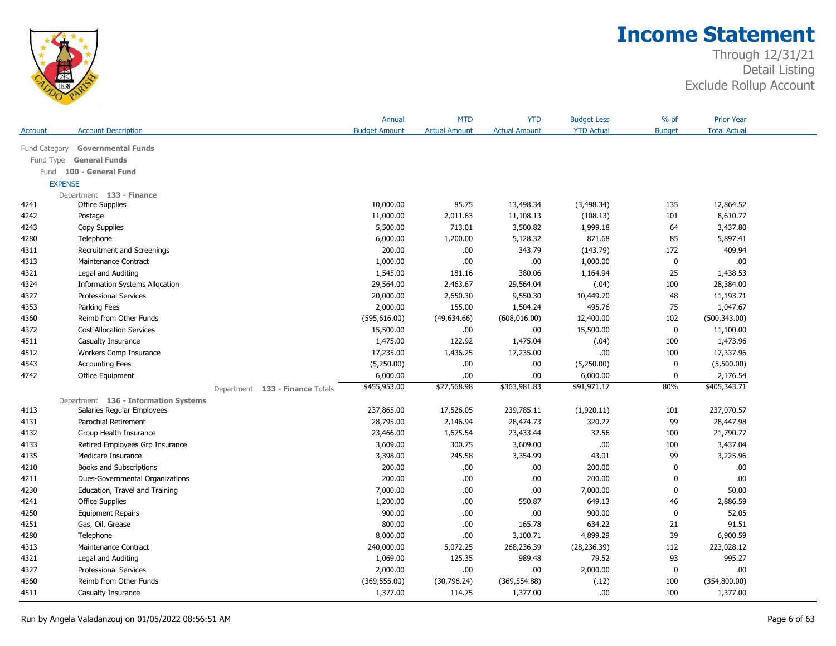

| <b>Account Description</b><br><b>Budget Amount</b><br><b>Actual Amount</b><br><b>YTD Actual</b><br><b>Budget</b><br><b>Total Actual</b><br>Account<br><b>Actual Amount</b><br><b>Governmental Funds</b><br>Fund Category<br><b>General Funds</b><br>Fund Type<br>Fund 100 - General Fund<br><b>EXPENSE</b><br>Department 133 - Finance<br>10,000.00<br>13,498.34<br>(3,498.34)<br>12,864.52<br>4241<br><b>Office Supplies</b><br>85.75<br>135<br>11,000.00<br>2,011.63<br>11,108.13<br>(108.13)<br>101<br>8,610.77<br>4242<br>Postage<br>713.01<br>3,500.82<br>1,999.18<br>64<br>3,437.80<br>4243<br>Copy Supplies<br>5,500.00<br>871.68<br>85<br>5,897.41<br>4280<br>Telephone<br>6,000.00<br>1,200.00<br>5,128.32<br>200.00<br>.00<br>172<br>409.94<br>4311<br>Recruitment and Screenings<br>343.79<br>(143.79)<br>.00<br>0<br>.00.<br>4313<br>Maintenance Contract<br>1,000.00<br>.00.<br>1,000.00<br>4321<br>1,545.00<br>380.06<br>1,164.94<br>25<br>1,438.53<br>Legal and Auditing<br>181.16<br>4324<br>2,463.67<br>29,564.04<br>(.04)<br>100<br>28,384.00<br><b>Information Systems Allocation</b><br>29,564.00<br>4327<br>20,000.00<br>2,650.30<br>9,550.30<br>10,449.70<br>48<br>11,193.71<br><b>Professional Services</b><br>2,000.00<br>155.00<br>495.76<br>75<br>1,047.67<br>4353<br>Parking Fees<br>1,504.24<br>4360<br>Reimb from Other Funds<br>(595, 616.00)<br>(49, 634.66)<br>(608, 016.00)<br>12,400.00<br>102<br>(500, 343.00)<br>4372<br><b>Cost Allocation Services</b><br>15,500.00<br>.00.<br>15,500.00<br>0<br>11,100.00<br>.00.<br>4511<br>1,475.00<br>122.92<br>1,475.04<br>(.04)<br>100<br>1,473.96<br>Casualty Insurance<br>4512<br>Workers Comp Insurance<br>17,235.00<br>.00.<br>100<br>17,337.96<br>1,436.25<br>17,235.00<br>4543<br>.00.<br>0<br>(5,500.00)<br><b>Accounting Fees</b><br>(5,250.00)<br>.00<br>(5,250.00)<br>6,000.00<br>.00.<br>2,176.54<br>4742<br>Office Equipment<br>.00<br>6,000.00<br>0<br>\$27,568.98<br>\$363,981.83<br>\$455,953.00<br>\$91,971.17<br>80%<br>\$405,343.71<br>Department 133 - Finance Totals<br>Department 136 - Information Systems<br>237,865.00<br>17,526.05<br>239,785.11<br>(1,920.11)<br>237,070.57<br>4113<br>Salaries Regular Employees<br>101<br>99<br>Parochial Retirement<br>28,795.00<br>2,146.94<br>28,474.73<br>320.27<br>28,447.98<br>4131<br>4132<br>23,466.00<br>1,675.54<br>23,433.44<br>32.56<br>100<br>21,790.77<br>Group Health Insurance<br>3,609.00<br>300.75<br>3,609.00<br>.00.<br>100<br>3,437.04<br>4133<br>Retired Employees Grp Insurance<br>4135<br>3,398.00<br>245.58<br>3,354.99<br>43.01<br>99<br>3,225.96<br>Medicare Insurance<br>200.00<br>.00<br>200.00<br>4210<br>Books and Subscriptions<br>.00.<br>0<br>.00. |      |                                 | Annual | <b>MTD</b> | <b>YTD</b> | <b>Budget Less</b> | $%$ of | <b>Prior Year</b> |  |
|------------------------------------------------------------------------------------------------------------------------------------------------------------------------------------------------------------------------------------------------------------------------------------------------------------------------------------------------------------------------------------------------------------------------------------------------------------------------------------------------------------------------------------------------------------------------------------------------------------------------------------------------------------------------------------------------------------------------------------------------------------------------------------------------------------------------------------------------------------------------------------------------------------------------------------------------------------------------------------------------------------------------------------------------------------------------------------------------------------------------------------------------------------------------------------------------------------------------------------------------------------------------------------------------------------------------------------------------------------------------------------------------------------------------------------------------------------------------------------------------------------------------------------------------------------------------------------------------------------------------------------------------------------------------------------------------------------------------------------------------------------------------------------------------------------------------------------------------------------------------------------------------------------------------------------------------------------------------------------------------------------------------------------------------------------------------------------------------------------------------------------------------------------------------------------------------------------------------------------------------------------------------------------------------------------------------------------------------------------------------------------------------------------------------------------------------------------------------------------------------------------------------------------------------------------------------------------------------------------------------------------------------------------------------------------------------------------------------------|------|---------------------------------|--------|------------|------------|--------------------|--------|-------------------|--|
|                                                                                                                                                                                                                                                                                                                                                                                                                                                                                                                                                                                                                                                                                                                                                                                                                                                                                                                                                                                                                                                                                                                                                                                                                                                                                                                                                                                                                                                                                                                                                                                                                                                                                                                                                                                                                                                                                                                                                                                                                                                                                                                                                                                                                                                                                                                                                                                                                                                                                                                                                                                                                                                                                                                              |      |                                 |        |            |            |                    |        |                   |  |
|                                                                                                                                                                                                                                                                                                                                                                                                                                                                                                                                                                                                                                                                                                                                                                                                                                                                                                                                                                                                                                                                                                                                                                                                                                                                                                                                                                                                                                                                                                                                                                                                                                                                                                                                                                                                                                                                                                                                                                                                                                                                                                                                                                                                                                                                                                                                                                                                                                                                                                                                                                                                                                                                                                                              |      |                                 |        |            |            |                    |        |                   |  |
|                                                                                                                                                                                                                                                                                                                                                                                                                                                                                                                                                                                                                                                                                                                                                                                                                                                                                                                                                                                                                                                                                                                                                                                                                                                                                                                                                                                                                                                                                                                                                                                                                                                                                                                                                                                                                                                                                                                                                                                                                                                                                                                                                                                                                                                                                                                                                                                                                                                                                                                                                                                                                                                                                                                              |      |                                 |        |            |            |                    |        |                   |  |
|                                                                                                                                                                                                                                                                                                                                                                                                                                                                                                                                                                                                                                                                                                                                                                                                                                                                                                                                                                                                                                                                                                                                                                                                                                                                                                                                                                                                                                                                                                                                                                                                                                                                                                                                                                                                                                                                                                                                                                                                                                                                                                                                                                                                                                                                                                                                                                                                                                                                                                                                                                                                                                                                                                                              |      |                                 |        |            |            |                    |        |                   |  |
|                                                                                                                                                                                                                                                                                                                                                                                                                                                                                                                                                                                                                                                                                                                                                                                                                                                                                                                                                                                                                                                                                                                                                                                                                                                                                                                                                                                                                                                                                                                                                                                                                                                                                                                                                                                                                                                                                                                                                                                                                                                                                                                                                                                                                                                                                                                                                                                                                                                                                                                                                                                                                                                                                                                              |      |                                 |        |            |            |                    |        |                   |  |
|                                                                                                                                                                                                                                                                                                                                                                                                                                                                                                                                                                                                                                                                                                                                                                                                                                                                                                                                                                                                                                                                                                                                                                                                                                                                                                                                                                                                                                                                                                                                                                                                                                                                                                                                                                                                                                                                                                                                                                                                                                                                                                                                                                                                                                                                                                                                                                                                                                                                                                                                                                                                                                                                                                                              |      |                                 |        |            |            |                    |        |                   |  |
|                                                                                                                                                                                                                                                                                                                                                                                                                                                                                                                                                                                                                                                                                                                                                                                                                                                                                                                                                                                                                                                                                                                                                                                                                                                                                                                                                                                                                                                                                                                                                                                                                                                                                                                                                                                                                                                                                                                                                                                                                                                                                                                                                                                                                                                                                                                                                                                                                                                                                                                                                                                                                                                                                                                              |      |                                 |        |            |            |                    |        |                   |  |
|                                                                                                                                                                                                                                                                                                                                                                                                                                                                                                                                                                                                                                                                                                                                                                                                                                                                                                                                                                                                                                                                                                                                                                                                                                                                                                                                                                                                                                                                                                                                                                                                                                                                                                                                                                                                                                                                                                                                                                                                                                                                                                                                                                                                                                                                                                                                                                                                                                                                                                                                                                                                                                                                                                                              |      |                                 |        |            |            |                    |        |                   |  |
|                                                                                                                                                                                                                                                                                                                                                                                                                                                                                                                                                                                                                                                                                                                                                                                                                                                                                                                                                                                                                                                                                                                                                                                                                                                                                                                                                                                                                                                                                                                                                                                                                                                                                                                                                                                                                                                                                                                                                                                                                                                                                                                                                                                                                                                                                                                                                                                                                                                                                                                                                                                                                                                                                                                              |      |                                 |        |            |            |                    |        |                   |  |
|                                                                                                                                                                                                                                                                                                                                                                                                                                                                                                                                                                                                                                                                                                                                                                                                                                                                                                                                                                                                                                                                                                                                                                                                                                                                                                                                                                                                                                                                                                                                                                                                                                                                                                                                                                                                                                                                                                                                                                                                                                                                                                                                                                                                                                                                                                                                                                                                                                                                                                                                                                                                                                                                                                                              |      |                                 |        |            |            |                    |        |                   |  |
|                                                                                                                                                                                                                                                                                                                                                                                                                                                                                                                                                                                                                                                                                                                                                                                                                                                                                                                                                                                                                                                                                                                                                                                                                                                                                                                                                                                                                                                                                                                                                                                                                                                                                                                                                                                                                                                                                                                                                                                                                                                                                                                                                                                                                                                                                                                                                                                                                                                                                                                                                                                                                                                                                                                              |      |                                 |        |            |            |                    |        |                   |  |
|                                                                                                                                                                                                                                                                                                                                                                                                                                                                                                                                                                                                                                                                                                                                                                                                                                                                                                                                                                                                                                                                                                                                                                                                                                                                                                                                                                                                                                                                                                                                                                                                                                                                                                                                                                                                                                                                                                                                                                                                                                                                                                                                                                                                                                                                                                                                                                                                                                                                                                                                                                                                                                                                                                                              |      |                                 |        |            |            |                    |        |                   |  |
|                                                                                                                                                                                                                                                                                                                                                                                                                                                                                                                                                                                                                                                                                                                                                                                                                                                                                                                                                                                                                                                                                                                                                                                                                                                                                                                                                                                                                                                                                                                                                                                                                                                                                                                                                                                                                                                                                                                                                                                                                                                                                                                                                                                                                                                                                                                                                                                                                                                                                                                                                                                                                                                                                                                              |      |                                 |        |            |            |                    |        |                   |  |
|                                                                                                                                                                                                                                                                                                                                                                                                                                                                                                                                                                                                                                                                                                                                                                                                                                                                                                                                                                                                                                                                                                                                                                                                                                                                                                                                                                                                                                                                                                                                                                                                                                                                                                                                                                                                                                                                                                                                                                                                                                                                                                                                                                                                                                                                                                                                                                                                                                                                                                                                                                                                                                                                                                                              |      |                                 |        |            |            |                    |        |                   |  |
|                                                                                                                                                                                                                                                                                                                                                                                                                                                                                                                                                                                                                                                                                                                                                                                                                                                                                                                                                                                                                                                                                                                                                                                                                                                                                                                                                                                                                                                                                                                                                                                                                                                                                                                                                                                                                                                                                                                                                                                                                                                                                                                                                                                                                                                                                                                                                                                                                                                                                                                                                                                                                                                                                                                              |      |                                 |        |            |            |                    |        |                   |  |
|                                                                                                                                                                                                                                                                                                                                                                                                                                                                                                                                                                                                                                                                                                                                                                                                                                                                                                                                                                                                                                                                                                                                                                                                                                                                                                                                                                                                                                                                                                                                                                                                                                                                                                                                                                                                                                                                                                                                                                                                                                                                                                                                                                                                                                                                                                                                                                                                                                                                                                                                                                                                                                                                                                                              |      |                                 |        |            |            |                    |        |                   |  |
|                                                                                                                                                                                                                                                                                                                                                                                                                                                                                                                                                                                                                                                                                                                                                                                                                                                                                                                                                                                                                                                                                                                                                                                                                                                                                                                                                                                                                                                                                                                                                                                                                                                                                                                                                                                                                                                                                                                                                                                                                                                                                                                                                                                                                                                                                                                                                                                                                                                                                                                                                                                                                                                                                                                              |      |                                 |        |            |            |                    |        |                   |  |
|                                                                                                                                                                                                                                                                                                                                                                                                                                                                                                                                                                                                                                                                                                                                                                                                                                                                                                                                                                                                                                                                                                                                                                                                                                                                                                                                                                                                                                                                                                                                                                                                                                                                                                                                                                                                                                                                                                                                                                                                                                                                                                                                                                                                                                                                                                                                                                                                                                                                                                                                                                                                                                                                                                                              |      |                                 |        |            |            |                    |        |                   |  |
|                                                                                                                                                                                                                                                                                                                                                                                                                                                                                                                                                                                                                                                                                                                                                                                                                                                                                                                                                                                                                                                                                                                                                                                                                                                                                                                                                                                                                                                                                                                                                                                                                                                                                                                                                                                                                                                                                                                                                                                                                                                                                                                                                                                                                                                                                                                                                                                                                                                                                                                                                                                                                                                                                                                              |      |                                 |        |            |            |                    |        |                   |  |
|                                                                                                                                                                                                                                                                                                                                                                                                                                                                                                                                                                                                                                                                                                                                                                                                                                                                                                                                                                                                                                                                                                                                                                                                                                                                                                                                                                                                                                                                                                                                                                                                                                                                                                                                                                                                                                                                                                                                                                                                                                                                                                                                                                                                                                                                                                                                                                                                                                                                                                                                                                                                                                                                                                                              |      |                                 |        |            |            |                    |        |                   |  |
|                                                                                                                                                                                                                                                                                                                                                                                                                                                                                                                                                                                                                                                                                                                                                                                                                                                                                                                                                                                                                                                                                                                                                                                                                                                                                                                                                                                                                                                                                                                                                                                                                                                                                                                                                                                                                                                                                                                                                                                                                                                                                                                                                                                                                                                                                                                                                                                                                                                                                                                                                                                                                                                                                                                              |      |                                 |        |            |            |                    |        |                   |  |
|                                                                                                                                                                                                                                                                                                                                                                                                                                                                                                                                                                                                                                                                                                                                                                                                                                                                                                                                                                                                                                                                                                                                                                                                                                                                                                                                                                                                                                                                                                                                                                                                                                                                                                                                                                                                                                                                                                                                                                                                                                                                                                                                                                                                                                                                                                                                                                                                                                                                                                                                                                                                                                                                                                                              |      |                                 |        |            |            |                    |        |                   |  |
|                                                                                                                                                                                                                                                                                                                                                                                                                                                                                                                                                                                                                                                                                                                                                                                                                                                                                                                                                                                                                                                                                                                                                                                                                                                                                                                                                                                                                                                                                                                                                                                                                                                                                                                                                                                                                                                                                                                                                                                                                                                                                                                                                                                                                                                                                                                                                                                                                                                                                                                                                                                                                                                                                                                              |      |                                 |        |            |            |                    |        |                   |  |
|                                                                                                                                                                                                                                                                                                                                                                                                                                                                                                                                                                                                                                                                                                                                                                                                                                                                                                                                                                                                                                                                                                                                                                                                                                                                                                                                                                                                                                                                                                                                                                                                                                                                                                                                                                                                                                                                                                                                                                                                                                                                                                                                                                                                                                                                                                                                                                                                                                                                                                                                                                                                                                                                                                                              |      |                                 |        |            |            |                    |        |                   |  |
|                                                                                                                                                                                                                                                                                                                                                                                                                                                                                                                                                                                                                                                                                                                                                                                                                                                                                                                                                                                                                                                                                                                                                                                                                                                                                                                                                                                                                                                                                                                                                                                                                                                                                                                                                                                                                                                                                                                                                                                                                                                                                                                                                                                                                                                                                                                                                                                                                                                                                                                                                                                                                                                                                                                              |      |                                 |        |            |            |                    |        |                   |  |
|                                                                                                                                                                                                                                                                                                                                                                                                                                                                                                                                                                                                                                                                                                                                                                                                                                                                                                                                                                                                                                                                                                                                                                                                                                                                                                                                                                                                                                                                                                                                                                                                                                                                                                                                                                                                                                                                                                                                                                                                                                                                                                                                                                                                                                                                                                                                                                                                                                                                                                                                                                                                                                                                                                                              |      |                                 |        |            |            |                    |        |                   |  |
|                                                                                                                                                                                                                                                                                                                                                                                                                                                                                                                                                                                                                                                                                                                                                                                                                                                                                                                                                                                                                                                                                                                                                                                                                                                                                                                                                                                                                                                                                                                                                                                                                                                                                                                                                                                                                                                                                                                                                                                                                                                                                                                                                                                                                                                                                                                                                                                                                                                                                                                                                                                                                                                                                                                              |      |                                 |        |            |            |                    |        |                   |  |
|                                                                                                                                                                                                                                                                                                                                                                                                                                                                                                                                                                                                                                                                                                                                                                                                                                                                                                                                                                                                                                                                                                                                                                                                                                                                                                                                                                                                                                                                                                                                                                                                                                                                                                                                                                                                                                                                                                                                                                                                                                                                                                                                                                                                                                                                                                                                                                                                                                                                                                                                                                                                                                                                                                                              |      |                                 |        |            |            |                    |        |                   |  |
|                                                                                                                                                                                                                                                                                                                                                                                                                                                                                                                                                                                                                                                                                                                                                                                                                                                                                                                                                                                                                                                                                                                                                                                                                                                                                                                                                                                                                                                                                                                                                                                                                                                                                                                                                                                                                                                                                                                                                                                                                                                                                                                                                                                                                                                                                                                                                                                                                                                                                                                                                                                                                                                                                                                              |      |                                 |        |            |            |                    |        |                   |  |
|                                                                                                                                                                                                                                                                                                                                                                                                                                                                                                                                                                                                                                                                                                                                                                                                                                                                                                                                                                                                                                                                                                                                                                                                                                                                                                                                                                                                                                                                                                                                                                                                                                                                                                                                                                                                                                                                                                                                                                                                                                                                                                                                                                                                                                                                                                                                                                                                                                                                                                                                                                                                                                                                                                                              |      |                                 |        |            |            |                    |        |                   |  |
|                                                                                                                                                                                                                                                                                                                                                                                                                                                                                                                                                                                                                                                                                                                                                                                                                                                                                                                                                                                                                                                                                                                                                                                                                                                                                                                                                                                                                                                                                                                                                                                                                                                                                                                                                                                                                                                                                                                                                                                                                                                                                                                                                                                                                                                                                                                                                                                                                                                                                                                                                                                                                                                                                                                              | 4211 | Dues-Governmental Organizations | 200.00 | .00.       | .00.       | 200.00             | 0      | .00.              |  |
| 4230<br>7,000.00<br>.00<br>.00.<br>7,000.00<br>0<br>50.00<br>Education, Travel and Training                                                                                                                                                                                                                                                                                                                                                                                                                                                                                                                                                                                                                                                                                                                                                                                                                                                                                                                                                                                                                                                                                                                                                                                                                                                                                                                                                                                                                                                                                                                                                                                                                                                                                                                                                                                                                                                                                                                                                                                                                                                                                                                                                                                                                                                                                                                                                                                                                                                                                                                                                                                                                                  |      |                                 |        |            |            |                    |        |                   |  |
| 4241<br>1,200.00<br>.00.<br>550.87<br>649.13<br>46<br>2,886.59<br><b>Office Supplies</b>                                                                                                                                                                                                                                                                                                                                                                                                                                                                                                                                                                                                                                                                                                                                                                                                                                                                                                                                                                                                                                                                                                                                                                                                                                                                                                                                                                                                                                                                                                                                                                                                                                                                                                                                                                                                                                                                                                                                                                                                                                                                                                                                                                                                                                                                                                                                                                                                                                                                                                                                                                                                                                     |      |                                 |        |            |            |                    |        |                   |  |
| 900.00<br>.00.<br>.00.<br>900.00<br>$\mathbf 0$<br>52.05<br>4250<br><b>Equipment Repairs</b>                                                                                                                                                                                                                                                                                                                                                                                                                                                                                                                                                                                                                                                                                                                                                                                                                                                                                                                                                                                                                                                                                                                                                                                                                                                                                                                                                                                                                                                                                                                                                                                                                                                                                                                                                                                                                                                                                                                                                                                                                                                                                                                                                                                                                                                                                                                                                                                                                                                                                                                                                                                                                                 |      |                                 |        |            |            |                    |        |                   |  |
| 4251<br>800.00<br>.00.<br>165.78<br>634.22<br>21<br>91.51<br>Gas, Oil, Grease                                                                                                                                                                                                                                                                                                                                                                                                                                                                                                                                                                                                                                                                                                                                                                                                                                                                                                                                                                                                                                                                                                                                                                                                                                                                                                                                                                                                                                                                                                                                                                                                                                                                                                                                                                                                                                                                                                                                                                                                                                                                                                                                                                                                                                                                                                                                                                                                                                                                                                                                                                                                                                                |      |                                 |        |            |            |                    |        |                   |  |
| 8,000.00<br>.00<br>4,899.29<br>39<br>6,900.59<br>4280<br>Telephone<br>3,100.71                                                                                                                                                                                                                                                                                                                                                                                                                                                                                                                                                                                                                                                                                                                                                                                                                                                                                                                                                                                                                                                                                                                                                                                                                                                                                                                                                                                                                                                                                                                                                                                                                                                                                                                                                                                                                                                                                                                                                                                                                                                                                                                                                                                                                                                                                                                                                                                                                                                                                                                                                                                                                                               |      |                                 |        |            |            |                    |        |                   |  |
| 4313<br>Maintenance Contract<br>240,000.00<br>5,072.25<br>268,236.39<br>(28, 236.39)<br>112<br>223,028.12                                                                                                                                                                                                                                                                                                                                                                                                                                                                                                                                                                                                                                                                                                                                                                                                                                                                                                                                                                                                                                                                                                                                                                                                                                                                                                                                                                                                                                                                                                                                                                                                                                                                                                                                                                                                                                                                                                                                                                                                                                                                                                                                                                                                                                                                                                                                                                                                                                                                                                                                                                                                                    |      |                                 |        |            |            |                    |        |                   |  |
| 125.35<br>93<br>995.27<br>4321<br>1,069.00<br>989.48<br>79.52<br>Legal and Auditing                                                                                                                                                                                                                                                                                                                                                                                                                                                                                                                                                                                                                                                                                                                                                                                                                                                                                                                                                                                                                                                                                                                                                                                                                                                                                                                                                                                                                                                                                                                                                                                                                                                                                                                                                                                                                                                                                                                                                                                                                                                                                                                                                                                                                                                                                                                                                                                                                                                                                                                                                                                                                                          |      |                                 |        |            |            |                    |        |                   |  |
| 4327<br>2,000.00<br>.00.<br>.00.<br>2,000.00<br>0<br>.00.<br><b>Professional Services</b>                                                                                                                                                                                                                                                                                                                                                                                                                                                                                                                                                                                                                                                                                                                                                                                                                                                                                                                                                                                                                                                                                                                                                                                                                                                                                                                                                                                                                                                                                                                                                                                                                                                                                                                                                                                                                                                                                                                                                                                                                                                                                                                                                                                                                                                                                                                                                                                                                                                                                                                                                                                                                                    |      |                                 |        |            |            |                    |        |                   |  |
| 4360<br>Reimb from Other Funds<br>(369, 555.00)<br>(30, 796.24)<br>(369, 554.88)<br>(.12)<br>100<br>(354,800.00)                                                                                                                                                                                                                                                                                                                                                                                                                                                                                                                                                                                                                                                                                                                                                                                                                                                                                                                                                                                                                                                                                                                                                                                                                                                                                                                                                                                                                                                                                                                                                                                                                                                                                                                                                                                                                                                                                                                                                                                                                                                                                                                                                                                                                                                                                                                                                                                                                                                                                                                                                                                                             |      |                                 |        |            |            |                    |        |                   |  |
| 1,377.00<br>1,377.00<br>.00<br>1,377.00<br>4511<br>Casualty Insurance<br>114.75<br>100                                                                                                                                                                                                                                                                                                                                                                                                                                                                                                                                                                                                                                                                                                                                                                                                                                                                                                                                                                                                                                                                                                                                                                                                                                                                                                                                                                                                                                                                                                                                                                                                                                                                                                                                                                                                                                                                                                                                                                                                                                                                                                                                                                                                                                                                                                                                                                                                                                                                                                                                                                                                                                       |      |                                 |        |            |            |                    |        |                   |  |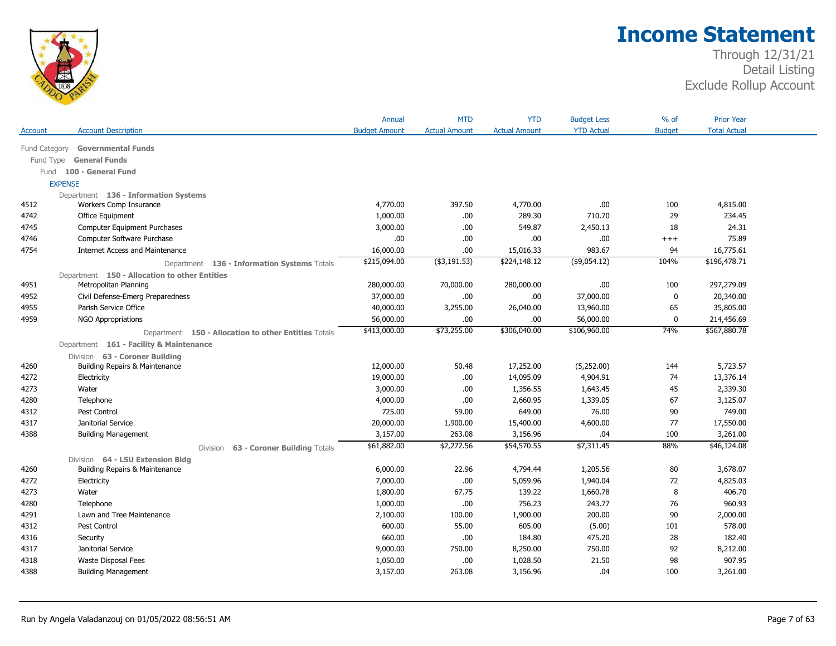

|           |                                                      | Annual               | <b>MTD</b>           | <b>YTD</b>           | <b>Budget Less</b> | $%$ of        | <b>Prior Year</b>   |  |
|-----------|------------------------------------------------------|----------------------|----------------------|----------------------|--------------------|---------------|---------------------|--|
| Account   | <b>Account Description</b>                           | <b>Budget Amount</b> | <b>Actual Amount</b> | <b>Actual Amount</b> | <b>YTD Actual</b>  | <b>Budget</b> | <b>Total Actual</b> |  |
|           | Fund Category Governmental Funds                     |                      |                      |                      |                    |               |                     |  |
| Fund Type | <b>General Funds</b>                                 |                      |                      |                      |                    |               |                     |  |
|           | Fund 100 - General Fund                              |                      |                      |                      |                    |               |                     |  |
|           | <b>EXPENSE</b>                                       |                      |                      |                      |                    |               |                     |  |
|           | Department 136 - Information Systems                 |                      |                      |                      |                    |               |                     |  |
| 4512      | Workers Comp Insurance                               | 4,770.00             | 397.50               | 4,770.00             | .00.               | 100           | 4,815.00            |  |
| 4742      | Office Equipment                                     | 1,000.00             | .00.                 | 289.30               | 710.70             | 29            | 234.45              |  |
| 4745      | Computer Equipment Purchases                         | 3,000.00             | .00                  | 549.87               | 2,450.13           | 18            | 24.31               |  |
| 4746      | Computer Software Purchase                           | .00                  | .00                  | .00.                 | .00.               | $^{+++}$      | 75.89               |  |
| 4754      | <b>Internet Access and Maintenance</b>               | 16,000.00            | .00.                 | 15,016.33            | 983.67             | 94            | 16,775.61           |  |
|           | Department 136 - Information Systems Totals          | \$215,094.00         | $($ \$3,191.53)      | \$224,148.12         | $($ \$9,054.12)    | 104%          | \$196,478.71        |  |
|           | Department 150 - Allocation to other Entities        |                      |                      |                      |                    |               |                     |  |
| 4951      | Metropolitan Planning                                | 280,000.00           | 70,000.00            | 280,000.00           | .00.               | 100           | 297,279.09          |  |
| 4952      | Civil Defense-Emerg Preparedness                     | 37,000.00            | .00.                 | .00.                 | 37,000.00          | $\mathbf 0$   | 20,340.00           |  |
| 4955      | Parish Service Office                                | 40,000.00            | 3,255.00             | 26,040.00            | 13,960.00          | 65            | 35,805.00           |  |
| 4959      | <b>NGO Appropriations</b>                            | 56,000.00            | .00.                 | .00.                 | 56,000.00          | $\mathbf 0$   | 214,456.69          |  |
|           | Department 150 - Allocation to other Entities Totals | \$413,000.00         | \$73,255.00          | \$306,040.00         | \$106,960.00       | 74%           | \$567,880.78        |  |
|           | Department 161 - Facility & Maintenance              |                      |                      |                      |                    |               |                     |  |
|           | Division 63 - Coroner Building                       |                      |                      |                      |                    |               |                     |  |
| 4260      | Building Repairs & Maintenance                       | 12,000.00            | 50.48                | 17,252.00            | (5,252.00)         | 144           | 5,723.57            |  |
| 4272      | Electricity                                          | 19,000.00            | .00                  | 14,095.09            | 4,904.91           | 74            | 13,376.14           |  |
| 4273      | Water                                                | 3,000.00             | .00                  | 1,356.55             | 1,643.45           | 45            | 2,339.30            |  |
| 4280      | Telephone                                            | 4,000.00             | .00                  | 2,660.95             | 1,339.05           | 67            | 3,125.07            |  |
| 4312      | Pest Control                                         | 725.00               | 59.00                | 649.00               | 76.00              | 90            | 749.00              |  |
| 4317      | Janitorial Service                                   | 20,000.00            | 1,900.00             | 15,400.00            | 4,600.00           | 77            | 17,550.00           |  |
| 4388      | <b>Building Management</b>                           | 3,157.00             | 263.08               | 3,156.96             | .04                | 100           | 3,261.00            |  |
|           | 63 - Coroner Building Totals<br><b>Division</b>      | \$61,882.00          | \$2,272.56           | \$54,570.55          | \$7,311.45         | 88%           | \$46,124.08         |  |
|           | Division 64 - LSU Extension Bldg                     |                      |                      |                      |                    |               |                     |  |
| 4260      | Building Repairs & Maintenance                       | 6,000.00             | 22.96                | 4,794.44             | 1,205.56           | 80            | 3,678.07            |  |
| 4272      | Electricity                                          | 7,000.00             | .00.                 | 5,059.96             | 1,940.04           | 72            | 4,825.03            |  |
| 4273      | Water                                                | 1,800.00             | 67.75                | 139.22               | 1,660.78           | 8             | 406.70              |  |
| 4280      | Telephone                                            | 1,000.00             | .00                  | 756.23               | 243.77             | 76            | 960.93              |  |
| 4291      | Lawn and Tree Maintenance                            | 2,100.00             | 100.00               | 1,900.00             | 200.00             | 90            | 2,000.00            |  |
| 4312      | Pest Control                                         | 600.00               | 55.00                | 605.00               | (5.00)             | 101           | 578.00              |  |
| 4316      | Security                                             | 660.00               | .00                  | 184.80               | 475.20             | 28            | 182.40              |  |
| 4317      | Janitorial Service                                   | 9,000.00             | 750.00               | 8,250.00             | 750.00             | 92            | 8,212.00            |  |
| 4318      | Waste Disposal Fees                                  | 1,050.00             | .00                  | 1,028.50             | 21.50              | 98            | 907.95              |  |
| 4388      | <b>Building Management</b>                           | 3,157.00             | 263.08               | 3,156.96             | .04                | 100           | 3,261.00            |  |
|           |                                                      |                      |                      |                      |                    |               |                     |  |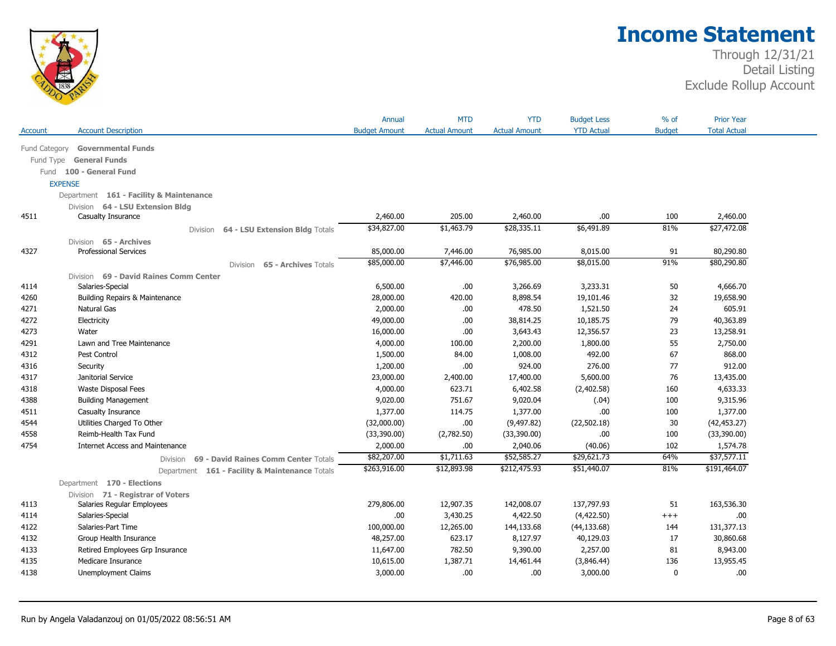

|               |                                                                              | Annual               | <b>MTD</b>           | <b>YTD</b>           | <b>Budget Less</b> | $%$ of        | <b>Prior Year</b>   |  |
|---------------|------------------------------------------------------------------------------|----------------------|----------------------|----------------------|--------------------|---------------|---------------------|--|
| Account       | <b>Account Description</b>                                                   | <b>Budget Amount</b> | <b>Actual Amount</b> | <b>Actual Amount</b> | <b>YTD Actual</b>  | <b>Budget</b> | <b>Total Actual</b> |  |
| Fund Category | <b>Governmental Funds</b>                                                    |                      |                      |                      |                    |               |                     |  |
| Fund Type     | <b>General Funds</b>                                                         |                      |                      |                      |                    |               |                     |  |
|               | Fund 100 - General Fund                                                      |                      |                      |                      |                    |               |                     |  |
|               | <b>EXPENSE</b>                                                               |                      |                      |                      |                    |               |                     |  |
|               | Department 161 - Facility & Maintenance                                      |                      |                      |                      |                    |               |                     |  |
|               | Division 64 - LSU Extension Bldg                                             |                      |                      |                      |                    |               |                     |  |
| 4511          | Casualty Insurance                                                           | 2,460.00             | 205.00               | 2,460.00             | .00.               | 100           | 2,460.00            |  |
|               | 64 - LSU Extension Bldg Totals<br>Division                                   | \$34,827.00          | \$1,463.79           | \$28,335.11          | \$6,491.89         | 81%           | \$27,472.08         |  |
|               | Division 65 - Archives                                                       |                      |                      |                      |                    |               |                     |  |
| 4327          | <b>Professional Services</b>                                                 | 85,000.00            | 7,446.00             | 76,985.00            | 8,015.00           | 91            | 80,290.80           |  |
|               | 65 - Archives Totals<br>Division                                             | \$85,000.00          | \$7,446.00           | \$76,985.00          | \$8,015.00         | 91%           | \$80,290.80         |  |
|               | Division 69 - David Raines Comm Center                                       |                      |                      |                      |                    |               |                     |  |
| 4114          | Salaries-Special                                                             | 6,500.00             | .00                  | 3,266.69             | 3,233.31           | 50            | 4,666.70            |  |
| 4260          | Building Repairs & Maintenance                                               | 28,000.00            | 420.00               | 8,898.54             | 19,101.46          | 32            | 19,658.90           |  |
| 4271          | Natural Gas                                                                  | 2,000.00             | .00                  | 478.50               | 1,521.50           | 24            | 605.91              |  |
| 4272          | Electricity                                                                  | 49,000.00            | .00                  | 38,814.25            | 10,185.75          | 79            | 40,363.89           |  |
| 4273          | Water                                                                        | 16,000.00            | .00                  | 3,643.43             | 12,356.57          | 23            | 13,258.91           |  |
| 4291          | Lawn and Tree Maintenance                                                    | 4,000.00             | 100.00               | 2,200.00             | 1,800.00           | 55            | 2,750.00            |  |
| 4312          | Pest Control                                                                 | 1,500.00             | 84.00                | 1,008.00             | 492.00             | 67            | 868.00              |  |
| 4316          | Security                                                                     | 1,200.00             | .00.                 | 924.00               | 276.00             | 77            | 912.00              |  |
| 4317          | Janitorial Service                                                           | 23,000.00            | 2,400.00             | 17,400.00            | 5,600.00           | 76            | 13,435.00           |  |
| 4318          | Waste Disposal Fees                                                          | 4,000.00             | 623.71               | 6,402.58             | (2,402.58)         | 160           | 4,633.33            |  |
| 4388          | <b>Building Management</b>                                                   | 9,020.00             | 751.67               | 9,020.04             | (.04)              | 100           | 9,315.96            |  |
| 4511          | Casualty Insurance                                                           | 1,377.00             | 114.75               | 1,377.00             | .00.               | 100           | 1,377.00            |  |
| 4544          | Utilities Charged To Other                                                   | (32,000.00)          | .00                  | (9, 497.82)          | (22, 502.18)       | 30            | (42, 453.27)        |  |
| 4558          | Reimb-Health Tax Fund                                                        | (33,390.00)          | (2,782.50)           | (33,390.00)          | .00.               | 100           | (33,390.00)         |  |
| 4754          | <b>Internet Access and Maintenance</b>                                       | 2,000.00             | .00                  | 2,040.06             | (40.06)            | 102           | 1,574.78            |  |
|               | 69 - David Raines Comm Center Totals<br>Division                             | \$82,207.00          | \$1,711.63           | \$52,585.27          | \$29,621.73        | 64%           | \$37,577.11         |  |
|               |                                                                              | \$263,916.00         | \$12,893.98          | \$212,475.93         | \$51,440.07        | 81%           | \$191,464.07        |  |
|               | Department 161 - Facility & Maintenance Totals<br>Department 170 - Elections |                      |                      |                      |                    |               |                     |  |
|               |                                                                              |                      |                      |                      |                    |               |                     |  |
| 4113          | Division 71 - Registrar of Voters<br>Salaries Regular Employees              | 279,806.00           | 12,907.35            | 142,008.07           | 137,797.93         | 51            | 163,536.30          |  |
| 4114          | Salaries-Special                                                             | .00                  | 3,430.25             | 4,422.50             | (4,422.50)         | $^{+++}$      | .00                 |  |
| 4122          | Salaries-Part Time                                                           | 100,000.00           | 12,265.00            | 144,133.68           | (44, 133.68)       | 144           | 131,377.13          |  |
| 4132          | Group Health Insurance                                                       | 48,257.00            | 623.17               | 8,127.97             | 40,129.03          | 17            | 30,860.68           |  |
| 4133          | Retired Employees Grp Insurance                                              | 11,647.00            | 782.50               | 9,390.00             | 2,257.00           | 81            | 8,943.00            |  |
| 4135          | Medicare Insurance                                                           | 10,615.00            | 1,387.71             | 14,461.44            | (3,846.44)         | 136           | 13,955.45           |  |
| 4138          | Unemployment Claims                                                          | 3,000.00             | .00                  | .00                  | 3,000.00           | 0             | .00.                |  |
|               |                                                                              |                      |                      |                      |                    |               |                     |  |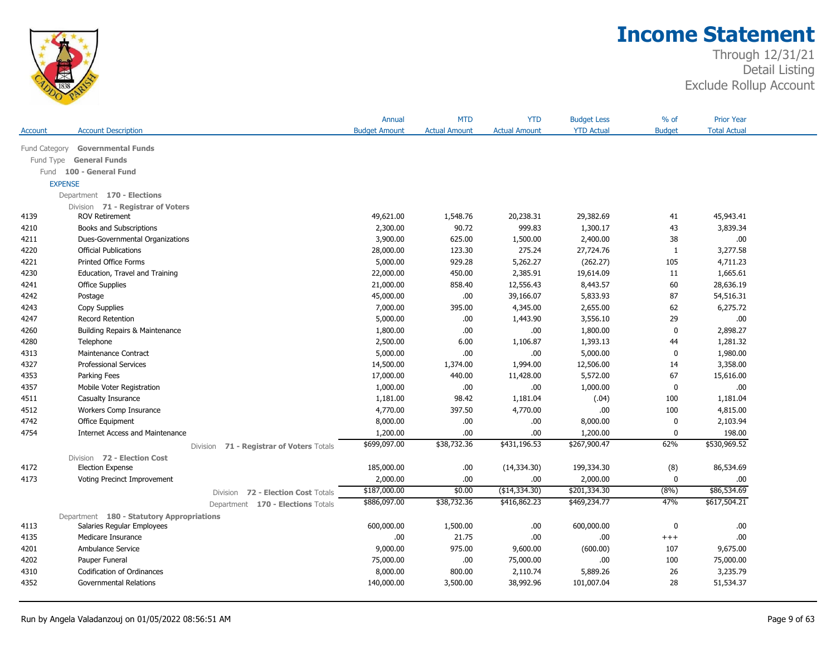

|                |                                           | Annual                                             | <b>MTD</b>           | <b>YTD</b>           | <b>Budget Less</b> | $%$ of        | <b>Prior Year</b>   |  |
|----------------|-------------------------------------------|----------------------------------------------------|----------------------|----------------------|--------------------|---------------|---------------------|--|
| Account        | <b>Account Description</b>                | <b>Budget Amount</b>                               | <b>Actual Amount</b> | <b>Actual Amount</b> | <b>YTD Actual</b>  | <b>Budget</b> | <b>Total Actual</b> |  |
| Fund Category  | <b>Governmental Funds</b>                 |                                                    |                      |                      |                    |               |                     |  |
| Fund Type      | <b>General Funds</b>                      |                                                    |                      |                      |                    |               |                     |  |
|                | Fund 100 - General Fund                   |                                                    |                      |                      |                    |               |                     |  |
| <b>EXPENSE</b> |                                           |                                                    |                      |                      |                    |               |                     |  |
|                | Department 170 - Elections                |                                                    |                      |                      |                    |               |                     |  |
|                | Division 71 - Registrar of Voters         |                                                    |                      |                      |                    |               |                     |  |
| 4139           | <b>ROV Retirement</b>                     | 49,621.00                                          | 1,548.76             | 20,238.31            | 29,382.69          | 41            | 45,943.41           |  |
| 4210           | Books and Subscriptions                   | 2,300.00                                           | 90.72                | 999.83               | 1,300.17           | 43            | 3,839.34            |  |
| 4211           | Dues-Governmental Organizations           | 3,900.00                                           | 625.00               | 1,500.00             | 2,400.00           | 38            | .00.                |  |
| 4220           | <b>Official Publications</b>              | 28,000.00                                          | 123.30               | 275.24               | 27,724.76          | 1             | 3,277.58            |  |
| 4221           | <b>Printed Office Forms</b>               | 5,000.00                                           | 929.28               | 5,262.27             | (262.27)           | 105           | 4,711.23            |  |
| 4230           | Education, Travel and Training            | 22,000.00                                          | 450.00               | 2,385.91             | 19,614.09          | 11            | 1,665.61            |  |
| 4241           | <b>Office Supplies</b>                    | 21,000.00                                          | 858.40               | 12,556.43            | 8,443.57           | 60            | 28,636.19           |  |
| 4242           | Postage                                   | 45,000.00                                          | .00                  | 39,166.07            | 5,833.93           | 87            | 54,516.31           |  |
| 4243           | Copy Supplies                             | 7,000.00                                           | 395.00               | 4,345.00             | 2,655.00           | 62            | 6,275.72            |  |
| 4247           | <b>Record Retention</b>                   | 5,000.00                                           | .00                  | 1,443.90             | 3,556.10           | 29            | .00.                |  |
| 4260           | <b>Building Repairs &amp; Maintenance</b> | 1,800.00                                           | .00                  | .00                  | 1,800.00           | $\mathbf 0$   | 2,898.27            |  |
| 4280           | Telephone                                 | 2,500.00                                           | 6.00                 | 1,106.87             | 1,393.13           | 44            | 1,281.32            |  |
| 4313           | Maintenance Contract                      | 5,000.00                                           | .00                  | .00                  | 5,000.00           | $\pmb{0}$     | 1,980.00            |  |
| 4327           | <b>Professional Services</b>              | 14,500.00                                          | 1,374.00             | 1,994.00             | 12,506.00          | 14            | 3,358.00            |  |
| 4353           | Parking Fees                              | 17,000.00                                          | 440.00               | 11,428.00            | 5,572.00           | 67            | 15,616.00           |  |
| 4357           | Mobile Voter Registration                 | 1,000.00                                           | .00                  | .00.                 | 1,000.00           | $\pmb{0}$     | .00                 |  |
| 4511           | Casualty Insurance                        | 1,181.00                                           | 98.42                | 1,181.04             | (.04)              | 100           | 1,181.04            |  |
| 4512           | Workers Comp Insurance                    | 4,770.00                                           | 397.50               | 4,770.00             | .00                | 100           | 4,815.00            |  |
| 4742           | Office Equipment                          | 8,000.00                                           | .00                  | .00                  | 8,000.00           | 0             | 2,103.94            |  |
| 4754           | <b>Internet Access and Maintenance</b>    | 1,200.00                                           | .00                  | .00                  | 1,200.00           | $\mathbf 0$   | 198.00              |  |
|                | Division 71 - Registrar of Voters Totals  | \$699,097.00                                       | \$38,732.36          | \$431,196.53         | \$267,900.47       | 62%           | \$530,969.52        |  |
|                | Division 72 - Election Cost               |                                                    |                      |                      |                    |               |                     |  |
| 4172           | <b>Election Expense</b>                   | 185,000.00                                         | .00                  | (14,334.30)          | 199,334.30         | (8)           | 86,534.69           |  |
| 4173           | Voting Precinct Improvement               | 2,000.00                                           | .00                  | .00                  | 2,000.00           | 0             | .00                 |  |
|                |                                           | \$187,000.00<br>Division 72 - Election Cost Totals | \$0.00               | (\$14,334.30)        | \$201,334.30       | (8%)          | \$86,534.69         |  |
|                |                                           | \$886,097.00<br>Department 170 - Elections Totals  | \$38,732.36          | \$416,862.23         | \$469,234.77       | 47%           | \$617,504.21        |  |
|                | Department 180 - Statutory Appropriations |                                                    |                      |                      |                    |               |                     |  |
| 4113           | Salaries Regular Employees                | 600,000.00                                         | 1,500.00             | .00                  | 600,000.00         | 0             | .00.                |  |
| 4135           | Medicare Insurance                        | .00.                                               | 21.75                | .00.                 | .00                | $^{+++}$      | .00                 |  |
| 4201           | Ambulance Service                         | 9,000.00                                           | 975.00               | 9,600.00             | (600.00)           | 107           | 9,675.00            |  |
| 4202           | Pauper Funeral                            | 75,000.00                                          | .00                  | 75,000.00            | .00                | 100           | 75,000.00           |  |
| 4310           | Codification of Ordinances                | 8,000.00                                           | 800.00               | 2,110.74             | 5,889.26           | 26            | 3,235.79            |  |
| 4352           | <b>Governmental Relations</b>             | 140,000.00                                         | 3,500.00             | 38,992.96            | 101,007.04         | 28            | 51,534.37           |  |
|                |                                           |                                                    |                      |                      |                    |               |                     |  |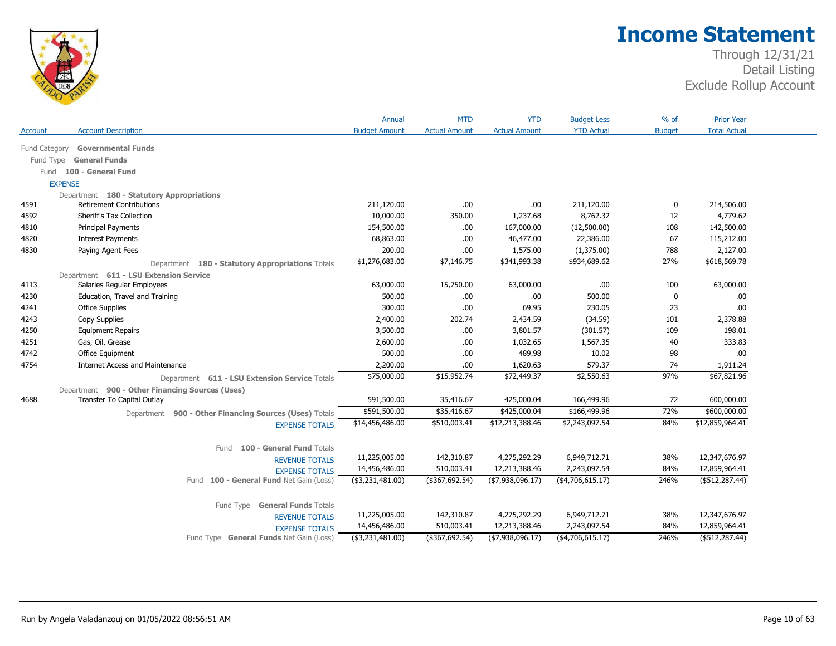

| <b>YTD Actual</b><br><b>Budget</b><br><b>Total Actual</b><br><b>Account Description</b><br><b>Budget Amount</b><br><b>Actual Amount</b><br><b>Actual Amount</b><br>Account<br><b>Governmental Funds</b><br>Fund Category |  |
|--------------------------------------------------------------------------------------------------------------------------------------------------------------------------------------------------------------------------|--|
|                                                                                                                                                                                                                          |  |
|                                                                                                                                                                                                                          |  |
| Fund Type General Funds                                                                                                                                                                                                  |  |
| Fund 100 - General Fund                                                                                                                                                                                                  |  |
| <b>EXPENSE</b>                                                                                                                                                                                                           |  |
| Department 180 - Statutory Appropriations                                                                                                                                                                                |  |
| <b>Retirement Contributions</b><br>211,120.00<br>211,120.00<br>214,506.00<br>4591<br>.00<br>.00<br>0                                                                                                                     |  |
| Sheriff's Tax Collection<br>10,000.00<br>350.00<br>1,237.68<br>8,762.32<br>4,779.62<br>4592<br>12                                                                                                                        |  |
| 142,500.00<br>Principal Payments<br>154,500.00<br>167,000.00<br>(12,500.00)<br>4810<br>.00.<br>108                                                                                                                       |  |
| 4820<br><b>Interest Payments</b><br>68,863.00<br>.00<br>46,477.00<br>22,386.00<br>67<br>115,212.00                                                                                                                       |  |
| Paying Agent Fees<br>200.00<br>2,127.00<br>4830<br>.00.<br>1,575.00<br>(1,375.00)<br>788                                                                                                                                 |  |
| \$1,276,683.00<br>\$618,569.78<br>\$7,146.75<br>\$341,993.38<br>\$934,689.62<br>27%<br>Department 180 - Statutory Appropriations Totals                                                                                  |  |
| Department 611 - LSU Extension Service                                                                                                                                                                                   |  |
| Salaries Regular Employees<br>63,000.00<br>4113<br>63,000.00<br>15,750.00<br>63,000.00<br>.00.<br>100                                                                                                                    |  |
| Education, Travel and Training<br>500.00<br>500.00<br>4230<br>.00.<br>.00<br>0<br>.00.                                                                                                                                   |  |
| 300.00<br>230.05<br>.00<br><b>Office Supplies</b><br>.00<br>69.95<br>23<br>4241                                                                                                                                          |  |
| 2,400.00<br>202.74<br>(34.59)<br>2,378.88<br>4243<br>Copy Supplies<br>2,434.59<br>101                                                                                                                                    |  |
| 4250<br>3,500.00<br>3,801.57<br>(301.57)<br>109<br>198.01<br><b>Equipment Repairs</b><br>.00.                                                                                                                            |  |
| 333.83<br>4251<br>Gas, Oil, Grease<br>2,600.00<br>1,032.65<br>1,567.35<br>40<br>.00.                                                                                                                                     |  |
| Office Equipment<br>500.00<br>489.98<br>10.02<br>4742<br>.00<br>98<br>.00                                                                                                                                                |  |
| 4754<br><b>Internet Access and Maintenance</b><br>2,200.00<br>579.37<br>1,911.24<br>.00.<br>1,620.63<br>74                                                                                                               |  |
| \$67,821.96<br>\$75,000.00<br>\$15,952.74<br>\$2,550.63<br>97%<br>\$72,449.37<br>Department 611 - LSU Extension Service Totals                                                                                           |  |
| Department 900 - Other Financing Sources (Uses)                                                                                                                                                                          |  |
| 600,000.00<br>4688<br>Transfer To Capital Outlay<br>591,500.00<br>35,416.67<br>425,000.04<br>166,499.96<br>72                                                                                                            |  |
| \$600,000.00<br>\$591,500.00<br>\$425,000.04<br>72%<br>\$35,416.67<br>\$166,499.96<br>Department 900 - Other Financing Sources (Uses) Totals                                                                             |  |
| 84%<br>\$12,859,964.41<br>\$14,456,486.00<br>\$510,003.41<br>\$12,213,388.46<br>\$2,243,097.54<br><b>EXPENSE TOTALS</b>                                                                                                  |  |
|                                                                                                                                                                                                                          |  |
| 100 - General Fund Totals<br>Fund                                                                                                                                                                                        |  |
| 11,225,005.00<br>142,310.87<br>4,275,292.29<br>6,949,712.71<br>38%<br>12,347,676.97<br><b>REVENUE TOTALS</b>                                                                                                             |  |
| 14,456,486.00<br>510,003.41<br>12,213,388.46<br>2,243,097.54<br>84%<br>12,859,964.41<br><b>EXPENSE TOTALS</b>                                                                                                            |  |
| $($ \$367,692.54)<br>246%<br>$($ \$512,287.44)<br>Fund 100 - General Fund Net Gain (Loss)<br>(\$3,231,481.00)<br>( \$7,938,096.17)<br>( \$4,706,615.17)                                                                  |  |
|                                                                                                                                                                                                                          |  |
| Fund Type General Funds Totals                                                                                                                                                                                           |  |
| 4,275,292.29<br>6,949,712.71<br>12,347,676.97<br>11,225,005.00<br>142,310.87<br>38%<br><b>REVENUE TOTALS</b>                                                                                                             |  |
| 510,003.41<br>2,243,097.54<br>84%<br>14,456,486.00<br>12,213,388.46<br>12,859,964.41<br><b>EXPENSE TOTALS</b>                                                                                                            |  |
| (\$367,692.54)<br>246%<br>$($ \$512,287.44)<br>(\$3,231,481.00)<br>( \$7,938,096.17)<br>( \$4,706,615.17)<br>Fund Type General Funds Net Gain (Loss)                                                                     |  |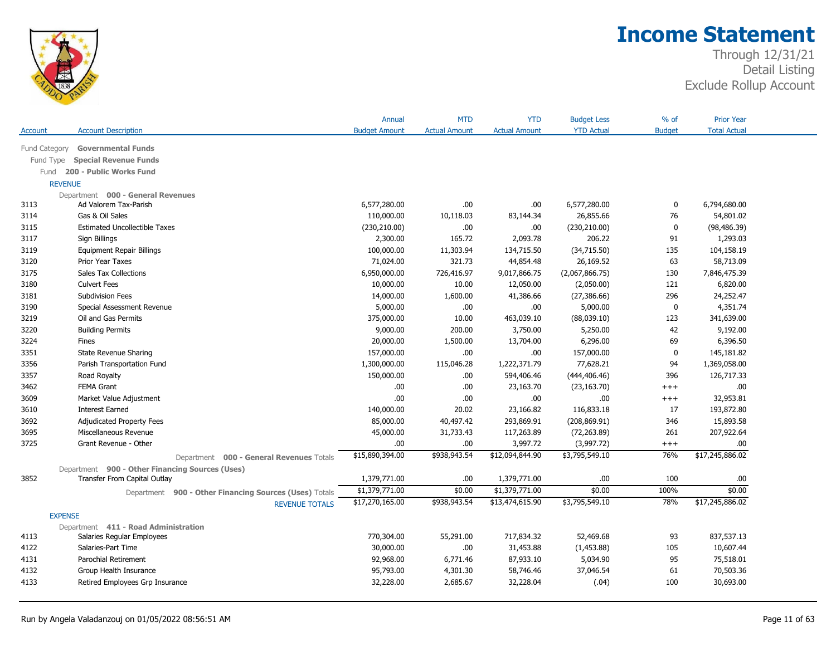

|                |                                                        | Annual               | <b>MTD</b>           | <b>YTD</b>           | <b>Budget Less</b> | $%$ of        | <b>Prior Year</b>   |  |
|----------------|--------------------------------------------------------|----------------------|----------------------|----------------------|--------------------|---------------|---------------------|--|
| Account        | <b>Account Description</b>                             | <b>Budget Amount</b> | <b>Actual Amount</b> | <b>Actual Amount</b> | <b>YTD Actual</b>  | <b>Budget</b> | <b>Total Actual</b> |  |
| Fund Category  | <b>Governmental Funds</b>                              |                      |                      |                      |                    |               |                     |  |
| Fund Type      | <b>Special Revenue Funds</b>                           |                      |                      |                      |                    |               |                     |  |
| Fund           | 200 - Public Works Fund                                |                      |                      |                      |                    |               |                     |  |
| <b>REVENUE</b> |                                                        |                      |                      |                      |                    |               |                     |  |
|                | Department 000 - General Revenues                      |                      |                      |                      |                    |               |                     |  |
| 3113           | Ad Valorem Tax-Parish                                  | 6,577,280.00         | .00                  | .00                  | 6,577,280.00       | $\mathbf 0$   | 6,794,680.00        |  |
| 3114           | Gas & Oil Sales                                        | 110,000.00           | 10,118.03            | 83,144.34            | 26,855.66          | 76            | 54,801.02           |  |
| 3115           | <b>Estimated Uncollectible Taxes</b>                   | (230, 210.00)        | .00.                 | .00.                 | (230, 210.00)      | $\mathbf 0$   | (98, 486.39)        |  |
| 3117           | Sign Billings                                          | 2,300.00             | 165.72               | 2,093.78             | 206.22             | 91            | 1,293.03            |  |
| 3119           | <b>Equipment Repair Billings</b>                       | 100,000.00           | 11,303.94            | 134,715.50           | (34,715.50)        | 135           | 104,158.19          |  |
| 3120           | <b>Prior Year Taxes</b>                                | 71,024.00            | 321.73               | 44,854.48            | 26,169.52          | 63            | 58,713.09           |  |
| 3175           | <b>Sales Tax Collections</b>                           | 6,950,000.00         | 726,416.97           | 9,017,866.75         | (2,067,866.75)     | 130           | 7,846,475.39        |  |
| 3180           | <b>Culvert Fees</b>                                    | 10,000.00            | 10.00                | 12,050.00            | (2,050.00)         | 121           | 6,820.00            |  |
| 3181           | Subdivision Fees                                       | 14,000.00            | 1,600.00             | 41,386.66            | (27, 386.66)       | 296           | 24,252.47           |  |
| 3190           | Special Assessment Revenue                             | 5,000.00             | .00                  | .00                  | 5,000.00           | $\mathbf 0$   | 4,351.74            |  |
| 3219           | Oil and Gas Permits                                    | 375,000.00           | 10.00                | 463,039.10           | (88,039.10)        | 123           | 341,639.00          |  |
| 3220           | <b>Building Permits</b>                                | 9,000.00             | 200.00               | 3,750.00             | 5,250.00           | 42            | 9,192.00            |  |
| 3224           | Fines                                                  | 20,000.00            | 1,500.00             | 13,704.00            | 6,296.00           | 69            | 6,396.50            |  |
| 3351           | <b>State Revenue Sharing</b>                           | 157,000.00           | .00.                 | .00                  | 157,000.00         | $\mathbf 0$   | 145,181.82          |  |
| 3356           | Parish Transportation Fund                             | 1,300,000.00         | 115,046.28           | 1,222,371.79         | 77,628.21          | 94            | 1,369,058.00        |  |
| 3357           | Road Royalty                                           | 150,000.00           | .00.                 | 594,406.46           | (444, 406.46)      | 396           | 126,717.33          |  |
| 3462           | <b>FEMA Grant</b>                                      | .00                  | .00.                 | 23,163.70            | (23, 163.70)       | $^{+++}$      | .00.                |  |
| 3609           | Market Value Adjustment                                | .00                  | .00                  | .00.                 | .00.               | $^{+++}$      | 32,953.81           |  |
| 3610           | <b>Interest Earned</b>                                 | 140,000.00           | 20.02                | 23,166.82            | 116,833.18         | 17            | 193,872.80          |  |
| 3692           | <b>Adjudicated Property Fees</b>                       | 85,000.00            | 40,497.42            | 293,869.91           | (208, 869.91)      | 346           | 15,893.58           |  |
| 3695           | Miscellaneous Revenue                                  | 45,000.00            | 31,733.43            | 117,263.89           | (72, 263.89)       | 261           | 207,922.64          |  |
| 3725           | Grant Revenue - Other                                  | .00                  | .00                  | 3,997.72             | (3,997.72)         | $^{+++}$      | .00.                |  |
|                | Department 000 - General Revenues Totals               | \$15,890,394.00      | \$938,943.54         | \$12,094,844.90      | \$3,795,549.10     | 76%           | \$17,245,886.02     |  |
|                | Department 900 - Other Financing Sources (Uses)        |                      |                      |                      |                    |               |                     |  |
| 3852           | Transfer From Capital Outlay                           | 1,379,771.00         | .00.                 | 1,379,771.00         | .00                | 100           | .00.                |  |
|                | Department 900 - Other Financing Sources (Uses) Totals | \$1,379,771.00       | \$0.00               | \$1,379,771.00       | \$0.00             | 100%          | \$0.00              |  |
|                | <b>REVENUE TOTALS</b>                                  | \$17,270,165.00      | \$938,943.54         | \$13,474,615.90      | \$3,795,549.10     | 78%           | \$17,245,886.02     |  |
| <b>EXPENSE</b> |                                                        |                      |                      |                      |                    |               |                     |  |
|                | Department 411 - Road Administration                   |                      |                      |                      |                    |               |                     |  |
| 4113           | Salaries Regular Employees                             | 770,304.00           | 55,291.00            | 717,834.32           | 52,469.68          | 93            | 837,537.13          |  |
| 4122           | Salaries-Part Time                                     | 30,000.00            | .00.                 | 31,453.88            | (1,453.88)         | 105           | 10,607.44           |  |
| 4131           | Parochial Retirement                                   | 92,968.00            | 6,771.46             | 87,933.10            | 5,034.90           | 95            | 75,518.01           |  |
| 4132           | Group Health Insurance                                 | 95,793.00            | 4,301.30             | 58,746.46            | 37,046.54          | 61            | 70,503.36           |  |
| 4133           | Retired Employees Grp Insurance                        | 32,228.00            | 2,685.67             | 32,228.04            | (.04)              | 100           | 30,693.00           |  |
|                |                                                        |                      |                      |                      |                    |               |                     |  |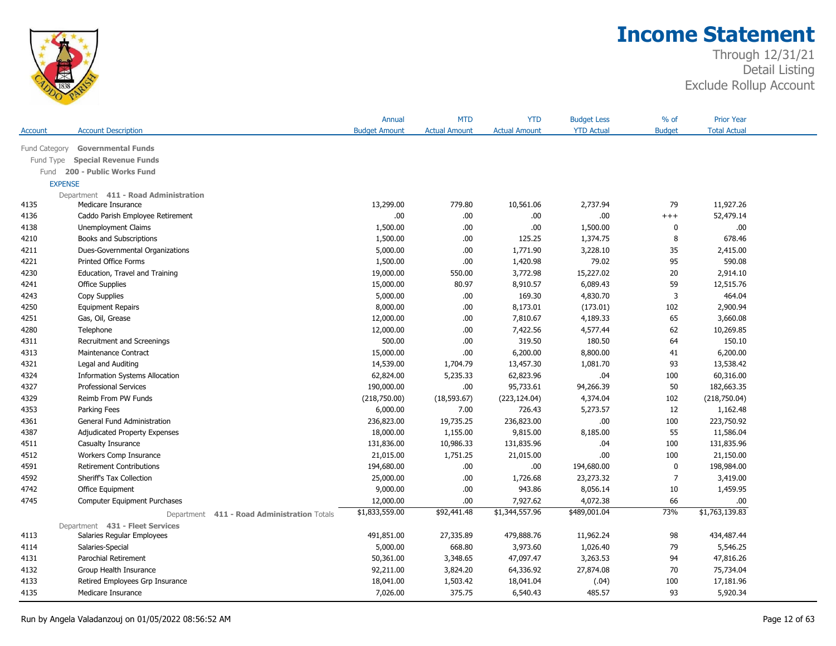

|               |                                                | Annual               | <b>MTD</b>           | <b>YTD</b>           | <b>Budget Less</b> | $%$ of         | <b>Prior Year</b>   |  |
|---------------|------------------------------------------------|----------------------|----------------------|----------------------|--------------------|----------------|---------------------|--|
| Account       | <b>Account Description</b>                     | <b>Budget Amount</b> | <b>Actual Amount</b> | <b>Actual Amount</b> | <b>YTD Actual</b>  | <b>Budget</b>  | <b>Total Actual</b> |  |
| Fund Category | <b>Governmental Funds</b>                      |                      |                      |                      |                    |                |                     |  |
| Fund Type     | <b>Special Revenue Funds</b>                   |                      |                      |                      |                    |                |                     |  |
| Fund          | 200 - Public Works Fund                        |                      |                      |                      |                    |                |                     |  |
|               | <b>EXPENSE</b>                                 |                      |                      |                      |                    |                |                     |  |
|               | Department 411 - Road Administration           |                      |                      |                      |                    |                |                     |  |
| 4135          | Medicare Insurance                             | 13,299.00            | 779.80               | 10,561.06            | 2,737.94           | 79             | 11,927.26           |  |
| 4136          | Caddo Parish Employee Retirement               | .00                  | .00                  | .00                  | .00                | $^{+++}$       | 52,479.14           |  |
| 4138          | Unemployment Claims                            | 1,500.00             | .00                  | .00                  | 1,500.00           | 0              | .00                 |  |
| 4210          | Books and Subscriptions                        | 1,500.00             | .00                  | 125.25               | 1,374.75           | 8              | 678.46              |  |
| 4211          | Dues-Governmental Organizations                | 5,000.00             | .00.                 | 1,771.90             | 3,228.10           | 35             | 2,415.00            |  |
| 4221          | Printed Office Forms                           | 1,500.00             | .00                  | 1,420.98             | 79.02              | 95             | 590.08              |  |
| 4230          | Education, Travel and Training                 | 19,000.00            | 550.00               | 3,772.98             | 15,227.02          | 20             | 2,914.10            |  |
| 4241          | <b>Office Supplies</b>                         | 15,000.00            | 80.97                | 8,910.57             | 6,089.43           | 59             | 12,515.76           |  |
| 4243          | Copy Supplies                                  | 5,000.00             | .00                  | 169.30               | 4,830.70           | 3              | 464.04              |  |
| 4250          | <b>Equipment Repairs</b>                       | 8,000.00             | .00                  | 8,173.01             | (173.01)           | 102            | 2,900.94            |  |
| 4251          | Gas, Oil, Grease                               | 12,000.00            | .00                  | 7,810.67             | 4,189.33           | 65             | 3,660.08            |  |
| 4280          | Telephone                                      | 12,000.00            | .00                  | 7,422.56             | 4,577.44           | 62             | 10,269.85           |  |
| 4311          | Recruitment and Screenings                     | 500.00               | .00                  | 319.50               | 180.50             | 64             | 150.10              |  |
| 4313          | Maintenance Contract                           | 15,000.00            | .00                  | 6,200.00             | 8,800.00           | 41             | 6,200.00            |  |
| 4321          | Legal and Auditing                             | 14,539.00            | 1,704.79             | 13,457.30            | 1,081.70           | 93             | 13,538.42           |  |
| 4324          | <b>Information Systems Allocation</b>          | 62,824.00            | 5,235.33             | 62,823.96            | .04                | 100            | 60,316.00           |  |
| 4327          | <b>Professional Services</b>                   | 190,000.00           | .00                  | 95,733.61            | 94,266.39          | 50             | 182,663.35          |  |
| 4329          | Reimb From PW Funds                            | (218,750.00)         | (18, 593.67)         | (223, 124.04)        | 4,374.04           | 102            | (218,750.04)        |  |
| 4353          | Parking Fees                                   | 6,000.00             | 7.00                 | 726.43               | 5,273.57           | 12             | 1,162.48            |  |
| 4361          | General Fund Administration                    | 236,823.00           | 19,735.25            | 236,823.00           | .00                | 100            | 223,750.92          |  |
| 4387          | Adjudicated Property Expenses                  | 18,000.00            | 1,155.00             | 9,815.00             | 8,185.00           | 55             | 11,586.04           |  |
| 4511          | Casualty Insurance                             | 131,836.00           | 10,986.33            | 131,835.96           | .04                | 100            | 131,835.96          |  |
| 4512          | Workers Comp Insurance                         | 21,015.00            | 1,751.25             | 21,015.00            | .00                | 100            | 21,150.00           |  |
| 4591          | <b>Retirement Contributions</b>                | 194,680.00           | .00                  | .00.                 | 194,680.00         | $\mathbf 0$    | 198,984.00          |  |
| 4592          | Sheriff's Tax Collection                       | 25,000.00            | .00                  | 1,726.68             | 23,273.32          | $\overline{7}$ | 3,419.00            |  |
| 4742          | Office Equipment                               | 9,000.00             | .00                  | 943.86               | 8,056.14           | 10             | 1,459.95            |  |
| 4745          | Computer Equipment Purchases                   | 12,000.00            | .00                  | 7,927.62             | 4,072.38           | 66             | .00                 |  |
|               | Department<br>411 - Road Administration Totals | \$1,833,559.00       | \$92,441.48          | \$1,344,557.96       | \$489,001.04       | 73%            | \$1,763,139.83      |  |
|               | Department 431 - Fleet Services                |                      |                      |                      |                    |                |                     |  |
| 4113          | Salaries Regular Employees                     | 491,851.00           | 27,335.89            | 479,888.76           | 11,962.24          | 98             | 434,487.44          |  |
| 4114          | Salaries-Special                               | 5,000.00             | 668.80               | 3,973.60             | 1,026.40           | 79             | 5,546.25            |  |
| 4131          | Parochial Retirement                           | 50,361.00            | 3,348.65             | 47,097.47            | 3,263.53           | 94             | 47,816.26           |  |
| 4132          | Group Health Insurance                         | 92,211.00            | 3,824.20             | 64,336.92            | 27,874.08          | 70             | 75,734.04           |  |
| 4133          | Retired Employees Grp Insurance                | 18,041.00            | 1,503.42             | 18,041.04            | (.04)              | 100            | 17,181.96           |  |
| 4135          | Medicare Insurance                             | 7,026.00             | 375.75               | 6,540.43             | 485.57             | 93             | 5,920.34            |  |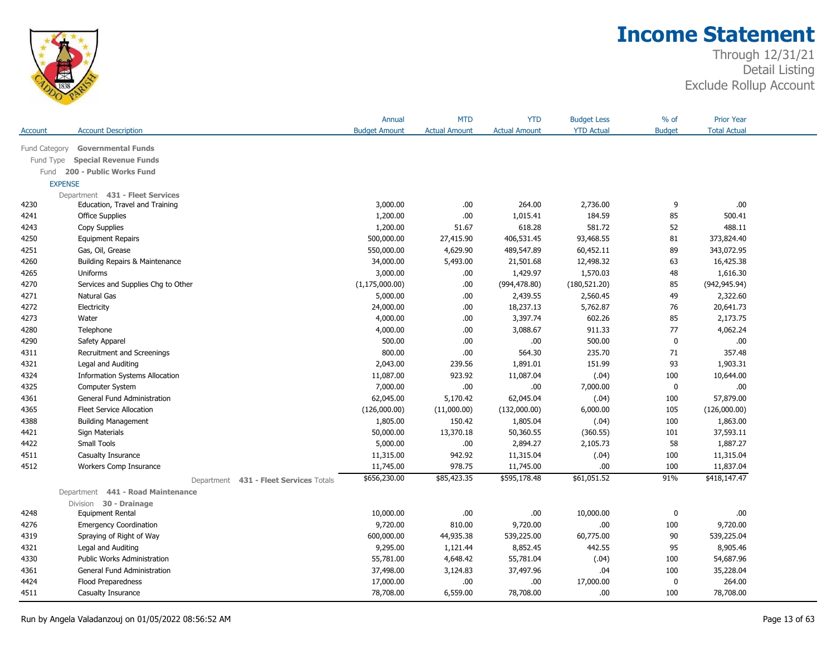

| <b>Account Description</b><br><b>Budget Amount</b><br><b>Actual Amount</b><br><b>Actual Amount</b><br><b>YTD Actual</b><br><b>Budget</b><br><b>Total Actual</b><br><b>Account</b><br><b>Governmental Funds</b><br>Fund Category<br><b>Special Revenue Funds</b><br>Fund Type<br>200 - Public Works Fund<br>Fund<br><b>EXPENSE</b><br>Department 431 - Fleet Services<br>3,000.00<br>264.00<br>2,736.00<br>9<br>.00.<br>4230<br>Education, Travel and Training<br>.00<br>1,200.00<br>.00<br>1,015.41<br>184.59<br>85<br>500.41<br>4241<br><b>Office Supplies</b><br>1,200.00<br>618.28<br>581.72<br>52<br>488.11<br>4243<br>Copy Supplies<br>51.67<br>500,000.00<br>27,415.90<br>406,531.45<br>93,468.55<br>81<br>373,824.40<br>4250<br><b>Equipment Repairs</b><br>Gas, Oil, Grease<br>550,000.00<br>4,629.90<br>489,547.89<br>60,452.11<br>89<br>343,072.95<br>4251<br>16,425.38<br>4260<br>Building Repairs & Maintenance<br>34,000.00<br>5,493.00<br>21,501.68<br>12,498.32<br>63<br>4265<br>3,000.00<br>.00.<br>1,429.97<br>1,570.03<br>48<br>1,616.30<br>Uniforms<br>(942, 945.94)<br>4270<br>Services and Supplies Chg to Other<br>(1, 175, 000.00)<br>.00.<br>(994, 478.80)<br>(180, 521.20)<br>85<br>4271<br>Natural Gas<br>5,000.00<br>.00.<br>2,439.55<br>2,560.45<br>49<br>2,322.60<br>18,237.13<br>5,762.87<br>20,641.73<br>4272<br>Electricity<br>24,000.00<br>.00.<br>76<br>602.26<br>4273<br>4,000.00<br>.00.<br>3,397.74<br>85<br>2,173.75<br>Water<br>4,062.24<br>Telephone<br>4,000.00<br>3,088.67<br>911.33<br>77<br>4280<br>.00.<br>500.00<br>.00<br>500.00<br>$\mathbf 0$<br>.00<br>.00.<br>4290<br>Safety Apparel<br>800.00<br>235.70<br>357.48<br>Recruitment and Screenings<br>.00.<br>564.30<br>71<br>4311<br>2,043.00<br>239.56<br>1,891.01<br>151.99<br>93<br>1,903.31<br>4321<br>Legal and Auditing |      |                                       | Annual    | <b>MTD</b> | <b>YTD</b> | <b>Budget Less</b> | % of | <b>Prior Year</b> |  |
|---------------------------------------------------------------------------------------------------------------------------------------------------------------------------------------------------------------------------------------------------------------------------------------------------------------------------------------------------------------------------------------------------------------------------------------------------------------------------------------------------------------------------------------------------------------------------------------------------------------------------------------------------------------------------------------------------------------------------------------------------------------------------------------------------------------------------------------------------------------------------------------------------------------------------------------------------------------------------------------------------------------------------------------------------------------------------------------------------------------------------------------------------------------------------------------------------------------------------------------------------------------------------------------------------------------------------------------------------------------------------------------------------------------------------------------------------------------------------------------------------------------------------------------------------------------------------------------------------------------------------------------------------------------------------------------------------------------------------------------------------------------------------------------------------------------------------------|------|---------------------------------------|-----------|------------|------------|--------------------|------|-------------------|--|
|                                                                                                                                                                                                                                                                                                                                                                                                                                                                                                                                                                                                                                                                                                                                                                                                                                                                                                                                                                                                                                                                                                                                                                                                                                                                                                                                                                                                                                                                                                                                                                                                                                                                                                                                                                                                                                 |      |                                       |           |            |            |                    |      |                   |  |
|                                                                                                                                                                                                                                                                                                                                                                                                                                                                                                                                                                                                                                                                                                                                                                                                                                                                                                                                                                                                                                                                                                                                                                                                                                                                                                                                                                                                                                                                                                                                                                                                                                                                                                                                                                                                                                 |      |                                       |           |            |            |                    |      |                   |  |
|                                                                                                                                                                                                                                                                                                                                                                                                                                                                                                                                                                                                                                                                                                                                                                                                                                                                                                                                                                                                                                                                                                                                                                                                                                                                                                                                                                                                                                                                                                                                                                                                                                                                                                                                                                                                                                 |      |                                       |           |            |            |                    |      |                   |  |
|                                                                                                                                                                                                                                                                                                                                                                                                                                                                                                                                                                                                                                                                                                                                                                                                                                                                                                                                                                                                                                                                                                                                                                                                                                                                                                                                                                                                                                                                                                                                                                                                                                                                                                                                                                                                                                 |      |                                       |           |            |            |                    |      |                   |  |
|                                                                                                                                                                                                                                                                                                                                                                                                                                                                                                                                                                                                                                                                                                                                                                                                                                                                                                                                                                                                                                                                                                                                                                                                                                                                                                                                                                                                                                                                                                                                                                                                                                                                                                                                                                                                                                 |      |                                       |           |            |            |                    |      |                   |  |
|                                                                                                                                                                                                                                                                                                                                                                                                                                                                                                                                                                                                                                                                                                                                                                                                                                                                                                                                                                                                                                                                                                                                                                                                                                                                                                                                                                                                                                                                                                                                                                                                                                                                                                                                                                                                                                 |      |                                       |           |            |            |                    |      |                   |  |
|                                                                                                                                                                                                                                                                                                                                                                                                                                                                                                                                                                                                                                                                                                                                                                                                                                                                                                                                                                                                                                                                                                                                                                                                                                                                                                                                                                                                                                                                                                                                                                                                                                                                                                                                                                                                                                 |      |                                       |           |            |            |                    |      |                   |  |
|                                                                                                                                                                                                                                                                                                                                                                                                                                                                                                                                                                                                                                                                                                                                                                                                                                                                                                                                                                                                                                                                                                                                                                                                                                                                                                                                                                                                                                                                                                                                                                                                                                                                                                                                                                                                                                 |      |                                       |           |            |            |                    |      |                   |  |
|                                                                                                                                                                                                                                                                                                                                                                                                                                                                                                                                                                                                                                                                                                                                                                                                                                                                                                                                                                                                                                                                                                                                                                                                                                                                                                                                                                                                                                                                                                                                                                                                                                                                                                                                                                                                                                 |      |                                       |           |            |            |                    |      |                   |  |
|                                                                                                                                                                                                                                                                                                                                                                                                                                                                                                                                                                                                                                                                                                                                                                                                                                                                                                                                                                                                                                                                                                                                                                                                                                                                                                                                                                                                                                                                                                                                                                                                                                                                                                                                                                                                                                 |      |                                       |           |            |            |                    |      |                   |  |
|                                                                                                                                                                                                                                                                                                                                                                                                                                                                                                                                                                                                                                                                                                                                                                                                                                                                                                                                                                                                                                                                                                                                                                                                                                                                                                                                                                                                                                                                                                                                                                                                                                                                                                                                                                                                                                 |      |                                       |           |            |            |                    |      |                   |  |
|                                                                                                                                                                                                                                                                                                                                                                                                                                                                                                                                                                                                                                                                                                                                                                                                                                                                                                                                                                                                                                                                                                                                                                                                                                                                                                                                                                                                                                                                                                                                                                                                                                                                                                                                                                                                                                 |      |                                       |           |            |            |                    |      |                   |  |
|                                                                                                                                                                                                                                                                                                                                                                                                                                                                                                                                                                                                                                                                                                                                                                                                                                                                                                                                                                                                                                                                                                                                                                                                                                                                                                                                                                                                                                                                                                                                                                                                                                                                                                                                                                                                                                 |      |                                       |           |            |            |                    |      |                   |  |
|                                                                                                                                                                                                                                                                                                                                                                                                                                                                                                                                                                                                                                                                                                                                                                                                                                                                                                                                                                                                                                                                                                                                                                                                                                                                                                                                                                                                                                                                                                                                                                                                                                                                                                                                                                                                                                 |      |                                       |           |            |            |                    |      |                   |  |
|                                                                                                                                                                                                                                                                                                                                                                                                                                                                                                                                                                                                                                                                                                                                                                                                                                                                                                                                                                                                                                                                                                                                                                                                                                                                                                                                                                                                                                                                                                                                                                                                                                                                                                                                                                                                                                 |      |                                       |           |            |            |                    |      |                   |  |
|                                                                                                                                                                                                                                                                                                                                                                                                                                                                                                                                                                                                                                                                                                                                                                                                                                                                                                                                                                                                                                                                                                                                                                                                                                                                                                                                                                                                                                                                                                                                                                                                                                                                                                                                                                                                                                 |      |                                       |           |            |            |                    |      |                   |  |
|                                                                                                                                                                                                                                                                                                                                                                                                                                                                                                                                                                                                                                                                                                                                                                                                                                                                                                                                                                                                                                                                                                                                                                                                                                                                                                                                                                                                                                                                                                                                                                                                                                                                                                                                                                                                                                 |      |                                       |           |            |            |                    |      |                   |  |
|                                                                                                                                                                                                                                                                                                                                                                                                                                                                                                                                                                                                                                                                                                                                                                                                                                                                                                                                                                                                                                                                                                                                                                                                                                                                                                                                                                                                                                                                                                                                                                                                                                                                                                                                                                                                                                 |      |                                       |           |            |            |                    |      |                   |  |
|                                                                                                                                                                                                                                                                                                                                                                                                                                                                                                                                                                                                                                                                                                                                                                                                                                                                                                                                                                                                                                                                                                                                                                                                                                                                                                                                                                                                                                                                                                                                                                                                                                                                                                                                                                                                                                 |      |                                       |           |            |            |                    |      |                   |  |
|                                                                                                                                                                                                                                                                                                                                                                                                                                                                                                                                                                                                                                                                                                                                                                                                                                                                                                                                                                                                                                                                                                                                                                                                                                                                                                                                                                                                                                                                                                                                                                                                                                                                                                                                                                                                                                 |      |                                       |           |            |            |                    |      |                   |  |
|                                                                                                                                                                                                                                                                                                                                                                                                                                                                                                                                                                                                                                                                                                                                                                                                                                                                                                                                                                                                                                                                                                                                                                                                                                                                                                                                                                                                                                                                                                                                                                                                                                                                                                                                                                                                                                 |      |                                       |           |            |            |                    |      |                   |  |
|                                                                                                                                                                                                                                                                                                                                                                                                                                                                                                                                                                                                                                                                                                                                                                                                                                                                                                                                                                                                                                                                                                                                                                                                                                                                                                                                                                                                                                                                                                                                                                                                                                                                                                                                                                                                                                 | 4324 | <b>Information Systems Allocation</b> | 11,087.00 | 923.92     | 11,087.04  | (.04)              | 100  | 10,644.00         |  |
| 4325<br>7,000.00<br>.00.<br>.00<br>7,000.00<br>$\mathbf 0$<br>.00.<br>Computer System                                                                                                                                                                                                                                                                                                                                                                                                                                                                                                                                                                                                                                                                                                                                                                                                                                                                                                                                                                                                                                                                                                                                                                                                                                                                                                                                                                                                                                                                                                                                                                                                                                                                                                                                           |      |                                       |           |            |            |                    |      |                   |  |
| 57,879.00<br>4361<br>62,045.00<br>5,170.42<br>62,045.04<br>(.04)<br>100<br>General Fund Administration                                                                                                                                                                                                                                                                                                                                                                                                                                                                                                                                                                                                                                                                                                                                                                                                                                                                                                                                                                                                                                                                                                                                                                                                                                                                                                                                                                                                                                                                                                                                                                                                                                                                                                                          |      |                                       |           |            |            |                    |      |                   |  |
| 6,000.00<br>105<br>4365<br>Fleet Service Allocation<br>(126,000.00)<br>(11,000.00)<br>(132,000.00)<br>(126,000.00)                                                                                                                                                                                                                                                                                                                                                                                                                                                                                                                                                                                                                                                                                                                                                                                                                                                                                                                                                                                                                                                                                                                                                                                                                                                                                                                                                                                                                                                                                                                                                                                                                                                                                                              |      |                                       |           |            |            |                    |      |                   |  |
| 150.42<br>1,863.00<br>4388<br>1,805.00<br>1,805.04<br>(.04)<br>100<br><b>Building Management</b>                                                                                                                                                                                                                                                                                                                                                                                                                                                                                                                                                                                                                                                                                                                                                                                                                                                                                                                                                                                                                                                                                                                                                                                                                                                                                                                                                                                                                                                                                                                                                                                                                                                                                                                                |      |                                       |           |            |            |                    |      |                   |  |
| 50,000.00<br>13,370.18<br>50,360.55<br>(360.55)<br>101<br>37,593.11<br>4421<br>Sign Materials                                                                                                                                                                                                                                                                                                                                                                                                                                                                                                                                                                                                                                                                                                                                                                                                                                                                                                                                                                                                                                                                                                                                                                                                                                                                                                                                                                                                                                                                                                                                                                                                                                                                                                                                   |      |                                       |           |            |            |                    |      |                   |  |
| 4422<br><b>Small Tools</b><br>5,000.00<br>.00<br>2,894.27<br>2,105.73<br>58<br>1,887.27                                                                                                                                                                                                                                                                                                                                                                                                                                                                                                                                                                                                                                                                                                                                                                                                                                                                                                                                                                                                                                                                                                                                                                                                                                                                                                                                                                                                                                                                                                                                                                                                                                                                                                                                         |      |                                       |           |            |            |                    |      |                   |  |
| 942.92<br>11,315.04<br>(.04)<br>100<br>11,315.04<br>4511<br>Casualty Insurance<br>11,315.00                                                                                                                                                                                                                                                                                                                                                                                                                                                                                                                                                                                                                                                                                                                                                                                                                                                                                                                                                                                                                                                                                                                                                                                                                                                                                                                                                                                                                                                                                                                                                                                                                                                                                                                                     |      |                                       |           |            |            |                    |      |                   |  |
| 4512<br>11,745.00<br>978.75<br>11,745.00<br>.00<br>100<br>11,837.04<br>Workers Comp Insurance                                                                                                                                                                                                                                                                                                                                                                                                                                                                                                                                                                                                                                                                                                                                                                                                                                                                                                                                                                                                                                                                                                                                                                                                                                                                                                                                                                                                                                                                                                                                                                                                                                                                                                                                   |      |                                       |           |            |            |                    |      |                   |  |
| \$656,230.00<br>\$85,423.35<br>91%<br>\$418,147.47<br>\$595,178.48<br>\$61,051.52<br>431 - Fleet Services Totals<br>Department                                                                                                                                                                                                                                                                                                                                                                                                                                                                                                                                                                                                                                                                                                                                                                                                                                                                                                                                                                                                                                                                                                                                                                                                                                                                                                                                                                                                                                                                                                                                                                                                                                                                                                  |      |                                       |           |            |            |                    |      |                   |  |
| Department 441 - Road Maintenance                                                                                                                                                                                                                                                                                                                                                                                                                                                                                                                                                                                                                                                                                                                                                                                                                                                                                                                                                                                                                                                                                                                                                                                                                                                                                                                                                                                                                                                                                                                                                                                                                                                                                                                                                                                               |      |                                       |           |            |            |                    |      |                   |  |
| Division 30 - Drainage                                                                                                                                                                                                                                                                                                                                                                                                                                                                                                                                                                                                                                                                                                                                                                                                                                                                                                                                                                                                                                                                                                                                                                                                                                                                                                                                                                                                                                                                                                                                                                                                                                                                                                                                                                                                          |      |                                       |           |            |            |                    |      |                   |  |
| .00.<br>Equipment Rental<br>10,000.00<br>.00<br>.00.<br>10,000.00<br>0<br>4248                                                                                                                                                                                                                                                                                                                                                                                                                                                                                                                                                                                                                                                                                                                                                                                                                                                                                                                                                                                                                                                                                                                                                                                                                                                                                                                                                                                                                                                                                                                                                                                                                                                                                                                                                  |      |                                       |           |            |            |                    |      |                   |  |
| 9,720.00<br>810.00<br>.00<br>4276<br><b>Emergency Coordination</b><br>9,720.00<br>100<br>9,720.00                                                                                                                                                                                                                                                                                                                                                                                                                                                                                                                                                                                                                                                                                                                                                                                                                                                                                                                                                                                                                                                                                                                                                                                                                                                                                                                                                                                                                                                                                                                                                                                                                                                                                                                               |      |                                       |           |            |            |                    |      |                   |  |
| 600,000.00<br>44,935.38<br>539,225.00<br>60,775.00<br>539,225.04<br>4319<br>Spraying of Right of Way<br>90                                                                                                                                                                                                                                                                                                                                                                                                                                                                                                                                                                                                                                                                                                                                                                                                                                                                                                                                                                                                                                                                                                                                                                                                                                                                                                                                                                                                                                                                                                                                                                                                                                                                                                                      |      |                                       |           |            |            |                    |      |                   |  |
| 9,295.00<br>8,852.45<br>442.55<br>95<br>8,905.46<br>4321<br>Legal and Auditing<br>1,121.44                                                                                                                                                                                                                                                                                                                                                                                                                                                                                                                                                                                                                                                                                                                                                                                                                                                                                                                                                                                                                                                                                                                                                                                                                                                                                                                                                                                                                                                                                                                                                                                                                                                                                                                                      |      |                                       |           |            |            |                    |      |                   |  |
| 54,687.96<br>4330<br><b>Public Works Administration</b><br>55,781.00<br>4,648.42<br>55,781.04<br>(.04)<br>100                                                                                                                                                                                                                                                                                                                                                                                                                                                                                                                                                                                                                                                                                                                                                                                                                                                                                                                                                                                                                                                                                                                                                                                                                                                                                                                                                                                                                                                                                                                                                                                                                                                                                                                   |      |                                       |           |            |            |                    |      |                   |  |
| 35,228.04<br>General Fund Administration<br>37,498.00<br>3,124.83<br>37,497.96<br>.04<br>100<br>4361                                                                                                                                                                                                                                                                                                                                                                                                                                                                                                                                                                                                                                                                                                                                                                                                                                                                                                                                                                                                                                                                                                                                                                                                                                                                                                                                                                                                                                                                                                                                                                                                                                                                                                                            |      |                                       |           |            |            |                    |      |                   |  |
| 264.00<br>4424<br>17,000.00<br>.00.<br>.00<br>17,000.00<br>$\mathbf 0$<br>Flood Preparedness                                                                                                                                                                                                                                                                                                                                                                                                                                                                                                                                                                                                                                                                                                                                                                                                                                                                                                                                                                                                                                                                                                                                                                                                                                                                                                                                                                                                                                                                                                                                                                                                                                                                                                                                    |      |                                       |           |            |            |                    |      |                   |  |
| 6,559.00<br>78,708.00<br>78,708.00<br>78,708.00<br>.00<br>100<br>4511<br>Casualty Insurance                                                                                                                                                                                                                                                                                                                                                                                                                                                                                                                                                                                                                                                                                                                                                                                                                                                                                                                                                                                                                                                                                                                                                                                                                                                                                                                                                                                                                                                                                                                                                                                                                                                                                                                                     |      |                                       |           |            |            |                    |      |                   |  |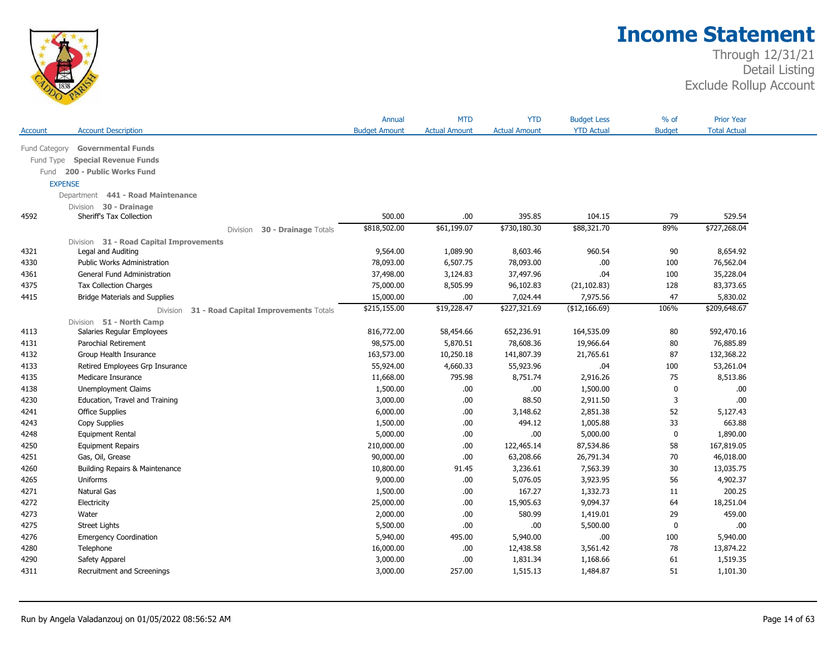

|                |                                                   | Annual               | <b>MTD</b>           | <b>YTD</b>           | <b>Budget Less</b> | % of          | <b>Prior Year</b>   |  |
|----------------|---------------------------------------------------|----------------------|----------------------|----------------------|--------------------|---------------|---------------------|--|
| Account        | <b>Account Description</b>                        | <b>Budget Amount</b> | <b>Actual Amount</b> | <b>Actual Amount</b> | <b>YTD Actual</b>  | <b>Budget</b> | <b>Total Actual</b> |  |
| Fund Category  | <b>Governmental Funds</b>                         |                      |                      |                      |                    |               |                     |  |
| Fund Type      | <b>Special Revenue Funds</b>                      |                      |                      |                      |                    |               |                     |  |
| Fund           | 200 - Public Works Fund                           |                      |                      |                      |                    |               |                     |  |
| <b>EXPENSE</b> |                                                   |                      |                      |                      |                    |               |                     |  |
|                | Department 441 - Road Maintenance                 |                      |                      |                      |                    |               |                     |  |
|                | Division 30 - Drainage                            |                      |                      |                      |                    |               |                     |  |
| 4592           | Sheriff's Tax Collection                          | 500.00               | .00                  | 395.85               | 104.15             | 79            | 529.54              |  |
|                | 30 - Drainage Totals<br><b>Division</b>           | \$818,502.00         | \$61,199.07          | \$730,180.30         | \$88,321.70        | 89%           | \$727,268.04        |  |
|                | Division 31 - Road Capital Improvements           |                      |                      |                      |                    |               |                     |  |
| 4321           | Legal and Auditing                                | 9,564.00             | 1,089.90             | 8,603.46             | 960.54             | 90            | 8,654.92            |  |
| 4330           | <b>Public Works Administration</b>                | 78,093.00            | 6,507.75             | 78,093.00            | .00                | 100           | 76,562.04           |  |
| 4361           | General Fund Administration                       | 37,498.00            | 3,124.83             | 37,497.96            | .04                | 100           | 35,228.04           |  |
| 4375           | <b>Tax Collection Charges</b>                     | 75,000.00            | 8,505.99             | 96,102.83            | (21, 102.83)       | 128           | 83,373.65           |  |
| 4415           | <b>Bridge Materials and Supplies</b>              | 15,000.00            | .00                  | 7,024.44             | 7,975.56           | 47            | 5,830.02            |  |
|                | 31 - Road Capital Improvements Totals<br>Division | \$215,155.00         | \$19,228.47          | \$227,321.69         | (\$12,166.69)      | 106%          | \$209,648.67        |  |
|                | Division 51 - North Camp                          |                      |                      |                      |                    |               |                     |  |
| 4113           | Salaries Regular Employees                        | 816,772.00           | 58,454.66            | 652,236.91           | 164,535.09         | 80            | 592,470.16          |  |
| 4131           | Parochial Retirement                              | 98,575.00            | 5,870.51             | 78,608.36            | 19,966.64          | 80            | 76,885.89           |  |
| 4132           | Group Health Insurance                            | 163,573.00           | 10,250.18            | 141,807.39           | 21,765.61          | 87            | 132,368.22          |  |
| 4133           | Retired Employees Grp Insurance                   | 55,924.00            | 4,660.33             | 55,923.96            | .04                | 100           | 53,261.04           |  |
| 4135           | Medicare Insurance                                | 11,668.00            | 795.98               | 8,751.74             | 2,916.26           | 75            | 8,513.86            |  |
| 4138           | <b>Unemployment Claims</b>                        | 1,500.00             | .00.                 | .00                  | 1,500.00           | 0             | .00.                |  |
| 4230           | Education, Travel and Training                    | 3,000.00             | .00                  | 88.50                | 2,911.50           | 3             | .00.                |  |
| 4241           | <b>Office Supplies</b>                            | 6,000.00             | .00                  | 3,148.62             | 2,851.38           | 52            | 5,127.43            |  |
| 4243           | Copy Supplies                                     | 1,500.00             | .00                  | 494.12               | 1,005.88           | 33            | 663.88              |  |
| 4248           | <b>Equipment Rental</b>                           | 5,000.00             | .00                  | .00                  | 5,000.00           | $\mathbf 0$   | 1,890.00            |  |
| 4250           | <b>Equipment Repairs</b>                          | 210,000.00           | .00                  | 122,465.14           | 87,534.86          | 58            | 167,819.05          |  |
| 4251           | Gas, Oil, Grease                                  | 90,000.00            | .00                  | 63,208.66            | 26,791.34          | 70            | 46,018.00           |  |
| 4260           | Building Repairs & Maintenance                    | 10,800.00            | 91.45                | 3,236.61             | 7,563.39           | 30            | 13,035.75           |  |
| 4265           | Uniforms                                          | 9,000.00             | .00                  | 5,076.05             | 3,923.95           | 56            | 4,902.37            |  |
| 4271           | Natural Gas                                       | 1,500.00             | .00                  | 167.27               | 1,332.73           | 11            | 200.25              |  |
| 4272           | Electricity                                       | 25,000.00            | .00                  | 15,905.63            | 9,094.37           | 64            | 18,251.04           |  |
| 4273           | Water                                             | 2,000.00             | .00                  | 580.99               | 1,419.01           | 29            | 459.00              |  |
| 4275           | <b>Street Lights</b>                              | 5,500.00             | .00                  | .00                  | 5,500.00           | $\mathbf 0$   | .00.                |  |
| 4276           | <b>Emergency Coordination</b>                     | 5,940.00             | 495.00               | 5,940.00             | .00                | 100           | 5,940.00            |  |
| 4280           | Telephone                                         | 16,000.00            | .00                  | 12,438.58            | 3,561.42           | 78            | 13,874.22           |  |
| 4290           | Safety Apparel                                    | 3,000.00             | .00                  | 1,831.34             | 1,168.66           | 61            | 1,519.35            |  |
| 4311           | Recruitment and Screenings                        | 3,000.00             | 257.00               | 1,515.13             | 1,484.87           | 51            | 1,101.30            |  |
|                |                                                   |                      |                      |                      |                    |               |                     |  |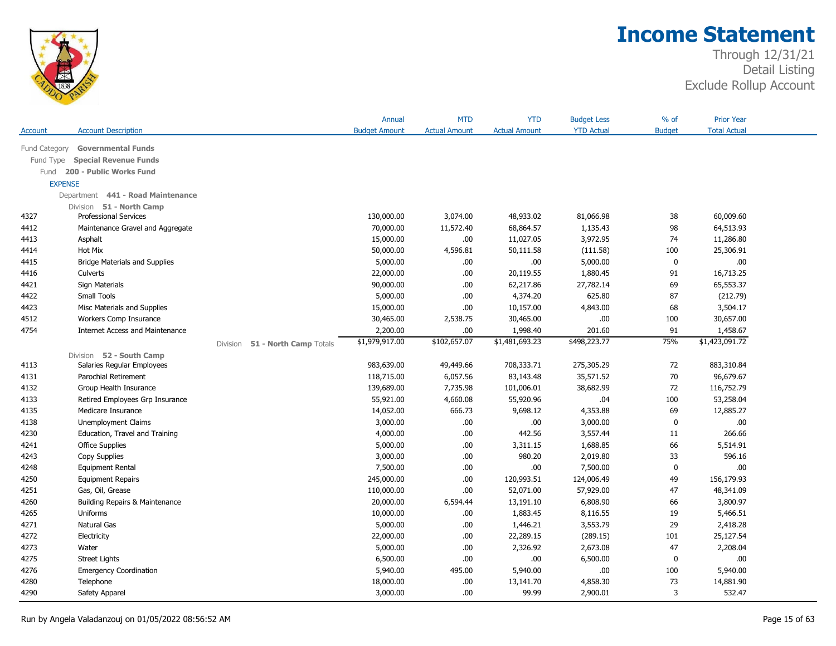

|                |                                        |          |                        | Annual               | <b>MTD</b>           | <b>YTD</b>           | <b>Budget Less</b> | $%$ of        | <b>Prior Year</b>   |  |
|----------------|----------------------------------------|----------|------------------------|----------------------|----------------------|----------------------|--------------------|---------------|---------------------|--|
| Account        | <b>Account Description</b>             |          |                        | <b>Budget Amount</b> | <b>Actual Amount</b> | <b>Actual Amount</b> | <b>YTD Actual</b>  | <b>Budget</b> | <b>Total Actual</b> |  |
| Fund Category  | <b>Governmental Funds</b>              |          |                        |                      |                      |                      |                    |               |                     |  |
| Fund Type      | <b>Special Revenue Funds</b>           |          |                        |                      |                      |                      |                    |               |                     |  |
| Fund           | 200 - Public Works Fund                |          |                        |                      |                      |                      |                    |               |                     |  |
| <b>EXPENSE</b> |                                        |          |                        |                      |                      |                      |                    |               |                     |  |
|                | Department 441 - Road Maintenance      |          |                        |                      |                      |                      |                    |               |                     |  |
|                | Division 51 - North Camp               |          |                        |                      |                      |                      |                    |               |                     |  |
| 4327           | <b>Professional Services</b>           |          |                        | 130,000.00           | 3,074.00             | 48,933.02            | 81,066.98          | 38            | 60,009.60           |  |
| 4412           | Maintenance Gravel and Aggregate       |          |                        | 70,000.00            | 11,572.40            | 68,864.57            | 1,135.43           | 98            | 64,513.93           |  |
| 4413           | Asphalt                                |          |                        | 15,000.00            | .00.                 | 11,027.05            | 3,972.95           | 74            | 11,286.80           |  |
| 4414           | Hot Mix                                |          |                        | 50,000.00            | 4,596.81             | 50,111.58            | (111.58)           | 100           | 25,306.91           |  |
| 4415           | <b>Bridge Materials and Supplies</b>   |          |                        | 5,000.00             | .00.                 | .00                  | 5,000.00           | 0             | .00                 |  |
| 4416           | Culverts                               |          |                        | 22,000.00            | .00.                 | 20,119.55            | 1,880.45           | 91            | 16,713.25           |  |
| 4421           | Sign Materials                         |          |                        | 90,000.00            | .00.                 | 62,217.86            | 27,782.14          | 69            | 65,553.37           |  |
| 4422           | Small Tools                            |          |                        | 5,000.00             | .00.                 | 4,374.20             | 625.80             | 87            | (212.79)            |  |
| 4423           | Misc Materials and Supplies            |          |                        | 15,000.00            | .00                  | 10,157.00            | 4,843.00           | 68            | 3,504.17            |  |
| 4512           | Workers Comp Insurance                 |          |                        | 30,465.00            | 2,538.75             | 30,465.00            | .00                | 100           | 30,657.00           |  |
| 4754           | <b>Internet Access and Maintenance</b> |          |                        | 2,200.00             | .00                  | 1,998.40             | 201.60             | 91            | 1,458.67            |  |
|                |                                        | Division | 51 - North Camp Totals | \$1,979,917.00       | \$102,657.07         | \$1,481,693.23       | \$498,223.77       | 75%           | \$1,423,091.72      |  |
|                | Division 52 - South Camp               |          |                        |                      |                      |                      |                    |               |                     |  |
| 4113           | Salaries Regular Employees             |          |                        | 983,639.00           | 49,449.66            | 708,333.71           | 275,305.29         | 72            | 883,310.84          |  |
| 4131           | Parochial Retirement                   |          |                        | 118,715.00           | 6,057.56             | 83,143.48            | 35,571.52          | 70            | 96,679.67           |  |
| 4132           | Group Health Insurance                 |          |                        | 139,689.00           | 7,735.98             | 101,006.01           | 38,682.99          | 72            | 116,752.79          |  |
| 4133           | Retired Employees Grp Insurance        |          |                        | 55,921.00            | 4,660.08             | 55,920.96            | .04                | 100           | 53,258.04           |  |
| 4135           | Medicare Insurance                     |          |                        | 14,052.00            | 666.73               | 9,698.12             | 4,353.88           | 69            | 12,885.27           |  |
| 4138           | Unemployment Claims                    |          |                        | 3,000.00             | .00.                 | .00                  | 3,000.00           | $\mathbf 0$   | .00                 |  |
| 4230           | Education, Travel and Training         |          |                        | 4,000.00             | .00.                 | 442.56               | 3,557.44           | 11            | 266.66              |  |
| 4241           | <b>Office Supplies</b>                 |          |                        | 5,000.00             | .00.                 | 3,311.15             | 1,688.85           | 66            | 5,514.91            |  |
| 4243           | Copy Supplies                          |          |                        | 3,000.00             | .00.                 | 980.20               | 2,019.80           | 33            | 596.16              |  |
| 4248           | Equipment Rental                       |          |                        | 7,500.00             | .00.                 | .00                  | 7,500.00           | 0             | .00                 |  |
| 4250           | <b>Equipment Repairs</b>               |          |                        | 245,000.00           | .00.                 | 120,993.51           | 124,006.49         | 49            | 156,179.93          |  |
| 4251           | Gas, Oil, Grease                       |          |                        | 110,000.00           | .00                  | 52,071.00            | 57,929.00          | 47            | 48,341.09           |  |
| 4260           | Building Repairs & Maintenance         |          |                        | 20,000.00            | 6,594.44             | 13,191.10            | 6,808.90           | 66            | 3,800.97            |  |
| 4265           | Uniforms                               |          |                        | 10,000.00            | .00                  | 1,883.45             | 8,116.55           | 19            | 5,466.51            |  |
| 4271           | Natural Gas                            |          |                        | 5,000.00             | .00.                 | 1,446.21             | 3,553.79           | 29            | 2,418.28            |  |
| 4272           | Electricity                            |          |                        | 22,000.00            | .00.                 | 22,289.15            | (289.15)           | 101           | 25,127.54           |  |
| 4273           | Water                                  |          |                        | 5,000.00             | .00.                 | 2,326.92             | 2,673.08           | 47            | 2,208.04            |  |
| 4275           | <b>Street Lights</b>                   |          |                        | 6,500.00             | .00.                 | .00                  | 6,500.00           | 0             | .00                 |  |
| 4276           | <b>Emergency Coordination</b>          |          |                        | 5,940.00             | 495.00               | 5,940.00             | .00.               | 100           | 5,940.00            |  |
| 4280           | Telephone                              |          |                        | 18,000.00            | .00                  | 13,141.70            | 4,858.30           | 73            | 14,881.90           |  |
| 4290           | Safety Apparel                         |          |                        | 3,000.00             | .00.                 | 99.99                | 2,900.01           | 3             | 532.47              |  |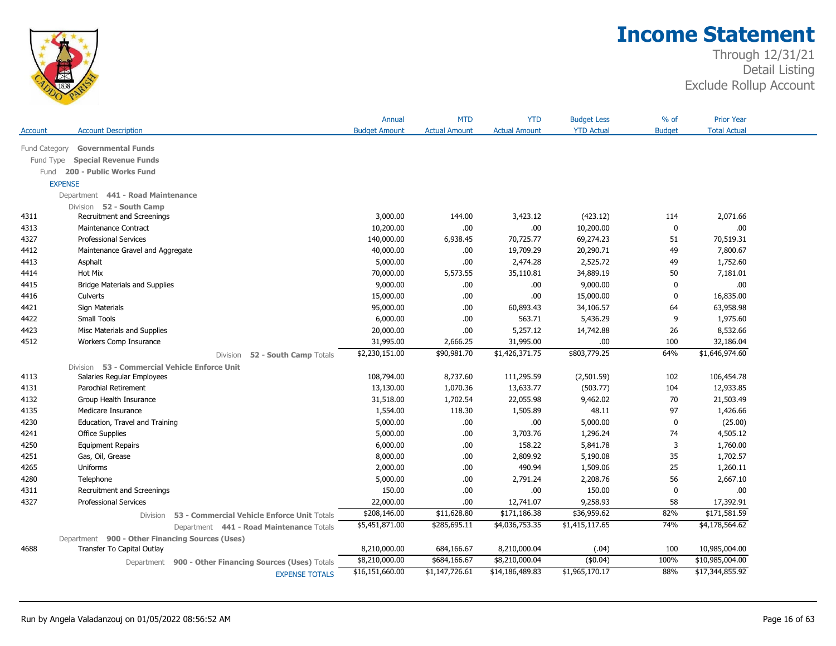

|               |                                                         | Annual               | <b>MTD</b>           | <b>YTD</b>           | <b>Budget Less</b> | $%$ of        | <b>Prior Year</b>   |
|---------------|---------------------------------------------------------|----------------------|----------------------|----------------------|--------------------|---------------|---------------------|
| Account       | <b>Account Description</b>                              | <b>Budget Amount</b> | <b>Actual Amount</b> | <b>Actual Amount</b> | <b>YTD Actual</b>  | <b>Budget</b> | <b>Total Actual</b> |
| Fund Category | <b>Governmental Funds</b>                               |                      |                      |                      |                    |               |                     |
| Fund Type     | <b>Special Revenue Funds</b>                            |                      |                      |                      |                    |               |                     |
|               | Fund 200 - Public Works Fund                            |                      |                      |                      |                    |               |                     |
|               | <b>EXPENSE</b>                                          |                      |                      |                      |                    |               |                     |
|               | Department 441 - Road Maintenance                       |                      |                      |                      |                    |               |                     |
|               | Division 52 - South Camp                                |                      |                      |                      |                    |               |                     |
| 4311          | Recruitment and Screenings                              | 3,000.00             | 144.00               | 3,423.12             | (423.12)           | 114           | 2,071.66            |
| 4313          | <b>Maintenance Contract</b>                             | 10,200.00            | .00.                 | .00                  | 10,200.00          | 0             | .00                 |
| 4327          | <b>Professional Services</b>                            | 140,000.00           | 6,938.45             | 70,725.77            | 69,274.23          | 51            | 70,519.31           |
| 4412          | Maintenance Gravel and Aggregate                        | 40,000.00            | .00.                 | 19,709.29            | 20,290.71          | 49            | 7,800.67            |
| 4413          | Asphalt                                                 | 5,000.00             | .00.                 | 2,474.28             | 2,525.72           | 49            | 1,752.60            |
| 4414          | Hot Mix                                                 | 70,000.00            | 5,573.55             | 35,110.81            | 34,889.19          | 50            | 7,181.01            |
| 4415          | <b>Bridge Materials and Supplies</b>                    | 9,000.00             | .00.                 | .00                  | 9,000.00           | 0             | .00.                |
| 4416          | Culverts                                                | 15,000.00            | .00.                 | .00                  | 15,000.00          | $\mathbf 0$   | 16,835.00           |
| 4421          | Sign Materials                                          | 95,000.00            | .00.                 | 60,893.43            | 34,106.57          | 64            | 63,958.98           |
| 4422          | Small Tools                                             | 6,000.00             | .00.                 | 563.71               | 5,436.29           | 9             | 1,975.60            |
| 4423          | Misc Materials and Supplies                             | 20,000.00            | .00.                 | 5,257.12             | 14,742.88          | 26            | 8,532.66            |
| 4512          | Workers Comp Insurance                                  | 31,995.00            | 2,666.25             | 31,995.00            | .00.               | 100           | 32,186.04           |
|               | 52 - South Camp Totals<br>Division                      | \$2,230,151.00       | \$90,981.70          | \$1,426,371.75       | \$803,779.25       | 64%           | \$1,646,974.60      |
|               | Division 53 - Commercial Vehicle Enforce Unit           |                      |                      |                      |                    |               |                     |
| 4113          | Salaries Regular Employees                              | 108,794.00           | 8,737.60             | 111,295.59           | (2,501.59)         | 102           | 106,454.78          |
| 4131          | Parochial Retirement                                    | 13,130.00            | 1,070.36             | 13,633.77            | (503.77)           | 104           | 12,933.85           |
| 4132          | Group Health Insurance                                  | 31,518.00            | 1,702.54             | 22,055.98            | 9,462.02           | 70            | 21,503.49           |
| 4135          | Medicare Insurance                                      | 1,554.00             | 118.30               | 1,505.89             | 48.11              | 97            | 1,426.66            |
| 4230          | Education, Travel and Training                          | 5,000.00             | .00.                 | .00                  | 5,000.00           | $\mathbf 0$   | (25.00)             |
| 4241          | <b>Office Supplies</b>                                  | 5,000.00             | .00.                 | 3,703.76             | 1,296.24           | 74            | 4,505.12            |
| 4250          | <b>Equipment Repairs</b>                                | 6,000.00             | .00.                 | 158.22               | 5,841.78           | 3             | 1,760.00            |
| 4251          | Gas, Oil, Grease                                        | 8,000.00             | .00.                 | 2,809.92             | 5,190.08           | 35            | 1,702.57            |
| 4265          | Uniforms                                                | 2,000.00             | .00.                 | 490.94               | 1,509.06           | 25            | 1,260.11            |
| 4280          | Telephone                                               | 5,000.00             | .00.                 | 2,791.24             | 2,208.76           | 56            | 2,667.10            |
| 4311          | Recruitment and Screenings                              | 150.00               | .00.                 | .00                  | 150.00             | $\bf{0}$      | .00.                |
| 4327          | <b>Professional Services</b>                            | 22,000.00            | .00.                 | 12,741.07            | 9,258.93           | 58            | 17,392.91           |
|               | 53 - Commercial Vehicle Enforce Unit Totals<br>Division | \$208,146.00         | \$11,628.80          | \$171,186.38         | \$36,959.62        | 82%           | \$171,581.59        |
|               | Department 441 - Road Maintenance Totals                | \$5,451,871.00       | \$285,695.11         | \$4,036,753.35       | \$1,415,117.65     | 74%           | \$4,178,564.62      |
|               | Department 900 - Other Financing Sources (Uses)         |                      |                      |                      |                    |               |                     |
| 4688          | Transfer To Capital Outlay                              | 8,210,000.00         | 684,166.67           | 8,210,000.04         | (.04)              | 100           | 10,985,004.00       |
|               | Department 900 - Other Financing Sources (Uses) Totals  | \$8,210,000.00       | \$684,166.67         | \$8,210,000.04       | (\$0.04)           | 100%          | \$10,985,004.00     |
|               | <b>EXPENSE TOTALS</b>                                   | \$16,151,660.00      | \$1,147,726.61       | \$14,186,489.83      | \$1,965,170.17     | 88%           | \$17,344,855.92     |
|               |                                                         |                      |                      |                      |                    |               |                     |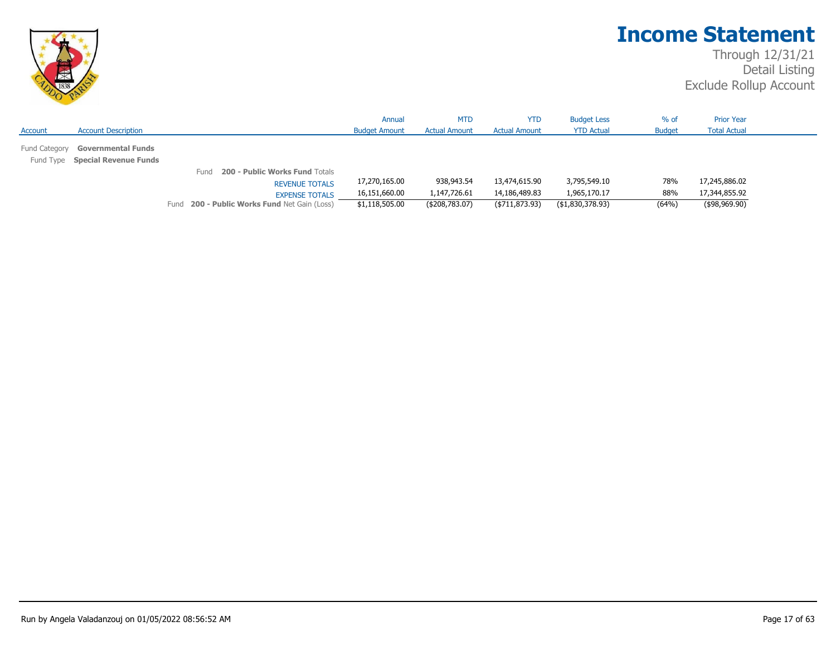

|               |                                 |                                               | Annual               | <b>MTD</b>           | <b>YTD</b>           | <b>Budget Less</b> | $%$ of        | <b>Prior Year</b>   |  |
|---------------|---------------------------------|-----------------------------------------------|----------------------|----------------------|----------------------|--------------------|---------------|---------------------|--|
| Account       | <b>Account Description</b>      |                                               | <b>Budget Amount</b> | <b>Actual Amount</b> | <b>Actual Amount</b> | <b>YTD Actual</b>  | <b>Budget</b> | <b>Total Actual</b> |  |
| Fund Category | <b>Governmental Funds</b>       |                                               |                      |                      |                      |                    |               |                     |  |
|               | Fund Type Special Revenue Funds |                                               |                      |                      |                      |                    |               |                     |  |
|               |                                 | <b>200 - Public Works Fund Totals</b><br>Fund |                      |                      |                      |                    |               |                     |  |
|               |                                 | <b>REVENUE TOTALS</b>                         | 17,270,165.00        | 938,943.54           | 13,474,615.90        | 3,795,549.10       | 78%           | 17,245,886.02       |  |
|               |                                 | <b>EXPENSE TOTALS</b>                         | 16,151,660.00        | 1,147,726.61         | 14,186,489.83        | 1,965,170.17       | 88%           | 17,344,855.92       |  |
|               |                                 | Fund 200 - Public Works Fund Net Gain (Loss)  | \$1,118,505.00       | ( \$208,783.07)      | ( \$711, 873.93)     | ( \$1,830,378.93)  | (64%)         | $($ \$98,969.90)    |  |
|               |                                 |                                               |                      |                      |                      |                    |               |                     |  |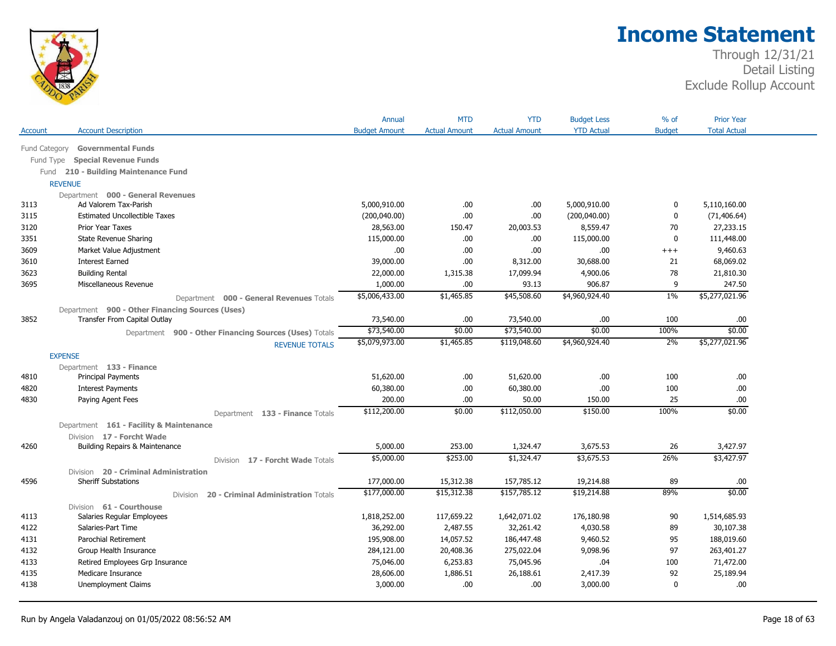

|               |                                                        | Annual               | <b>MTD</b>           | <b>YTD</b>           | <b>Budget Less</b> | % of          | <b>Prior Year</b>   |  |
|---------------|--------------------------------------------------------|----------------------|----------------------|----------------------|--------------------|---------------|---------------------|--|
| Account       | <b>Account Description</b>                             | <b>Budget Amount</b> | <b>Actual Amount</b> | <b>Actual Amount</b> | <b>YTD Actual</b>  | <b>Budget</b> | <b>Total Actual</b> |  |
| Fund Category | <b>Governmental Funds</b>                              |                      |                      |                      |                    |               |                     |  |
| Fund Type     | <b>Special Revenue Funds</b>                           |                      |                      |                      |                    |               |                     |  |
|               | Fund 210 - Building Maintenance Fund                   |                      |                      |                      |                    |               |                     |  |
|               | <b>REVENUE</b>                                         |                      |                      |                      |                    |               |                     |  |
|               | Department 000 - General Revenues                      |                      |                      |                      |                    |               |                     |  |
| 3113          | Ad Valorem Tax-Parish                                  | 5,000,910.00         | .00.                 | .00                  | 5,000,910.00       | 0             | 5,110,160.00        |  |
| 3115          | <b>Estimated Uncollectible Taxes</b>                   | (200,040.00)         | .00.                 | .00                  | (200, 040.00)      | 0             | (71, 406.64)        |  |
| 3120          | Prior Year Taxes                                       | 28,563.00            | 150.47               | 20,003.53            | 8,559.47           | 70            | 27,233.15           |  |
| 3351          | State Revenue Sharing                                  | 115,000.00           | .00                  | .00                  | 115,000.00         | 0             | 111,448.00          |  |
| 3609          | Market Value Adjustment                                | .00                  | .00.                 | .00                  | .00                | $^{+++}$      | 9,460.63            |  |
| 3610          | <b>Interest Earned</b>                                 | 39,000.00            | .00.                 | 8,312.00             | 30,688.00          | 21            | 68,069.02           |  |
| 3623          | <b>Building Rental</b>                                 | 22,000.00            | 1,315.38             | 17,099.94            | 4,900.06           | 78            | 21,810.30           |  |
| 3695          | Miscellaneous Revenue                                  | 1,000.00             | .00                  | 93.13                | 906.87             | 9             | 247.50              |  |
|               | Department 000 - General Revenues Totals               | \$5,006,433.00       | \$1,465.85           | \$45,508.60          | \$4,960,924.40     | $1\%$         | \$5,277,021.96      |  |
|               | Department 900 - Other Financing Sources (Uses)        |                      |                      |                      |                    |               |                     |  |
| 3852          | Transfer From Capital Outlay                           | 73,540.00            | .00.                 | 73,540.00            | .00.               | 100           | .00.                |  |
|               | Department 900 - Other Financing Sources (Uses) Totals | \$73,540.00          | \$0.00               | \$73,540.00          | \$0.00             | 100%          | \$0.00              |  |
|               | <b>REVENUE TOTALS</b>                                  | \$5,079,973.00       | \$1,465.85           | \$119,048.60         | \$4,960,924.40     | 2%            | \$5,277,021.96      |  |
|               | <b>EXPENSE</b>                                         |                      |                      |                      |                    |               |                     |  |
|               | Department 133 - Finance                               |                      |                      |                      |                    |               |                     |  |
| 4810          | <b>Principal Payments</b>                              | 51,620.00            | .00                  | 51,620.00            | .00.               | 100           | .00                 |  |
| 4820          | <b>Interest Payments</b>                               | 60,380.00            | .00.                 | 60,380.00            | .00                | 100           | .00                 |  |
| 4830          | Paying Agent Fees                                      | 200.00               | .00                  | 50.00                | 150.00             | 25            | .00                 |  |
|               | Department 133 - Finance Totals                        | \$112,200.00         | \$0.00               | \$112,050.00         | \$150.00           | 100%          | \$0.00              |  |
|               | Department 161 - Facility & Maintenance                |                      |                      |                      |                    |               |                     |  |
|               | Division 17 - Forcht Wade                              |                      |                      |                      |                    |               |                     |  |
| 4260          | Building Repairs & Maintenance                         | 5,000.00             | 253.00               | 1,324.47             | 3,675.53           | 26            | 3,427.97            |  |
|               | Division 17 - Forcht Wade Totals                       | \$5,000.00           | \$253.00             | \$1,324.47           | \$3,675.53         | 26%           | \$3,427.97          |  |
|               | Division 20 - Criminal Administration                  |                      |                      |                      |                    |               |                     |  |
| 4596          | <b>Sheriff Substations</b>                             | 177,000.00           | 15,312.38            | 157,785.12           | 19,214.88          | 89            | .00                 |  |
|               | Division<br><b>20 - Criminal Administration Totals</b> | \$177,000.00         | \$15,312.38          | \$157,785.12         | \$19,214.88        | 89%           | \$0.00              |  |
|               | Division 61 - Courthouse                               |                      |                      |                      |                    |               |                     |  |
| 4113          | Salaries Regular Employees                             | 1,818,252.00         | 117,659.22           | 1,642,071.02         | 176,180.98         | 90            | 1,514,685.93        |  |
| 4122          | Salaries-Part Time                                     | 36,292.00            | 2,487.55             | 32,261.42            | 4,030.58           | 89            | 30,107.38           |  |
| 4131          | Parochial Retirement                                   | 195,908.00           | 14,057.52            | 186,447.48           | 9,460.52           | 95            | 188,019.60          |  |
| 4132          | Group Health Insurance                                 | 284,121.00           | 20,408.36            | 275,022.04           | 9,098.96           | 97            | 263,401.27          |  |
| 4133          | Retired Employees Grp Insurance                        | 75,046.00            | 6,253.83             | 75,045.96            | .04                | 100           | 71,472.00           |  |
| 4135          | Medicare Insurance                                     | 28,606.00            | 1,886.51             | 26,188.61            | 2,417.39           | 92            | 25,189.94           |  |
| 4138          | Unemployment Claims                                    | 3,000.00             | .00                  | .00                  | 3,000.00           | 0             | .00.                |  |
|               |                                                        |                      |                      |                      |                    |               |                     |  |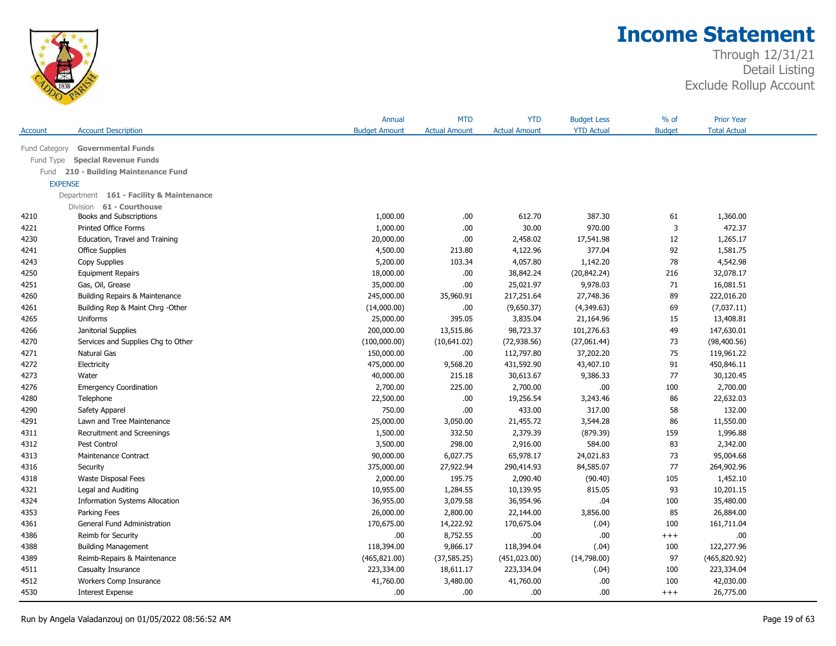

|                |                                         | Annual               | <b>MTD</b>           | <b>YTD</b>           | <b>Budget Less</b> | % of          | <b>Prior Year</b>   |  |
|----------------|-----------------------------------------|----------------------|----------------------|----------------------|--------------------|---------------|---------------------|--|
| Account        | <b>Account Description</b>              | <b>Budget Amount</b> | <b>Actual Amount</b> | <b>Actual Amount</b> | <b>YTD Actual</b>  | <b>Budget</b> | <b>Total Actual</b> |  |
| Fund Category  | <b>Governmental Funds</b>               |                      |                      |                      |                    |               |                     |  |
| Fund Type      | <b>Special Revenue Funds</b>            |                      |                      |                      |                    |               |                     |  |
| Fund           | 210 - Building Maintenance Fund         |                      |                      |                      |                    |               |                     |  |
| <b>EXPENSE</b> |                                         |                      |                      |                      |                    |               |                     |  |
|                | Department 161 - Facility & Maintenance |                      |                      |                      |                    |               |                     |  |
|                | Division 61 - Courthouse                |                      |                      |                      |                    |               |                     |  |
| 4210           | Books and Subscriptions                 | 1,000.00             | .00.                 | 612.70               | 387.30             | 61            | 1,360.00            |  |
| 4221           | <b>Printed Office Forms</b>             | 1,000.00             | .00                  | 30.00                | 970.00             | 3             | 472.37              |  |
| 4230           | Education, Travel and Training          | 20,000.00            | .00                  | 2,458.02             | 17,541.98          | 12            | 1,265.17            |  |
| 4241           | Office Supplies                         | 4,500.00             | 213.80               | 4,122.96             | 377.04             | 92            | 1,581.75            |  |
| 4243           | Copy Supplies                           | 5,200.00             | 103.34               | 4,057.80             | 1,142.20           | 78            | 4,542.98            |  |
| 4250           | <b>Equipment Repairs</b>                | 18,000.00            | .00                  | 38,842.24            | (20, 842.24)       | 216           | 32,078.17           |  |
| 4251           | Gas, Oil, Grease                        | 35,000.00            | .00.                 | 25,021.97            | 9,978.03           | 71            | 16,081.51           |  |
| 4260           | Building Repairs & Maintenance          | 245,000.00           | 35,960.91            | 217,251.64           | 27,748.36          | 89            | 222,016.20          |  |
| 4261           | Building Rep & Maint Chrg - Other       | (14,000.00)          | .00                  | (9,650.37)           | (4,349.63)         | 69            | (7,037.11)          |  |
| 4265           | Uniforms                                | 25,000.00            | 395.05               | 3,835.04             | 21,164.96          | 15            | 13,408.81           |  |
| 4266           | Janitorial Supplies                     | 200,000.00           | 13,515.86            | 98,723.37            | 101,276.63         | 49            | 147,630.01          |  |
| 4270           | Services and Supplies Chg to Other      | (100,000.00)         | (10,641.02)          | (72, 938.56)         | (27,061.44)        | 73            | (98, 400.56)        |  |
| 4271           | Natural Gas                             | 150,000.00           | .00                  | 112,797.80           | 37,202.20          | 75            | 119,961.22          |  |
| 4272           | Electricity                             | 475,000.00           | 9,568.20             | 431,592.90           | 43,407.10          | 91            | 450,846.11          |  |
| 4273           | Water                                   | 40,000.00            | 215.18               | 30,613.67            | 9,386.33           | 77            | 30,120.45           |  |
| 4276           | <b>Emergency Coordination</b>           | 2,700.00             | 225.00               | 2,700.00             | .00                | 100           | 2,700.00            |  |
| 4280           | Telephone                               | 22,500.00            | .00.                 | 19,256.54            | 3,243.46           | 86            | 22,632.03           |  |
| 4290           | Safety Apparel                          | 750.00               | .00                  | 433.00               | 317.00             | 58            | 132.00              |  |
| 4291           | Lawn and Tree Maintenance               | 25,000.00            | 3,050.00             | 21,455.72            | 3,544.28           | 86            | 11,550.00           |  |
| 4311           | Recruitment and Screenings              | 1,500.00             | 332.50               | 2,379.39             | (879.39)           | 159           | 1,996.88            |  |
| 4312           | Pest Control                            | 3,500.00             | 298.00               | 2,916.00             | 584.00             | 83            | 2,342.00            |  |
| 4313           | Maintenance Contract                    | 90,000.00            | 6,027.75             | 65,978.17            | 24,021.83          | 73            | 95,004.68           |  |
| 4316           | Security                                | 375,000.00           | 27,922.94            | 290,414.93           | 84,585.07          | 77            | 264,902.96          |  |
| 4318           | <b>Waste Disposal Fees</b>              | 2,000.00             | 195.75               | 2,090.40             | (90.40)            | 105           | 1,452.10            |  |
| 4321           | Legal and Auditing                      | 10,955.00            | 1,284.55             | 10,139.95            | 815.05             | 93            | 10,201.15           |  |
| 4324           | <b>Information Systems Allocation</b>   | 36,955.00            | 3,079.58             | 36,954.96            | .04                | 100           | 35,480.00           |  |
| 4353           | Parking Fees                            | 26,000.00            | 2,800.00             | 22,144.00            | 3,856.00           | 85            | 26,884.00           |  |
| 4361           | General Fund Administration             | 170,675.00           | 14,222.92            | 170,675.04           | (.04)              | 100           | 161,711.04          |  |
| 4386           | Reimb for Security                      | .00.                 | 8,752.55             | .00                  | .00                | $^{+++}$      | .00.                |  |
| 4388           | <b>Building Management</b>              | 118,394.00           | 9,866.17             | 118,394.04           | (.04)              | 100           | 122,277.96          |  |
| 4389           | Reimb-Repairs & Maintenance             | (465, 821.00)        | (37, 585.25)         | (451, 023.00)        | (14,798.00)        | 97            | (465, 820.92)       |  |
| 4511           | Casualty Insurance                      | 223,334.00           | 18,611.17            | 223,334.04           | (.04)              | 100           | 223,334.04          |  |
| 4512           | Workers Comp Insurance                  | 41,760.00            | 3,480.00             | 41,760.00            | .00.               | 100           | 42,030.00           |  |
| 4530           | <b>Interest Expense</b>                 | .00.                 | .00                  | .00                  | .00.               | $+++$         | 26,775.00           |  |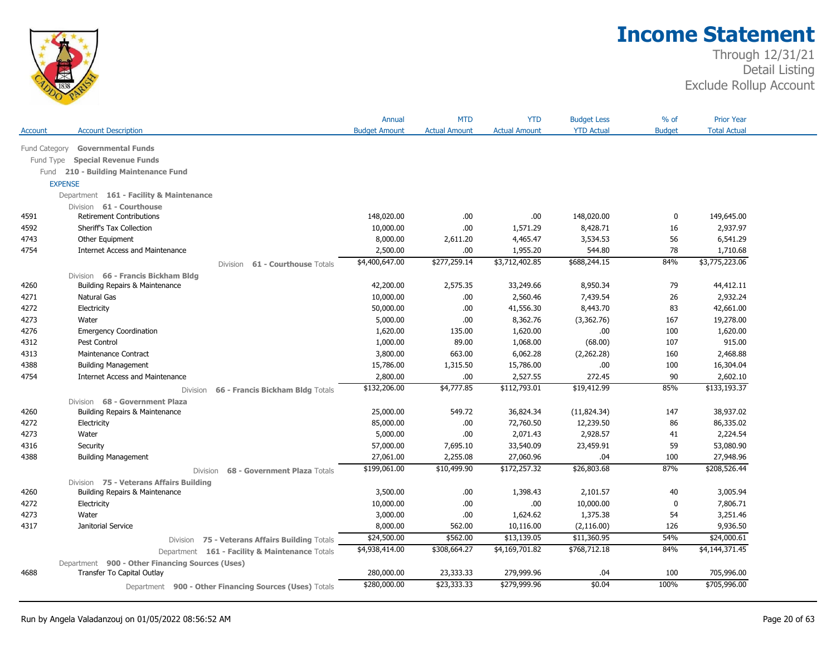

| <b>Account Description</b><br><b>YTD Actual</b><br><b>Total Actual</b><br><b>Budget Amount</b><br><b>Actual Amount</b><br><b>Actual Amount</b><br><b>Budget</b><br>Account<br><b>Governmental Funds</b><br>Fund Category<br><b>Special Revenue Funds</b><br>Fund Type<br>Fund 210 - Building Maintenance Fund<br><b>EXPENSE</b><br>Department 161 - Facility & Maintenance<br>Division 61 - Courthouse<br><b>Retirement Contributions</b><br>4591<br>148,020.00<br>.00<br>.00.<br>148,020.00<br>0<br>149,645.00<br>4592<br>Sheriff's Tax Collection<br>10,000.00<br>.00<br>1,571.29<br>8,428.71<br>16<br>2,937.97<br>4743<br>8,000.00<br>3,534.53<br>56<br>6,541.29<br>Other Equipment<br>2,611.20<br>4,465.47<br>544.80<br>4754<br><b>Internet Access and Maintenance</b><br>2,500.00<br>.00<br>1,955.20<br>78<br>1,710.68<br>\$3,775,223.06<br>\$4,400,647.00<br>\$277,259.14<br>\$3,712,402.85<br>\$688,244.15<br>84%<br>61 - Courthouse Totals<br><b>Division</b><br>Division 66 - Francis Bickham Bldg<br>79<br>4260<br>Building Repairs & Maintenance<br>42,200.00<br>2,575.35<br>33,249.66<br>8,950.34<br>44,412.11<br>2,932.24<br>4271<br>Natural Gas<br>10,000.00<br>.00.<br>2,560.46<br>7,439.54<br>26<br>4272<br>Electricity<br>50,000.00<br>.00<br>41,556.30<br>8,443.70<br>83<br>42,661.00<br>4273<br>5,000.00<br>.00.<br>8,362.76<br>(3,362.76)<br>19,278.00<br>Water<br>167<br>4276<br><b>Emergency Coordination</b><br>1,620.00<br>135.00<br>1,620.00<br>.00.<br>100<br>1,620.00<br>4312<br>Pest Control<br>1,000.00<br>89.00<br>1,068.00<br>(68.00)<br>107<br>915.00<br>3,800.00<br>663.00<br>6,062.28<br>4313<br>(2,262.28)<br>160<br>2,468.88<br>Maintenance Contract<br>4388<br>1,315.50<br>100<br><b>Building Management</b><br>15,786.00<br>15,786.00<br>.00<br>16,304.04<br>2,800.00<br>90<br><b>Internet Access and Maintenance</b><br>.00.<br>2,527.55<br>272.45<br>2,602.10<br>4754<br>85%<br>\$133,193.37<br>\$132,206.00<br>\$4,777.85<br>\$112,793.01<br>\$19,412.99<br>66 - Francis Bickham Bldg Totals<br><b>Division</b><br>Division 68 - Government Plaza<br>549.72<br>36,824.34<br>38,937.02<br>4260<br>Building Repairs & Maintenance<br>25,000.00<br>(11, 824.34)<br>147<br>4272<br>85,000.00<br>.00.<br>72,760.50<br>12,239.50<br>86<br>86,335.02<br>Electricity<br>.00.<br>2,071.43<br>2,928.57<br>4273<br>Water<br>5,000.00<br>41<br>2,224.54<br>59<br>53,080.90<br>4316<br>Security<br>57,000.00<br>7,695.10<br>33,540.09<br>23,459.91<br><b>Building Management</b><br>27,061.00<br>2,255.08<br>27,060.96<br>27,948.96<br>4388<br>.04<br>100<br>\$199,061.00<br>\$10,499.90<br>\$172,257.32<br>\$26,803.68<br>87%<br>\$208,526.44<br>Division<br>68 - Government Plaza Totals<br>Division 75 - Veterans Affairs Building<br>3,005.94<br>4260<br>Building Repairs & Maintenance<br>3,500.00<br>.00<br>1,398.43<br>2,101.57<br>40<br>10,000.00<br>.00.<br>.00<br>10,000.00<br>7,806.71<br>4272<br>Electricity<br>0<br>1,375.38<br>4273<br>Water<br>3,000.00<br>.00.<br>1,624.62<br>54<br>3,251.46<br>4317<br>Janitorial Service<br>8,000.00<br>562.00<br>10,116.00<br>(2, 116.00)<br>126<br>9,936.50<br>\$11,360.95<br>54%<br>\$24,000.61<br>\$24,500.00<br>\$562.00<br>\$13,139.05<br>Division 75 - Veterans Affairs Building Totals<br>\$4,144,371.45<br>\$4,938,414.00<br>\$308,664.27<br>\$4,169,701.82<br>\$768,712.18<br>84%<br>Department 161 - Facility & Maintenance Totals<br>Department 900 - Other Financing Sources (Uses)<br>4688<br>Transfer To Capital Outlay<br>280,000.00<br>23,333.33<br>279,999.96<br>100<br>705,996.00<br>.04<br>\$705,996.00<br>\$23,333.33<br>\$279,999.96<br>100%<br>\$280,000.00<br>\$0.04 |                                                        | Annual | <b>MTD</b> | <b>YTD</b> | <b>Budget Less</b> | % of | <b>Prior Year</b> |  |
|----------------------------------------------------------------------------------------------------------------------------------------------------------------------------------------------------------------------------------------------------------------------------------------------------------------------------------------------------------------------------------------------------------------------------------------------------------------------------------------------------------------------------------------------------------------------------------------------------------------------------------------------------------------------------------------------------------------------------------------------------------------------------------------------------------------------------------------------------------------------------------------------------------------------------------------------------------------------------------------------------------------------------------------------------------------------------------------------------------------------------------------------------------------------------------------------------------------------------------------------------------------------------------------------------------------------------------------------------------------------------------------------------------------------------------------------------------------------------------------------------------------------------------------------------------------------------------------------------------------------------------------------------------------------------------------------------------------------------------------------------------------------------------------------------------------------------------------------------------------------------------------------------------------------------------------------------------------------------------------------------------------------------------------------------------------------------------------------------------------------------------------------------------------------------------------------------------------------------------------------------------------------------------------------------------------------------------------------------------------------------------------------------------------------------------------------------------------------------------------------------------------------------------------------------------------------------------------------------------------------------------------------------------------------------------------------------------------------------------------------------------------------------------------------------------------------------------------------------------------------------------------------------------------------------------------------------------------------------------------------------------------------------------------------------------------------------------------------------------------------------------------------------------------------------------------------------------------------------------------------------------------------------------------------------------------------------------------------------------------------------------------------------------------------------------------------------------------------------------------------------------------------------------------------------------------------------------------------------------------------------------------------------------------------------|--------------------------------------------------------|--------|------------|------------|--------------------|------|-------------------|--|
|                                                                                                                                                                                                                                                                                                                                                                                                                                                                                                                                                                                                                                                                                                                                                                                                                                                                                                                                                                                                                                                                                                                                                                                                                                                                                                                                                                                                                                                                                                                                                                                                                                                                                                                                                                                                                                                                                                                                                                                                                                                                                                                                                                                                                                                                                                                                                                                                                                                                                                                                                                                                                                                                                                                                                                                                                                                                                                                                                                                                                                                                                                                                                                                                                                                                                                                                                                                                                                                                                                                                                                                                                                                                            |                                                        |        |            |            |                    |      |                   |  |
|                                                                                                                                                                                                                                                                                                                                                                                                                                                                                                                                                                                                                                                                                                                                                                                                                                                                                                                                                                                                                                                                                                                                                                                                                                                                                                                                                                                                                                                                                                                                                                                                                                                                                                                                                                                                                                                                                                                                                                                                                                                                                                                                                                                                                                                                                                                                                                                                                                                                                                                                                                                                                                                                                                                                                                                                                                                                                                                                                                                                                                                                                                                                                                                                                                                                                                                                                                                                                                                                                                                                                                                                                                                                            |                                                        |        |            |            |                    |      |                   |  |
|                                                                                                                                                                                                                                                                                                                                                                                                                                                                                                                                                                                                                                                                                                                                                                                                                                                                                                                                                                                                                                                                                                                                                                                                                                                                                                                                                                                                                                                                                                                                                                                                                                                                                                                                                                                                                                                                                                                                                                                                                                                                                                                                                                                                                                                                                                                                                                                                                                                                                                                                                                                                                                                                                                                                                                                                                                                                                                                                                                                                                                                                                                                                                                                                                                                                                                                                                                                                                                                                                                                                                                                                                                                                            |                                                        |        |            |            |                    |      |                   |  |
|                                                                                                                                                                                                                                                                                                                                                                                                                                                                                                                                                                                                                                                                                                                                                                                                                                                                                                                                                                                                                                                                                                                                                                                                                                                                                                                                                                                                                                                                                                                                                                                                                                                                                                                                                                                                                                                                                                                                                                                                                                                                                                                                                                                                                                                                                                                                                                                                                                                                                                                                                                                                                                                                                                                                                                                                                                                                                                                                                                                                                                                                                                                                                                                                                                                                                                                                                                                                                                                                                                                                                                                                                                                                            |                                                        |        |            |            |                    |      |                   |  |
|                                                                                                                                                                                                                                                                                                                                                                                                                                                                                                                                                                                                                                                                                                                                                                                                                                                                                                                                                                                                                                                                                                                                                                                                                                                                                                                                                                                                                                                                                                                                                                                                                                                                                                                                                                                                                                                                                                                                                                                                                                                                                                                                                                                                                                                                                                                                                                                                                                                                                                                                                                                                                                                                                                                                                                                                                                                                                                                                                                                                                                                                                                                                                                                                                                                                                                                                                                                                                                                                                                                                                                                                                                                                            |                                                        |        |            |            |                    |      |                   |  |
|                                                                                                                                                                                                                                                                                                                                                                                                                                                                                                                                                                                                                                                                                                                                                                                                                                                                                                                                                                                                                                                                                                                                                                                                                                                                                                                                                                                                                                                                                                                                                                                                                                                                                                                                                                                                                                                                                                                                                                                                                                                                                                                                                                                                                                                                                                                                                                                                                                                                                                                                                                                                                                                                                                                                                                                                                                                                                                                                                                                                                                                                                                                                                                                                                                                                                                                                                                                                                                                                                                                                                                                                                                                                            |                                                        |        |            |            |                    |      |                   |  |
|                                                                                                                                                                                                                                                                                                                                                                                                                                                                                                                                                                                                                                                                                                                                                                                                                                                                                                                                                                                                                                                                                                                                                                                                                                                                                                                                                                                                                                                                                                                                                                                                                                                                                                                                                                                                                                                                                                                                                                                                                                                                                                                                                                                                                                                                                                                                                                                                                                                                                                                                                                                                                                                                                                                                                                                                                                                                                                                                                                                                                                                                                                                                                                                                                                                                                                                                                                                                                                                                                                                                                                                                                                                                            |                                                        |        |            |            |                    |      |                   |  |
|                                                                                                                                                                                                                                                                                                                                                                                                                                                                                                                                                                                                                                                                                                                                                                                                                                                                                                                                                                                                                                                                                                                                                                                                                                                                                                                                                                                                                                                                                                                                                                                                                                                                                                                                                                                                                                                                                                                                                                                                                                                                                                                                                                                                                                                                                                                                                                                                                                                                                                                                                                                                                                                                                                                                                                                                                                                                                                                                                                                                                                                                                                                                                                                                                                                                                                                                                                                                                                                                                                                                                                                                                                                                            |                                                        |        |            |            |                    |      |                   |  |
|                                                                                                                                                                                                                                                                                                                                                                                                                                                                                                                                                                                                                                                                                                                                                                                                                                                                                                                                                                                                                                                                                                                                                                                                                                                                                                                                                                                                                                                                                                                                                                                                                                                                                                                                                                                                                                                                                                                                                                                                                                                                                                                                                                                                                                                                                                                                                                                                                                                                                                                                                                                                                                                                                                                                                                                                                                                                                                                                                                                                                                                                                                                                                                                                                                                                                                                                                                                                                                                                                                                                                                                                                                                                            |                                                        |        |            |            |                    |      |                   |  |
|                                                                                                                                                                                                                                                                                                                                                                                                                                                                                                                                                                                                                                                                                                                                                                                                                                                                                                                                                                                                                                                                                                                                                                                                                                                                                                                                                                                                                                                                                                                                                                                                                                                                                                                                                                                                                                                                                                                                                                                                                                                                                                                                                                                                                                                                                                                                                                                                                                                                                                                                                                                                                                                                                                                                                                                                                                                                                                                                                                                                                                                                                                                                                                                                                                                                                                                                                                                                                                                                                                                                                                                                                                                                            |                                                        |        |            |            |                    |      |                   |  |
|                                                                                                                                                                                                                                                                                                                                                                                                                                                                                                                                                                                                                                                                                                                                                                                                                                                                                                                                                                                                                                                                                                                                                                                                                                                                                                                                                                                                                                                                                                                                                                                                                                                                                                                                                                                                                                                                                                                                                                                                                                                                                                                                                                                                                                                                                                                                                                                                                                                                                                                                                                                                                                                                                                                                                                                                                                                                                                                                                                                                                                                                                                                                                                                                                                                                                                                                                                                                                                                                                                                                                                                                                                                                            |                                                        |        |            |            |                    |      |                   |  |
|                                                                                                                                                                                                                                                                                                                                                                                                                                                                                                                                                                                                                                                                                                                                                                                                                                                                                                                                                                                                                                                                                                                                                                                                                                                                                                                                                                                                                                                                                                                                                                                                                                                                                                                                                                                                                                                                                                                                                                                                                                                                                                                                                                                                                                                                                                                                                                                                                                                                                                                                                                                                                                                                                                                                                                                                                                                                                                                                                                                                                                                                                                                                                                                                                                                                                                                                                                                                                                                                                                                                                                                                                                                                            |                                                        |        |            |            |                    |      |                   |  |
|                                                                                                                                                                                                                                                                                                                                                                                                                                                                                                                                                                                                                                                                                                                                                                                                                                                                                                                                                                                                                                                                                                                                                                                                                                                                                                                                                                                                                                                                                                                                                                                                                                                                                                                                                                                                                                                                                                                                                                                                                                                                                                                                                                                                                                                                                                                                                                                                                                                                                                                                                                                                                                                                                                                                                                                                                                                                                                                                                                                                                                                                                                                                                                                                                                                                                                                                                                                                                                                                                                                                                                                                                                                                            |                                                        |        |            |            |                    |      |                   |  |
|                                                                                                                                                                                                                                                                                                                                                                                                                                                                                                                                                                                                                                                                                                                                                                                                                                                                                                                                                                                                                                                                                                                                                                                                                                                                                                                                                                                                                                                                                                                                                                                                                                                                                                                                                                                                                                                                                                                                                                                                                                                                                                                                                                                                                                                                                                                                                                                                                                                                                                                                                                                                                                                                                                                                                                                                                                                                                                                                                                                                                                                                                                                                                                                                                                                                                                                                                                                                                                                                                                                                                                                                                                                                            |                                                        |        |            |            |                    |      |                   |  |
|                                                                                                                                                                                                                                                                                                                                                                                                                                                                                                                                                                                                                                                                                                                                                                                                                                                                                                                                                                                                                                                                                                                                                                                                                                                                                                                                                                                                                                                                                                                                                                                                                                                                                                                                                                                                                                                                                                                                                                                                                                                                                                                                                                                                                                                                                                                                                                                                                                                                                                                                                                                                                                                                                                                                                                                                                                                                                                                                                                                                                                                                                                                                                                                                                                                                                                                                                                                                                                                                                                                                                                                                                                                                            |                                                        |        |            |            |                    |      |                   |  |
|                                                                                                                                                                                                                                                                                                                                                                                                                                                                                                                                                                                                                                                                                                                                                                                                                                                                                                                                                                                                                                                                                                                                                                                                                                                                                                                                                                                                                                                                                                                                                                                                                                                                                                                                                                                                                                                                                                                                                                                                                                                                                                                                                                                                                                                                                                                                                                                                                                                                                                                                                                                                                                                                                                                                                                                                                                                                                                                                                                                                                                                                                                                                                                                                                                                                                                                                                                                                                                                                                                                                                                                                                                                                            |                                                        |        |            |            |                    |      |                   |  |
|                                                                                                                                                                                                                                                                                                                                                                                                                                                                                                                                                                                                                                                                                                                                                                                                                                                                                                                                                                                                                                                                                                                                                                                                                                                                                                                                                                                                                                                                                                                                                                                                                                                                                                                                                                                                                                                                                                                                                                                                                                                                                                                                                                                                                                                                                                                                                                                                                                                                                                                                                                                                                                                                                                                                                                                                                                                                                                                                                                                                                                                                                                                                                                                                                                                                                                                                                                                                                                                                                                                                                                                                                                                                            |                                                        |        |            |            |                    |      |                   |  |
|                                                                                                                                                                                                                                                                                                                                                                                                                                                                                                                                                                                                                                                                                                                                                                                                                                                                                                                                                                                                                                                                                                                                                                                                                                                                                                                                                                                                                                                                                                                                                                                                                                                                                                                                                                                                                                                                                                                                                                                                                                                                                                                                                                                                                                                                                                                                                                                                                                                                                                                                                                                                                                                                                                                                                                                                                                                                                                                                                                                                                                                                                                                                                                                                                                                                                                                                                                                                                                                                                                                                                                                                                                                                            |                                                        |        |            |            |                    |      |                   |  |
|                                                                                                                                                                                                                                                                                                                                                                                                                                                                                                                                                                                                                                                                                                                                                                                                                                                                                                                                                                                                                                                                                                                                                                                                                                                                                                                                                                                                                                                                                                                                                                                                                                                                                                                                                                                                                                                                                                                                                                                                                                                                                                                                                                                                                                                                                                                                                                                                                                                                                                                                                                                                                                                                                                                                                                                                                                                                                                                                                                                                                                                                                                                                                                                                                                                                                                                                                                                                                                                                                                                                                                                                                                                                            |                                                        |        |            |            |                    |      |                   |  |
|                                                                                                                                                                                                                                                                                                                                                                                                                                                                                                                                                                                                                                                                                                                                                                                                                                                                                                                                                                                                                                                                                                                                                                                                                                                                                                                                                                                                                                                                                                                                                                                                                                                                                                                                                                                                                                                                                                                                                                                                                                                                                                                                                                                                                                                                                                                                                                                                                                                                                                                                                                                                                                                                                                                                                                                                                                                                                                                                                                                                                                                                                                                                                                                                                                                                                                                                                                                                                                                                                                                                                                                                                                                                            |                                                        |        |            |            |                    |      |                   |  |
|                                                                                                                                                                                                                                                                                                                                                                                                                                                                                                                                                                                                                                                                                                                                                                                                                                                                                                                                                                                                                                                                                                                                                                                                                                                                                                                                                                                                                                                                                                                                                                                                                                                                                                                                                                                                                                                                                                                                                                                                                                                                                                                                                                                                                                                                                                                                                                                                                                                                                                                                                                                                                                                                                                                                                                                                                                                                                                                                                                                                                                                                                                                                                                                                                                                                                                                                                                                                                                                                                                                                                                                                                                                                            |                                                        |        |            |            |                    |      |                   |  |
|                                                                                                                                                                                                                                                                                                                                                                                                                                                                                                                                                                                                                                                                                                                                                                                                                                                                                                                                                                                                                                                                                                                                                                                                                                                                                                                                                                                                                                                                                                                                                                                                                                                                                                                                                                                                                                                                                                                                                                                                                                                                                                                                                                                                                                                                                                                                                                                                                                                                                                                                                                                                                                                                                                                                                                                                                                                                                                                                                                                                                                                                                                                                                                                                                                                                                                                                                                                                                                                                                                                                                                                                                                                                            |                                                        |        |            |            |                    |      |                   |  |
|                                                                                                                                                                                                                                                                                                                                                                                                                                                                                                                                                                                                                                                                                                                                                                                                                                                                                                                                                                                                                                                                                                                                                                                                                                                                                                                                                                                                                                                                                                                                                                                                                                                                                                                                                                                                                                                                                                                                                                                                                                                                                                                                                                                                                                                                                                                                                                                                                                                                                                                                                                                                                                                                                                                                                                                                                                                                                                                                                                                                                                                                                                                                                                                                                                                                                                                                                                                                                                                                                                                                                                                                                                                                            |                                                        |        |            |            |                    |      |                   |  |
|                                                                                                                                                                                                                                                                                                                                                                                                                                                                                                                                                                                                                                                                                                                                                                                                                                                                                                                                                                                                                                                                                                                                                                                                                                                                                                                                                                                                                                                                                                                                                                                                                                                                                                                                                                                                                                                                                                                                                                                                                                                                                                                                                                                                                                                                                                                                                                                                                                                                                                                                                                                                                                                                                                                                                                                                                                                                                                                                                                                                                                                                                                                                                                                                                                                                                                                                                                                                                                                                                                                                                                                                                                                                            |                                                        |        |            |            |                    |      |                   |  |
|                                                                                                                                                                                                                                                                                                                                                                                                                                                                                                                                                                                                                                                                                                                                                                                                                                                                                                                                                                                                                                                                                                                                                                                                                                                                                                                                                                                                                                                                                                                                                                                                                                                                                                                                                                                                                                                                                                                                                                                                                                                                                                                                                                                                                                                                                                                                                                                                                                                                                                                                                                                                                                                                                                                                                                                                                                                                                                                                                                                                                                                                                                                                                                                                                                                                                                                                                                                                                                                                                                                                                                                                                                                                            |                                                        |        |            |            |                    |      |                   |  |
|                                                                                                                                                                                                                                                                                                                                                                                                                                                                                                                                                                                                                                                                                                                                                                                                                                                                                                                                                                                                                                                                                                                                                                                                                                                                                                                                                                                                                                                                                                                                                                                                                                                                                                                                                                                                                                                                                                                                                                                                                                                                                                                                                                                                                                                                                                                                                                                                                                                                                                                                                                                                                                                                                                                                                                                                                                                                                                                                                                                                                                                                                                                                                                                                                                                                                                                                                                                                                                                                                                                                                                                                                                                                            |                                                        |        |            |            |                    |      |                   |  |
|                                                                                                                                                                                                                                                                                                                                                                                                                                                                                                                                                                                                                                                                                                                                                                                                                                                                                                                                                                                                                                                                                                                                                                                                                                                                                                                                                                                                                                                                                                                                                                                                                                                                                                                                                                                                                                                                                                                                                                                                                                                                                                                                                                                                                                                                                                                                                                                                                                                                                                                                                                                                                                                                                                                                                                                                                                                                                                                                                                                                                                                                                                                                                                                                                                                                                                                                                                                                                                                                                                                                                                                                                                                                            |                                                        |        |            |            |                    |      |                   |  |
|                                                                                                                                                                                                                                                                                                                                                                                                                                                                                                                                                                                                                                                                                                                                                                                                                                                                                                                                                                                                                                                                                                                                                                                                                                                                                                                                                                                                                                                                                                                                                                                                                                                                                                                                                                                                                                                                                                                                                                                                                                                                                                                                                                                                                                                                                                                                                                                                                                                                                                                                                                                                                                                                                                                                                                                                                                                                                                                                                                                                                                                                                                                                                                                                                                                                                                                                                                                                                                                                                                                                                                                                                                                                            |                                                        |        |            |            |                    |      |                   |  |
|                                                                                                                                                                                                                                                                                                                                                                                                                                                                                                                                                                                                                                                                                                                                                                                                                                                                                                                                                                                                                                                                                                                                                                                                                                                                                                                                                                                                                                                                                                                                                                                                                                                                                                                                                                                                                                                                                                                                                                                                                                                                                                                                                                                                                                                                                                                                                                                                                                                                                                                                                                                                                                                                                                                                                                                                                                                                                                                                                                                                                                                                                                                                                                                                                                                                                                                                                                                                                                                                                                                                                                                                                                                                            |                                                        |        |            |            |                    |      |                   |  |
|                                                                                                                                                                                                                                                                                                                                                                                                                                                                                                                                                                                                                                                                                                                                                                                                                                                                                                                                                                                                                                                                                                                                                                                                                                                                                                                                                                                                                                                                                                                                                                                                                                                                                                                                                                                                                                                                                                                                                                                                                                                                                                                                                                                                                                                                                                                                                                                                                                                                                                                                                                                                                                                                                                                                                                                                                                                                                                                                                                                                                                                                                                                                                                                                                                                                                                                                                                                                                                                                                                                                                                                                                                                                            |                                                        |        |            |            |                    |      |                   |  |
|                                                                                                                                                                                                                                                                                                                                                                                                                                                                                                                                                                                                                                                                                                                                                                                                                                                                                                                                                                                                                                                                                                                                                                                                                                                                                                                                                                                                                                                                                                                                                                                                                                                                                                                                                                                                                                                                                                                                                                                                                                                                                                                                                                                                                                                                                                                                                                                                                                                                                                                                                                                                                                                                                                                                                                                                                                                                                                                                                                                                                                                                                                                                                                                                                                                                                                                                                                                                                                                                                                                                                                                                                                                                            |                                                        |        |            |            |                    |      |                   |  |
|                                                                                                                                                                                                                                                                                                                                                                                                                                                                                                                                                                                                                                                                                                                                                                                                                                                                                                                                                                                                                                                                                                                                                                                                                                                                                                                                                                                                                                                                                                                                                                                                                                                                                                                                                                                                                                                                                                                                                                                                                                                                                                                                                                                                                                                                                                                                                                                                                                                                                                                                                                                                                                                                                                                                                                                                                                                                                                                                                                                                                                                                                                                                                                                                                                                                                                                                                                                                                                                                                                                                                                                                                                                                            |                                                        |        |            |            |                    |      |                   |  |
|                                                                                                                                                                                                                                                                                                                                                                                                                                                                                                                                                                                                                                                                                                                                                                                                                                                                                                                                                                                                                                                                                                                                                                                                                                                                                                                                                                                                                                                                                                                                                                                                                                                                                                                                                                                                                                                                                                                                                                                                                                                                                                                                                                                                                                                                                                                                                                                                                                                                                                                                                                                                                                                                                                                                                                                                                                                                                                                                                                                                                                                                                                                                                                                                                                                                                                                                                                                                                                                                                                                                                                                                                                                                            |                                                        |        |            |            |                    |      |                   |  |
|                                                                                                                                                                                                                                                                                                                                                                                                                                                                                                                                                                                                                                                                                                                                                                                                                                                                                                                                                                                                                                                                                                                                                                                                                                                                                                                                                                                                                                                                                                                                                                                                                                                                                                                                                                                                                                                                                                                                                                                                                                                                                                                                                                                                                                                                                                                                                                                                                                                                                                                                                                                                                                                                                                                                                                                                                                                                                                                                                                                                                                                                                                                                                                                                                                                                                                                                                                                                                                                                                                                                                                                                                                                                            |                                                        |        |            |            |                    |      |                   |  |
|                                                                                                                                                                                                                                                                                                                                                                                                                                                                                                                                                                                                                                                                                                                                                                                                                                                                                                                                                                                                                                                                                                                                                                                                                                                                                                                                                                                                                                                                                                                                                                                                                                                                                                                                                                                                                                                                                                                                                                                                                                                                                                                                                                                                                                                                                                                                                                                                                                                                                                                                                                                                                                                                                                                                                                                                                                                                                                                                                                                                                                                                                                                                                                                                                                                                                                                                                                                                                                                                                                                                                                                                                                                                            |                                                        |        |            |            |                    |      |                   |  |
|                                                                                                                                                                                                                                                                                                                                                                                                                                                                                                                                                                                                                                                                                                                                                                                                                                                                                                                                                                                                                                                                                                                                                                                                                                                                                                                                                                                                                                                                                                                                                                                                                                                                                                                                                                                                                                                                                                                                                                                                                                                                                                                                                                                                                                                                                                                                                                                                                                                                                                                                                                                                                                                                                                                                                                                                                                                                                                                                                                                                                                                                                                                                                                                                                                                                                                                                                                                                                                                                                                                                                                                                                                                                            |                                                        |        |            |            |                    |      |                   |  |
|                                                                                                                                                                                                                                                                                                                                                                                                                                                                                                                                                                                                                                                                                                                                                                                                                                                                                                                                                                                                                                                                                                                                                                                                                                                                                                                                                                                                                                                                                                                                                                                                                                                                                                                                                                                                                                                                                                                                                                                                                                                                                                                                                                                                                                                                                                                                                                                                                                                                                                                                                                                                                                                                                                                                                                                                                                                                                                                                                                                                                                                                                                                                                                                                                                                                                                                                                                                                                                                                                                                                                                                                                                                                            |                                                        |        |            |            |                    |      |                   |  |
|                                                                                                                                                                                                                                                                                                                                                                                                                                                                                                                                                                                                                                                                                                                                                                                                                                                                                                                                                                                                                                                                                                                                                                                                                                                                                                                                                                                                                                                                                                                                                                                                                                                                                                                                                                                                                                                                                                                                                                                                                                                                                                                                                                                                                                                                                                                                                                                                                                                                                                                                                                                                                                                                                                                                                                                                                                                                                                                                                                                                                                                                                                                                                                                                                                                                                                                                                                                                                                                                                                                                                                                                                                                                            |                                                        |        |            |            |                    |      |                   |  |
|                                                                                                                                                                                                                                                                                                                                                                                                                                                                                                                                                                                                                                                                                                                                                                                                                                                                                                                                                                                                                                                                                                                                                                                                                                                                                                                                                                                                                                                                                                                                                                                                                                                                                                                                                                                                                                                                                                                                                                                                                                                                                                                                                                                                                                                                                                                                                                                                                                                                                                                                                                                                                                                                                                                                                                                                                                                                                                                                                                                                                                                                                                                                                                                                                                                                                                                                                                                                                                                                                                                                                                                                                                                                            |                                                        |        |            |            |                    |      |                   |  |
|                                                                                                                                                                                                                                                                                                                                                                                                                                                                                                                                                                                                                                                                                                                                                                                                                                                                                                                                                                                                                                                                                                                                                                                                                                                                                                                                                                                                                                                                                                                                                                                                                                                                                                                                                                                                                                                                                                                                                                                                                                                                                                                                                                                                                                                                                                                                                                                                                                                                                                                                                                                                                                                                                                                                                                                                                                                                                                                                                                                                                                                                                                                                                                                                                                                                                                                                                                                                                                                                                                                                                                                                                                                                            | Department 900 - Other Financing Sources (Uses) Totals |        |            |            |                    |      |                   |  |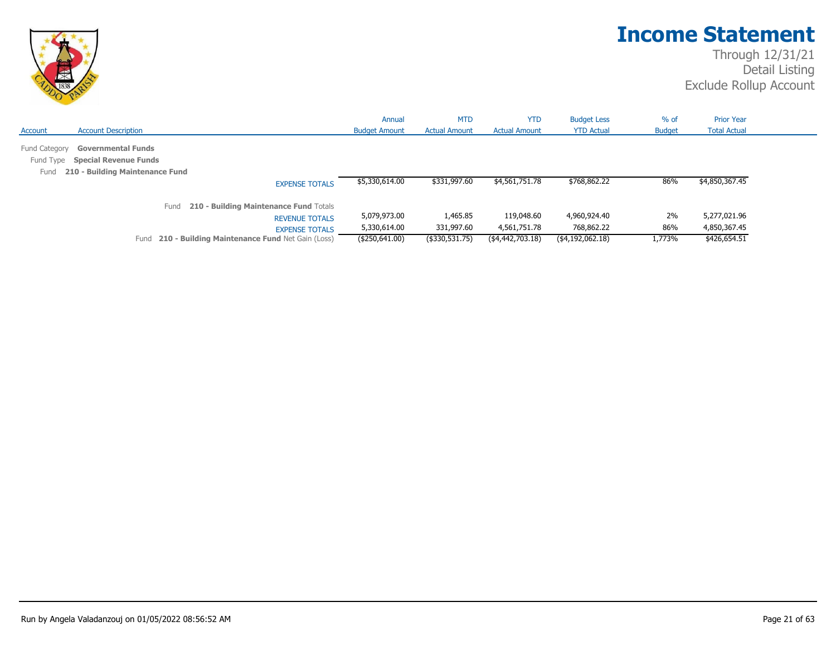

|                                    |                                                                                              |                                                 | Annual               | <b>MTD</b>           | <b>YTD</b>           | <b>Budget Less</b> | $%$ of        | <b>Prior Year</b>   |
|------------------------------------|----------------------------------------------------------------------------------------------|-------------------------------------------------|----------------------|----------------------|----------------------|--------------------|---------------|---------------------|
| Account                            | <b>Account Description</b>                                                                   |                                                 | <b>Budget Amount</b> | <b>Actual Amount</b> | <b>Actual Amount</b> | <b>YTD Actual</b>  | <b>Budget</b> | <b>Total Actual</b> |
| Fund Category<br>Fund Type<br>Fund | <b>Governmental Funds</b><br><b>Special Revenue Funds</b><br>210 - Building Maintenance Fund |                                                 |                      |                      |                      |                    |               |                     |
|                                    |                                                                                              | <b>EXPENSE TOTALS</b>                           | \$5,330,614.00       | \$331,997.60         | \$4,561,751.78       | \$768,862.22       | 86%           | \$4,850,367.45      |
|                                    |                                                                                              | 210 - Building Maintenance Fund Totals<br>Fund  |                      |                      |                      |                    |               |                     |
|                                    |                                                                                              | <b>REVENUE TOTALS</b>                           | 5,079,973.00         | 1,465.85             | 119,048.60           | 4,960,924.40       | 2%            | 5,277,021.96        |
|                                    |                                                                                              | <b>EXPENSE TOTALS</b>                           | 5,330,614.00         | 331,997.60           | 4,561,751.78         | 768,862.22         | 86%           | 4,850,367.45        |
|                                    | Fund                                                                                         | 210 - Building Maintenance Fund Net Gain (Loss) | (\$250,641.00)       | $($ \$330,531.75)    | (4,442,703.18)       | (\$4,192,062.18)   | 1,773%        | \$426,654.51        |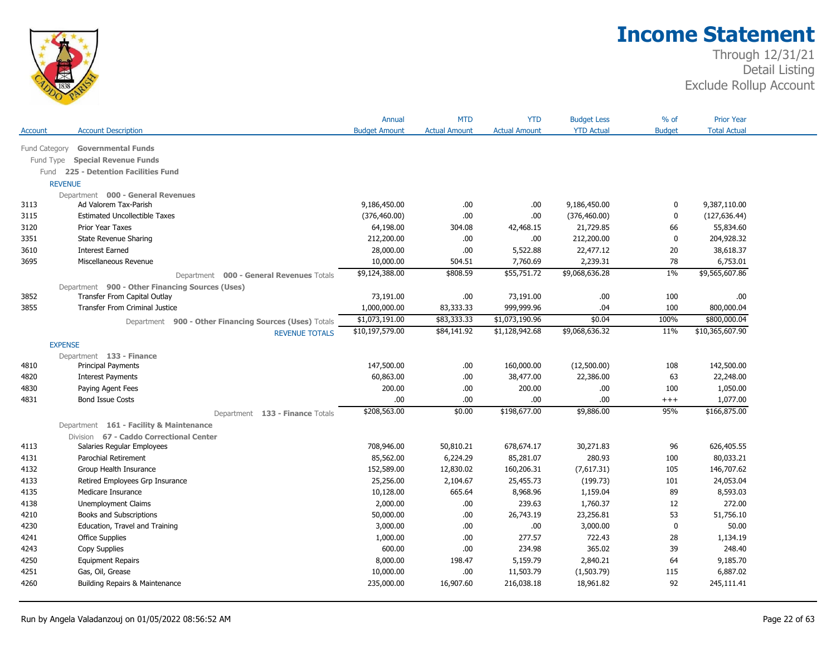

|           |                                                        | Annual               | <b>MTD</b>           | <b>YTD</b>           | <b>Budget Less</b> | % of          | <b>Prior Year</b>   |  |
|-----------|--------------------------------------------------------|----------------------|----------------------|----------------------|--------------------|---------------|---------------------|--|
| Account   | <b>Account Description</b>                             | <b>Budget Amount</b> | <b>Actual Amount</b> | <b>Actual Amount</b> | <b>YTD Actual</b>  | <b>Budget</b> | <b>Total Actual</b> |  |
|           | Fund Category Governmental Funds                       |                      |                      |                      |                    |               |                     |  |
| Fund Type | <b>Special Revenue Funds</b>                           |                      |                      |                      |                    |               |                     |  |
| Fund      | 225 - Detention Facilities Fund                        |                      |                      |                      |                    |               |                     |  |
|           | <b>REVENUE</b>                                         |                      |                      |                      |                    |               |                     |  |
|           | Department 000 - General Revenues                      |                      |                      |                      |                    |               |                     |  |
| 3113      | Ad Valorem Tax-Parish                                  | 9,186,450.00         | .00                  | .00                  | 9,186,450.00       | 0             | 9,387,110.00        |  |
| 3115      | <b>Estimated Uncollectible Taxes</b>                   | (376, 460.00)        | .00.                 | .00                  | (376, 460.00)      | 0             | (127, 636.44)       |  |
| 3120      | Prior Year Taxes                                       | 64,198.00            | 304.08               | 42,468.15            | 21,729.85          | 66            | 55,834.60           |  |
| 3351      | <b>State Revenue Sharing</b>                           | 212,200.00           | .00.                 | .00.                 | 212,200.00         | $\mathbf 0$   | 204,928.32          |  |
| 3610      | <b>Interest Earned</b>                                 | 28,000.00            | .00                  | 5,522.88             | 22,477.12          | 20            | 38,618.37           |  |
| 3695      | Miscellaneous Revenue                                  | 10,000.00            | 504.51               | 7,760.69             | 2,239.31           | 78            | 6,753.01            |  |
|           | Department 000 - General Revenues Totals               | \$9,124,388.00       | \$808.59             | \$55,751.72          | \$9,068,636.28     | 1%            | \$9,565,607.86      |  |
|           | Department 900 - Other Financing Sources (Uses)        |                      |                      |                      |                    |               |                     |  |
| 3852      | Transfer From Capital Outlay                           | 73,191.00            | .00.                 | 73,191.00            | .00.               | 100           | .00                 |  |
| 3855      | <b>Transfer From Criminal Justice</b>                  | 1,000,000.00         | 83,333.33            | 999,999.96           | .04                | 100           | 800,000.04          |  |
|           | Department 900 - Other Financing Sources (Uses) Totals | \$1,073,191.00       | \$83,333.33          | \$1,073,190.96       | \$0.04             | 100%          | \$800,000.04        |  |
|           | <b>REVENUE TOTALS</b>                                  | \$10,197,579.00      | \$84,141.92          | \$1,128,942.68       | \$9,068,636.32     | 11%           | \$10,365,607.90     |  |
|           | <b>EXPENSE</b>                                         |                      |                      |                      |                    |               |                     |  |
|           | Department 133 - Finance                               |                      |                      |                      |                    |               |                     |  |
| 4810      | Principal Payments                                     | 147,500.00           | .00.                 | 160,000.00           | (12,500.00)        | 108           | 142,500.00          |  |
| 4820      | <b>Interest Payments</b>                               | 60,863.00            | .00.                 | 38,477.00            | 22,386.00          | 63            | 22,248.00           |  |
| 4830      | Paying Agent Fees                                      | 200.00               | .00                  | 200.00               | .00                | 100           | 1,050.00            |  |
| 4831      | <b>Bond Issue Costs</b>                                | .00                  | .00                  | .00.                 | .00                | $+++$         | 1,077.00            |  |
|           | Department 133 - Finance Totals                        | \$208,563.00         | \$0.00               | \$198,677.00         | \$9,886.00         | 95%           | \$166,875.00        |  |
|           | Department 161 - Facility & Maintenance                |                      |                      |                      |                    |               |                     |  |
|           | Division 67 - Caddo Correctional Center                |                      |                      |                      |                    |               |                     |  |
| 4113      | Salaries Regular Employees                             | 708,946.00           | 50,810.21            | 678,674.17           | 30,271.83          | 96            | 626,405.55          |  |
| 4131      | Parochial Retirement                                   | 85,562.00            | 6,224.29             | 85,281.07            | 280.93             | 100           | 80,033.21           |  |
| 4132      | Group Health Insurance                                 | 152,589.00           | 12,830.02            | 160,206.31           | (7,617.31)         | 105           | 146,707.62          |  |
| 4133      | Retired Employees Grp Insurance                        | 25,256.00            | 2,104.67             | 25,455.73            | (199.73)           | 101           | 24,053.04           |  |
| 4135      | Medicare Insurance                                     | 10,128.00            | 665.64               | 8,968.96             | 1,159.04           | 89            | 8,593.03            |  |
| 4138      | Unemployment Claims                                    | 2,000.00             | .00                  | 239.63               | 1,760.37           | 12            | 272.00              |  |
| 4210      | Books and Subscriptions                                | 50,000.00            | .00.                 | 26,743.19            | 23,256.81          | 53            | 51,756.10           |  |
| 4230      | Education, Travel and Training                         | 3,000.00             | .00                  | .00                  | 3,000.00           | $\mathbf 0$   | 50.00               |  |
| 4241      | Office Supplies                                        | 1,000.00             | .00.                 | 277.57               | 722.43             | 28            | 1,134.19            |  |
| 4243      | Copy Supplies                                          | 600.00               | .00                  | 234.98               | 365.02             | 39            | 248.40              |  |
| 4250      | <b>Equipment Repairs</b>                               | 8,000.00             | 198.47               | 5,159.79             | 2,840.21           | 64            | 9,185.70            |  |
| 4251      | Gas, Oil, Grease                                       | 10,000.00            | .00                  | 11,503.79            | (1,503.79)         | 115           | 6,887.02            |  |
| 4260      | Building Repairs & Maintenance                         | 235,000.00           | 16,907.60            | 216,038.18           | 18,961.82          | 92            | 245,111.41          |  |
|           |                                                        |                      |                      |                      |                    |               |                     |  |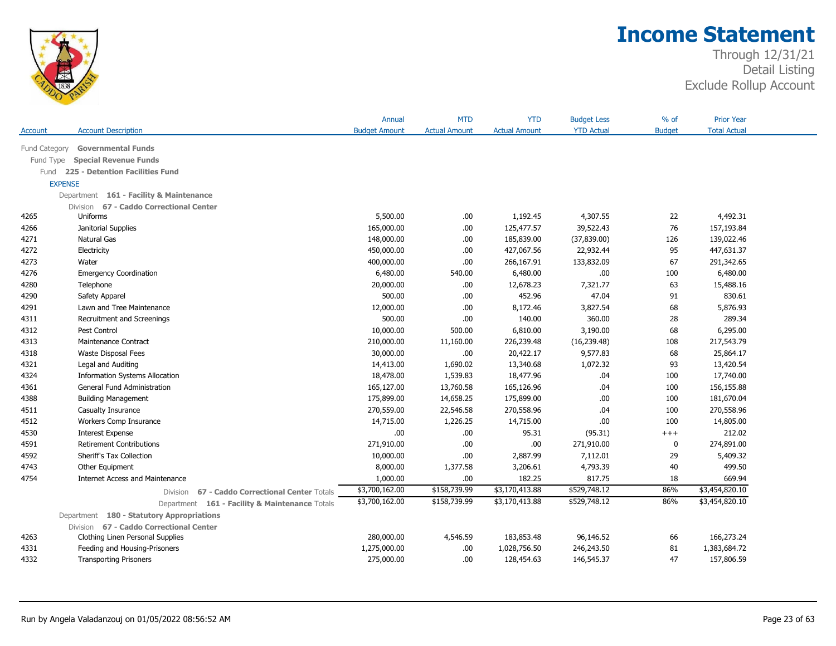

|           |                                                         | Annual               | <b>MTD</b>           | <b>YTD</b>           | <b>Budget Less</b> | $%$ of        | <b>Prior Year</b>   |  |
|-----------|---------------------------------------------------------|----------------------|----------------------|----------------------|--------------------|---------------|---------------------|--|
| Account   | <b>Account Description</b>                              | <b>Budget Amount</b> | <b>Actual Amount</b> | <b>Actual Amount</b> | <b>YTD Actual</b>  | <b>Budget</b> | <b>Total Actual</b> |  |
|           | Fund Category Governmental Funds                        |                      |                      |                      |                    |               |                     |  |
| Fund Type | <b>Special Revenue Funds</b>                            |                      |                      |                      |                    |               |                     |  |
|           | Fund 225 - Detention Facilities Fund                    |                      |                      |                      |                    |               |                     |  |
|           | <b>EXPENSE</b>                                          |                      |                      |                      |                    |               |                     |  |
|           | Department 161 - Facility & Maintenance                 |                      |                      |                      |                    |               |                     |  |
|           |                                                         |                      |                      |                      |                    |               |                     |  |
| 4265      | Division 67 - Caddo Correctional Center<br>Uniforms     | 5,500.00             | .00                  | 1,192.45             | 4,307.55           | 22            | 4,492.31            |  |
| 4266      | Janitorial Supplies                                     | 165,000.00           | .00.                 | 125,477.57           | 39,522.43          | 76            | 157,193.84          |  |
| 4271      | Natural Gas                                             | 148,000.00           | .00                  | 185,839.00           | (37, 839.00)       | 126           | 139,022.46          |  |
| 4272      | Electricity                                             | 450,000.00           | .00.                 | 427,067.56           | 22,932.44          | 95            | 447,631.37          |  |
| 4273      | Water                                                   | 400,000.00           | .00                  | 266,167.91           | 133,832.09         | 67            | 291,342.65          |  |
| 4276      | <b>Emergency Coordination</b>                           | 6,480.00             | 540.00               | 6,480.00             | .00                | 100           | 6,480.00            |  |
| 4280      | Telephone                                               | 20,000.00            | .00                  | 12,678.23            | 7,321.77           | 63            | 15,488.16           |  |
| 4290      | Safety Apparel                                          | 500.00               | .00                  | 452.96               | 47.04              |               | 830.61              |  |
| 4291      |                                                         | 12,000.00            | .00                  | 8,172.46             | 3,827.54           | 91<br>68      | 5,876.93            |  |
| 4311      | Lawn and Tree Maintenance<br>Recruitment and Screenings | 500.00               | .00                  | 140.00               | 360.00             | 28            | 289.34              |  |
| 4312      | Pest Control                                            | 10,000.00            | 500.00               | 6,810.00             | 3,190.00           | 68            | 6,295.00            |  |
| 4313      | Maintenance Contract                                    | 210,000.00           | 11,160.00            | 226,239.48           | (16, 239.48)       |               | 217,543.79          |  |
|           |                                                         |                      |                      |                      |                    | 108           |                     |  |
| 4318      | <b>Waste Disposal Fees</b>                              | 30,000.00            | .00                  | 20,422.17            | 9,577.83           | 68            | 25,864.17           |  |
| 4321      | Legal and Auditing                                      | 14,413.00            | 1,690.02             | 13,340.68            | 1,072.32           | 93            | 13,420.54           |  |
| 4324      | <b>Information Systems Allocation</b>                   | 18,478.00            | 1,539.83             | 18,477.96            | .04                | 100           | 17,740.00           |  |
| 4361      | General Fund Administration                             | 165,127.00           | 13,760.58            | 165,126.96           | .04                | 100           | 156,155.88          |  |
| 4388      | <b>Building Management</b>                              | 175,899.00           | 14,658.25            | 175,899.00           | .00                | 100           | 181,670.04          |  |
| 4511      | Casualty Insurance                                      | 270,559.00           | 22,546.58            | 270,558.96           | .04                | 100           | 270,558.96          |  |
| 4512      | Workers Comp Insurance                                  | 14,715.00            | 1,226.25             | 14,715.00            | .00                | 100           | 14,805.00           |  |
| 4530      | <b>Interest Expense</b>                                 | .00                  | .00                  | 95.31                | (95.31)            | $^{+++}$      | 212.02              |  |
| 4591      | <b>Retirement Contributions</b>                         | 271,910.00           | .00                  | .00                  | 271,910.00         | 0             | 274,891.00          |  |
| 4592      | Sheriff's Tax Collection                                | 10,000.00            | .00                  | 2,887.99             | 7,112.01           | 29            | 5,409.32            |  |
| 4743      | Other Equipment                                         | 8,000.00             | 1,377.58             | 3,206.61             | 4,793.39           | 40            | 499.50              |  |
| 4754      | <b>Internet Access and Maintenance</b>                  | 1,000.00             | .00                  | 182.25               | 817.75             | 18            | 669.94              |  |
|           | Division 67 - Caddo Correctional Center Totals          | \$3,700,162.00       | \$158,739.99         | \$3,170,413.88       | \$529,748.12       | 86%           | \$3,454,820.10      |  |
|           | Department 161 - Facility & Maintenance Totals          | \$3,700,162.00       | \$158,739.99         | \$3,170,413.88       | \$529,748.12       | 86%           | \$3,454,820.10      |  |
|           | Department 180 - Statutory Appropriations               |                      |                      |                      |                    |               |                     |  |
|           | Division 67 - Caddo Correctional Center                 |                      |                      |                      |                    |               |                     |  |
| 4263      | Clothing Linen Personal Supplies                        | 280,000.00           | 4,546.59             | 183,853.48           | 96,146.52          | 66            | 166,273.24          |  |
| 4331      | Feeding and Housing-Prisoners                           | 1,275,000.00         | .00                  | 1,028,756.50         | 246,243.50         | 81            | 1,383,684.72        |  |
| 4332      | <b>Transporting Prisoners</b>                           | 275,000.00           | .00                  | 128,454.63           | 146,545.37         | 47            | 157,806.59          |  |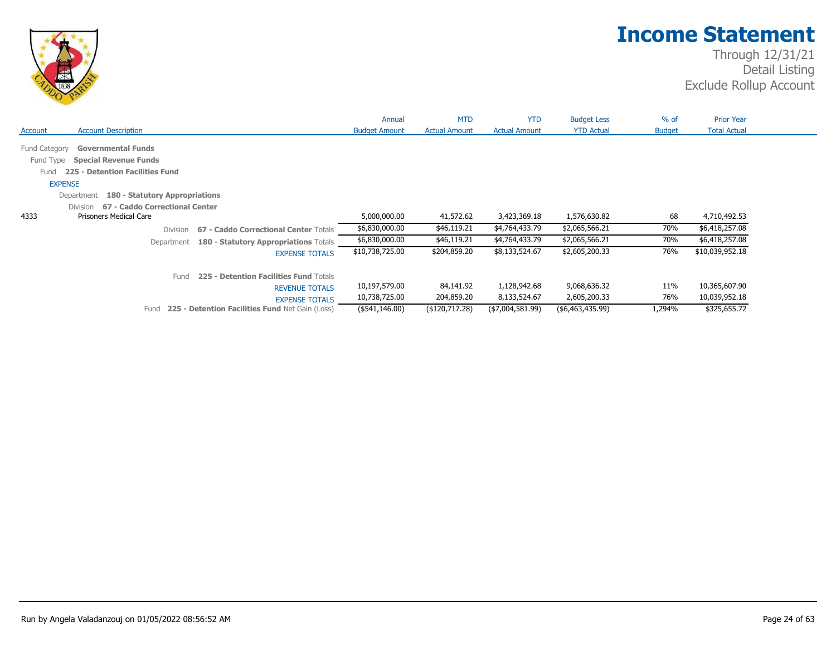

|                                                      |                                                                                              |                                                 | Annual               | <b>MTD</b>           | <b>YTD</b>           | <b>Budget Less</b> | $%$ of        | <b>Prior Year</b>   |
|------------------------------------------------------|----------------------------------------------------------------------------------------------|-------------------------------------------------|----------------------|----------------------|----------------------|--------------------|---------------|---------------------|
| Account                                              | <b>Account Description</b>                                                                   |                                                 | <b>Budget Amount</b> | <b>Actual Amount</b> | <b>Actual Amount</b> | <b>YTD Actual</b>  | <b>Budget</b> | <b>Total Actual</b> |
| Fund Category<br>Fund Type<br>Fund<br><b>EXPENSE</b> | <b>Governmental Funds</b><br><b>Special Revenue Funds</b><br>225 - Detention Facilities Fund |                                                 |                      |                      |                      |                    |               |                     |
|                                                      | 180 - Statutory Appropriations<br>Department                                                 |                                                 |                      |                      |                      |                    |               |                     |
|                                                      | 67 - Caddo Correctional Center<br><b>Division</b>                                            |                                                 |                      |                      |                      |                    |               |                     |
| 4333                                                 | <b>Prisoners Medical Care</b>                                                                |                                                 | 5,000,000.00         | 41,572.62            | 3,423,369.18         | 1,576,630.82       | 68            | 4,710,492.53        |
|                                                      | <b>Division</b>                                                                              | 67 - Caddo Correctional Center Totals           | \$6,830,000.00       | \$46,119.21          | \$4,764,433.79       | \$2,065,566.21     | 70%           | \$6,418,257.08      |
|                                                      | Department                                                                                   | 180 - Statutory Appropriations Totals           | \$6,830,000.00       | \$46,119.21          | \$4,764,433.79       | \$2,065,566.21     | 70%           | \$6,418,257.08      |
|                                                      |                                                                                              | <b>EXPENSE TOTALS</b>                           | \$10,738,725.00      | \$204,859.20         | \$8,133,524.67       | \$2,605,200.33     | 76%           | \$10,039,952.18     |
|                                                      | Fund                                                                                         | 225 - Detention Facilities Fund Totals          |                      |                      |                      |                    |               |                     |
|                                                      |                                                                                              | <b>REVENUE TOTALS</b>                           | 10,197,579.00        | 84,141.92            | 1,128,942.68         | 9,068,636.32       | 11%           | 10,365,607.90       |
|                                                      |                                                                                              | <b>EXPENSE TOTALS</b>                           | 10,738,725.00        | 204,859.20           | 8,133,524.67         | 2,605,200.33       | 76%           | 10,039,952.18       |
|                                                      | Fund                                                                                         | 225 - Detention Facilities Fund Net Gain (Loss) | (\$541,146.00)       | (\$120,717.28)       | (\$7,004,581.99)     | ( \$6,463,435.99)  | 1,294%        | \$325,655.72        |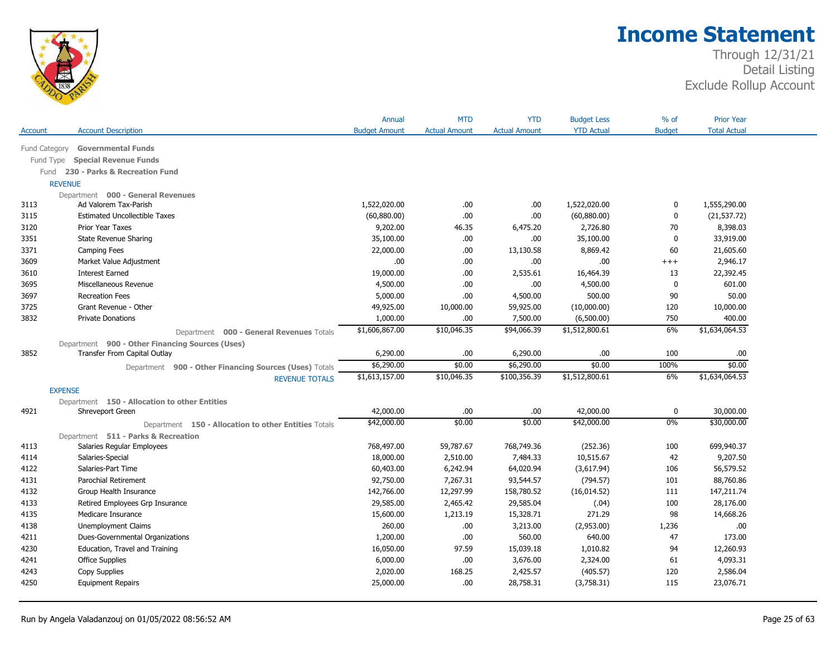

|                |                                                        | Annual               | <b>MTD</b>           | <b>YTD</b>           | <b>Budget Less</b> | $%$ of        | <b>Prior Year</b>   |  |
|----------------|--------------------------------------------------------|----------------------|----------------------|----------------------|--------------------|---------------|---------------------|--|
| Account        | <b>Account Description</b>                             | <b>Budget Amount</b> | <b>Actual Amount</b> | <b>Actual Amount</b> | <b>YTD Actual</b>  | <b>Budget</b> | <b>Total Actual</b> |  |
| Fund Category  | <b>Governmental Funds</b>                              |                      |                      |                      |                    |               |                     |  |
| Fund Type      | <b>Special Revenue Funds</b>                           |                      |                      |                      |                    |               |                     |  |
| Fund           | 230 - Parks & Recreation Fund                          |                      |                      |                      |                    |               |                     |  |
| <b>REVENUE</b> |                                                        |                      |                      |                      |                    |               |                     |  |
|                | Department 000 - General Revenues                      |                      |                      |                      |                    |               |                     |  |
| 3113           | Ad Valorem Tax-Parish                                  | 1,522,020.00         | .00.                 | .00                  | 1,522,020.00       | 0             | 1,555,290.00        |  |
| 3115           | <b>Estimated Uncollectible Taxes</b>                   | (60,880.00)          | .00                  | .00                  | (60,880.00)        | 0             | (21, 537.72)        |  |
| 3120           | Prior Year Taxes                                       | 9,202.00             | 46.35                | 6,475.20             | 2,726.80           | 70            | 8,398.03            |  |
| 3351           | State Revenue Sharing                                  | 35,100.00            | .00                  | .00                  | 35,100.00          | $\mathbf 0$   | 33,919.00           |  |
| 3371           | Camping Fees                                           | 22,000.00            | .00                  | 13,130.58            | 8,869.42           | 60            | 21,605.60           |  |
| 3609           | Market Value Adjustment                                | .00                  | .00                  | .00                  | .00.               | $+++$         | 2,946.17            |  |
| 3610           | <b>Interest Earned</b>                                 | 19,000.00            | .00                  | 2,535.61             | 16,464.39          | 13            | 22,392.45           |  |
| 3695           | Miscellaneous Revenue                                  | 4,500.00             | .00                  | .00                  | 4,500.00           | $\mathbf 0$   | 601.00              |  |
| 3697           | <b>Recreation Fees</b>                                 | 5,000.00             | .00                  | 4,500.00             | 500.00             | 90            | 50.00               |  |
| 3725           | Grant Revenue - Other                                  | 49,925.00            | 10,000.00            | 59,925.00            | (10,000.00)        | 120           | 10,000.00           |  |
| 3832           | <b>Private Donations</b>                               | 1,000.00             | .00                  | 7,500.00             | (6,500.00)         | 750           | 400.00              |  |
|                | Department 000 - General Revenues Totals               | \$1,606,867.00       | \$10,046.35          | \$94,066.39          | \$1,512,800.61     | 6%            | \$1,634,064.53      |  |
|                | Department 900 - Other Financing Sources (Uses)        |                      |                      |                      |                    |               |                     |  |
| 3852           | Transfer From Capital Outlay                           | 6,290.00             | .00                  | 6,290.00             | .00.               | 100           | .00                 |  |
|                | Department 900 - Other Financing Sources (Uses) Totals | \$6,290.00           | \$0.00               | \$6,290.00           | \$0.00             | 100%          | \$0.00              |  |
|                | <b>REVENUE TOTALS</b>                                  | \$1,613,157.00       | \$10,046.35          | \$100,356.39         | \$1,512,800.61     | 6%            | \$1,634,064.53      |  |
| <b>EXPENSE</b> |                                                        |                      |                      |                      |                    |               |                     |  |
|                | Department 150 - Allocation to other Entities          |                      |                      |                      |                    |               |                     |  |
| 4921           | Shreveport Green                                       | 42,000.00            | .00                  | .00                  | 42,000.00          | 0             | 30,000.00           |  |
|                | Department 150 - Allocation to other Entities Totals   | \$42,000.00          | \$0.00               | \$0.00               | \$42,000.00        | 0%            | \$30,000.00         |  |
|                | Department 511 - Parks & Recreation                    |                      |                      |                      |                    |               |                     |  |
| 4113           | Salaries Regular Employees                             | 768,497.00           | 59,787.67            | 768,749.36           | (252.36)           | 100           | 699,940.37          |  |
| 4114           | Salaries-Special                                       | 18,000.00            | 2,510.00             | 7,484.33             | 10,515.67          | 42            | 9,207.50            |  |
| 4122           | Salaries-Part Time                                     | 60,403.00            | 6,242.94             | 64,020.94            | (3,617.94)         | 106           | 56,579.52           |  |
| 4131           | Parochial Retirement                                   | 92,750.00            | 7,267.31             | 93,544.57            | (794.57)           | 101           | 88,760.86           |  |
| 4132           | Group Health Insurance                                 | 142,766.00           | 12,297.99            | 158,780.52           | (16, 014.52)       | 111           | 147,211.74          |  |
| 4133           | Retired Employees Grp Insurance                        | 29,585.00            | 2,465.42             | 29,585.04            | (.04)              | 100           | 28,176.00           |  |
| 4135           | Medicare Insurance                                     | 15,600.00            | 1,213.19             | 15,328.71            | 271.29             | 98            | 14,668.26           |  |
| 4138           | <b>Unemployment Claims</b>                             | 260,00               | .00                  | 3,213.00             | (2,953.00)         | 1,236         | .00.                |  |
| 4211           | Dues-Governmental Organizations                        | 1,200.00             | .00                  | 560.00               | 640.00             | 47            | 173.00              |  |
| 4230           | Education, Travel and Training                         | 16,050.00            | 97.59                | 15,039.18            | 1,010.82           | 94            | 12,260.93           |  |
| 4241           | <b>Office Supplies</b>                                 | 6,000.00             | .00                  | 3,676.00             | 2,324.00           | 61            | 4,093.31            |  |
| 4243           | Copy Supplies                                          | 2,020.00             | 168.25               | 2,425.57             | (405.57)           | 120           | 2,586.04            |  |
| 4250           | <b>Equipment Repairs</b>                               | 25,000.00            | .00.                 | 28,758.31            | (3,758.31)         | 115           | 23,076.71           |  |
|                |                                                        |                      |                      |                      |                    |               |                     |  |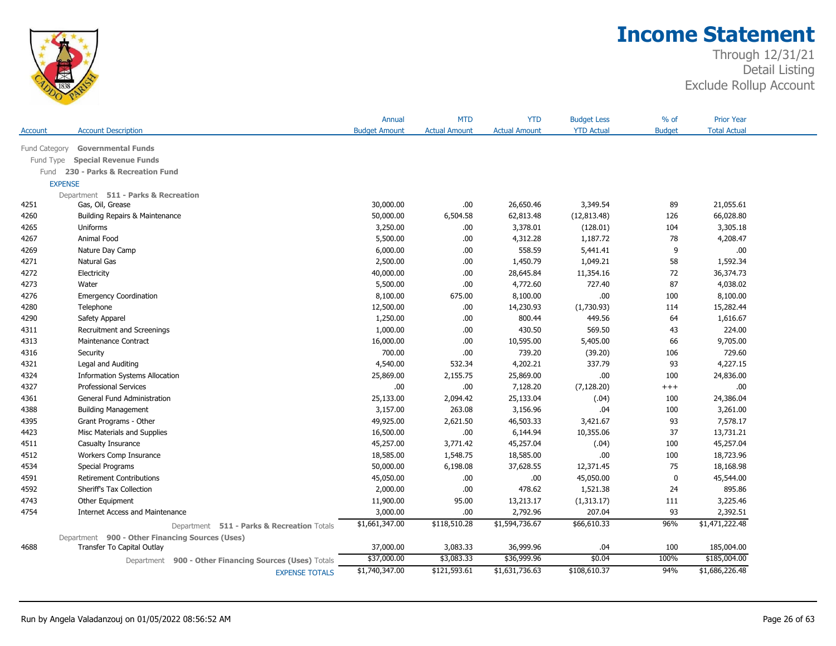

|               |                                                 |                                             | Annual               | <b>MTD</b>           | <b>YTD</b>           | <b>Budget Less</b> | $%$ of        | <b>Prior Year</b>   |
|---------------|-------------------------------------------------|---------------------------------------------|----------------------|----------------------|----------------------|--------------------|---------------|---------------------|
| Account       | <b>Account Description</b>                      |                                             | <b>Budget Amount</b> | <b>Actual Amount</b> | <b>Actual Amount</b> | <b>YTD Actual</b>  | <b>Budget</b> | <b>Total Actual</b> |
| Fund Category | <b>Governmental Funds</b>                       |                                             |                      |                      |                      |                    |               |                     |
| Fund Type     | <b>Special Revenue Funds</b>                    |                                             |                      |                      |                      |                    |               |                     |
| Fund          | 230 - Parks & Recreation Fund                   |                                             |                      |                      |                      |                    |               |                     |
|               | <b>EXPENSE</b>                                  |                                             |                      |                      |                      |                    |               |                     |
|               | Department 511 - Parks & Recreation             |                                             |                      |                      |                      |                    |               |                     |
| 4251          | Gas, Oil, Grease                                |                                             | 30,000.00            | .00                  | 26,650.46            | 3,349.54           | 89            | 21,055.61           |
| 4260          | Building Repairs & Maintenance                  |                                             | 50,000.00            | 6,504.58             | 62,813.48            | (12, 813.48)       | 126           | 66,028.80           |
| 4265          | Uniforms                                        |                                             | 3,250.00             | .00                  | 3,378.01             | (128.01)           | 104           | 3,305.18            |
| 4267          | Animal Food                                     |                                             | 5,500.00             | .00.                 | 4,312.28             | 1,187.72           | 78            | 4,208.47            |
| 4269          | Nature Day Camp                                 |                                             | 6,000.00             | .00.                 | 558.59               | 5,441.41           | 9             | .00                 |
| 4271          | <b>Natural Gas</b>                              |                                             | 2,500.00             | .00.                 | 1,450.79             | 1,049.21           | 58            | 1,592.34            |
| 4272          | Electricity                                     |                                             | 40,000.00            | .00.                 | 28,645.84            | 11,354.16          | 72            | 36,374.73           |
| 4273          | Water                                           |                                             | 5,500.00             | .00                  | 4,772.60             | 727.40             | 87            | 4,038.02            |
| 4276          | <b>Emergency Coordination</b>                   |                                             | 8,100.00             | 675.00               | 8,100.00             | .00.               | 100           | 8,100.00            |
| 4280          | Telephone                                       |                                             | 12,500.00            | .00.                 | 14,230.93            | (1,730.93)         | 114           | 15,282.44           |
| 4290          | Safety Apparel                                  |                                             | 1,250.00             | .00.                 | 800.44               | 449.56             | 64            | 1,616.67            |
| 4311          | Recruitment and Screenings                      |                                             | 1,000.00             | .00                  | 430.50               | 569.50             | 43            | 224.00              |
| 4313          | Maintenance Contract                            |                                             | 16,000.00            | .00.                 | 10,595.00            | 5,405.00           | 66            | 9,705.00            |
| 4316          | Security                                        |                                             | 700.00               | .00                  | 739.20               | (39.20)            | 106           | 729.60              |
| 4321          | Legal and Auditing                              |                                             | 4,540.00             | 532.34               | 4,202.21             | 337.79             | 93            | 4,227.15            |
| 4324          | <b>Information Systems Allocation</b>           |                                             | 25,869.00            | 2,155.75             | 25,869.00            | .00.               | 100           | 24,836.00           |
| 4327          | <b>Professional Services</b>                    |                                             | .00                  | .00.                 | 7,128.20             | (7, 128.20)        | $^{+++}$      | .00.                |
| 4361          | General Fund Administration                     |                                             | 25,133.00            | 2,094.42             | 25,133.04            | (.04)              | 100           | 24,386.04           |
| 4388          | <b>Building Management</b>                      |                                             | 3,157.00             | 263.08               | 3,156.96             | .04                | 100           | 3,261.00            |
| 4395          | Grant Programs - Other                          |                                             | 49,925.00            | 2,621.50             | 46,503.33            | 3,421.67           | 93            | 7,578.17            |
| 4423          | Misc Materials and Supplies                     |                                             | 16,500.00            | .00                  | 6,144.94             | 10,355.06          | 37            | 13,731.21           |
| 4511          | Casualty Insurance                              |                                             | 45,257.00            | 3,771.42             | 45,257.04            | (.04)              | 100           | 45,257.04           |
| 4512          | Workers Comp Insurance                          |                                             | 18,585.00            | 1,548.75             | 18,585.00            | 00.                | 100           | 18,723.96           |
| 4534          | Special Programs                                |                                             | 50,000.00            | 6,198.08             | 37,628.55            | 12,371.45          | 75            | 18,168.98           |
| 4591          | <b>Retirement Contributions</b>                 |                                             | 45,050.00            | .00.                 | .00                  | 45,050.00          | $\bf{0}$      | 45,544.00           |
| 4592          | Sheriff's Tax Collection                        |                                             | 2,000.00             | .00.                 | 478.62               | 1,521.38           | 24            | 895.86              |
| 4743          | Other Equipment                                 |                                             | 11,900.00            | 95.00                | 13,213.17            | (1,313.17)         | 111           | 3,225.46            |
| 4754          | <b>Internet Access and Maintenance</b>          |                                             | 3,000.00             | .00.                 | 2,792.96             | 207.04             | 93            | 2,392.51            |
|               |                                                 | Department 511 - Parks & Recreation Totals  | \$1,661,347.00       | \$118,510.28         | \$1,594,736.67       | \$66,610.33        | 96%           | \$1,471,222.48      |
|               | Department 900 - Other Financing Sources (Uses) |                                             |                      |                      |                      |                    |               |                     |
| 4688          | Transfer To Capital Outlay                      |                                             | 37,000.00            | 3,083.33             | 36,999.96            | .04                | 100           | 185,004.00          |
|               | Department                                      | 900 - Other Financing Sources (Uses) Totals | \$37,000.00          | \$3,083.33           | \$36,999.96          | \$0.04             | 100%          | \$185,004.00        |
|               |                                                 | <b>EXPENSE TOTALS</b>                       | \$1,740,347.00       | \$121,593.61         | \$1,631,736.63       | \$108,610.37       | 94%           | \$1,686,226.48      |
|               |                                                 |                                             |                      |                      |                      |                    |               |                     |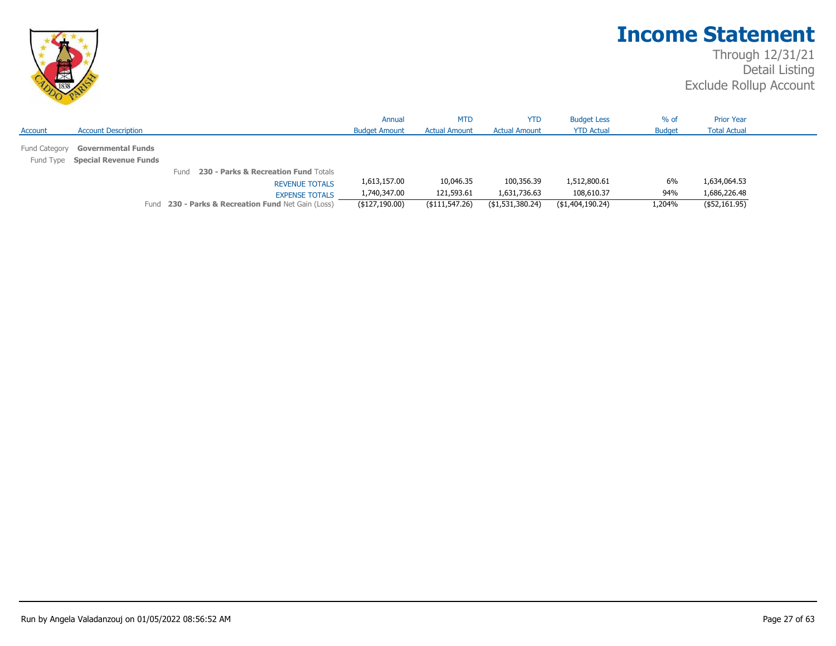

|               |                                 |                                                    | Annual               | <b>MTD</b>           | <b>YTD</b>           | <b>Budget Less</b> | % of          | <b>Prior Year</b>   |
|---------------|---------------------------------|----------------------------------------------------|----------------------|----------------------|----------------------|--------------------|---------------|---------------------|
| Account       | <b>Account Description</b>      |                                                    | <b>Budget Amount</b> | <b>Actual Amount</b> | <b>Actual Amount</b> | <b>YTD Actual</b>  | <b>Budget</b> | <b>Total Actual</b> |
| Fund Category | <b>Governmental Funds</b>       |                                                    |                      |                      |                      |                    |               |                     |
|               | Fund Type Special Revenue Funds |                                                    |                      |                      |                      |                    |               |                     |
|               |                                 | 230 - Parks & Recreation Fund Totals<br>Fund       |                      |                      |                      |                    |               |                     |
|               |                                 | <b>REVENUE TOTALS</b>                              | 1,613,157.00         | 10,046.35            | 100,356.39           | 1,512,800.61       | 6%            | 1,634,064.53        |
|               |                                 | <b>EXPENSE TOTALS</b>                              | 1,740,347.00         | 121,593.61           | 1,631,736.63         | 108,610.37         | 94%           | 1,686,226.48        |
|               |                                 | Fund 230 - Parks & Recreation Fund Net Gain (Loss) | (\$127,190.00)       | $($ \$111,547.26)    | (\$1,531,380.24)     | (\$1,404,190.24)   | 1,204%        | ( \$52,161.95)      |
|               |                                 |                                                    |                      |                      |                      |                    |               |                     |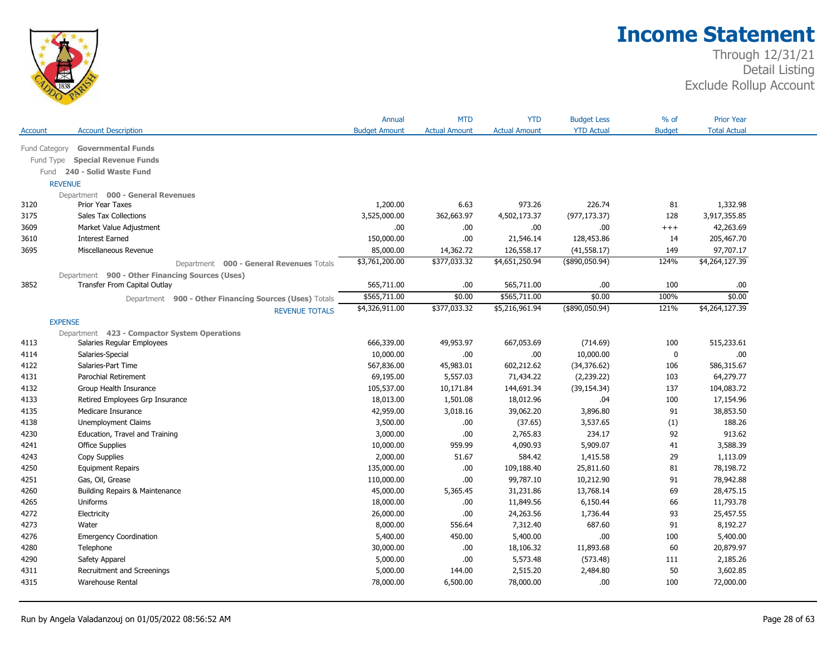

|               |                                                        | Annual               | <b>MTD</b>           | <b>YTD</b>           | <b>Budget Less</b> | $%$ of        | <b>Prior Year</b>   |  |
|---------------|--------------------------------------------------------|----------------------|----------------------|----------------------|--------------------|---------------|---------------------|--|
| Account       | <b>Account Description</b>                             | <b>Budget Amount</b> | <b>Actual Amount</b> | <b>Actual Amount</b> | <b>YTD Actual</b>  | <b>Budget</b> | <b>Total Actual</b> |  |
| Fund Category | <b>Governmental Funds</b>                              |                      |                      |                      |                    |               |                     |  |
| Fund Type     | <b>Special Revenue Funds</b>                           |                      |                      |                      |                    |               |                     |  |
| Fund          | 240 - Solid Waste Fund                                 |                      |                      |                      |                    |               |                     |  |
|               | <b>REVENUE</b>                                         |                      |                      |                      |                    |               |                     |  |
|               | Department 000 - General Revenues                      |                      |                      |                      |                    |               |                     |  |
| 3120          | <b>Prior Year Taxes</b>                                | 1,200.00             | 6.63                 | 973.26               | 226.74             | 81            | 1,332.98            |  |
| 3175          | <b>Sales Tax Collections</b>                           | 3,525,000.00         | 362,663.97           | 4,502,173.37         | (977, 173.37)      | 128           | 3,917,355.85        |  |
| 3609          | Market Value Adjustment                                | .00                  | .00.                 | .00.                 | .00.               | $^{+++}$      | 42,263.69           |  |
| 3610          | <b>Interest Earned</b>                                 | 150,000.00           | .00                  | 21,546.14            | 128,453.86         | 14            | 205,467.70          |  |
| 3695          | Miscellaneous Revenue                                  | 85,000.00            | 14,362.72            | 126,558.17           | (41, 558.17)       | 149           | 97,707.17           |  |
|               | Department 000 - General Revenues Totals               | \$3,761,200.00       | \$377,033.32         | \$4,651,250.94       | $($ \$890,050.94)  | 124%          | \$4,264,127.39      |  |
|               | Department 900 - Other Financing Sources (Uses)        |                      |                      |                      |                    |               |                     |  |
| 3852          | Transfer From Capital Outlay                           | 565,711.00           | .00.                 | 565,711.00           | .00                | 100           | .00.                |  |
|               | Department 900 - Other Financing Sources (Uses) Totals | \$565,711.00         | \$0.00               | \$565,711.00         | \$0.00             | 100%          | \$0.00              |  |
|               | <b>REVENUE TOTALS</b>                                  | \$4,326,911.00       | \$377,033.32         | \$5,216,961.94       | $(*890,050.94)$    | 121%          | \$4,264,127.39      |  |
|               | <b>EXPENSE</b>                                         |                      |                      |                      |                    |               |                     |  |
|               | Department 423 - Compactor System Operations           |                      |                      |                      |                    |               |                     |  |
| 4113          | Salaries Regular Employees                             | 666,339.00           | 49,953.97            | 667,053.69           | (714.69)           | 100           | 515,233.61          |  |
| 4114          | Salaries-Special                                       | 10,000.00            | .00.                 | .00.                 | 10,000.00          | $\mathbf 0$   | .00                 |  |
| 4122          | Salaries-Part Time                                     | 567,836.00           | 45,983.01            | 602,212.62           | (34, 376.62)       | 106           | 586,315.67          |  |
| 4131          | Parochial Retirement                                   | 69,195.00            | 5,557.03             | 71,434.22            | (2,239.22)         | 103           | 64,279.77           |  |
| 4132          | Group Health Insurance                                 | 105,537.00           | 10,171.84            | 144,691.34           | (39, 154.34)       | 137           | 104,083.72          |  |
| 4133          | Retired Employees Grp Insurance                        | 18,013.00            | 1,501.08             | 18,012.96            | .04                | 100           | 17,154.96           |  |
| 4135          | Medicare Insurance                                     | 42,959.00            | 3,018.16             | 39,062.20            | 3,896.80           | 91            | 38,853.50           |  |
| 4138          | Unemployment Claims                                    | 3,500.00             | .00                  | (37.65)              | 3,537.65           | (1)           | 188.26              |  |
| 4230          | Education, Travel and Training                         | 3,000.00             | .00                  | 2,765.83             | 234.17             | 92            | 913.62              |  |
| 4241          | <b>Office Supplies</b>                                 | 10,000.00            | 959.99               | 4,090.93             | 5,909.07           | 41            | 3,588.39            |  |
| 4243          | Copy Supplies                                          | 2,000.00             | 51.67                | 584.42               | 1,415.58           | 29            | 1,113.09            |  |
| 4250          | <b>Equipment Repairs</b>                               | 135,000.00           | .00                  | 109,188.40           | 25,811.60          | 81            | 78,198.72           |  |
| 4251          | Gas, Oil, Grease                                       | 110,000.00           | .00.                 | 99,787.10            | 10,212.90          | 91            | 78,942.88           |  |
| 4260          | Building Repairs & Maintenance                         | 45,000.00            | 5,365.45             | 31,231.86            | 13,768.14          | 69            | 28,475.15           |  |
| 4265          | Uniforms                                               | 18,000.00            | .00                  | 11,849.56            | 6,150.44           | 66            | 11,793.78           |  |
| 4272          | Electricity                                            | 26,000.00            | .00                  | 24,263.56            | 1,736.44           | 93            | 25,457.55           |  |
| 4273          | Water                                                  | 8,000.00             | 556.64               | 7,312.40             | 687.60             | 91            | 8,192.27            |  |
| 4276          | <b>Emergency Coordination</b>                          | 5,400.00             | 450.00               | 5,400.00             | .00.               | 100           | 5,400.00            |  |
| 4280          | Telephone                                              | 30,000.00            | .00.                 | 18,106.32            | 11,893.68          | 60            | 20,879.97           |  |
| 4290          | Safety Apparel                                         | 5,000.00             | .00                  | 5,573.48             | (573.48)           | 111           | 2,185.26            |  |
| 4311          | Recruitment and Screenings                             | 5,000.00             | 144.00               | 2,515.20             | 2,484.80           | 50            | 3,602.85            |  |
| 4315          | <b>Warehouse Rental</b>                                | 78,000.00            | 6,500.00             | 78,000.00            | .00.               | 100           | 72,000.00           |  |
|               |                                                        |                      |                      |                      |                    |               |                     |  |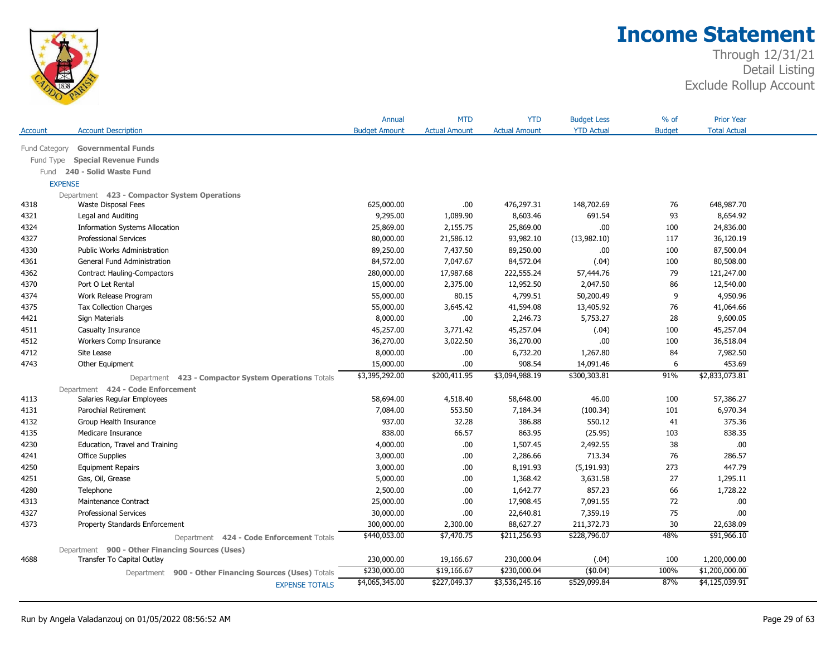

| Account       | <b>Account Description</b>                             | Annual<br><b>Budget Amount</b> | <b>MTD</b><br><b>Actual Amount</b> | <b>YTD</b><br><b>Actual Amount</b> | <b>Budget Less</b><br><b>YTD Actual</b> | $%$ of<br><b>Budget</b> | <b>Prior Year</b><br><b>Total Actual</b> |
|---------------|--------------------------------------------------------|--------------------------------|------------------------------------|------------------------------------|-----------------------------------------|-------------------------|------------------------------------------|
|               |                                                        |                                |                                    |                                    |                                         |                         |                                          |
| Fund Category | <b>Governmental Funds</b>                              |                                |                                    |                                    |                                         |                         |                                          |
| Fund Type     | <b>Special Revenue Funds</b>                           |                                |                                    |                                    |                                         |                         |                                          |
| Fund          | 240 - Solid Waste Fund                                 |                                |                                    |                                    |                                         |                         |                                          |
|               | <b>EXPENSE</b>                                         |                                |                                    |                                    |                                         |                         |                                          |
|               | Department 423 - Compactor System Operations           |                                |                                    |                                    |                                         |                         |                                          |
| 4318          | Waste Disposal Fees                                    | 625,000.00                     | .00                                | 476,297.31                         | 148,702.69                              | 76                      | 648,987.70                               |
| 4321          | Legal and Auditing                                     | 9,295.00                       | 1,089.90                           | 8,603.46                           | 691.54                                  | 93                      | 8,654.92                                 |
| 4324          | <b>Information Systems Allocation</b>                  | 25,869.00                      | 2,155.75                           | 25,869.00                          | .00.                                    | 100                     | 24,836.00                                |
| 4327          | <b>Professional Services</b>                           | 80,000.00                      | 21,586.12                          | 93,982.10                          | (13,982.10)                             | 117                     | 36,120.19                                |
| 4330          | Public Works Administration                            | 89,250.00                      | 7,437.50                           | 89,250.00                          | .00                                     | 100                     | 87,500.04                                |
| 4361          | General Fund Administration                            | 84,572.00                      | 7,047.67                           | 84,572.04                          | (.04)                                   | 100                     | 80,508.00                                |
| 4362          | <b>Contract Hauling-Compactors</b>                     | 280,000.00                     | 17,987.68                          | 222,555.24                         | 57,444.76                               | 79                      | 121,247.00                               |
| 4370          | Port O Let Rental                                      | 15,000.00                      | 2,375.00                           | 12,952.50                          | 2,047.50                                | 86                      | 12,540.00                                |
| 4374          | Work Release Program                                   | 55,000.00                      | 80.15                              | 4,799.51                           | 50,200.49                               | 9                       | 4,950.96                                 |
| 4375          | <b>Tax Collection Charges</b>                          | 55,000.00                      | 3,645.42                           | 41,594.08                          | 13,405.92                               | 76                      | 41,064.66                                |
| 4421          | Sign Materials                                         | 8,000.00                       | .00.                               | 2,246.73                           | 5,753.27                                | 28                      | 9,600.05                                 |
| 4511          | Casualty Insurance                                     | 45,257.00                      | 3,771.42                           | 45,257.04                          | (.04)                                   | 100                     | 45,257.04                                |
| 4512          | Workers Comp Insurance                                 | 36,270.00                      | 3,022.50                           | 36,270.00                          | .00                                     | 100                     | 36,518.04                                |
| 4712          | Site Lease                                             | 8,000.00                       | .00.                               | 6,732.20                           | 1,267.80                                | 84                      | 7,982.50                                 |
| 4743          | Other Equipment                                        | 15,000.00                      | .00.                               | 908.54                             | 14,091.46                               | 6                       | 453.69                                   |
|               | Department 423 - Compactor System Operations Totals    | \$3,395,292.00                 | \$200,411.95                       | \$3,094,988.19                     | \$300,303.81                            | 91%                     | \$2,833,073.81                           |
|               | Department 424 - Code Enforcement                      |                                |                                    |                                    |                                         |                         |                                          |
| 4113          | Salaries Regular Employees                             | 58,694.00                      | 4,518.40                           | 58,648.00                          | 46.00                                   | 100                     | 57,386.27                                |
| 4131          | Parochial Retirement                                   | 7,084.00                       | 553.50                             | 7,184.34                           | (100.34)                                | 101                     | 6,970.34                                 |
| 4132          | Group Health Insurance                                 | 937.00                         | 32.28                              | 386.88                             | 550.12                                  | 41                      | 375.36                                   |
| 4135          | Medicare Insurance                                     | 838.00                         | 66.57                              | 863.95                             | (25.95)                                 | 103                     | 838.35                                   |
| 4230          | Education, Travel and Training                         | 4,000.00                       | .00.                               | 1,507.45                           | 2,492.55                                | 38                      | .00                                      |
| 4241          | <b>Office Supplies</b>                                 | 3,000.00                       | .00.                               | 2,286.66                           | 713.34                                  | 76                      | 286.57                                   |
| 4250          | <b>Equipment Repairs</b>                               | 3,000.00                       | .00.                               | 8,191.93                           | (5, 191.93)                             | 273                     | 447.79                                   |
| 4251          | Gas, Oil, Grease                                       | 5,000.00                       | .00.                               | 1,368.42                           | 3,631.58                                | 27                      | 1,295.11                                 |
| 4280          | Telephone                                              | 2,500.00                       | .00.                               | 1,642.77                           | 857.23                                  | 66                      | 1,728.22                                 |
| 4313          | Maintenance Contract                                   | 25,000.00                      | .00.                               | 17,908.45                          | 7,091.55                                | 72                      | .00                                      |
| 4327          | <b>Professional Services</b>                           | 30,000.00                      | .00.                               | 22,640.81                          | 7,359.19                                | 75                      | .00                                      |
| 4373          | Property Standards Enforcement                         | 300,000.00                     | 2,300.00                           | 88,627.27                          | 211,372.73                              | 30                      | 22,638.09                                |
|               | Department 424 - Code Enforcement Totals               | \$440,053.00                   | \$7,470.75                         | \$211,256.93                       | \$228,796.07                            | 48%                     | \$91,966.10                              |
|               | Department 900 - Other Financing Sources (Uses)        |                                |                                    |                                    |                                         |                         |                                          |
| 4688          | Transfer To Capital Outlay                             | 230,000.00                     | 19,166.67                          | 230,000.04                         | (.04)                                   | 100                     | 1,200,000.00                             |
|               | Department 900 - Other Financing Sources (Uses) Totals | \$230,000.00                   | \$19,166.67                        | \$230,000.04                       | (\$0.04)                                | 100%                    | \$1,200,000.00                           |
|               | <b>EXPENSE TOTALS</b>                                  | \$4,065,345.00                 | \$227,049.37                       | \$3,536,245.16                     | \$529,099.84                            | 87%                     | \$4,125,039.91                           |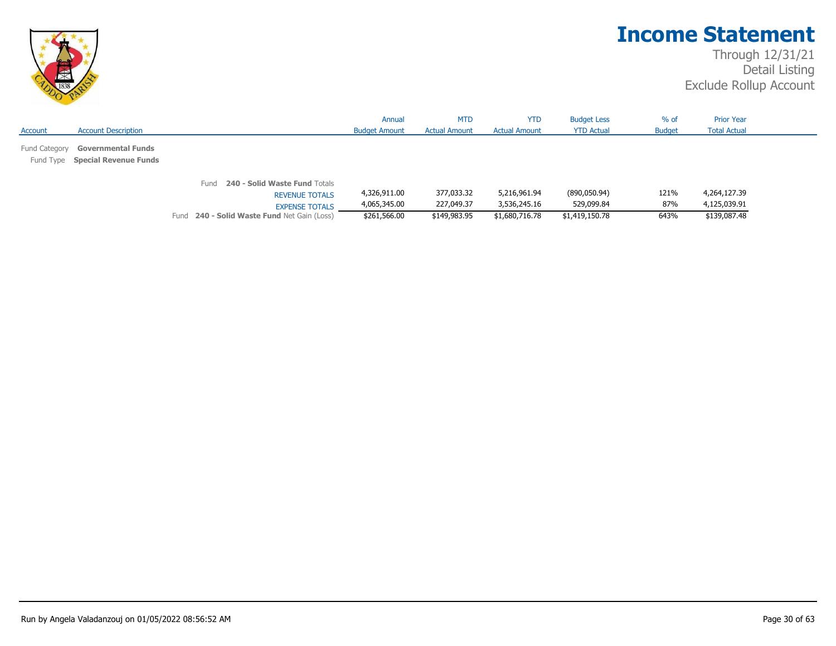

|         |                                                                     |      |                                                                                 | Annual                       | <b>MTD</b>               | <b>YTD</b>                   | <b>Budget Less</b>         | $%$ of        | <b>Prior Year</b>            |
|---------|---------------------------------------------------------------------|------|---------------------------------------------------------------------------------|------------------------------|--------------------------|------------------------------|----------------------------|---------------|------------------------------|
| Account | <b>Account Description</b>                                          |      |                                                                                 | <b>Budget Amount</b>         | <b>Actual Amount</b>     | <b>Actual Amount</b>         | <b>YTD Actual</b>          | <b>Budget</b> | <b>Total Actual</b>          |
|         | Fund Category Governmental Funds<br>Fund Type Special Revenue Funds |      |                                                                                 |                              |                          |                              |                            |               |                              |
|         |                                                                     | Fund | 240 - Solid Waste Fund Totals<br><b>REVENUE TOTALS</b><br><b>EXPENSE TOTALS</b> | 4,326,911.00<br>4,065,345.00 | 377,033.32<br>227,049.37 | 5,216,961.94<br>3,536,245.16 | (890,050.94)<br>529,099.84 | 121%<br>87%   | 4,264,127.39<br>4,125,039.91 |
|         |                                                                     |      | Fund 240 - Solid Waste Fund Net Gain (Loss)                                     | \$261,566.00                 | \$149,983.95             | \$1,680,716.78               | \$1,419,150.78             | 643%          | \$139,087.48                 |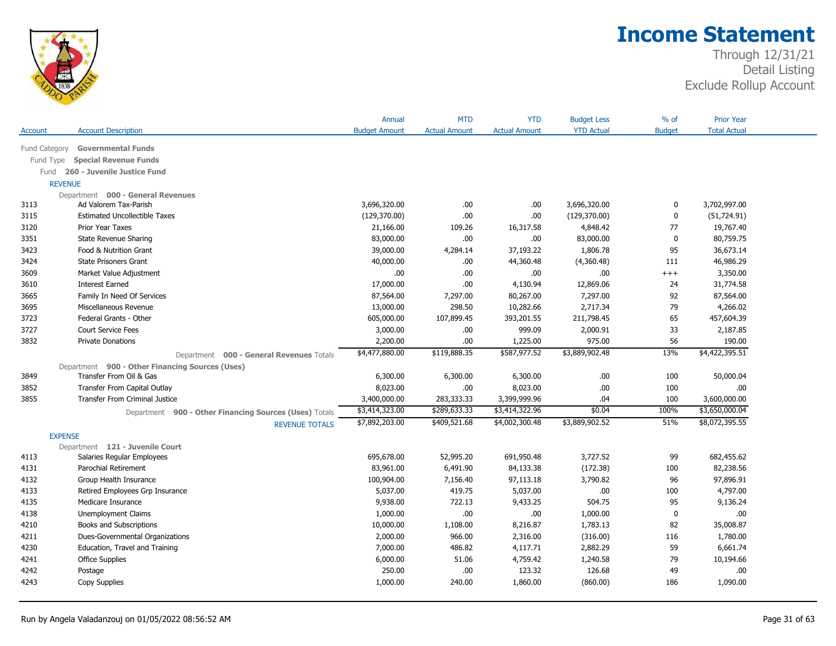

|                |                                                        | Annual               | <b>MTD</b>           | <b>YTD</b>           | <b>Budget Less</b> | $%$ of        | <b>Prior Year</b>   |
|----------------|--------------------------------------------------------|----------------------|----------------------|----------------------|--------------------|---------------|---------------------|
| Account        | <b>Account Description</b>                             | <b>Budget Amount</b> | <b>Actual Amount</b> | <b>Actual Amount</b> | <b>YTD Actual</b>  | <b>Budget</b> | <b>Total Actual</b> |
| Fund Category  | <b>Governmental Funds</b>                              |                      |                      |                      |                    |               |                     |
| Fund Type      | <b>Special Revenue Funds</b>                           |                      |                      |                      |                    |               |                     |
|                | Fund 260 - Juvenile Justice Fund                       |                      |                      |                      |                    |               |                     |
| <b>REVENUE</b> |                                                        |                      |                      |                      |                    |               |                     |
|                | Department 000 - General Revenues                      |                      |                      |                      |                    |               |                     |
| 3113           | Ad Valorem Tax-Parish                                  | 3,696,320.00         | .00.                 | .00.                 | 3,696,320.00       | 0             | 3,702,997.00        |
| 3115           | <b>Estimated Uncollectible Taxes</b>                   | (129,370.00)         | .00                  | .00                  | (129, 370.00)      | 0             | (51, 724.91)        |
| 3120           | Prior Year Taxes                                       | 21,166.00            | 109.26               | 16,317.58            | 4,848.42           | 77            | 19,767.40           |
| 3351           | State Revenue Sharing                                  | 83,000.00            | .00.                 | .00.                 | 83,000.00          | $\mathbf 0$   | 80,759.75           |
| 3423           | Food & Nutrition Grant                                 | 39,000.00            | 4,284.14             | 37,193.22            | 1,806.78           | 95            | 36,673.14           |
| 3424           | <b>State Prisoners Grant</b>                           | 40,000.00            | .00                  | 44,360.48            | (4,360.48)         | 111           | 46,986.29           |
| 3609           | Market Value Adjustment                                | .00                  | .00                  | .00                  | .00.               | $^{+++}$      | 3,350.00            |
| 3610           | <b>Interest Earned</b>                                 | 17,000.00            | .00                  | 4,130.94             | 12,869.06          | 24            | 31,774.58           |
| 3665           | Family In Need Of Services                             | 87,564.00            | 7,297.00             | 80,267.00            | 7,297.00           | 92            | 87,564.00           |
| 3695           | Miscellaneous Revenue                                  | 13,000.00            | 298.50               | 10,282.66            | 2,717.34           | 79            | 4,266.02            |
| 3723           | Federal Grants - Other                                 | 605,000.00           | 107,899.45           | 393,201.55           | 211,798.45         | 65            | 457,604.39          |
| 3727           | <b>Court Service Fees</b>                              | 3,000.00             | .00.                 | 999.09               | 2,000.91           | 33            | 2,187.85            |
| 3832           | <b>Private Donations</b>                               | 2,200.00             | .00                  | 1,225.00             | 975.00             | 56            | 190.00              |
|                | Department 000 - General Revenues Totals               | \$4,477,880.00       | \$119,888.35         | \$587,977.52         | \$3,889,902.48     | 13%           | \$4,422,395.51      |
|                | Department 900 - Other Financing Sources (Uses)        |                      |                      |                      |                    |               |                     |
| 3849           | Transfer From Oil & Gas                                | 6,300.00             | 6,300.00             | 6,300.00             | .00                | 100           | 50,000.04           |
| 3852           | Transfer From Capital Outlay                           | 8,023.00             | .00.                 | 8,023.00             | .00.               | 100           | .00                 |
| 3855           | <b>Transfer From Criminal Justice</b>                  | 3,400,000.00         | 283,333.33           | 3,399,999.96         | .04                | 100           | 3,600,000.00        |
|                | Department 900 - Other Financing Sources (Uses) Totals | \$3,414,323.00       | \$289,633.33         | \$3,414,322.96       | \$0.04             | 100%          | \$3,650,000.04      |
|                | <b>REVENUE TOTALS</b>                                  | \$7,892,203.00       | \$409,521.68         | \$4,002,300.48       | \$3,889,902.52     | 51%           | \$8,072,395.55      |
| <b>EXPENSE</b> |                                                        |                      |                      |                      |                    |               |                     |
|                | Department 121 - Juvenile Court                        |                      |                      |                      |                    |               |                     |
| 4113           | Salaries Regular Employees                             | 695,678.00           | 52,995.20            | 691,950.48           | 3,727.52           | 99            | 682,455.62          |
| 4131           | Parochial Retirement                                   | 83,961.00            | 6,491.90             | 84,133.38            | (172.38)           | 100           | 82,238.56           |
| 4132           | Group Health Insurance                                 | 100,904.00           | 7,156.40             | 97,113.18            | 3,790.82           | 96            | 97,896.91           |
| 4133           | Retired Employees Grp Insurance                        | 5,037.00             | 419.75               | 5,037.00             | .00.               | 100           | 4,797.00            |
| 4135           | Medicare Insurance                                     | 9,938.00             | 722.13               | 9,433.25             | 504.75             | 95            | 9,136.24            |
| 4138           | Unemployment Claims                                    | 1,000.00             | .00                  | .00                  | 1,000.00           | $\bf{0}$      | .00                 |
| 4210           | Books and Subscriptions                                | 10,000.00            | 1,108.00             | 8,216.87             | 1,783.13           | 82            | 35,008.87           |
| 4211           | Dues-Governmental Organizations                        | 2,000.00             | 966.00               | 2,316.00             | (316.00)           | 116           | 1,780.00            |
| 4230           | Education, Travel and Training                         | 7,000.00             | 486.82               | 4,117.71             | 2,882.29           | 59            | 6,661.74            |
| 4241           | <b>Office Supplies</b>                                 | 6,000.00             | 51.06                | 4,759.42             | 1,240.58           | 79            | 10,194.66           |
| 4242           | Postage                                                | 250.00               | .00.                 | 123.32               | 126.68             | 49            | .00                 |
| 4243           | Copy Supplies                                          | 1,000.00             | 240.00               | 1,860.00             | (860.00)           | 186           | 1,090.00            |
|                |                                                        |                      |                      |                      |                    |               |                     |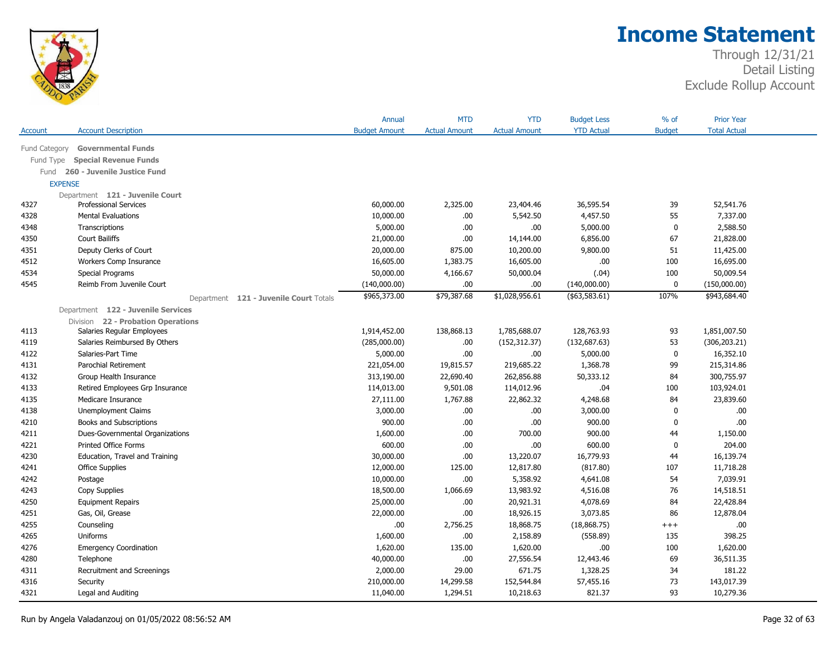

|               |                                        | Annual               | <b>MTD</b>           | <b>YTD</b>           | <b>Budget Less</b> | $%$ of        | <b>Prior Year</b>   |  |
|---------------|----------------------------------------|----------------------|----------------------|----------------------|--------------------|---------------|---------------------|--|
| Account       | <b>Account Description</b>             | <b>Budget Amount</b> | <b>Actual Amount</b> | <b>Actual Amount</b> | <b>YTD Actual</b>  | <b>Budget</b> | <b>Total Actual</b> |  |
| Fund Category | <b>Governmental Funds</b>              |                      |                      |                      |                    |               |                     |  |
| Fund Type     | <b>Special Revenue Funds</b>           |                      |                      |                      |                    |               |                     |  |
| Fund          | 260 - Juvenile Justice Fund            |                      |                      |                      |                    |               |                     |  |
|               | <b>EXPENSE</b>                         |                      |                      |                      |                    |               |                     |  |
|               | Department 121 - Juvenile Court        |                      |                      |                      |                    |               |                     |  |
| 4327          | <b>Professional Services</b>           | 60,000.00            | 2,325.00             | 23,404.46            | 36,595.54          | 39            | 52,541.76           |  |
| 4328          | <b>Mental Evaluations</b>              | 10,000.00            | .00.                 | 5,542.50             | 4,457.50           | 55            | 7,337.00            |  |
| 4348          | Transcriptions                         | 5,000.00             | .00.                 | .00.                 | 5,000.00           | $\bf{0}$      | 2,588.50            |  |
| 4350          | Court Bailiffs                         | 21,000.00            | .00.                 | 14,144.00            | 6,856.00           | 67            | 21,828.00           |  |
| 4351          | Deputy Clerks of Court                 | 20,000.00            | 875.00               | 10,200.00            | 9,800.00           | 51            | 11,425.00           |  |
| 4512          | Workers Comp Insurance                 | 16,605.00            | 1,383.75             | 16,605.00            | .00.               | 100           | 16,695.00           |  |
| 4534          | Special Programs                       | 50,000.00            | 4,166.67             | 50,000.04            | (.04)              | 100           | 50,009.54           |  |
| 4545          | Reimb From Juvenile Court              | (140,000.00)         | .00                  | .00                  | (140,000.00)       | $\mathbf 0$   | (150,000.00)        |  |
|               | Department 121 - Juvenile Court Totals | \$965,373.00         | \$79,387.68          | \$1,028,956.61       | ( \$63,583.61)     | 107%          | \$943,684.40        |  |
|               | Department 122 - Juvenile Services     |                      |                      |                      |                    |               |                     |  |
|               | Division 22 - Probation Operations     |                      |                      |                      |                    |               |                     |  |
| 4113          | Salaries Regular Employees             | 1,914,452.00         | 138,868.13           | 1,785,688.07         | 128,763.93         | 93            | 1,851,007.50        |  |
| 4119          | Salaries Reimbursed By Others          | (285,000.00)         | .00                  | (152, 312.37)        | (132, 687.63)      | 53            | (306, 203.21)       |  |
| 4122          | Salaries-Part Time                     | 5,000.00             | .00.                 | .00.                 | 5,000.00           | 0             | 16,352.10           |  |
| 4131          | <b>Parochial Retirement</b>            | 221,054.00           | 19,815.57            | 219,685.22           | 1,368.78           | 99            | 215,314.86          |  |
| 4132          | Group Health Insurance                 | 313,190.00           | 22,690.40            | 262,856.88           | 50,333.12          | 84            | 300,755.97          |  |
| 4133          | Retired Employees Grp Insurance        | 114,013.00           | 9,501.08             | 114,012.96           | .04                | 100           | 103,924.01          |  |
| 4135          | Medicare Insurance                     | 27,111.00            | 1,767.88             | 22,862.32            | 4,248.68           | 84            | 23,839.60           |  |
| 4138          | Unemployment Claims                    | 3,000.00             | .00                  | .00                  | 3,000.00           | $\mathbf{0}$  | .00                 |  |
| 4210          | Books and Subscriptions                | 900.00               | .00.                 | .00                  | 900.00             | $\mathbf 0$   | .00.                |  |
| 4211          | Dues-Governmental Organizations        | 1,600.00             | .00.                 | 700.00               | 900.00             | 44            | 1,150.00            |  |
| 4221          | <b>Printed Office Forms</b>            | 600.00               | .00                  | .00                  | 600.00             | 0             | 204.00              |  |
| 4230          | Education, Travel and Training         | 30,000.00            | .00.                 | 13,220.07            | 16,779.93          | 44            | 16,139.74           |  |
| 4241          | <b>Office Supplies</b>                 | 12,000.00            | 125.00               | 12,817.80            | (817.80)           | 107           | 11,718.28           |  |
| 4242          | Postage                                | 10,000.00            | .00.                 | 5,358.92             | 4,641.08           | 54            | 7,039.91            |  |
| 4243          | Copy Supplies                          | 18,500.00            | 1,066.69             | 13,983.92            | 4,516.08           | 76            | 14,518.51           |  |
| 4250          | <b>Equipment Repairs</b>               | 25,000.00            | .00                  | 20,921.31            | 4,078.69           | 84            | 22,428.84           |  |
| 4251          | Gas, Oil, Grease                       | 22,000.00            | .00.                 | 18,926.15            | 3,073.85           | 86            | 12,878.04           |  |
| 4255          | Counseling                             | .00                  | 2,756.25             | 18,868.75            | (18,868.75)        | $+++$         | .00.                |  |
| 4265          | Uniforms                               | 1,600.00             | .00.                 | 2,158.89             | (558.89)           | 135           | 398.25              |  |
| 4276          | <b>Emergency Coordination</b>          | 1,620.00             | 135.00               | 1,620.00             | .00                | 100           | 1,620.00            |  |
| 4280          | Telephone                              | 40,000.00            | .00.                 | 27,556.54            | 12,443.46          | 69            | 36,511.35           |  |
| 4311          | Recruitment and Screenings             | 2,000.00             | 29.00                | 671.75               | 1,328.25           | 34            | 181.22              |  |
| 4316          | Security                               | 210,000.00           | 14,299.58            | 152,544.84           | 57,455.16          | 73            | 143,017.39          |  |
| 4321          | Legal and Auditing                     | 11,040.00            | 1,294.51             | 10,218.63            | 821.37             | 93            | 10,279.36           |  |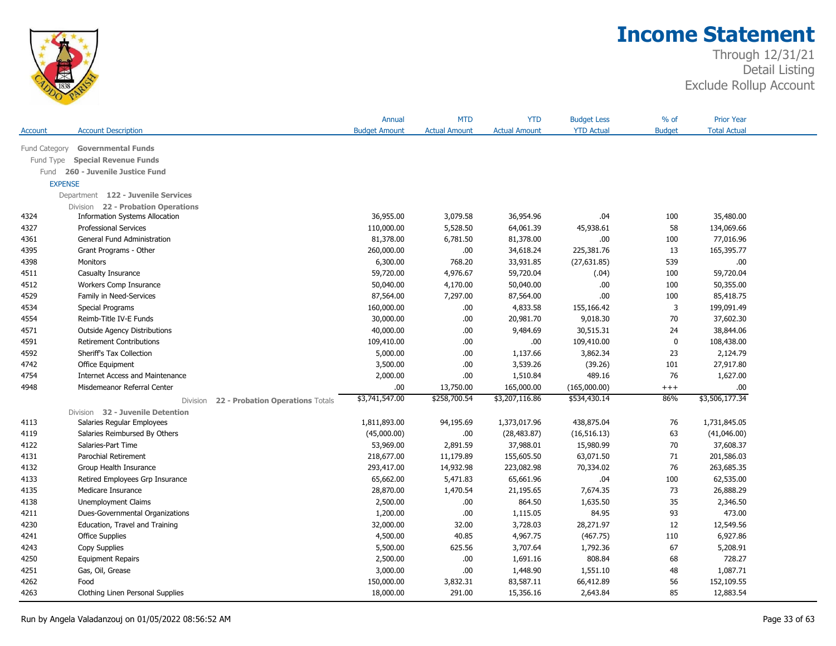

|                |                                              | Annual               | <b>MTD</b>           | <b>YTD</b>           | <b>Budget Less</b> | $%$ of        | <b>Prior Year</b>   |
|----------------|----------------------------------------------|----------------------|----------------------|----------------------|--------------------|---------------|---------------------|
| Account        | <b>Account Description</b>                   | <b>Budget Amount</b> | <b>Actual Amount</b> | <b>Actual Amount</b> | <b>YTD Actual</b>  | <b>Budget</b> | <b>Total Actual</b> |
| Fund Category  | <b>Governmental Funds</b>                    |                      |                      |                      |                    |               |                     |
| Fund Type      | <b>Special Revenue Funds</b>                 |                      |                      |                      |                    |               |                     |
| Fund           | 260 - Juvenile Justice Fund                  |                      |                      |                      |                    |               |                     |
| <b>EXPENSE</b> |                                              |                      |                      |                      |                    |               |                     |
|                | Department 122 - Juvenile Services           |                      |                      |                      |                    |               |                     |
|                | Division 22 - Probation Operations           |                      |                      |                      |                    |               |                     |
| 4324           | <b>Information Systems Allocation</b>        | 36,955.00            | 3,079.58             | 36,954.96            | .04                | 100           | 35,480.00           |
| 4327           | <b>Professional Services</b>                 | 110,000.00           | 5,528.50             | 64,061.39            | 45,938.61          | 58            | 134,069.66          |
| 4361           | General Fund Administration                  | 81,378.00            | 6,781.50             | 81,378.00            | .00.               | 100           | 77,016.96           |
| 4395           | Grant Programs - Other                       | 260,000.00           | .00                  | 34,618.24            | 225,381.76         | 13            | 165,395.77          |
| 4398           | Monitors                                     | 6,300.00             | 768.20               | 33,931.85            | (27, 631.85)       | 539           | .00                 |
| 4511           | Casualty Insurance                           | 59,720.00            | 4,976.67             | 59,720.04            | (.04)              | 100           | 59,720.04           |
| 4512           | Workers Comp Insurance                       | 50,040.00            | 4,170.00             | 50,040.00            | .00.               | 100           | 50,355.00           |
| 4529           | Family in Need-Services                      | 87,564.00            | 7,297.00             | 87,564.00            | 00.                | 100           | 85,418.75           |
| 4534           | Special Programs                             | 160,000.00           | .00.                 | 4,833.58             | 155,166.42         | 3             | 199,091.49          |
| 4554           | Reimb-Title IV-E Funds                       | 30,000.00            | .00.                 | 20,981.70            | 9,018.30           | 70            | 37,602.30           |
| 4571           | <b>Outside Agency Distributions</b>          | 40,000.00            | .00.                 | 9,484.69             | 30,515.31          | 24            | 38,844.06           |
| 4591           | <b>Retirement Contributions</b>              | 109,410.00           | .00.                 | .00.                 | 109,410.00         | $\pmb{0}$     | 108,438.00          |
| 4592           | Sheriff's Tax Collection                     | 5,000.00             | .00.                 | 1,137.66             | 3,862.34           | 23            | 2,124.79            |
| 4742           | Office Equipment                             | 3,500.00             | .00.                 | 3,539.26             | (39.26)            | 101           | 27,917.80           |
| 4754           | <b>Internet Access and Maintenance</b>       | 2,000.00             | .00.                 | 1,510.84             | 489.16             | 76            | 1,627.00            |
| 4948           | Misdemeanor Referral Center                  | .00.                 | 13,750.00            | 165,000.00           | (165,000.00)       | $++++$        | .00.                |
|                | 22 - Probation Operations Totals<br>Division | \$3,741,547.00       | \$258,700.54         | \$3,207,116.86       | \$534,430.14       | 86%           | \$3,506,177.34      |
|                | Division 32 - Juvenile Detention             |                      |                      |                      |                    |               |                     |
| 4113           | Salaries Regular Employees                   | 1,811,893.00         | 94,195.69            | 1,373,017.96         | 438,875.04         | 76            | 1,731,845.05        |
| 4119           | Salaries Reimbursed By Others                | (45,000.00)          | .00.                 | (28, 483.87)         | (16, 516.13)       | 63            | (41,046.00)         |
| 4122           | Salaries-Part Time                           | 53,969.00            | 2,891.59             | 37,988.01            | 15,980.99          | 70            | 37,608.37           |
| 4131           | Parochial Retirement                         | 218,677.00           | 11,179.89            | 155,605.50           | 63,071.50          | 71            | 201,586.03          |
| 4132           | Group Health Insurance                       | 293,417.00           | 14,932.98            | 223,082.98           | 70,334.02          | 76            | 263,685.35          |
| 4133           | Retired Employees Grp Insurance              | 65,662.00            | 5,471.83             | 65,661.96            | .04                | 100           | 62,535.00           |
| 4135           | Medicare Insurance                           | 28,870.00            | 1,470.54             | 21,195.65            | 7,674.35           | 73            | 26,888.29           |
| 4138           | <b>Unemployment Claims</b>                   | 2,500.00             | .00.                 | 864.50               | 1,635.50           | 35            | 2,346.50            |
| 4211           | Dues-Governmental Organizations              | 1,200.00             | .00.                 | 1,115.05             | 84.95              | 93            | 473.00              |
| 4230           | Education, Travel and Training               | 32,000.00            | 32.00                | 3,728.03             | 28,271.97          | 12            | 12,549.56           |
| 4241           | <b>Office Supplies</b>                       | 4,500.00             | 40.85                | 4,967.75             | (467.75)           | 110           | 6,927.86            |
| 4243           | Copy Supplies                                | 5,500.00             | 625.56               | 3,707.64             | 1,792.36           | 67            | 5,208.91            |
| 4250           | <b>Equipment Repairs</b>                     | 2,500.00             | .00.                 | 1,691.16             | 808.84             | 68            | 728.27              |
| 4251           | Gas, Oil, Grease                             | 3,000.00             | .00.                 | 1,448.90             | 1,551.10           | 48            | 1,087.71            |
| 4262           | Food                                         | 150,000.00           | 3,832.31             | 83,587.11            | 66,412.89          | 56            | 152,109.55          |
| 4263           | Clothing Linen Personal Supplies             | 18,000.00            | 291.00               | 15,356.16            | 2,643.84           | 85            | 12,883.54           |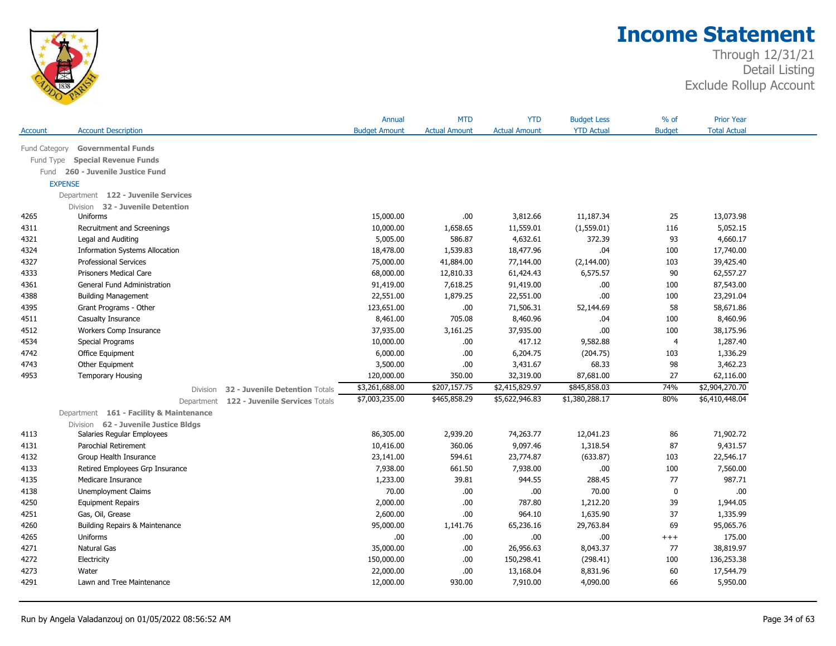

|                |                                         |                                | Annual               | <b>MTD</b>           | <b>YTD</b>           | <b>Budget Less</b> | $%$ of         | <b>Prior Year</b>   |
|----------------|-----------------------------------------|--------------------------------|----------------------|----------------------|----------------------|--------------------|----------------|---------------------|
| Account        | <b>Account Description</b>              |                                | <b>Budget Amount</b> | <b>Actual Amount</b> | <b>Actual Amount</b> | <b>YTD Actual</b>  | <b>Budget</b>  | <b>Total Actual</b> |
| Fund Category  | <b>Governmental Funds</b>               |                                |                      |                      |                      |                    |                |                     |
| Fund Type      | <b>Special Revenue Funds</b>            |                                |                      |                      |                      |                    |                |                     |
|                | Fund 260 - Juvenile Justice Fund        |                                |                      |                      |                      |                    |                |                     |
| <b>EXPENSE</b> |                                         |                                |                      |                      |                      |                    |                |                     |
|                | Department 122 - Juvenile Services      |                                |                      |                      |                      |                    |                |                     |
|                | Division 32 - Juvenile Detention        |                                |                      |                      |                      |                    |                |                     |
| 4265           | Uniforms                                |                                | 15,000.00            | .00                  | 3,812.66             | 11,187.34          | 25             | 13,073.98           |
| 4311           | Recruitment and Screenings              |                                | 10,000.00            | 1,658.65             | 11,559.01            | (1,559.01)         | 116            | 5,052.15            |
| 4321           | Legal and Auditing                      |                                | 5,005.00             | 586.87               | 4,632.61             | 372.39             | 93             | 4,660.17            |
| 4324           | <b>Information Systems Allocation</b>   |                                | 18,478.00            | 1,539.83             | 18,477.96            | .04                | 100            | 17,740.00           |
| 4327           | <b>Professional Services</b>            |                                | 75,000.00            | 41,884.00            | 77,144.00            | (2, 144.00)        | 103            | 39,425.40           |
| 4333           | <b>Prisoners Medical Care</b>           |                                | 68,000.00            | 12,810.33            | 61,424.43            | 6,575.57           | 90             | 62,557.27           |
| 4361           | General Fund Administration             |                                | 91,419.00            | 7,618.25             | 91,419.00            | $.00$              | 100            | 87,543.00           |
| 4388           | <b>Building Management</b>              |                                | 22,551.00            | 1,879.25             | 22,551.00            | .00.               | 100            | 23,291.04           |
| 4395           | Grant Programs - Other                  |                                | 123,651.00           | .00.                 | 71,506.31            | 52,144.69          | 58             | 58,671.86           |
| 4511           | Casualty Insurance                      |                                | 8,461.00             | 705.08               | 8,460.96             | .04                | 100            | 8,460.96            |
| 4512           | Workers Comp Insurance                  |                                | 37,935.00            | 3,161.25             | 37,935.00            | .00.               | 100            | 38,175.96           |
| 4534           | Special Programs                        |                                | 10,000.00            | .00.                 | 417.12               | 9,582.88           | $\overline{4}$ | 1,287.40            |
| 4742           | Office Equipment                        |                                | 6,000.00             | .00.                 | 6,204.75             | (204.75)           | 103            | 1,336.29            |
| 4743           | Other Equipment                         |                                | 3,500.00             | .00.                 | 3,431.67             | 68.33              | 98             | 3,462.23            |
| 4953           | <b>Temporary Housing</b>                |                                | 120,000.00           | 350.00               | 32,319.00            | 87,681.00          | 27             | 62,116.00           |
|                | <b>Division</b>                         | 32 - Juvenile Detention Totals | \$3,261,688.00       | \$207,157.75         | \$2,415,829.97       | \$845,858.03       | 74%            | \$2,904,270.70      |
|                | Department                              | 122 - Juvenile Services Totals | \$7,003,235.00       | \$465,858.29         | \$5,622,946.83       | \$1,380,288.17     | 80%            | \$6,410,448.04      |
|                | Department 161 - Facility & Maintenance |                                |                      |                      |                      |                    |                |                     |
|                | Division 62 - Juvenile Justice Bldgs    |                                |                      |                      |                      |                    |                |                     |
| 4113           | Salaries Regular Employees              |                                | 86,305.00            | 2,939.20             | 74,263.77            | 12,041.23          | 86             | 71,902.72           |
| 4131           | Parochial Retirement                    |                                | 10,416.00            | 360.06               | 9,097.46             | 1,318.54           | 87             | 9,431.57            |
| 4132           | Group Health Insurance                  |                                | 23,141.00            | 594.61               | 23,774.87            | (633.87)           | 103            | 22,546.17           |
| 4133           | Retired Employees Grp Insurance         |                                | 7,938.00             | 661.50               | 7,938.00             | .00.               | 100            | 7,560.00            |
| 4135           | Medicare Insurance                      |                                | 1,233.00             | 39.81                | 944.55               | 288.45             | 77             | 987.71              |
| 4138           | Unemployment Claims                     |                                | 70.00                | .00.                 | .00                  | 70.00              | $\mathbf 0$    | .00.                |
| 4250           | <b>Equipment Repairs</b>                |                                | 2,000.00             | .00.                 | 787.80               | 1,212.20           | 39             | 1,944.05            |
| 4251           | Gas, Oil, Grease                        |                                | 2,600.00             | .00.                 | 964.10               | 1,635.90           | 37             | 1,335.99            |
| 4260           | Building Repairs & Maintenance          |                                | 95,000.00            | 1,141.76             | 65,236.16            | 29,763.84          | 69             | 95,065.76           |
| 4265           | Uniforms                                |                                | .00                  | .00.                 | .00.                 | .00.               | $++++$         | 175.00              |
| 4271           | <b>Natural Gas</b>                      |                                | 35,000.00            | .00.                 | 26,956.63            | 8,043.37           | 77             | 38,819.97           |
| 4272           |                                         |                                | 150,000.00           | .00.                 | 150,298.41           | (298.41)           | 100            | 136,253.38          |
|                | Electricity                             |                                |                      |                      |                      |                    |                |                     |
| 4273           | Water                                   |                                | 22,000.00            | .00.                 | 13,168.04            | 8,831.96           | 60             | 17,544.79           |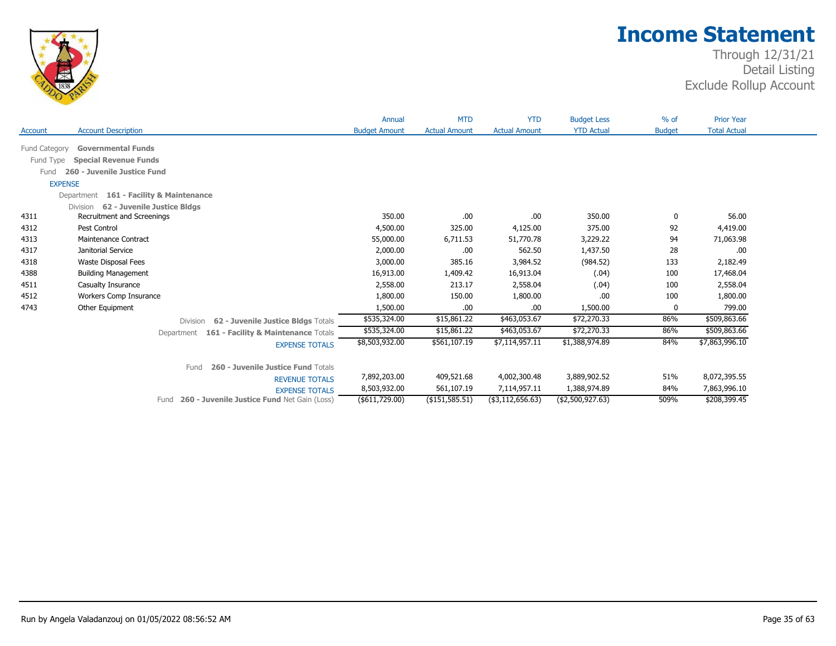

|               |                                                            | Annual               | <b>MTD</b>           | <b>YTD</b>           | <b>Budget Less</b> | $%$ of        | <b>Prior Year</b>   |  |
|---------------|------------------------------------------------------------|----------------------|----------------------|----------------------|--------------------|---------------|---------------------|--|
| Account       | <b>Account Description</b>                                 | <b>Budget Amount</b> | <b>Actual Amount</b> | <b>Actual Amount</b> | <b>YTD Actual</b>  | <b>Budget</b> | <b>Total Actual</b> |  |
| Fund Category | <b>Governmental Funds</b>                                  |                      |                      |                      |                    |               |                     |  |
| Fund Type     | <b>Special Revenue Funds</b>                               |                      |                      |                      |                    |               |                     |  |
| Fund          | 260 - Juvenile Justice Fund                                |                      |                      |                      |                    |               |                     |  |
|               | <b>EXPENSE</b>                                             |                      |                      |                      |                    |               |                     |  |
|               | Department 161 - Facility & Maintenance                    |                      |                      |                      |                    |               |                     |  |
|               | 62 - Juvenile Justice Bldgs<br><b>Division</b>             |                      |                      |                      |                    |               |                     |  |
| 4311          | Recruitment and Screenings                                 | 350.00               | .00.                 | .00                  | 350.00             | 0             | 56.00               |  |
| 4312          | Pest Control                                               | 4,500.00             | 325.00               | 4,125.00             | 375.00             | 92            | 4,419.00            |  |
| 4313          | <b>Maintenance Contract</b>                                | 55,000.00            | 6,711.53             | 51,770.78            | 3,229.22           | 94            | 71,063.98           |  |
| 4317          | Janitorial Service                                         | 2,000.00             | .00.                 | 562.50               | 1,437.50           | 28            | .00                 |  |
| 4318          | Waste Disposal Fees                                        | 3,000.00             | 385.16               | 3,984.52             | (984.52)           | 133           | 2,182.49            |  |
| 4388          | <b>Building Management</b>                                 | 16,913.00            | 1,409.42             | 16,913.04            | (.04)              | 100           | 17,468.04           |  |
| 4511          | Casualty Insurance                                         | 2,558.00             | 213.17               | 2,558.04             | (.04)              | 100           | 2,558.04            |  |
| 4512          | Workers Comp Insurance                                     | 1,800.00             | 150.00               | 1,800.00             | .00                | 100           | 1,800.00            |  |
| 4743          | Other Equipment                                            | 1,500.00             | .00.                 | .00                  | 1,500.00           | 0             | 799.00              |  |
|               | 62 - Juvenile Justice Bldgs Totals<br><b>Division</b>      | \$535,324.00         | \$15,861.22          | \$463,053.67         | \$72,270.33        | 86%           | \$509,863.66        |  |
|               | Department 161 - Facility & Maintenance Totals             | \$535,324.00         | \$15,861.22          | \$463,053.67         | \$72,270.33        | 86%           | \$509,863.66        |  |
|               | <b>EXPENSE TOTALS</b>                                      | \$8,503,932.00       | \$561,107.19         | \$7,114,957.11       | \$1,388,974.89     | 84%           | \$7,863,996.10      |  |
|               | 260 - Juvenile Justice Fund Totals<br>Fund                 |                      |                      |                      |                    |               |                     |  |
|               | <b>REVENUE TOTALS</b>                                      | 7,892,203.00         | 409,521.68           | 4,002,300.48         | 3,889,902.52       | 51%           | 8,072,395.55        |  |
|               | <b>EXPENSE TOTALS</b>                                      | 8,503,932.00         | 561,107.19           | 7,114,957.11         | 1,388,974.89       | 84%           | 7,863,996.10        |  |
|               | <b>260 - Juvenile Justice Fund Net Gain (Loss)</b><br>Fund | (\$611,729.00)       | $($ \$151,585.51)    | (\$3,112,656.63)     | (\$2,500,927.63)   | 509%          | \$208,399.45        |  |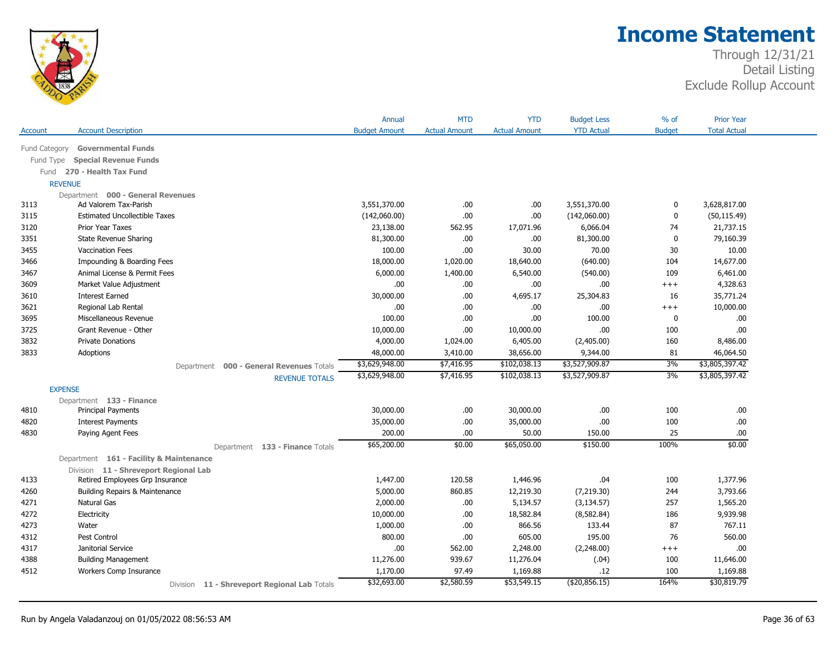

|                |                                              | Annual               | <b>MTD</b>           | <b>YTD</b>           | <b>Budget Less</b> | % of          | <b>Prior Year</b>   |
|----------------|----------------------------------------------|----------------------|----------------------|----------------------|--------------------|---------------|---------------------|
| Account        | <b>Account Description</b>                   | <b>Budget Amount</b> | <b>Actual Amount</b> | <b>Actual Amount</b> | <b>YTD Actual</b>  | <b>Budget</b> | <b>Total Actual</b> |
| Fund Category  | <b>Governmental Funds</b>                    |                      |                      |                      |                    |               |                     |
| Fund Type      | <b>Special Revenue Funds</b>                 |                      |                      |                      |                    |               |                     |
|                | Fund 270 - Health Tax Fund                   |                      |                      |                      |                    |               |                     |
| <b>REVENUE</b> |                                              |                      |                      |                      |                    |               |                     |
|                | Department 000 - General Revenues            |                      |                      |                      |                    |               |                     |
| 3113           | Ad Valorem Tax-Parish                        | 3,551,370.00         | .00                  | .00                  | 3,551,370.00       | 0             | 3,628,817.00        |
| 3115           | <b>Estimated Uncollectible Taxes</b>         | (142,060.00)         | .00                  | .00.                 | (142,060.00)       | $\mathbf 0$   | (50, 115.49)        |
| 3120           | Prior Year Taxes                             | 23,138.00            | 562.95               | 17,071.96            | 6,066.04           | 74            | 21,737.15           |
| 3351           | State Revenue Sharing                        | 81,300.00            | .00                  | .00                  | 81,300.00          | $\mathbf 0$   | 79,160.39           |
| 3455           | <b>Vaccination Fees</b>                      | 100.00               | .00                  | 30.00                | 70.00              | 30            | 10.00               |
| 3466           | Impounding & Boarding Fees                   | 18,000.00            | 1,020.00             | 18,640.00            | (640.00)           | 104           | 14,677.00           |
| 3467           | Animal License & Permit Fees                 | 6,000.00             | 1,400.00             | 6,540.00             | (540.00)           | 109           | 6,461.00            |
| 3609           | Market Value Adjustment                      | .00.                 | .00.                 | .00                  | .00.               | $+++$         | 4,328.63            |
| 3610           | <b>Interest Earned</b>                       | 30,000.00            | .00.                 | 4,695.17             | 25,304.83          | 16            | 35,771.24           |
| 3621           | Regional Lab Rental                          | .00.                 | .00                  | .00                  | .00.               | $+++$         | 10,000.00           |
| 3695           | Miscellaneous Revenue                        | 100.00               | .00                  | .00                  | 100.00             | 0             | .00                 |
| 3725           | Grant Revenue - Other                        | 10,000.00            | .00                  | 10,000.00            | .00                | 100           | .00.                |
| 3832           | <b>Private Donations</b>                     | 4,000.00             | 1,024.00             | 6,405.00             | (2,405.00)         | 160           | 8,486.00            |
| 3833           | Adoptions                                    | 48,000.00            | 3,410.00             | 38,656.00            | 9,344.00           | 81            | 46,064.50           |
|                | Department 000 - General Revenues Totals     | \$3,629,948.00       | \$7,416.95           | \$102,038.13         | \$3,527,909.87     | 3%            | \$3,805,397.42      |
|                | <b>REVENUE TOTALS</b>                        | \$3,629,948.00       | \$7,416.95           | \$102,038.13         | \$3,527,909.87     | 3%            | \$3,805,397.42      |
| <b>EXPENSE</b> |                                              |                      |                      |                      |                    |               |                     |
|                | Department 133 - Finance                     |                      |                      |                      |                    |               |                     |
| 4810           | <b>Principal Payments</b>                    | 30,000.00            | .00.                 | 30,000.00            | .00                | 100           | .00                 |
| 4820           | <b>Interest Payments</b>                     | 35,000.00            | .00                  | 35,000.00            | .00                | 100           | .00.                |
| 4830           | Paying Agent Fees                            | 200.00               | .00.                 | 50.00                | 150.00             | 25            | .00                 |
|                | Department 133 - Finance Totals              | \$65,200.00          | \$0.00               | \$65,050.00          | \$150.00           | 100%          | \$0.00              |
|                | Department 161 - Facility & Maintenance      |                      |                      |                      |                    |               |                     |
|                | Division 11 - Shreveport Regional Lab        |                      |                      |                      |                    |               |                     |
| 4133           | Retired Employees Grp Insurance              | 1,447.00             | 120.58               | 1,446.96             | .04                | 100           | 1,377.96            |
| 4260           | Building Repairs & Maintenance               | 5,000.00             | 860.85               | 12,219.30            | (7,219.30)         | 244           | 3,793.66            |
| 4271           | Natural Gas                                  | 2,000.00             | .00                  | 5,134.57             | (3, 134.57)        | 257           | 1,565.20            |
| 4272           | Electricity                                  | 10,000.00            | .00                  | 18,582.84            | (8,582.84)         | 186           | 9,939.98            |
| 4273           | Water                                        | 1,000.00             | .00                  | 866.56               | 133.44             | 87            | 767.11              |
| 4312           | Pest Control                                 | 800.00               | .00.                 | 605.00               | 195.00             | 76            | 560.00              |
| 4317           | Janitorial Service                           | .00                  | 562.00               | 2,248.00             | (2,248.00)         | $+++$         | .00                 |
| 4388           | <b>Building Management</b>                   | 11,276.00            | 939.67               | 11,276.04            | (.04)              | 100           | 11,646.00           |
| 4512           | Workers Comp Insurance                       | 1,170.00             | 97.49                | 1,169.88             | .12                | 100           | 1,169.88            |
|                | Division 11 - Shreveport Regional Lab Totals | \$32,693.00          | \$2,580.59           | \$53,549.15          | ( \$20, 856.15)    | 164%          | \$30,819.79         |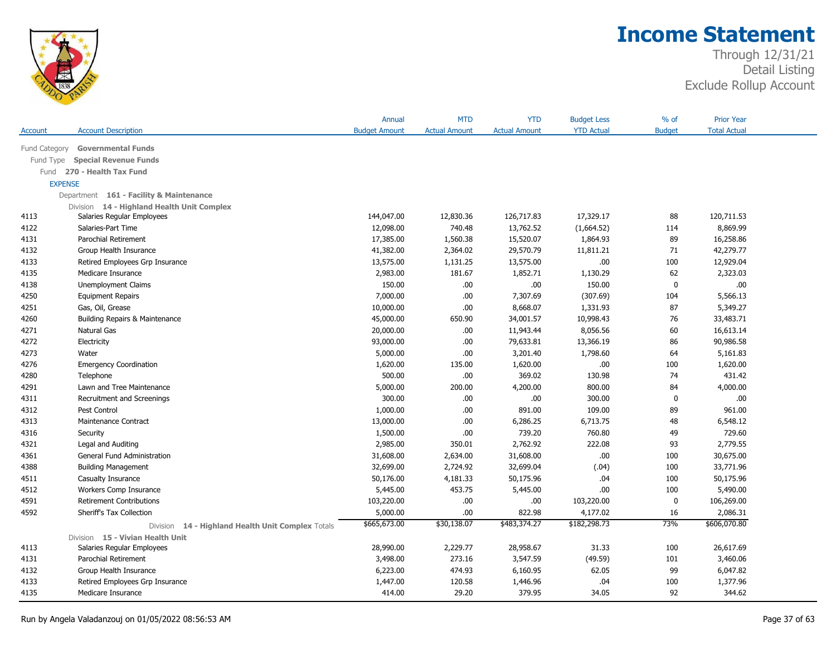

|                |                                                             | Annual               | <b>MTD</b>           | <b>YTD</b>           | <b>Budget Less</b> | $%$ of        | <b>Prior Year</b>   |  |
|----------------|-------------------------------------------------------------|----------------------|----------------------|----------------------|--------------------|---------------|---------------------|--|
| Account        | <b>Account Description</b>                                  | <b>Budget Amount</b> | <b>Actual Amount</b> | <b>Actual Amount</b> | <b>YTD Actual</b>  | <b>Budget</b> | <b>Total Actual</b> |  |
| Fund Category  | <b>Governmental Funds</b>                                   |                      |                      |                      |                    |               |                     |  |
| Fund Type      | <b>Special Revenue Funds</b>                                |                      |                      |                      |                    |               |                     |  |
| Fund           | 270 - Health Tax Fund                                       |                      |                      |                      |                    |               |                     |  |
| <b>EXPENSE</b> |                                                             |                      |                      |                      |                    |               |                     |  |
|                | Department 161 - Facility & Maintenance                     |                      |                      |                      |                    |               |                     |  |
|                | Division 14 - Highland Health Unit Complex                  |                      |                      |                      |                    |               |                     |  |
| 4113           | Salaries Regular Employees                                  | 144,047.00           | 12,830.36            | 126,717.83           | 17,329.17          | 88            | 120,711.53          |  |
| 4122           | Salaries-Part Time                                          | 12,098.00            | 740.48               | 13,762.52            | (1,664.52)         | 114           | 8,869.99            |  |
| 4131           | Parochial Retirement                                        | 17,385.00            | 1,560.38             | 15,520.07            | 1,864.93           | 89            | 16,258.86           |  |
| 4132           | Group Health Insurance                                      | 41,382.00            | 2,364.02             | 29,570.79            | 11,811.21          | 71            | 42,279.77           |  |
| 4133           | Retired Employees Grp Insurance                             | 13,575.00            | 1,131.25             | 13,575.00            | .00                | 100           | 12,929.04           |  |
| 4135           | Medicare Insurance                                          | 2,983.00             | 181.67               | 1,852.71             | 1,130.29           | 62            | 2,323.03            |  |
| 4138           | <b>Unemployment Claims</b>                                  | 150.00               | .00                  | .00.                 | 150.00             | $\mathbf 0$   | .00                 |  |
| 4250           | <b>Equipment Repairs</b>                                    | 7,000.00             | .00                  | 7,307.69             | (307.69)           | 104           | 5,566.13            |  |
| 4251           | Gas, Oil, Grease                                            | 10,000.00            | .00                  | 8,668.07             | 1,331.93           | 87            | 5,349.27            |  |
| 4260           | <b>Building Repairs &amp; Maintenance</b>                   | 45,000.00            | 650.90               | 34,001.57            | 10,998.43          | 76            | 33,483.71           |  |
| 4271           | Natural Gas                                                 | 20,000.00            | .00                  | 11,943.44            | 8,056.56           | 60            | 16,613.14           |  |
| 4272           | Electricity                                                 | 93,000.00            | .00.                 | 79,633.81            | 13,366.19          | 86            | 90,986.58           |  |
| 4273           | Water                                                       | 5,000.00             | .00                  | 3,201.40             | 1,798.60           | 64            | 5,161.83            |  |
| 4276           | <b>Emergency Coordination</b>                               | 1,620.00             | 135.00               | 1,620.00             | .00                | 100           | 1,620.00            |  |
| 4280           | Telephone                                                   | 500.00               | .00                  | 369.02               | 130.98             | 74            | 431.42              |  |
| 4291           | Lawn and Tree Maintenance                                   | 5,000.00             | 200.00               | 4,200.00             | 800.00             | 84            | 4,000.00            |  |
| 4311           | Recruitment and Screenings                                  | 300.00               | .00                  | .00                  | 300.00             | $\mathbf 0$   | .00                 |  |
| 4312           | Pest Control                                                | 1,000.00             | .00                  | 891.00               | 109.00             | 89            | 961.00              |  |
| 4313           | Maintenance Contract                                        | 13,000.00            | .00                  | 6,286.25             | 6,713.75           | 48            | 6,548.12            |  |
| 4316           | Security                                                    | 1,500.00             | .00                  | 739.20               | 760.80             | 49            | 729.60              |  |
| 4321           | Legal and Auditing                                          | 2,985.00             | 350.01               | 2,762.92             | 222.08             | 93            | 2,779.55            |  |
| 4361           | General Fund Administration                                 | 31,608.00            | 2,634.00             | 31,608.00            | .00                | 100           | 30,675.00           |  |
| 4388           | <b>Building Management</b>                                  | 32,699.00            | 2,724.92             | 32,699.04            | (.04)              | 100           | 33,771.96           |  |
| 4511           | Casualty Insurance                                          | 50,176.00            | 4,181.33             | 50,175.96            | .04                | 100           | 50,175.96           |  |
| 4512           | Workers Comp Insurance                                      | 5,445.00             | 453.75               | 5,445.00             | .00                | 100           | 5,490.00            |  |
| 4591           | <b>Retirement Contributions</b>                             | 103,220.00           | .00                  | .00.                 | 103,220.00         | $\mathbf 0$   | 106,269.00          |  |
| 4592           | Sheriff's Tax Collection                                    | 5,000.00             | .00                  | 822.98               | 4,177.02           | 16            | 2,086.31            |  |
|                | 14 - Highland Health Unit Complex Totals<br><b>Division</b> | \$665,673.00         | \$30,138.07          | \$483,374.27         | \$182,298.73       | 73%           | \$606,070.80        |  |
|                | Division 15 - Vivian Health Unit                            |                      |                      |                      |                    |               |                     |  |
| 4113           | Salaries Regular Employees                                  | 28,990.00            | 2,229.77             | 28,958.67            | 31.33              | 100           | 26,617.69           |  |
| 4131           | Parochial Retirement                                        | 3,498.00             | 273.16               | 3,547.59             | (49.59)            | 101           | 3,460.06            |  |
| 4132           | Group Health Insurance                                      | 6,223.00             | 474.93               | 6,160.95             | 62.05              | 99            | 6,047.82            |  |
| 4133           | Retired Employees Grp Insurance                             | 1,447.00             | 120.58               | 1,446.96             | .04                | 100           | 1,377.96            |  |
| 4135           | Medicare Insurance                                          | 414.00               | 29.20                | 379.95               | 34.05              | 92            | 344.62              |  |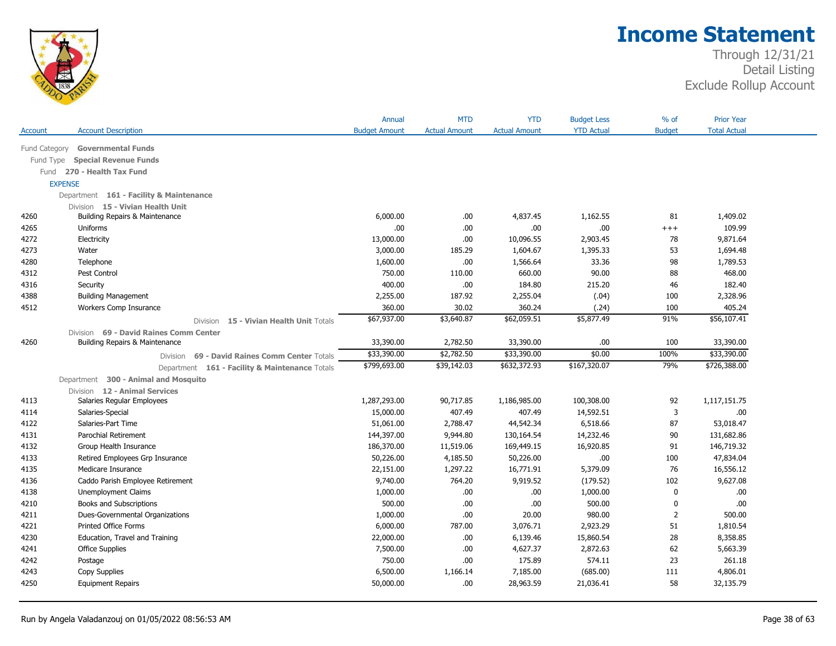

|                |                                         |                                                | Annual               | <b>MTD</b>           | <b>YTD</b>           | <b>Budget Less</b> | $%$ of         | <b>Prior Year</b>   |  |
|----------------|-----------------------------------------|------------------------------------------------|----------------------|----------------------|----------------------|--------------------|----------------|---------------------|--|
| Account        | <b>Account Description</b>              |                                                | <b>Budget Amount</b> | <b>Actual Amount</b> | <b>Actual Amount</b> | <b>YTD Actual</b>  | <b>Budget</b>  | <b>Total Actual</b> |  |
| Fund Category  | <b>Governmental Funds</b>               |                                                |                      |                      |                      |                    |                |                     |  |
| Fund Type      | <b>Special Revenue Funds</b>            |                                                |                      |                      |                      |                    |                |                     |  |
| Fund           | 270 - Health Tax Fund                   |                                                |                      |                      |                      |                    |                |                     |  |
| <b>EXPENSE</b> |                                         |                                                |                      |                      |                      |                    |                |                     |  |
|                | Department 161 - Facility & Maintenance |                                                |                      |                      |                      |                    |                |                     |  |
|                | Division 15 - Vivian Health Unit        |                                                |                      |                      |                      |                    |                |                     |  |
| 4260           | Building Repairs & Maintenance          |                                                | 6,000.00             | .00                  | 4,837.45             | 1,162.55           | 81             | 1,409.02            |  |
| 4265           | Uniforms                                |                                                | .00                  | .00                  | .00                  | .00.               | $+++$          | 109.99              |  |
| 4272           | Electricity                             |                                                | 13,000.00            | .00.                 | 10,096.55            | 2,903.45           | 78             | 9,871.64            |  |
| 4273           | Water                                   |                                                | 3,000.00             | 185.29               | 1,604.67             | 1,395.33           | 53             | 1,694.48            |  |
| 4280           | Telephone                               |                                                | 1,600.00             | .00.                 | 1,566.64             | 33.36              | 98             | 1,789.53            |  |
| 4312           | Pest Control                            |                                                | 750.00               | 110.00               | 660.00               | 90.00              | 88             | 468.00              |  |
| 4316           | Security                                |                                                | 400.00               | .00.                 | 184.80               | 215.20             | 46             | 182.40              |  |
| 4388           | <b>Building Management</b>              |                                                | 2,255.00             | 187.92               | 2,255.04             | (.04)              | 100            | 2,328.96            |  |
| 4512           | Workers Comp Insurance                  |                                                | 360.00               | 30.02                | 360.24               | (.24)              | 100            | 405.24              |  |
|                |                                         | Division 15 - Vivian Health Unit Totals        | \$67,937.00          | \$3,640.87           | \$62,059.51          | \$5,877.49         | 91%            | \$56,107.41         |  |
|                | Division 69 - David Raines Comm Center  |                                                |                      |                      |                      |                    |                |                     |  |
| 4260           | Building Repairs & Maintenance          |                                                | 33,390.00            | 2,782.50             | 33,390.00            | .00.               | 100            | 33,390.00           |  |
|                | Division                                | 69 - David Raines Comm Center Totals           | \$33,390.00          | \$2,782.50           | \$33,390.00          | \$0.00             | 100%           | \$33,390.00         |  |
|                |                                         | Department 161 - Facility & Maintenance Totals | \$799,693.00         | \$39,142.03          | \$632,372.93         | \$167,320.07       | 79%            | \$726,388.00        |  |
|                | Department 300 - Animal and Mosquito    |                                                |                      |                      |                      |                    |                |                     |  |
|                | Division 12 - Animal Services           |                                                |                      |                      |                      |                    |                |                     |  |
| 4113           | Salaries Regular Employees              |                                                | 1,287,293.00         | 90,717.85            | 1,186,985.00         | 100,308.00         | 92             | 1,117,151.75        |  |
| 4114           | Salaries-Special                        |                                                | 15,000.00            | 407.49               | 407.49               | 14,592.51          | 3              | .00.                |  |
| 4122           | Salaries-Part Time                      |                                                | 51,061.00            | 2,788.47             | 44,542.34            | 6,518.66           | 87             | 53,018.47           |  |
| 4131           | Parochial Retirement                    |                                                | 144,397.00           | 9,944.80             | 130,164.54           | 14,232.46          | 90             | 131,682.86          |  |
| 4132           | Group Health Insurance                  |                                                | 186,370.00           | 11,519.06            | 169,449.15           | 16,920.85          | 91             | 146,719.32          |  |
| 4133           | Retired Employees Grp Insurance         |                                                | 50,226.00            | 4,185.50             | 50,226.00            | .00                | 100            | 47,834.04           |  |
| 4135           | Medicare Insurance                      |                                                | 22,151.00            | 1,297.22             | 16,771.91            | 5,379.09           | 76             | 16,556.12           |  |
| 4136           | Caddo Parish Employee Retirement        |                                                | 9,740.00             | 764.20               | 9,919.52             | (179.52)           | 102            | 9,627.08            |  |
| 4138           | Unemployment Claims                     |                                                | 1,000.00             | .00                  | .00                  | 1,000.00           | $\mathbf 0$    | .00.                |  |
| 4210           | Books and Subscriptions                 |                                                | 500.00               | .00.                 | .00                  | 500.00             | 0              | .00                 |  |
| 4211           | Dues-Governmental Organizations         |                                                | 1,000.00             | .00                  | 20.00                | 980.00             | $\overline{2}$ | 500.00              |  |
| 4221           | <b>Printed Office Forms</b>             |                                                | 6,000.00             | 787.00               | 3,076.71             | 2,923.29           | 51             | 1,810.54            |  |
| 4230           | Education, Travel and Training          |                                                | 22,000.00            | .00.                 | 6,139.46             | 15,860.54          | 28             | 8,358.85            |  |
| 4241           | <b>Office Supplies</b>                  |                                                | 7,500.00             | .00                  | 4,627.37             | 2,872.63           | 62             | 5,663.39            |  |
| 4242           | Postage                                 |                                                | 750.00               | .00.                 | 175.89               | 574.11             | 23             | 261.18              |  |
| 4243           | Copy Supplies                           |                                                | 6,500.00             | 1,166.14             | 7,185.00             | (685.00)           | 111            | 4,806.01            |  |
| 4250           | <b>Equipment Repairs</b>                |                                                | 50,000.00            | .00                  | 28,963.59            | 21,036.41          | 58             | 32,135.79           |  |
|                |                                         |                                                |                      |                      |                      |                    |                |                     |  |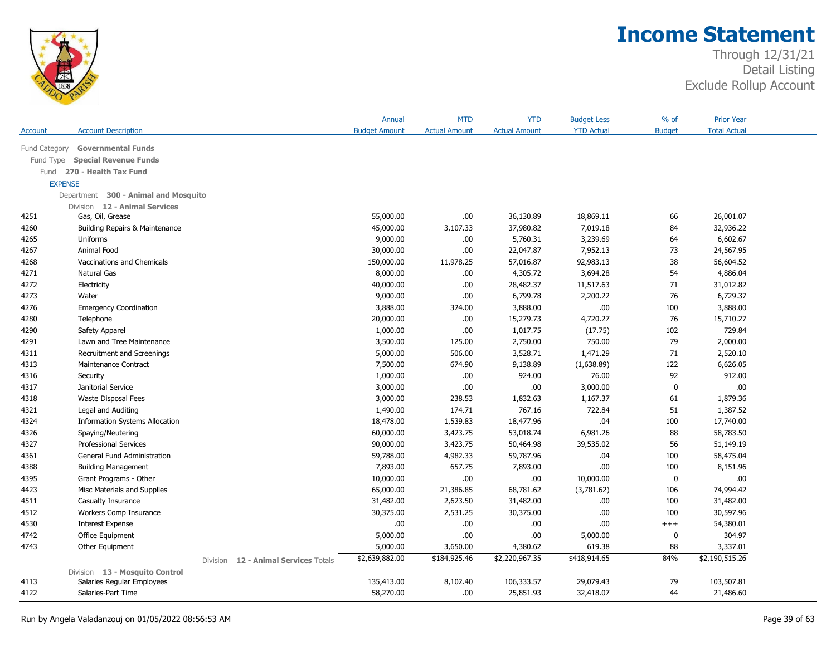

| <b>YTD Actual</b><br><b>Budget</b><br><b>Total Actual</b><br><b>Account Description</b><br><b>Budget Amount</b><br><b>Actual Amount</b><br><b>Actual Amount</b><br>Account<br>Fund Category<br><b>Governmental Funds</b><br><b>Special Revenue Funds</b><br>Fund Type<br>Fund 270 - Health Tax Fund<br><b>EXPENSE</b><br>Department 300 - Animal and Mosquito<br>Division 12 - Animal Services<br>55,000.00<br>.00<br>36,130.89<br>18,869.11<br>66<br>26,001.07<br>4251<br>Gas, Oil, Grease<br>3,107.33<br>37,980.82<br>7,019.18<br>84<br>32,936.22<br>4260<br>45,000.00<br>Building Repairs & Maintenance<br>9,000.00<br>.00<br>5,760.31<br>3,239.69<br>64<br>6,602.67<br>4265<br>Uniforms<br>Animal Food<br>22,047.87<br>73<br>24,567.95<br>4267<br>30,000.00<br>.00<br>7,952.13<br>38<br>4268<br>Vaccinations and Chemicals<br>150,000.00<br>11,978.25<br>57,016.87<br>92,983.13<br>56,604.52<br>4271<br><b>Natural Gas</b><br>4,305.72<br>3,694.28<br>54<br>4,886.04<br>8,000.00<br>.00<br>4272<br>.00<br>28,482.37<br>71<br>31,012.82<br>Electricity<br>40,000.00<br>11,517.63<br>6,799.78<br>76<br>6,729.37<br>4273<br>9,000.00<br>.00<br>2,200.22<br>Water<br>4276<br>3,888.00<br>324.00<br>3,888.00<br>.00.<br>100<br>3,888.00<br><b>Emergency Coordination</b><br>4280<br>15,279.73<br>76<br>15,710.27<br>20,000.00<br>.00<br>4,720.27<br>Telephone<br>1,000.00<br>.00<br>1,017.75<br>102<br>729.84<br>4290<br>(17.75)<br>Safety Apparel<br>125.00<br>2,750.00<br>79<br>2,000.00<br>4291<br>3,500.00<br>750.00<br>Lawn and Tree Maintenance<br>4311<br>5,000.00<br>506.00<br>3,528.71<br>1,471.29<br>71<br>2,520.10<br>Recruitment and Screenings<br>674.90<br>122<br>6,626.05<br>4313<br>Maintenance Contract<br>7,500.00<br>9,138.89<br>(1,638.89)<br>92<br>912.00<br>4316<br>1,000.00<br>.00<br>924.00<br>76.00<br>Security<br>.00<br>4317<br>Janitorial Service<br>3,000.00<br>.00.<br>3,000.00<br>0<br>.00<br>4318<br>3,000.00<br>238.53<br>1,832.63<br>1,167.37<br>61<br>1,879.36<br>Waste Disposal Fees<br>174.71<br>767.16<br>1,387.52<br>4321<br>1,490.00<br>722.84<br>51<br>Legal and Auditing<br>18,477.96<br>.04<br>4324<br><b>Information Systems Allocation</b><br>18,478.00<br>1,539.83<br>100<br>17,740.00<br>88<br>58,783.50<br>60,000.00<br>3,423.75<br>53,018.74<br>6,981.26<br>4326<br>Spaying/Neutering<br>4327<br>56<br>90,000.00<br>3,423.75<br>50,464.98<br>51,149.19<br><b>Professional Services</b><br>39,535.02<br>100<br>4361<br>General Fund Administration<br>59,788.00<br>4,982.33<br>59,787.96<br>.04<br>58,475.04<br>657.75<br>4388<br>7,893.00<br>7,893.00<br>.00.<br>100<br>8,151.96<br><b>Building Management</b><br>.00<br>Grant Programs - Other<br>10,000.00<br>.00.<br>10,000.00<br>.00<br>4395<br>0<br>4423<br>68,781.62<br>106<br>Misc Materials and Supplies<br>65,000.00<br>21,386.85<br>(3,781.62)<br>74,994.42<br>4511<br>Casualty Insurance<br>31,482.00<br>2,623.50<br>31,482.00<br>.00.<br>100<br>31,482.00<br>4512<br>Workers Comp Insurance<br>30,375.00<br>2,531.25<br>30,375.00<br>.00.<br>100<br>30,597.96<br>.00<br>4530<br>.00<br>.00.<br>.00.<br>54,380.01<br><b>Interest Expense</b><br>$^{+++}$<br>4742<br>5,000.00<br>.00<br>.00<br>304.97<br>Office Equipment<br>5,000.00<br>0<br>88<br>3,337.01<br>4743<br>Other Equipment<br>5,000.00<br>3,650.00<br>4,380.62<br>619.38<br>84%<br>\$2,190,515.26<br>\$2,639,882.00<br>\$184,925.46<br>\$2,220,967.35<br>\$418,914.65<br>12 - Animal Services Totals<br>Division<br>Division 13 - Mosquito Control |      |                            | Annual     | <b>MTD</b> | YTD        | <b>Budget Less</b> | % of | <b>Prior Year</b> |  |
|---------------------------------------------------------------------------------------------------------------------------------------------------------------------------------------------------------------------------------------------------------------------------------------------------------------------------------------------------------------------------------------------------------------------------------------------------------------------------------------------------------------------------------------------------------------------------------------------------------------------------------------------------------------------------------------------------------------------------------------------------------------------------------------------------------------------------------------------------------------------------------------------------------------------------------------------------------------------------------------------------------------------------------------------------------------------------------------------------------------------------------------------------------------------------------------------------------------------------------------------------------------------------------------------------------------------------------------------------------------------------------------------------------------------------------------------------------------------------------------------------------------------------------------------------------------------------------------------------------------------------------------------------------------------------------------------------------------------------------------------------------------------------------------------------------------------------------------------------------------------------------------------------------------------------------------------------------------------------------------------------------------------------------------------------------------------------------------------------------------------------------------------------------------------------------------------------------------------------------------------------------------------------------------------------------------------------------------------------------------------------------------------------------------------------------------------------------------------------------------------------------------------------------------------------------------------------------------------------------------------------------------------------------------------------------------------------------------------------------------------------------------------------------------------------------------------------------------------------------------------------------------------------------------------------------------------------------------------------------------------------------------------------------------------------------------------------------------------------------------------------------------------------------------------------------------------------------------------------------------------------------------------------------------------------------------------------------------------------------------------------------------------------------------------------------------------------------------------------------------------------------------------------|------|----------------------------|------------|------------|------------|--------------------|------|-------------------|--|
|                                                                                                                                                                                                                                                                                                                                                                                                                                                                                                                                                                                                                                                                                                                                                                                                                                                                                                                                                                                                                                                                                                                                                                                                                                                                                                                                                                                                                                                                                                                                                                                                                                                                                                                                                                                                                                                                                                                                                                                                                                                                                                                                                                                                                                                                                                                                                                                                                                                                                                                                                                                                                                                                                                                                                                                                                                                                                                                                                                                                                                                                                                                                                                                                                                                                                                                                                                                                                                                                                                                           |      |                            |            |            |            |                    |      |                   |  |
|                                                                                                                                                                                                                                                                                                                                                                                                                                                                                                                                                                                                                                                                                                                                                                                                                                                                                                                                                                                                                                                                                                                                                                                                                                                                                                                                                                                                                                                                                                                                                                                                                                                                                                                                                                                                                                                                                                                                                                                                                                                                                                                                                                                                                                                                                                                                                                                                                                                                                                                                                                                                                                                                                                                                                                                                                                                                                                                                                                                                                                                                                                                                                                                                                                                                                                                                                                                                                                                                                                                           |      |                            |            |            |            |                    |      |                   |  |
|                                                                                                                                                                                                                                                                                                                                                                                                                                                                                                                                                                                                                                                                                                                                                                                                                                                                                                                                                                                                                                                                                                                                                                                                                                                                                                                                                                                                                                                                                                                                                                                                                                                                                                                                                                                                                                                                                                                                                                                                                                                                                                                                                                                                                                                                                                                                                                                                                                                                                                                                                                                                                                                                                                                                                                                                                                                                                                                                                                                                                                                                                                                                                                                                                                                                                                                                                                                                                                                                                                                           |      |                            |            |            |            |                    |      |                   |  |
|                                                                                                                                                                                                                                                                                                                                                                                                                                                                                                                                                                                                                                                                                                                                                                                                                                                                                                                                                                                                                                                                                                                                                                                                                                                                                                                                                                                                                                                                                                                                                                                                                                                                                                                                                                                                                                                                                                                                                                                                                                                                                                                                                                                                                                                                                                                                                                                                                                                                                                                                                                                                                                                                                                                                                                                                                                                                                                                                                                                                                                                                                                                                                                                                                                                                                                                                                                                                                                                                                                                           |      |                            |            |            |            |                    |      |                   |  |
|                                                                                                                                                                                                                                                                                                                                                                                                                                                                                                                                                                                                                                                                                                                                                                                                                                                                                                                                                                                                                                                                                                                                                                                                                                                                                                                                                                                                                                                                                                                                                                                                                                                                                                                                                                                                                                                                                                                                                                                                                                                                                                                                                                                                                                                                                                                                                                                                                                                                                                                                                                                                                                                                                                                                                                                                                                                                                                                                                                                                                                                                                                                                                                                                                                                                                                                                                                                                                                                                                                                           |      |                            |            |            |            |                    |      |                   |  |
|                                                                                                                                                                                                                                                                                                                                                                                                                                                                                                                                                                                                                                                                                                                                                                                                                                                                                                                                                                                                                                                                                                                                                                                                                                                                                                                                                                                                                                                                                                                                                                                                                                                                                                                                                                                                                                                                                                                                                                                                                                                                                                                                                                                                                                                                                                                                                                                                                                                                                                                                                                                                                                                                                                                                                                                                                                                                                                                                                                                                                                                                                                                                                                                                                                                                                                                                                                                                                                                                                                                           |      |                            |            |            |            |                    |      |                   |  |
|                                                                                                                                                                                                                                                                                                                                                                                                                                                                                                                                                                                                                                                                                                                                                                                                                                                                                                                                                                                                                                                                                                                                                                                                                                                                                                                                                                                                                                                                                                                                                                                                                                                                                                                                                                                                                                                                                                                                                                                                                                                                                                                                                                                                                                                                                                                                                                                                                                                                                                                                                                                                                                                                                                                                                                                                                                                                                                                                                                                                                                                                                                                                                                                                                                                                                                                                                                                                                                                                                                                           |      |                            |            |            |            |                    |      |                   |  |
|                                                                                                                                                                                                                                                                                                                                                                                                                                                                                                                                                                                                                                                                                                                                                                                                                                                                                                                                                                                                                                                                                                                                                                                                                                                                                                                                                                                                                                                                                                                                                                                                                                                                                                                                                                                                                                                                                                                                                                                                                                                                                                                                                                                                                                                                                                                                                                                                                                                                                                                                                                                                                                                                                                                                                                                                                                                                                                                                                                                                                                                                                                                                                                                                                                                                                                                                                                                                                                                                                                                           |      |                            |            |            |            |                    |      |                   |  |
|                                                                                                                                                                                                                                                                                                                                                                                                                                                                                                                                                                                                                                                                                                                                                                                                                                                                                                                                                                                                                                                                                                                                                                                                                                                                                                                                                                                                                                                                                                                                                                                                                                                                                                                                                                                                                                                                                                                                                                                                                                                                                                                                                                                                                                                                                                                                                                                                                                                                                                                                                                                                                                                                                                                                                                                                                                                                                                                                                                                                                                                                                                                                                                                                                                                                                                                                                                                                                                                                                                                           |      |                            |            |            |            |                    |      |                   |  |
|                                                                                                                                                                                                                                                                                                                                                                                                                                                                                                                                                                                                                                                                                                                                                                                                                                                                                                                                                                                                                                                                                                                                                                                                                                                                                                                                                                                                                                                                                                                                                                                                                                                                                                                                                                                                                                                                                                                                                                                                                                                                                                                                                                                                                                                                                                                                                                                                                                                                                                                                                                                                                                                                                                                                                                                                                                                                                                                                                                                                                                                                                                                                                                                                                                                                                                                                                                                                                                                                                                                           |      |                            |            |            |            |                    |      |                   |  |
|                                                                                                                                                                                                                                                                                                                                                                                                                                                                                                                                                                                                                                                                                                                                                                                                                                                                                                                                                                                                                                                                                                                                                                                                                                                                                                                                                                                                                                                                                                                                                                                                                                                                                                                                                                                                                                                                                                                                                                                                                                                                                                                                                                                                                                                                                                                                                                                                                                                                                                                                                                                                                                                                                                                                                                                                                                                                                                                                                                                                                                                                                                                                                                                                                                                                                                                                                                                                                                                                                                                           |      |                            |            |            |            |                    |      |                   |  |
|                                                                                                                                                                                                                                                                                                                                                                                                                                                                                                                                                                                                                                                                                                                                                                                                                                                                                                                                                                                                                                                                                                                                                                                                                                                                                                                                                                                                                                                                                                                                                                                                                                                                                                                                                                                                                                                                                                                                                                                                                                                                                                                                                                                                                                                                                                                                                                                                                                                                                                                                                                                                                                                                                                                                                                                                                                                                                                                                                                                                                                                                                                                                                                                                                                                                                                                                                                                                                                                                                                                           |      |                            |            |            |            |                    |      |                   |  |
|                                                                                                                                                                                                                                                                                                                                                                                                                                                                                                                                                                                                                                                                                                                                                                                                                                                                                                                                                                                                                                                                                                                                                                                                                                                                                                                                                                                                                                                                                                                                                                                                                                                                                                                                                                                                                                                                                                                                                                                                                                                                                                                                                                                                                                                                                                                                                                                                                                                                                                                                                                                                                                                                                                                                                                                                                                                                                                                                                                                                                                                                                                                                                                                                                                                                                                                                                                                                                                                                                                                           |      |                            |            |            |            |                    |      |                   |  |
|                                                                                                                                                                                                                                                                                                                                                                                                                                                                                                                                                                                                                                                                                                                                                                                                                                                                                                                                                                                                                                                                                                                                                                                                                                                                                                                                                                                                                                                                                                                                                                                                                                                                                                                                                                                                                                                                                                                                                                                                                                                                                                                                                                                                                                                                                                                                                                                                                                                                                                                                                                                                                                                                                                                                                                                                                                                                                                                                                                                                                                                                                                                                                                                                                                                                                                                                                                                                                                                                                                                           |      |                            |            |            |            |                    |      |                   |  |
|                                                                                                                                                                                                                                                                                                                                                                                                                                                                                                                                                                                                                                                                                                                                                                                                                                                                                                                                                                                                                                                                                                                                                                                                                                                                                                                                                                                                                                                                                                                                                                                                                                                                                                                                                                                                                                                                                                                                                                                                                                                                                                                                                                                                                                                                                                                                                                                                                                                                                                                                                                                                                                                                                                                                                                                                                                                                                                                                                                                                                                                                                                                                                                                                                                                                                                                                                                                                                                                                                                                           |      |                            |            |            |            |                    |      |                   |  |
|                                                                                                                                                                                                                                                                                                                                                                                                                                                                                                                                                                                                                                                                                                                                                                                                                                                                                                                                                                                                                                                                                                                                                                                                                                                                                                                                                                                                                                                                                                                                                                                                                                                                                                                                                                                                                                                                                                                                                                                                                                                                                                                                                                                                                                                                                                                                                                                                                                                                                                                                                                                                                                                                                                                                                                                                                                                                                                                                                                                                                                                                                                                                                                                                                                                                                                                                                                                                                                                                                                                           |      |                            |            |            |            |                    |      |                   |  |
|                                                                                                                                                                                                                                                                                                                                                                                                                                                                                                                                                                                                                                                                                                                                                                                                                                                                                                                                                                                                                                                                                                                                                                                                                                                                                                                                                                                                                                                                                                                                                                                                                                                                                                                                                                                                                                                                                                                                                                                                                                                                                                                                                                                                                                                                                                                                                                                                                                                                                                                                                                                                                                                                                                                                                                                                                                                                                                                                                                                                                                                                                                                                                                                                                                                                                                                                                                                                                                                                                                                           |      |                            |            |            |            |                    |      |                   |  |
|                                                                                                                                                                                                                                                                                                                                                                                                                                                                                                                                                                                                                                                                                                                                                                                                                                                                                                                                                                                                                                                                                                                                                                                                                                                                                                                                                                                                                                                                                                                                                                                                                                                                                                                                                                                                                                                                                                                                                                                                                                                                                                                                                                                                                                                                                                                                                                                                                                                                                                                                                                                                                                                                                                                                                                                                                                                                                                                                                                                                                                                                                                                                                                                                                                                                                                                                                                                                                                                                                                                           |      |                            |            |            |            |                    |      |                   |  |
|                                                                                                                                                                                                                                                                                                                                                                                                                                                                                                                                                                                                                                                                                                                                                                                                                                                                                                                                                                                                                                                                                                                                                                                                                                                                                                                                                                                                                                                                                                                                                                                                                                                                                                                                                                                                                                                                                                                                                                                                                                                                                                                                                                                                                                                                                                                                                                                                                                                                                                                                                                                                                                                                                                                                                                                                                                                                                                                                                                                                                                                                                                                                                                                                                                                                                                                                                                                                                                                                                                                           |      |                            |            |            |            |                    |      |                   |  |
|                                                                                                                                                                                                                                                                                                                                                                                                                                                                                                                                                                                                                                                                                                                                                                                                                                                                                                                                                                                                                                                                                                                                                                                                                                                                                                                                                                                                                                                                                                                                                                                                                                                                                                                                                                                                                                                                                                                                                                                                                                                                                                                                                                                                                                                                                                                                                                                                                                                                                                                                                                                                                                                                                                                                                                                                                                                                                                                                                                                                                                                                                                                                                                                                                                                                                                                                                                                                                                                                                                                           |      |                            |            |            |            |                    |      |                   |  |
|                                                                                                                                                                                                                                                                                                                                                                                                                                                                                                                                                                                                                                                                                                                                                                                                                                                                                                                                                                                                                                                                                                                                                                                                                                                                                                                                                                                                                                                                                                                                                                                                                                                                                                                                                                                                                                                                                                                                                                                                                                                                                                                                                                                                                                                                                                                                                                                                                                                                                                                                                                                                                                                                                                                                                                                                                                                                                                                                                                                                                                                                                                                                                                                                                                                                                                                                                                                                                                                                                                                           |      |                            |            |            |            |                    |      |                   |  |
|                                                                                                                                                                                                                                                                                                                                                                                                                                                                                                                                                                                                                                                                                                                                                                                                                                                                                                                                                                                                                                                                                                                                                                                                                                                                                                                                                                                                                                                                                                                                                                                                                                                                                                                                                                                                                                                                                                                                                                                                                                                                                                                                                                                                                                                                                                                                                                                                                                                                                                                                                                                                                                                                                                                                                                                                                                                                                                                                                                                                                                                                                                                                                                                                                                                                                                                                                                                                                                                                                                                           |      |                            |            |            |            |                    |      |                   |  |
|                                                                                                                                                                                                                                                                                                                                                                                                                                                                                                                                                                                                                                                                                                                                                                                                                                                                                                                                                                                                                                                                                                                                                                                                                                                                                                                                                                                                                                                                                                                                                                                                                                                                                                                                                                                                                                                                                                                                                                                                                                                                                                                                                                                                                                                                                                                                                                                                                                                                                                                                                                                                                                                                                                                                                                                                                                                                                                                                                                                                                                                                                                                                                                                                                                                                                                                                                                                                                                                                                                                           |      |                            |            |            |            |                    |      |                   |  |
|                                                                                                                                                                                                                                                                                                                                                                                                                                                                                                                                                                                                                                                                                                                                                                                                                                                                                                                                                                                                                                                                                                                                                                                                                                                                                                                                                                                                                                                                                                                                                                                                                                                                                                                                                                                                                                                                                                                                                                                                                                                                                                                                                                                                                                                                                                                                                                                                                                                                                                                                                                                                                                                                                                                                                                                                                                                                                                                                                                                                                                                                                                                                                                                                                                                                                                                                                                                                                                                                                                                           |      |                            |            |            |            |                    |      |                   |  |
|                                                                                                                                                                                                                                                                                                                                                                                                                                                                                                                                                                                                                                                                                                                                                                                                                                                                                                                                                                                                                                                                                                                                                                                                                                                                                                                                                                                                                                                                                                                                                                                                                                                                                                                                                                                                                                                                                                                                                                                                                                                                                                                                                                                                                                                                                                                                                                                                                                                                                                                                                                                                                                                                                                                                                                                                                                                                                                                                                                                                                                                                                                                                                                                                                                                                                                                                                                                                                                                                                                                           |      |                            |            |            |            |                    |      |                   |  |
|                                                                                                                                                                                                                                                                                                                                                                                                                                                                                                                                                                                                                                                                                                                                                                                                                                                                                                                                                                                                                                                                                                                                                                                                                                                                                                                                                                                                                                                                                                                                                                                                                                                                                                                                                                                                                                                                                                                                                                                                                                                                                                                                                                                                                                                                                                                                                                                                                                                                                                                                                                                                                                                                                                                                                                                                                                                                                                                                                                                                                                                                                                                                                                                                                                                                                                                                                                                                                                                                                                                           |      |                            |            |            |            |                    |      |                   |  |
|                                                                                                                                                                                                                                                                                                                                                                                                                                                                                                                                                                                                                                                                                                                                                                                                                                                                                                                                                                                                                                                                                                                                                                                                                                                                                                                                                                                                                                                                                                                                                                                                                                                                                                                                                                                                                                                                                                                                                                                                                                                                                                                                                                                                                                                                                                                                                                                                                                                                                                                                                                                                                                                                                                                                                                                                                                                                                                                                                                                                                                                                                                                                                                                                                                                                                                                                                                                                                                                                                                                           |      |                            |            |            |            |                    |      |                   |  |
|                                                                                                                                                                                                                                                                                                                                                                                                                                                                                                                                                                                                                                                                                                                                                                                                                                                                                                                                                                                                                                                                                                                                                                                                                                                                                                                                                                                                                                                                                                                                                                                                                                                                                                                                                                                                                                                                                                                                                                                                                                                                                                                                                                                                                                                                                                                                                                                                                                                                                                                                                                                                                                                                                                                                                                                                                                                                                                                                                                                                                                                                                                                                                                                                                                                                                                                                                                                                                                                                                                                           |      |                            |            |            |            |                    |      |                   |  |
|                                                                                                                                                                                                                                                                                                                                                                                                                                                                                                                                                                                                                                                                                                                                                                                                                                                                                                                                                                                                                                                                                                                                                                                                                                                                                                                                                                                                                                                                                                                                                                                                                                                                                                                                                                                                                                                                                                                                                                                                                                                                                                                                                                                                                                                                                                                                                                                                                                                                                                                                                                                                                                                                                                                                                                                                                                                                                                                                                                                                                                                                                                                                                                                                                                                                                                                                                                                                                                                                                                                           |      |                            |            |            |            |                    |      |                   |  |
|                                                                                                                                                                                                                                                                                                                                                                                                                                                                                                                                                                                                                                                                                                                                                                                                                                                                                                                                                                                                                                                                                                                                                                                                                                                                                                                                                                                                                                                                                                                                                                                                                                                                                                                                                                                                                                                                                                                                                                                                                                                                                                                                                                                                                                                                                                                                                                                                                                                                                                                                                                                                                                                                                                                                                                                                                                                                                                                                                                                                                                                                                                                                                                                                                                                                                                                                                                                                                                                                                                                           |      |                            |            |            |            |                    |      |                   |  |
|                                                                                                                                                                                                                                                                                                                                                                                                                                                                                                                                                                                                                                                                                                                                                                                                                                                                                                                                                                                                                                                                                                                                                                                                                                                                                                                                                                                                                                                                                                                                                                                                                                                                                                                                                                                                                                                                                                                                                                                                                                                                                                                                                                                                                                                                                                                                                                                                                                                                                                                                                                                                                                                                                                                                                                                                                                                                                                                                                                                                                                                                                                                                                                                                                                                                                                                                                                                                                                                                                                                           |      |                            |            |            |            |                    |      |                   |  |
|                                                                                                                                                                                                                                                                                                                                                                                                                                                                                                                                                                                                                                                                                                                                                                                                                                                                                                                                                                                                                                                                                                                                                                                                                                                                                                                                                                                                                                                                                                                                                                                                                                                                                                                                                                                                                                                                                                                                                                                                                                                                                                                                                                                                                                                                                                                                                                                                                                                                                                                                                                                                                                                                                                                                                                                                                                                                                                                                                                                                                                                                                                                                                                                                                                                                                                                                                                                                                                                                                                                           |      |                            |            |            |            |                    |      |                   |  |
|                                                                                                                                                                                                                                                                                                                                                                                                                                                                                                                                                                                                                                                                                                                                                                                                                                                                                                                                                                                                                                                                                                                                                                                                                                                                                                                                                                                                                                                                                                                                                                                                                                                                                                                                                                                                                                                                                                                                                                                                                                                                                                                                                                                                                                                                                                                                                                                                                                                                                                                                                                                                                                                                                                                                                                                                                                                                                                                                                                                                                                                                                                                                                                                                                                                                                                                                                                                                                                                                                                                           |      |                            |            |            |            |                    |      |                   |  |
|                                                                                                                                                                                                                                                                                                                                                                                                                                                                                                                                                                                                                                                                                                                                                                                                                                                                                                                                                                                                                                                                                                                                                                                                                                                                                                                                                                                                                                                                                                                                                                                                                                                                                                                                                                                                                                                                                                                                                                                                                                                                                                                                                                                                                                                                                                                                                                                                                                                                                                                                                                                                                                                                                                                                                                                                                                                                                                                                                                                                                                                                                                                                                                                                                                                                                                                                                                                                                                                                                                                           |      |                            |            |            |            |                    |      |                   |  |
|                                                                                                                                                                                                                                                                                                                                                                                                                                                                                                                                                                                                                                                                                                                                                                                                                                                                                                                                                                                                                                                                                                                                                                                                                                                                                                                                                                                                                                                                                                                                                                                                                                                                                                                                                                                                                                                                                                                                                                                                                                                                                                                                                                                                                                                                                                                                                                                                                                                                                                                                                                                                                                                                                                                                                                                                                                                                                                                                                                                                                                                                                                                                                                                                                                                                                                                                                                                                                                                                                                                           |      |                            |            |            |            |                    |      |                   |  |
|                                                                                                                                                                                                                                                                                                                                                                                                                                                                                                                                                                                                                                                                                                                                                                                                                                                                                                                                                                                                                                                                                                                                                                                                                                                                                                                                                                                                                                                                                                                                                                                                                                                                                                                                                                                                                                                                                                                                                                                                                                                                                                                                                                                                                                                                                                                                                                                                                                                                                                                                                                                                                                                                                                                                                                                                                                                                                                                                                                                                                                                                                                                                                                                                                                                                                                                                                                                                                                                                                                                           |      |                            |            |            |            |                    |      |                   |  |
|                                                                                                                                                                                                                                                                                                                                                                                                                                                                                                                                                                                                                                                                                                                                                                                                                                                                                                                                                                                                                                                                                                                                                                                                                                                                                                                                                                                                                                                                                                                                                                                                                                                                                                                                                                                                                                                                                                                                                                                                                                                                                                                                                                                                                                                                                                                                                                                                                                                                                                                                                                                                                                                                                                                                                                                                                                                                                                                                                                                                                                                                                                                                                                                                                                                                                                                                                                                                                                                                                                                           |      |                            |            |            |            |                    |      |                   |  |
|                                                                                                                                                                                                                                                                                                                                                                                                                                                                                                                                                                                                                                                                                                                                                                                                                                                                                                                                                                                                                                                                                                                                                                                                                                                                                                                                                                                                                                                                                                                                                                                                                                                                                                                                                                                                                                                                                                                                                                                                                                                                                                                                                                                                                                                                                                                                                                                                                                                                                                                                                                                                                                                                                                                                                                                                                                                                                                                                                                                                                                                                                                                                                                                                                                                                                                                                                                                                                                                                                                                           |      |                            |            |            |            |                    |      |                   |  |
|                                                                                                                                                                                                                                                                                                                                                                                                                                                                                                                                                                                                                                                                                                                                                                                                                                                                                                                                                                                                                                                                                                                                                                                                                                                                                                                                                                                                                                                                                                                                                                                                                                                                                                                                                                                                                                                                                                                                                                                                                                                                                                                                                                                                                                                                                                                                                                                                                                                                                                                                                                                                                                                                                                                                                                                                                                                                                                                                                                                                                                                                                                                                                                                                                                                                                                                                                                                                                                                                                                                           |      |                            |            |            |            |                    |      |                   |  |
|                                                                                                                                                                                                                                                                                                                                                                                                                                                                                                                                                                                                                                                                                                                                                                                                                                                                                                                                                                                                                                                                                                                                                                                                                                                                                                                                                                                                                                                                                                                                                                                                                                                                                                                                                                                                                                                                                                                                                                                                                                                                                                                                                                                                                                                                                                                                                                                                                                                                                                                                                                                                                                                                                                                                                                                                                                                                                                                                                                                                                                                                                                                                                                                                                                                                                                                                                                                                                                                                                                                           | 4113 | Salaries Regular Employees | 135,413.00 | 8,102.40   | 106,333.57 | 29,079.43          | 79   | 103,507.81        |  |
| 25,851.93<br>44<br>4122<br>Salaries-Part Time<br>58,270.00<br>.00<br>32,418.07<br>21,486.60                                                                                                                                                                                                                                                                                                                                                                                                                                                                                                                                                                                                                                                                                                                                                                                                                                                                                                                                                                                                                                                                                                                                                                                                                                                                                                                                                                                                                                                                                                                                                                                                                                                                                                                                                                                                                                                                                                                                                                                                                                                                                                                                                                                                                                                                                                                                                                                                                                                                                                                                                                                                                                                                                                                                                                                                                                                                                                                                                                                                                                                                                                                                                                                                                                                                                                                                                                                                                               |      |                            |            |            |            |                    |      |                   |  |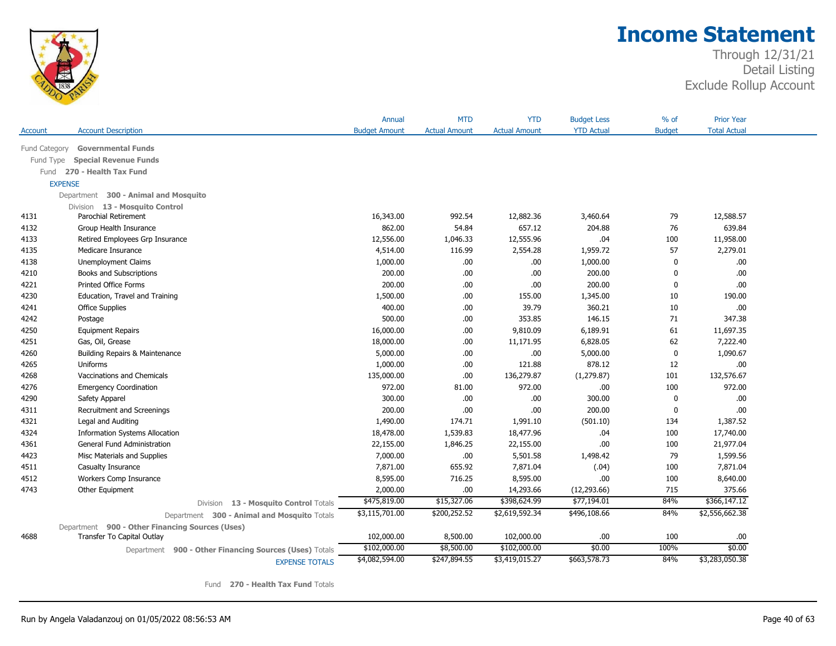

### Through 12/31/21 Detail Listing Exclude Rollup Account

|           |                                                        | Annual               | <b>MTD</b>           | <b>YTD</b>           | <b>Budget Less</b> | % of          | <b>Prior Year</b>   |
|-----------|--------------------------------------------------------|----------------------|----------------------|----------------------|--------------------|---------------|---------------------|
| Account   | <b>Account Description</b>                             | <b>Budget Amount</b> | <b>Actual Amount</b> | <b>Actual Amount</b> | <b>YTD Actual</b>  | <b>Budget</b> | <b>Total Actual</b> |
|           | Fund Category Governmental Funds                       |                      |                      |                      |                    |               |                     |
| Fund Type | <b>Special Revenue Funds</b>                           |                      |                      |                      |                    |               |                     |
|           | Fund 270 - Health Tax Fund                             |                      |                      |                      |                    |               |                     |
|           | <b>EXPENSE</b>                                         |                      |                      |                      |                    |               |                     |
|           |                                                        |                      |                      |                      |                    |               |                     |
|           | Department 300 - Animal and Mosquito                   |                      |                      |                      |                    |               |                     |
| 4131      | Division 13 - Mosquito Control<br>Parochial Retirement | 16,343.00            | 992.54               | 12,882.36            | 3,460.64           | 79            | 12,588.57           |
| 4132      | Group Health Insurance                                 | 862.00               | 54.84                | 657.12               | 204.88             | 76            | 639.84              |
| 4133      | Retired Employees Grp Insurance                        | 12,556.00            | 1,046.33             | 12,555.96            | .04                | 100           | 11,958.00           |
| 4135      | Medicare Insurance                                     | 4,514.00             | 116.99               | 2,554.28             | 1,959.72           | 57            | 2,279.01            |
| 4138      | Unemployment Claims                                    | 1,000.00             | .00.                 | .00                  | 1,000.00           | $\mathbf{0}$  | .00.                |
| 4210      | Books and Subscriptions                                | 200.00               | .00                  | .00                  | 200.00             | $\Omega$      | .00                 |
| 4221      | <b>Printed Office Forms</b>                            | 200.00               | .00.                 | .00                  | 200.00             | $\Omega$      | .00.                |
| 4230      | Education, Travel and Training                         | 1,500.00             | .00.                 | 155.00               | 1,345.00           | 10            | 190.00              |
| 4241      | <b>Office Supplies</b>                                 | 400.00               | .00.                 | 39.79                | 360.21             | 10            | .00.                |
| 4242      | Postage                                                | 500.00               | .00                  | 353.85               | 146.15             | 71            | 347.38              |
| 4250      | <b>Equipment Repairs</b>                               | 16,000.00            | .00                  | 9,810.09             | 6,189.91           | 61            | 11,697.35           |
| 4251      | Gas, Oil, Grease                                       | 18,000.00            | .00.                 | 11,171.95            | 6,828.05           | 62            | 7,222.40            |
| 4260      | Building Repairs & Maintenance                         | 5,000.00             | .00                  | .00                  | 5,000.00           | $\Omega$      | 1,090.67            |
| 4265      | Uniforms                                               | 1,000.00             | .00                  | 121.88               | 878.12             | 12            | .00                 |
| 4268      | Vaccinations and Chemicals                             | 135,000.00           | .00                  | 136,279.87           | (1, 279.87)        | 101           | 132,576.67          |
| 4276      | <b>Emergency Coordination</b>                          | 972.00               | 81.00                | 972.00               | .00.               | 100           | 972.00              |
| 4290      | Safety Apparel                                         | 300.00               | .00.                 | .00                  | 300.00             | $\mathbf{0}$  | .00                 |
| 4311      | Recruitment and Screenings                             | 200.00               | .00                  | .00                  | 200.00             | $\Omega$      | .00                 |
| 4321      | Legal and Auditing                                     | 1,490.00             | 174.71               | 1,991.10             | (501.10)           | 134           | 1,387.52            |
| 4324      | <b>Information Systems Allocation</b>                  | 18,478.00            | 1,539.83             | 18,477.96            | .04                | 100           | 17,740.00           |
| 4361      | General Fund Administration                            | 22,155.00            | 1,846.25             | 22,155.00            | .00                | 100           | 21,977.04           |
| 4423      |                                                        | 7,000.00             | .00                  | 5,501.58             | 1,498.42           | 79            | 1,599.56            |
| 4511      | Misc Materials and Supplies<br>Casualty Insurance      | 7,871.00             | 655.92               | 7,871.04             | (.04)              | 100           | 7,871.04            |
| 4512      | Workers Comp Insurance                                 |                      | 716.25               | 8,595.00             | .00                |               | 8,640.00            |
| 4743      | Other Equipment                                        | 8,595.00<br>2,000.00 | .00.                 | 14,293.66            | (12, 293.66)       | 100<br>715    | 375.66              |
|           |                                                        | \$475,819.00         | \$15,327.06          | \$398,624.99         | \$77,194.01        | 84%           | \$366,147.12        |
|           | 13 - Mosquito Control Totals<br>Division               |                      |                      |                      |                    |               | \$2,556,662.38      |
|           | Department 300 - Animal and Mosquito Totals            | \$3,115,701.00       | \$200,252.52         | \$2,619,592.34       | \$496,108.66       | 84%           |                     |
|           | Department 900 - Other Financing Sources (Uses)        |                      |                      |                      |                    |               |                     |
| 4688      | Transfer To Capital Outlay                             | 102,000.00           | 8,500.00             | 102,000.00           | .00                | 100           | .00                 |
|           | Department 900 - Other Financing Sources (Uses) Totals | \$102,000.00         | \$8,500.00           | \$102,000.00         | \$0.00             | 100%          | \$0.00              |
|           | <b>EXPENSE TOTALS</b>                                  | \$4,082,594.00       | \$247,894.55         | \$3,419,015.27       | \$663,578.73       | 84%           | \$3,283,050.38      |

Fund **270 - Health Tax Fund** Totals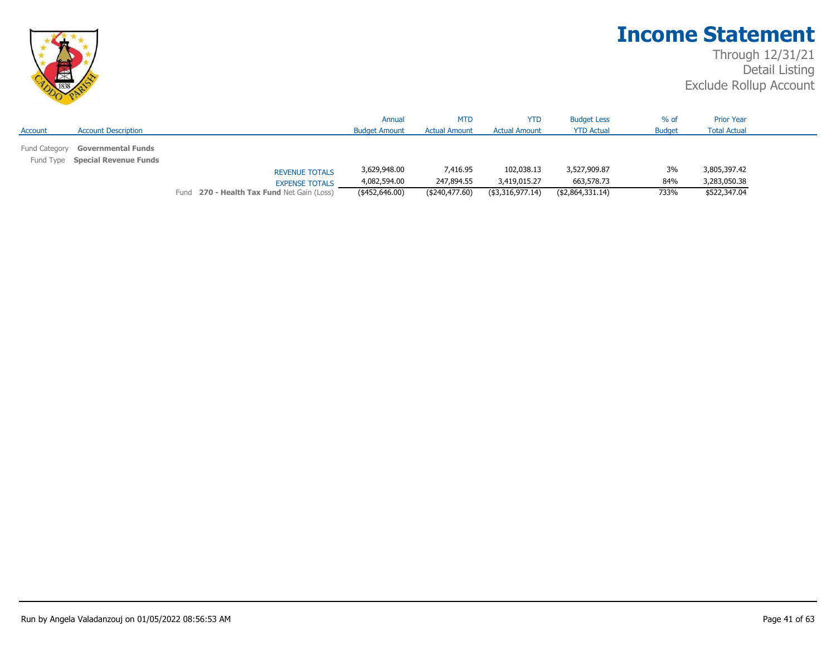

|               |                                                              |                                            | Annual               | <b>MTD</b>           | <b>YTD</b>           | <b>Budget Less</b> | $%$ of        | <b>Prior Year</b>   |  |
|---------------|--------------------------------------------------------------|--------------------------------------------|----------------------|----------------------|----------------------|--------------------|---------------|---------------------|--|
| Account       | <b>Account Description</b>                                   |                                            | <b>Budget Amount</b> | <b>Actual Amount</b> | <b>Actual Amount</b> | <b>YTD Actual</b>  | <b>Budget</b> | <b>Total Actual</b> |  |
| Fund Category | <b>Governmental Funds</b><br>Fund Type Special Revenue Funds |                                            |                      |                      |                      |                    |               |                     |  |
|               |                                                              | <b>REVENUE TOTALS</b>                      | 3,629,948.00         | 7,416.95             | 102,038.13           | 3,527,909.87       | 3%            | 3,805,397.42        |  |
|               |                                                              | <b>EXPENSE TOTALS</b>                      | 4,082,594.00         | 247,894.55           | 3,419,015.27         | 663,578.73         | 84%           | 3,283,050.38        |  |
|               |                                                              | Fund 270 - Health Tax Fund Net Gain (Loss) | (\$452,646.00)       | ( \$240, 477.60)     | (\$3,316,977.14)     | (\$2,864,331.14)   | 733%          | \$522,347.04        |  |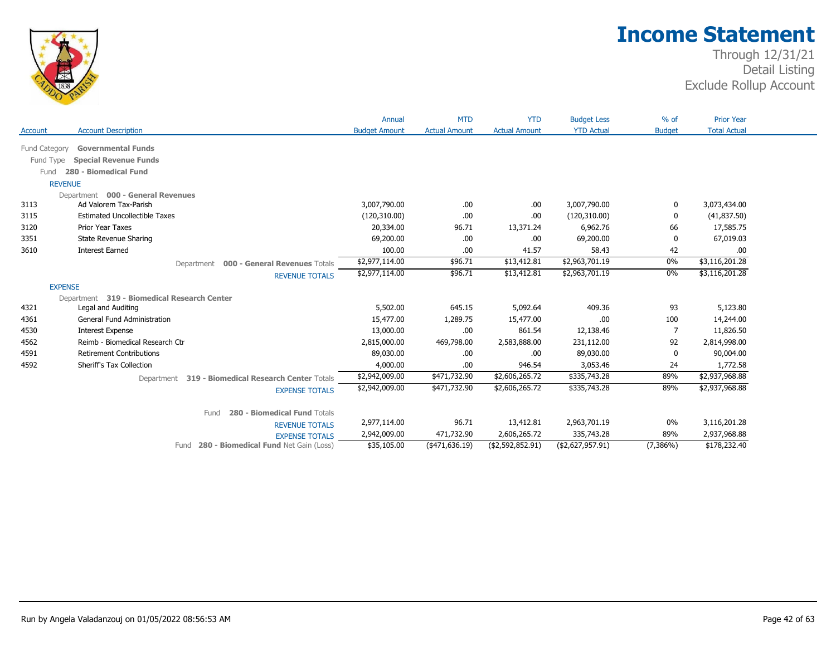

|               |                                                    | Annual               | <b>MTD</b>           | <b>YTD</b>           | <b>Budget Less</b> | $%$ of        | <b>Prior Year</b>   |
|---------------|----------------------------------------------------|----------------------|----------------------|----------------------|--------------------|---------------|---------------------|
| Account       | <b>Account Description</b>                         | <b>Budget Amount</b> | <b>Actual Amount</b> | <b>Actual Amount</b> | <b>YTD Actual</b>  | <b>Budget</b> | <b>Total Actual</b> |
| Fund Category | <b>Governmental Funds</b>                          |                      |                      |                      |                    |               |                     |
| Fund Type     | <b>Special Revenue Funds</b>                       |                      |                      |                      |                    |               |                     |
| Fund          | 280 - Biomedical Fund                              |                      |                      |                      |                    |               |                     |
|               | <b>REVENUE</b>                                     |                      |                      |                      |                    |               |                     |
|               | Department 000 - General Revenues                  |                      |                      |                      |                    |               |                     |
| 3113          | Ad Valorem Tax-Parish                              | 3,007,790.00         | .00.                 | .00                  | 3,007,790.00       | 0             | 3,073,434.00        |
| 3115          | <b>Estimated Uncollectible Taxes</b>               | (120,310.00)         | .00                  | .00                  | (120,310.00)       |               | (41, 837.50)        |
| 3120          | Prior Year Taxes                                   | 20,334.00            | 96.71                | 13,371.24            | 6,962.76           | 66            | 17,585.75           |
| 3351          | <b>State Revenue Sharing</b>                       | 69,200.00            | .00                  | .00                  | 69,200.00          |               | 67,019.03           |
| 3610          | <b>Interest Earned</b>                             | 100.00               | .00                  | 41.57                | 58.43              | 42            | .00                 |
|               | Department 000 - General Revenues Totals           | \$2,977,114.00       | \$96.71              | \$13,412.81          | \$2,963,701.19     | 0%            | \$3,116,201.28      |
|               | <b>REVENUE TOTALS</b>                              | \$2,977,114.00       | \$96.71              | \$13,412.81          | \$2,963,701.19     | 0%            | \$3,116,201.28      |
|               | <b>EXPENSE</b>                                     |                      |                      |                      |                    |               |                     |
|               | Department 319 - Biomedical Research Center        |                      |                      |                      |                    |               |                     |
| 4321          | Legal and Auditing                                 | 5,502.00             | 645.15               | 5,092.64             | 409.36             | 93            | 5,123.80            |
| 4361          | <b>General Fund Administration</b>                 | 15,477.00            | 1,289.75             | 15,477.00            | .00                | 100           | 14,244.00           |
| 4530          | <b>Interest Expense</b>                            | 13,000.00            | .00                  | 861.54               | 12,138.46          | 7             | 11,826.50           |
| 4562          | Reimb - Biomedical Research Ctr                    | 2,815,000.00         | 469,798.00           | 2,583,888.00         | 231,112.00         | 92            | 2,814,998.00        |
| 4591          | <b>Retirement Contributions</b>                    | 89,030.00            | .00.                 | .00                  | 89,030.00          | $\Omega$      | 90,004.00           |
| 4592          | Sheriff's Tax Collection                           | 4,000.00             | .00.                 | 946.54               | 3,053.46           | 24            | 1,772.58            |
|               | Department 319 - Biomedical Research Center Totals | \$2,942,009.00       | \$471,732.90         | \$2,606,265.72       | \$335,743.28       | 89%           | \$2,937,968.88      |
|               | <b>EXPENSE TOTALS</b>                              | \$2,942,009.00       | \$471,732.90         | \$2,606,265.72       | \$335,743.28       | 89%           | \$2,937,968.88      |
|               | 280 - Biomedical Fund Totals<br>Fund               |                      |                      |                      |                    |               |                     |
|               | <b>REVENUE TOTALS</b>                              | 2,977,114.00         | 96.71                | 13,412.81            | 2,963,701.19       | 0%            | 3,116,201.28        |
|               | <b>EXPENSE TOTALS</b>                              | 2,942,009.00         | 471,732.90           | 2,606,265.72         | 335,743.28         | 89%           | 2,937,968.88        |
|               | Fund 280 - Biomedical Fund Net Gain (Loss)         | \$35,105.00          | (471, 636.19)        | ( \$2,592,852.91)    | (\$2,627,957.91)   | $(7,386\%)$   | \$178,232.40        |
|               |                                                    |                      |                      |                      |                    |               |                     |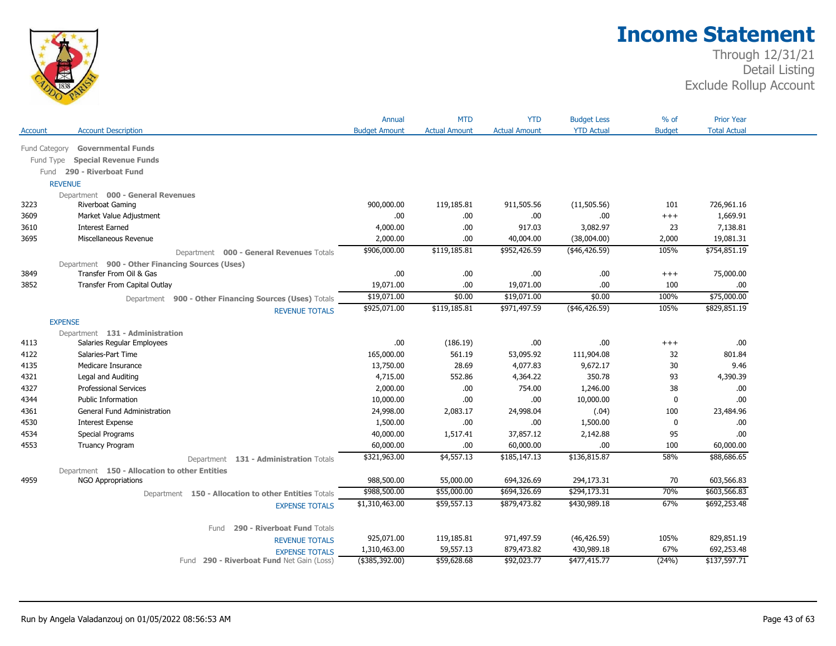

| <b>Account Description</b><br><b>YTD Actual</b><br><b>Budget</b><br><b>Total Actual</b><br><b>Budget Amount</b><br><b>Actual Amount</b><br><b>Actual Amount</b><br><b>Governmental Funds</b><br>Fund Category<br><b>Special Revenue Funds</b><br>Fund Type<br>Fund 290 - Riverboat Fund<br><b>REVENUE</b><br>Department 000 - General Revenues<br>Riverboat Gaming<br>900,000.00<br>119,185.81<br>911,505.56<br>(11, 505.56)<br>101<br>726,961.16<br>.00<br>1,669.91<br>Market Value Adjustment<br>.00<br>.00<br>.00.<br>$^{+++}$<br><b>Interest Earned</b><br>4,000.00<br>.00.<br>917.03<br>3,082.97<br>23<br>7,138.81<br>Miscellaneous Revenue<br>2,000.00<br>40,004.00<br>(38,004.00)<br>2,000<br>19,081.31<br>.00.<br>105%<br>\$754,851.19<br>\$906,000.00<br>\$119,185.81<br>\$952,426.59<br>(446, 426.59)<br>Department 000 - General Revenues Totals<br>Department 900 - Other Financing Sources (Uses)<br>Transfer From Oil & Gas<br>.00<br>.00<br>75,000.00<br>.00.<br>.00<br>$^{+++}$<br>Transfer From Capital Outlay<br>19,071.00<br>.00<br>19,071.00<br>.00.<br>100<br>.00<br>100%<br>\$75,000.00<br>\$19,071.00<br>\$0.00<br>\$19,071.00<br>\$0.00<br>Department 900 - Other Financing Sources (Uses) Totals<br>\$829,851.19<br>\$925,071.00<br>\$119,185.81<br>\$971,497.59<br>(446, 426.59)<br>105%<br><b>REVENUE TOTALS</b><br><b>EXPENSE</b><br>Department 131 - Administration<br>.00<br>Salaries Regular Employees<br>.00.<br>(186.19)<br>.00<br>.00.<br>$^{+++}$<br>Salaries-Part Time<br>165,000.00<br>561.19<br>53,095.92<br>111,904.08<br>32<br>801.84<br>28.69<br>9,672.17<br>30<br>9.46<br>Medicare Insurance<br>13,750.00<br>4,077.83<br>4,715.00<br>350.78<br>Legal and Auditing<br>552.86<br>4,364.22<br>93<br>4,390.39<br>2,000.00<br>38<br><b>Professional Services</b><br>.00<br>754.00<br>1,246.00<br>.00<br>.00<br>.00<br>.00<br><b>Public Information</b><br>10,000.00<br>10,000.00<br>0<br>General Fund Administration<br>24,998.00<br>2,083.17<br>24,998.04<br>(.04)<br>23,484.96<br>100<br><b>Interest Expense</b><br>1,500.00<br>.00.<br>.00<br>1,500.00<br>.00<br>0<br>.00<br><b>Special Programs</b><br>40,000.00<br>37,857.12<br>2,142.88<br>95<br>1,517.41<br>60,000.00<br>60,000.00<br>60,000.00<br><b>Truancy Program</b><br>.00.<br>.00.<br>100<br>\$4,557.13<br>\$88,686.65<br>\$321,963.00<br>\$185,147.13<br>\$136,815.87<br>58%<br>Department 131 - Administration Totals<br>Department 150 - Allocation to other Entities<br><b>NGO Appropriations</b><br>988,500.00<br>55,000.00<br>694,326.69<br>294,173.31<br>70<br>603,566.83<br>\$988,500.00<br>\$55,000.00<br>\$294,173.31<br>70%<br>\$603,566.83<br>\$694,326.69<br>Department 150 - Allocation to other Entities Totals<br>\$692,253.48<br>\$1,310,463.00<br>\$59,557.13<br>\$879,473.82<br>\$430,989.18<br>67%<br><b>EXPENSE TOTALS</b><br>290 - Riverboat Fund Totals<br>Fund<br>829,851.19<br>925,071.00<br>119,185.81<br>971,497.59<br>(46, 426.59)<br>105%<br><b>REVENUE TOTALS</b><br>59,557.13<br>879,473.82<br>430,989.18<br>67%<br>692,253.48<br>1,310,463.00<br><b>EXPENSE TOTALS</b><br>Fund 290 - Riverboat Fund Net Gain (Loss)<br>\$92,023.77 |         | Annual         | <b>MTD</b>  | <b>YTD</b> | <b>Budget Less</b> | $%$ of | <b>Prior Year</b> |
|-----------------------------------------------------------------------------------------------------------------------------------------------------------------------------------------------------------------------------------------------------------------------------------------------------------------------------------------------------------------------------------------------------------------------------------------------------------------------------------------------------------------------------------------------------------------------------------------------------------------------------------------------------------------------------------------------------------------------------------------------------------------------------------------------------------------------------------------------------------------------------------------------------------------------------------------------------------------------------------------------------------------------------------------------------------------------------------------------------------------------------------------------------------------------------------------------------------------------------------------------------------------------------------------------------------------------------------------------------------------------------------------------------------------------------------------------------------------------------------------------------------------------------------------------------------------------------------------------------------------------------------------------------------------------------------------------------------------------------------------------------------------------------------------------------------------------------------------------------------------------------------------------------------------------------------------------------------------------------------------------------------------------------------------------------------------------------------------------------------------------------------------------------------------------------------------------------------------------------------------------------------------------------------------------------------------------------------------------------------------------------------------------------------------------------------------------------------------------------------------------------------------------------------------------------------------------------------------------------------------------------------------------------------------------------------------------------------------------------------------------------------------------------------------------------------------------------------------------------------------------------------------------------------------------------------------------------------------------------------------------------------------------------------------------------------------------------------------------------------------------------------------------------------------------|---------|----------------|-------------|------------|--------------------|--------|-------------------|
|                                                                                                                                                                                                                                                                                                                                                                                                                                                                                                                                                                                                                                                                                                                                                                                                                                                                                                                                                                                                                                                                                                                                                                                                                                                                                                                                                                                                                                                                                                                                                                                                                                                                                                                                                                                                                                                                                                                                                                                                                                                                                                                                                                                                                                                                                                                                                                                                                                                                                                                                                                                                                                                                                                                                                                                                                                                                                                                                                                                                                                                                                                                                                                       | Account |                |             |            |                    |        |                   |
|                                                                                                                                                                                                                                                                                                                                                                                                                                                                                                                                                                                                                                                                                                                                                                                                                                                                                                                                                                                                                                                                                                                                                                                                                                                                                                                                                                                                                                                                                                                                                                                                                                                                                                                                                                                                                                                                                                                                                                                                                                                                                                                                                                                                                                                                                                                                                                                                                                                                                                                                                                                                                                                                                                                                                                                                                                                                                                                                                                                                                                                                                                                                                                       |         |                |             |            |                    |        |                   |
|                                                                                                                                                                                                                                                                                                                                                                                                                                                                                                                                                                                                                                                                                                                                                                                                                                                                                                                                                                                                                                                                                                                                                                                                                                                                                                                                                                                                                                                                                                                                                                                                                                                                                                                                                                                                                                                                                                                                                                                                                                                                                                                                                                                                                                                                                                                                                                                                                                                                                                                                                                                                                                                                                                                                                                                                                                                                                                                                                                                                                                                                                                                                                                       |         |                |             |            |                    |        |                   |
|                                                                                                                                                                                                                                                                                                                                                                                                                                                                                                                                                                                                                                                                                                                                                                                                                                                                                                                                                                                                                                                                                                                                                                                                                                                                                                                                                                                                                                                                                                                                                                                                                                                                                                                                                                                                                                                                                                                                                                                                                                                                                                                                                                                                                                                                                                                                                                                                                                                                                                                                                                                                                                                                                                                                                                                                                                                                                                                                                                                                                                                                                                                                                                       |         |                |             |            |                    |        |                   |
|                                                                                                                                                                                                                                                                                                                                                                                                                                                                                                                                                                                                                                                                                                                                                                                                                                                                                                                                                                                                                                                                                                                                                                                                                                                                                                                                                                                                                                                                                                                                                                                                                                                                                                                                                                                                                                                                                                                                                                                                                                                                                                                                                                                                                                                                                                                                                                                                                                                                                                                                                                                                                                                                                                                                                                                                                                                                                                                                                                                                                                                                                                                                                                       |         |                |             |            |                    |        |                   |
|                                                                                                                                                                                                                                                                                                                                                                                                                                                                                                                                                                                                                                                                                                                                                                                                                                                                                                                                                                                                                                                                                                                                                                                                                                                                                                                                                                                                                                                                                                                                                                                                                                                                                                                                                                                                                                                                                                                                                                                                                                                                                                                                                                                                                                                                                                                                                                                                                                                                                                                                                                                                                                                                                                                                                                                                                                                                                                                                                                                                                                                                                                                                                                       |         |                |             |            |                    |        |                   |
|                                                                                                                                                                                                                                                                                                                                                                                                                                                                                                                                                                                                                                                                                                                                                                                                                                                                                                                                                                                                                                                                                                                                                                                                                                                                                                                                                                                                                                                                                                                                                                                                                                                                                                                                                                                                                                                                                                                                                                                                                                                                                                                                                                                                                                                                                                                                                                                                                                                                                                                                                                                                                                                                                                                                                                                                                                                                                                                                                                                                                                                                                                                                                                       | 3223    |                |             |            |                    |        |                   |
|                                                                                                                                                                                                                                                                                                                                                                                                                                                                                                                                                                                                                                                                                                                                                                                                                                                                                                                                                                                                                                                                                                                                                                                                                                                                                                                                                                                                                                                                                                                                                                                                                                                                                                                                                                                                                                                                                                                                                                                                                                                                                                                                                                                                                                                                                                                                                                                                                                                                                                                                                                                                                                                                                                                                                                                                                                                                                                                                                                                                                                                                                                                                                                       | 3609    |                |             |            |                    |        |                   |
|                                                                                                                                                                                                                                                                                                                                                                                                                                                                                                                                                                                                                                                                                                                                                                                                                                                                                                                                                                                                                                                                                                                                                                                                                                                                                                                                                                                                                                                                                                                                                                                                                                                                                                                                                                                                                                                                                                                                                                                                                                                                                                                                                                                                                                                                                                                                                                                                                                                                                                                                                                                                                                                                                                                                                                                                                                                                                                                                                                                                                                                                                                                                                                       | 3610    |                |             |            |                    |        |                   |
|                                                                                                                                                                                                                                                                                                                                                                                                                                                                                                                                                                                                                                                                                                                                                                                                                                                                                                                                                                                                                                                                                                                                                                                                                                                                                                                                                                                                                                                                                                                                                                                                                                                                                                                                                                                                                                                                                                                                                                                                                                                                                                                                                                                                                                                                                                                                                                                                                                                                                                                                                                                                                                                                                                                                                                                                                                                                                                                                                                                                                                                                                                                                                                       | 3695    |                |             |            |                    |        |                   |
|                                                                                                                                                                                                                                                                                                                                                                                                                                                                                                                                                                                                                                                                                                                                                                                                                                                                                                                                                                                                                                                                                                                                                                                                                                                                                                                                                                                                                                                                                                                                                                                                                                                                                                                                                                                                                                                                                                                                                                                                                                                                                                                                                                                                                                                                                                                                                                                                                                                                                                                                                                                                                                                                                                                                                                                                                                                                                                                                                                                                                                                                                                                                                                       |         |                |             |            |                    |        |                   |
|                                                                                                                                                                                                                                                                                                                                                                                                                                                                                                                                                                                                                                                                                                                                                                                                                                                                                                                                                                                                                                                                                                                                                                                                                                                                                                                                                                                                                                                                                                                                                                                                                                                                                                                                                                                                                                                                                                                                                                                                                                                                                                                                                                                                                                                                                                                                                                                                                                                                                                                                                                                                                                                                                                                                                                                                                                                                                                                                                                                                                                                                                                                                                                       |         |                |             |            |                    |        |                   |
|                                                                                                                                                                                                                                                                                                                                                                                                                                                                                                                                                                                                                                                                                                                                                                                                                                                                                                                                                                                                                                                                                                                                                                                                                                                                                                                                                                                                                                                                                                                                                                                                                                                                                                                                                                                                                                                                                                                                                                                                                                                                                                                                                                                                                                                                                                                                                                                                                                                                                                                                                                                                                                                                                                                                                                                                                                                                                                                                                                                                                                                                                                                                                                       | 3849    |                |             |            |                    |        |                   |
|                                                                                                                                                                                                                                                                                                                                                                                                                                                                                                                                                                                                                                                                                                                                                                                                                                                                                                                                                                                                                                                                                                                                                                                                                                                                                                                                                                                                                                                                                                                                                                                                                                                                                                                                                                                                                                                                                                                                                                                                                                                                                                                                                                                                                                                                                                                                                                                                                                                                                                                                                                                                                                                                                                                                                                                                                                                                                                                                                                                                                                                                                                                                                                       | 3852    |                |             |            |                    |        |                   |
|                                                                                                                                                                                                                                                                                                                                                                                                                                                                                                                                                                                                                                                                                                                                                                                                                                                                                                                                                                                                                                                                                                                                                                                                                                                                                                                                                                                                                                                                                                                                                                                                                                                                                                                                                                                                                                                                                                                                                                                                                                                                                                                                                                                                                                                                                                                                                                                                                                                                                                                                                                                                                                                                                                                                                                                                                                                                                                                                                                                                                                                                                                                                                                       |         |                |             |            |                    |        |                   |
|                                                                                                                                                                                                                                                                                                                                                                                                                                                                                                                                                                                                                                                                                                                                                                                                                                                                                                                                                                                                                                                                                                                                                                                                                                                                                                                                                                                                                                                                                                                                                                                                                                                                                                                                                                                                                                                                                                                                                                                                                                                                                                                                                                                                                                                                                                                                                                                                                                                                                                                                                                                                                                                                                                                                                                                                                                                                                                                                                                                                                                                                                                                                                                       |         |                |             |            |                    |        |                   |
|                                                                                                                                                                                                                                                                                                                                                                                                                                                                                                                                                                                                                                                                                                                                                                                                                                                                                                                                                                                                                                                                                                                                                                                                                                                                                                                                                                                                                                                                                                                                                                                                                                                                                                                                                                                                                                                                                                                                                                                                                                                                                                                                                                                                                                                                                                                                                                                                                                                                                                                                                                                                                                                                                                                                                                                                                                                                                                                                                                                                                                                                                                                                                                       |         |                |             |            |                    |        |                   |
|                                                                                                                                                                                                                                                                                                                                                                                                                                                                                                                                                                                                                                                                                                                                                                                                                                                                                                                                                                                                                                                                                                                                                                                                                                                                                                                                                                                                                                                                                                                                                                                                                                                                                                                                                                                                                                                                                                                                                                                                                                                                                                                                                                                                                                                                                                                                                                                                                                                                                                                                                                                                                                                                                                                                                                                                                                                                                                                                                                                                                                                                                                                                                                       |         |                |             |            |                    |        |                   |
|                                                                                                                                                                                                                                                                                                                                                                                                                                                                                                                                                                                                                                                                                                                                                                                                                                                                                                                                                                                                                                                                                                                                                                                                                                                                                                                                                                                                                                                                                                                                                                                                                                                                                                                                                                                                                                                                                                                                                                                                                                                                                                                                                                                                                                                                                                                                                                                                                                                                                                                                                                                                                                                                                                                                                                                                                                                                                                                                                                                                                                                                                                                                                                       | 4113    |                |             |            |                    |        |                   |
|                                                                                                                                                                                                                                                                                                                                                                                                                                                                                                                                                                                                                                                                                                                                                                                                                                                                                                                                                                                                                                                                                                                                                                                                                                                                                                                                                                                                                                                                                                                                                                                                                                                                                                                                                                                                                                                                                                                                                                                                                                                                                                                                                                                                                                                                                                                                                                                                                                                                                                                                                                                                                                                                                                                                                                                                                                                                                                                                                                                                                                                                                                                                                                       | 4122    |                |             |            |                    |        |                   |
|                                                                                                                                                                                                                                                                                                                                                                                                                                                                                                                                                                                                                                                                                                                                                                                                                                                                                                                                                                                                                                                                                                                                                                                                                                                                                                                                                                                                                                                                                                                                                                                                                                                                                                                                                                                                                                                                                                                                                                                                                                                                                                                                                                                                                                                                                                                                                                                                                                                                                                                                                                                                                                                                                                                                                                                                                                                                                                                                                                                                                                                                                                                                                                       | 4135    |                |             |            |                    |        |                   |
|                                                                                                                                                                                                                                                                                                                                                                                                                                                                                                                                                                                                                                                                                                                                                                                                                                                                                                                                                                                                                                                                                                                                                                                                                                                                                                                                                                                                                                                                                                                                                                                                                                                                                                                                                                                                                                                                                                                                                                                                                                                                                                                                                                                                                                                                                                                                                                                                                                                                                                                                                                                                                                                                                                                                                                                                                                                                                                                                                                                                                                                                                                                                                                       | 4321    |                |             |            |                    |        |                   |
|                                                                                                                                                                                                                                                                                                                                                                                                                                                                                                                                                                                                                                                                                                                                                                                                                                                                                                                                                                                                                                                                                                                                                                                                                                                                                                                                                                                                                                                                                                                                                                                                                                                                                                                                                                                                                                                                                                                                                                                                                                                                                                                                                                                                                                                                                                                                                                                                                                                                                                                                                                                                                                                                                                                                                                                                                                                                                                                                                                                                                                                                                                                                                                       | 4327    |                |             |            |                    |        |                   |
|                                                                                                                                                                                                                                                                                                                                                                                                                                                                                                                                                                                                                                                                                                                                                                                                                                                                                                                                                                                                                                                                                                                                                                                                                                                                                                                                                                                                                                                                                                                                                                                                                                                                                                                                                                                                                                                                                                                                                                                                                                                                                                                                                                                                                                                                                                                                                                                                                                                                                                                                                                                                                                                                                                                                                                                                                                                                                                                                                                                                                                                                                                                                                                       | 4344    |                |             |            |                    |        |                   |
|                                                                                                                                                                                                                                                                                                                                                                                                                                                                                                                                                                                                                                                                                                                                                                                                                                                                                                                                                                                                                                                                                                                                                                                                                                                                                                                                                                                                                                                                                                                                                                                                                                                                                                                                                                                                                                                                                                                                                                                                                                                                                                                                                                                                                                                                                                                                                                                                                                                                                                                                                                                                                                                                                                                                                                                                                                                                                                                                                                                                                                                                                                                                                                       | 4361    |                |             |            |                    |        |                   |
|                                                                                                                                                                                                                                                                                                                                                                                                                                                                                                                                                                                                                                                                                                                                                                                                                                                                                                                                                                                                                                                                                                                                                                                                                                                                                                                                                                                                                                                                                                                                                                                                                                                                                                                                                                                                                                                                                                                                                                                                                                                                                                                                                                                                                                                                                                                                                                                                                                                                                                                                                                                                                                                                                                                                                                                                                                                                                                                                                                                                                                                                                                                                                                       | 4530    |                |             |            |                    |        |                   |
|                                                                                                                                                                                                                                                                                                                                                                                                                                                                                                                                                                                                                                                                                                                                                                                                                                                                                                                                                                                                                                                                                                                                                                                                                                                                                                                                                                                                                                                                                                                                                                                                                                                                                                                                                                                                                                                                                                                                                                                                                                                                                                                                                                                                                                                                                                                                                                                                                                                                                                                                                                                                                                                                                                                                                                                                                                                                                                                                                                                                                                                                                                                                                                       | 4534    |                |             |            |                    |        |                   |
|                                                                                                                                                                                                                                                                                                                                                                                                                                                                                                                                                                                                                                                                                                                                                                                                                                                                                                                                                                                                                                                                                                                                                                                                                                                                                                                                                                                                                                                                                                                                                                                                                                                                                                                                                                                                                                                                                                                                                                                                                                                                                                                                                                                                                                                                                                                                                                                                                                                                                                                                                                                                                                                                                                                                                                                                                                                                                                                                                                                                                                                                                                                                                                       | 4553    |                |             |            |                    |        |                   |
|                                                                                                                                                                                                                                                                                                                                                                                                                                                                                                                                                                                                                                                                                                                                                                                                                                                                                                                                                                                                                                                                                                                                                                                                                                                                                                                                                                                                                                                                                                                                                                                                                                                                                                                                                                                                                                                                                                                                                                                                                                                                                                                                                                                                                                                                                                                                                                                                                                                                                                                                                                                                                                                                                                                                                                                                                                                                                                                                                                                                                                                                                                                                                                       |         |                |             |            |                    |        |                   |
|                                                                                                                                                                                                                                                                                                                                                                                                                                                                                                                                                                                                                                                                                                                                                                                                                                                                                                                                                                                                                                                                                                                                                                                                                                                                                                                                                                                                                                                                                                                                                                                                                                                                                                                                                                                                                                                                                                                                                                                                                                                                                                                                                                                                                                                                                                                                                                                                                                                                                                                                                                                                                                                                                                                                                                                                                                                                                                                                                                                                                                                                                                                                                                       |         |                |             |            |                    |        |                   |
|                                                                                                                                                                                                                                                                                                                                                                                                                                                                                                                                                                                                                                                                                                                                                                                                                                                                                                                                                                                                                                                                                                                                                                                                                                                                                                                                                                                                                                                                                                                                                                                                                                                                                                                                                                                                                                                                                                                                                                                                                                                                                                                                                                                                                                                                                                                                                                                                                                                                                                                                                                                                                                                                                                                                                                                                                                                                                                                                                                                                                                                                                                                                                                       | 4959    |                |             |            |                    |        |                   |
|                                                                                                                                                                                                                                                                                                                                                                                                                                                                                                                                                                                                                                                                                                                                                                                                                                                                                                                                                                                                                                                                                                                                                                                                                                                                                                                                                                                                                                                                                                                                                                                                                                                                                                                                                                                                                                                                                                                                                                                                                                                                                                                                                                                                                                                                                                                                                                                                                                                                                                                                                                                                                                                                                                                                                                                                                                                                                                                                                                                                                                                                                                                                                                       |         |                |             |            |                    |        |                   |
|                                                                                                                                                                                                                                                                                                                                                                                                                                                                                                                                                                                                                                                                                                                                                                                                                                                                                                                                                                                                                                                                                                                                                                                                                                                                                                                                                                                                                                                                                                                                                                                                                                                                                                                                                                                                                                                                                                                                                                                                                                                                                                                                                                                                                                                                                                                                                                                                                                                                                                                                                                                                                                                                                                                                                                                                                                                                                                                                                                                                                                                                                                                                                                       |         |                |             |            |                    |        |                   |
|                                                                                                                                                                                                                                                                                                                                                                                                                                                                                                                                                                                                                                                                                                                                                                                                                                                                                                                                                                                                                                                                                                                                                                                                                                                                                                                                                                                                                                                                                                                                                                                                                                                                                                                                                                                                                                                                                                                                                                                                                                                                                                                                                                                                                                                                                                                                                                                                                                                                                                                                                                                                                                                                                                                                                                                                                                                                                                                                                                                                                                                                                                                                                                       |         |                |             |            |                    |        |                   |
|                                                                                                                                                                                                                                                                                                                                                                                                                                                                                                                                                                                                                                                                                                                                                                                                                                                                                                                                                                                                                                                                                                                                                                                                                                                                                                                                                                                                                                                                                                                                                                                                                                                                                                                                                                                                                                                                                                                                                                                                                                                                                                                                                                                                                                                                                                                                                                                                                                                                                                                                                                                                                                                                                                                                                                                                                                                                                                                                                                                                                                                                                                                                                                       |         |                |             |            |                    |        |                   |
|                                                                                                                                                                                                                                                                                                                                                                                                                                                                                                                                                                                                                                                                                                                                                                                                                                                                                                                                                                                                                                                                                                                                                                                                                                                                                                                                                                                                                                                                                                                                                                                                                                                                                                                                                                                                                                                                                                                                                                                                                                                                                                                                                                                                                                                                                                                                                                                                                                                                                                                                                                                                                                                                                                                                                                                                                                                                                                                                                                                                                                                                                                                                                                       |         |                |             |            |                    |        |                   |
|                                                                                                                                                                                                                                                                                                                                                                                                                                                                                                                                                                                                                                                                                                                                                                                                                                                                                                                                                                                                                                                                                                                                                                                                                                                                                                                                                                                                                                                                                                                                                                                                                                                                                                                                                                                                                                                                                                                                                                                                                                                                                                                                                                                                                                                                                                                                                                                                                                                                                                                                                                                                                                                                                                                                                                                                                                                                                                                                                                                                                                                                                                                                                                       |         |                |             |            |                    |        |                   |
|                                                                                                                                                                                                                                                                                                                                                                                                                                                                                                                                                                                                                                                                                                                                                                                                                                                                                                                                                                                                                                                                                                                                                                                                                                                                                                                                                                                                                                                                                                                                                                                                                                                                                                                                                                                                                                                                                                                                                                                                                                                                                                                                                                                                                                                                                                                                                                                                                                                                                                                                                                                                                                                                                                                                                                                                                                                                                                                                                                                                                                                                                                                                                                       |         | (\$385,392.00) | \$59,628.68 |            | \$477,415.77       | (24%)  | \$137,597.71      |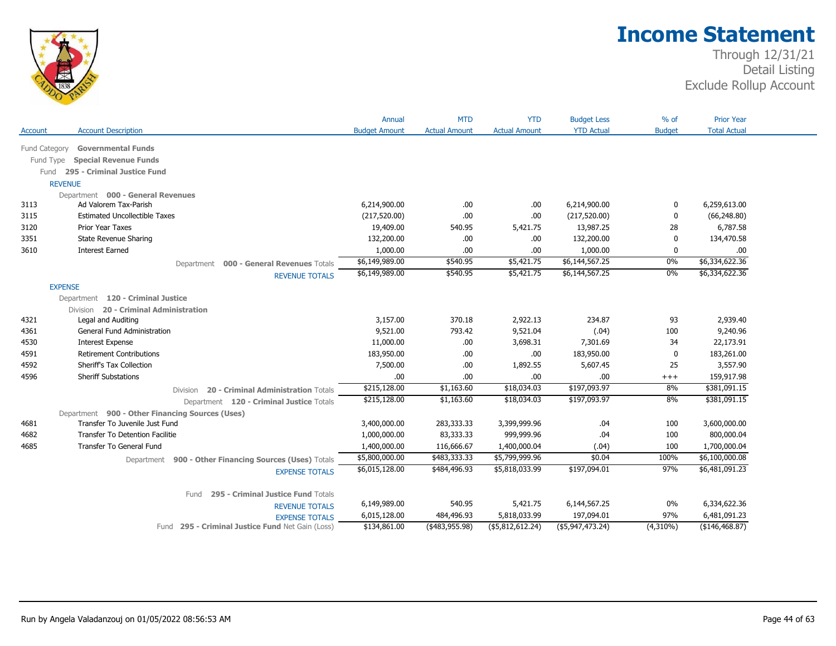

|                      |                                                            | Annual                     | <b>MTD</b>           | <b>YTD</b>           | <b>Budget Less</b>         | $%$ of        | <b>Prior Year</b>     |
|----------------------|------------------------------------------------------------|----------------------------|----------------------|----------------------|----------------------------|---------------|-----------------------|
| Account              | <b>Account Description</b>                                 | <b>Budget Amount</b>       | <b>Actual Amount</b> | <b>Actual Amount</b> | <b>YTD Actual</b>          | <b>Budget</b> | <b>Total Actual</b>   |
| <b>Fund Category</b> | <b>Governmental Funds</b>                                  |                            |                      |                      |                            |               |                       |
|                      | <b>Special Revenue Funds</b>                               |                            |                      |                      |                            |               |                       |
| Fund Type            |                                                            |                            |                      |                      |                            |               |                       |
|                      | Fund 295 - Criminal Justice Fund                           |                            |                      |                      |                            |               |                       |
|                      | <b>REVENUE</b>                                             |                            |                      |                      |                            |               |                       |
| 3113                 | Department 000 - General Revenues<br>Ad Valorem Tax-Parish | 6,214,900.00               | .00                  | .00                  | 6,214,900.00               | 0             | 6,259,613.00          |
| 3115                 | <b>Estimated Uncollectible Taxes</b>                       | (217, 520.00)              | .00                  | .00                  | (217, 520.00)              | $\mathbf{0}$  | (66, 248.80)          |
| 3120                 | Prior Year Taxes                                           | 19,409.00                  | 540.95               | 5,421.75             | 13,987.25                  | 28            | 6,787.58              |
| 3351                 | <b>State Revenue Sharing</b>                               | 132,200.00                 | .00                  | .00                  | 132,200.00                 | 0             | 134,470.58            |
|                      |                                                            |                            |                      |                      |                            |               |                       |
| 3610                 | <b>Interest Earned</b>                                     | 1,000.00<br>\$6,149,989.00 | .00<br>\$540.95      | .00<br>\$5,421.75    | 1,000.00<br>\$6,144,567.25 | 0<br>$0\%$    | .00<br>\$6,334,622.36 |
|                      | 000 - General Revenues Totals<br>Department                |                            |                      |                      |                            |               |                       |
|                      | <b>REVENUE TOTALS</b>                                      | \$6,149,989.00             | \$540.95             | \$5,421.75           | \$6,144,567.25             | $0\%$         | \$6,334,622.36        |
|                      | <b>EXPENSE</b>                                             |                            |                      |                      |                            |               |                       |
|                      | Department 120 - Criminal Justice                          |                            |                      |                      |                            |               |                       |
|                      | Division 20 - Criminal Administration                      |                            |                      |                      |                            |               |                       |
| 4321                 | Legal and Auditing                                         | 3,157.00                   | 370.18               | 2,922.13             | 234.87                     | 93            | 2,939.40              |
| 4361                 | General Fund Administration                                | 9,521.00                   | 793.42               | 9,521.04             | (.04)                      | 100           | 9,240.96              |
| 4530                 | <b>Interest Expense</b>                                    | 11,000.00                  | .00.                 | 3,698.31             | 7,301.69                   | 34            | 22,173.91             |
| 4591                 | <b>Retirement Contributions</b>                            | 183,950.00                 | .00                  | .00                  | 183,950.00                 | $\mathbf{0}$  | 183,261.00            |
| 4592                 | Sheriff's Tax Collection                                   | 7,500.00                   | .00.                 | 1,892.55             | 5,607.45                   | 25            | 3,557.90              |
| 4596                 | <b>Sheriff Substations</b>                                 | .00                        | .00.                 | .00                  | .00                        | $^{+++}$      | 159,917.98            |
|                      | 20 - Criminal Administration Totals<br>Division            | \$215,128.00               | \$1,163.60           | \$18,034.03          | \$197,093.97               | 8%            | \$381,091.15          |
|                      | Department 120 - Criminal Justice Totals                   | \$215,128.00               | \$1,163.60           | \$18,034.03          | \$197,093.97               | 8%            | \$381,091.15          |
|                      | Department 900 - Other Financing Sources (Uses)            |                            |                      |                      |                            |               |                       |
| 4681                 | Transfer To Juvenile Just Fund                             | 3,400,000.00               | 283,333.33           | 3,399,999.96         | .04                        | 100           | 3,600,000.00          |
| 4682                 | <b>Transfer To Detention Facilitie</b>                     | 1,000,000.00               | 83,333.33            | 999,999.96           | .04                        | 100           | 800,000.04            |
| 4685                 | <b>Transfer To General Fund</b>                            | 1,400,000.00               | 116,666.67           | 1,400,000.04         | (.04)                      | 100           | 1,700,000.04          |
|                      | Department 900 - Other Financing Sources (Uses) Totals     | \$5,800,000.00             | \$483,333.33         | \$5,799,999.96       | \$0.04                     | 100%          | \$6,100,000.08        |
|                      |                                                            |                            |                      |                      |                            |               |                       |
|                      |                                                            | \$6,015,128.00             | \$484,496.93         | \$5,818,033.99       | \$197,094.01               | 97%           | \$6,481,091.23        |
|                      | <b>EXPENSE TOTALS</b>                                      |                            |                      |                      |                            |               |                       |
|                      | Fund                                                       |                            |                      |                      |                            |               |                       |
|                      | 295 - Criminal Justice Fund Totals                         | 6,149,989.00               | 540.95               | 5,421.75             | 6,144,567.25               | 0%            | 6,334,622.36          |
|                      | <b>REVENUE TOTALS</b><br><b>EXPENSE TOTALS</b>             | 6,015,128.00               | 484,496.93           | 5,818,033.99         | 197,094.01                 | 97%           | 6,481,091.23          |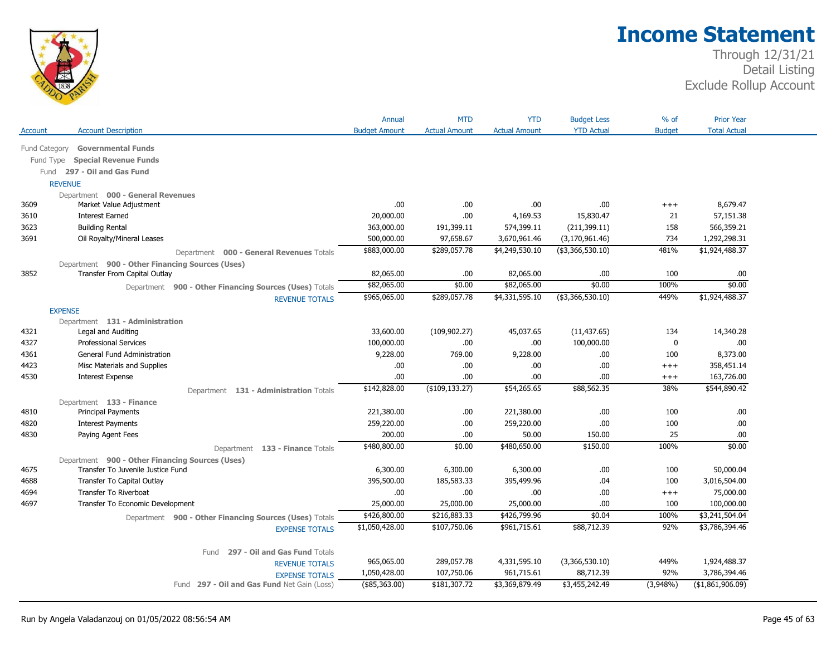

|                |                                                 |                                                        | Annual               | <b>MTD</b>           | <b>YTD</b>           | <b>Budget Less</b> | % of          | <b>Prior Year</b>   |
|----------------|-------------------------------------------------|--------------------------------------------------------|----------------------|----------------------|----------------------|--------------------|---------------|---------------------|
| Account        | <b>Account Description</b>                      |                                                        | <b>Budget Amount</b> | <b>Actual Amount</b> | <b>Actual Amount</b> | <b>YTD Actual</b>  | <b>Budget</b> | <b>Total Actual</b> |
| Fund Category  | <b>Governmental Funds</b>                       |                                                        |                      |                      |                      |                    |               |                     |
| Fund Type      | <b>Special Revenue Funds</b>                    |                                                        |                      |                      |                      |                    |               |                     |
|                | Fund 297 - Oil and Gas Fund                     |                                                        |                      |                      |                      |                    |               |                     |
|                | <b>REVENUE</b>                                  |                                                        |                      |                      |                      |                    |               |                     |
|                | Department 000 - General Revenues               |                                                        |                      |                      |                      |                    |               |                     |
| 3609           | Market Value Adjustment                         |                                                        | .00                  | .00.                 | .00.                 | .00.               | $+++$         | 8,679.47            |
| 3610           | <b>Interest Earned</b>                          |                                                        | 20,000.00            | .00.                 | 4,169.53             | 15,830.47          | 21            | 57,151.38           |
| 3623           | <b>Building Rental</b>                          |                                                        | 363,000.00           | 191,399.11           | 574,399.11           | (211, 399.11)      | 158           | 566,359.21          |
| 3691           | Oil Royalty/Mineral Leases                      |                                                        | 500,000.00           | 97,658.67            | 3,670,961.46         | (3, 170, 961.46)   | 734           | 1,292,298.31        |
|                |                                                 | Department 000 - General Revenues Totals               | \$883,000.00         | \$289,057.78         | \$4,249,530.10       | (\$3,366,530.10)   | 481%          | \$1,924,488.37      |
|                | Department 900 - Other Financing Sources (Uses) |                                                        |                      |                      |                      |                    |               |                     |
| 3852           | Transfer From Capital Outlay                    |                                                        | 82,065.00            | .00.                 | 82,065.00            | .00                | 100           | .00.                |
|                |                                                 | Department 900 - Other Financing Sources (Uses) Totals | \$82,065.00          | \$0.00               | \$82,065.00          | \$0.00             | 100%          | \$0.00              |
|                |                                                 | <b>REVENUE TOTALS</b>                                  | \$965,065.00         | \$289,057.78         | \$4,331,595.10       | ( \$3,366,530.10)  | 449%          | \$1,924,488.37      |
| <b>EXPENSE</b> |                                                 |                                                        |                      |                      |                      |                    |               |                     |
|                | Department 131 - Administration                 |                                                        |                      |                      |                      |                    |               |                     |
| 4321           | Legal and Auditing                              |                                                        | 33,600.00            | (109, 902.27)        | 45,037.65            | (11, 437.65)       | 134           | 14,340.28           |
| 4327           | <b>Professional Services</b>                    |                                                        | 100,000.00           | .00.                 | .00.                 | 100,000.00         | 0             | .00.                |
| 4361           | <b>General Fund Administration</b>              |                                                        | 9,228.00             | 769.00               | 9,228.00             | .00                | 100           | 8,373.00            |
| 4423           | Misc Materials and Supplies                     |                                                        | .00                  | .00.                 | .00.                 | .00                | $^{+++}$      | 358,451.14          |
| 4530           | <b>Interest Expense</b>                         |                                                        | .00                  | .00                  | .00.                 | .00.               | $+++$         | 163,726.00          |
|                |                                                 | Department 131 - Administration Totals                 | \$142,828.00         | $($ \$109,133.27)    | \$54,265.65          | \$88,562.35        | 38%           | \$544,890.42        |
|                | Department 133 - Finance                        |                                                        |                      |                      |                      |                    |               |                     |
| 4810           | <b>Principal Payments</b>                       |                                                        | 221,380.00           | .00.                 | 221,380.00           | .00                | 100           | .00                 |
| 4820           | <b>Interest Payments</b>                        |                                                        | 259,220.00           | .00.                 | 259,220.00           | .00                | 100           | .00.                |
| 4830           | Paying Agent Fees                               |                                                        | 200.00               | .00.                 | 50.00                | 150.00             | 25            | .00.                |
|                |                                                 | Department 133 - Finance Totals                        | \$480,800.00         | \$0.00               | \$480,650.00         | \$150.00           | 100%          | \$0.00              |
|                | Department 900 - Other Financing Sources (Uses) |                                                        |                      |                      |                      |                    |               |                     |
| 4675           | Transfer To Juvenile Justice Fund               |                                                        | 6,300.00             | 6,300.00             | 6,300.00             | .00                | 100           | 50,000.04           |
| 4688           | Transfer To Capital Outlay                      |                                                        | 395,500.00           | 185,583.33           | 395,499.96           | .04                | 100           | 3,016,504.00        |
| 4694           | Transfer To Riverboat                           |                                                        | .00                  | .00.                 | .00.                 | .00                | $+++$         | 75,000.00           |
| 4697           | Transfer To Economic Development                |                                                        | 25,000.00            | 25,000.00            | 25,000.00            | .00                | 100           | 100,000.00          |
|                |                                                 | Department 900 - Other Financing Sources (Uses) Totals | \$426,800.00         | \$216,883.33         | \$426,799.96         | \$0.04             | 100%          | \$3,241,504.04      |
|                |                                                 | <b>EXPENSE TOTALS</b>                                  | \$1,050,428.00       | \$107,750.06         | \$961,715.61         | \$88,712.39        | 92%           | \$3,786,394.46      |
|                |                                                 |                                                        |                      |                      |                      |                    |               |                     |
|                |                                                 | 297 - Oil and Gas Fund Totals<br>Fund                  |                      |                      |                      |                    |               |                     |
|                |                                                 | <b>REVENUE TOTALS</b>                                  | 965,065.00           | 289,057.78           | 4,331,595.10         | (3,366,530.10)     | 449%          | 1,924,488.37        |
|                |                                                 |                                                        |                      |                      |                      |                    |               |                     |
|                |                                                 | <b>EXPENSE TOTALS</b>                                  | 1,050,428.00         | 107,750.06           | 961,715.61           | 88,712.39          | 92%           | 3,786,394.46        |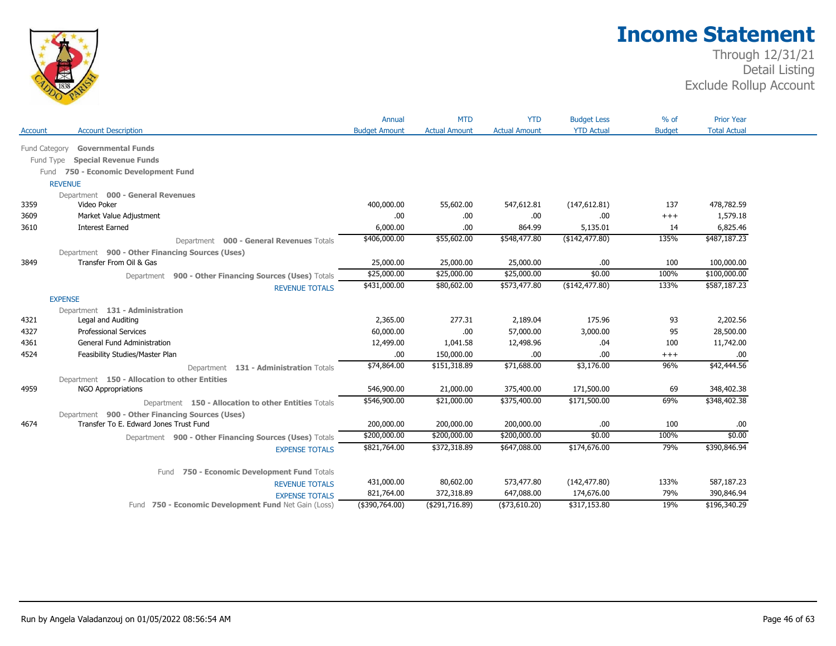

|               |                                                        | Annual               | <b>MTD</b>           | <b>YTD</b>           | <b>Budget Less</b>   | $%$ of        | <b>Prior Year</b>   |
|---------------|--------------------------------------------------------|----------------------|----------------------|----------------------|----------------------|---------------|---------------------|
| Account       | <b>Account Description</b>                             | <b>Budget Amount</b> | <b>Actual Amount</b> | <b>Actual Amount</b> | <b>YTD Actual</b>    | <b>Budget</b> | <b>Total Actual</b> |
|               |                                                        |                      |                      |                      |                      |               |                     |
| Fund Category | <b>Governmental Funds</b>                              |                      |                      |                      |                      |               |                     |
| Fund Type     | <b>Special Revenue Funds</b>                           |                      |                      |                      |                      |               |                     |
| Fund          | 750 - Economic Development Fund                        |                      |                      |                      |                      |               |                     |
|               | <b>REVENUE</b>                                         |                      |                      |                      |                      |               |                     |
| 3359          | Department 000 - General Revenues<br>Video Poker       | 400,000.00           | 55,602.00            | 547,612.81           |                      | 137           | 478,782.59          |
| 3609          |                                                        | .00                  | .00.                 | .00                  | (147, 612.81)<br>.00 |               |                     |
|               | Market Value Adjustment                                |                      | .00.                 |                      |                      | $^{+++}$      | 1,579.18            |
| 3610          | <b>Interest Earned</b>                                 | 6,000.00             |                      | 864.99               | 5,135.01             | 14            | 6,825.46            |
|               | Department 000 - General Revenues Totals               | \$406,000.00         | \$55,602.00          | \$548,477.80         | (\$142, 477.80)      | 135%          | \$487,187.23        |
|               | Department 900 - Other Financing Sources (Uses)        |                      |                      |                      |                      |               |                     |
| 3849          | Transfer From Oil & Gas                                | 25,000.00            | 25,000.00            | 25,000.00            | .00.                 | 100           | 100,000.00          |
|               | Department 900 - Other Financing Sources (Uses) Totals | \$25,000.00          | \$25,000.00          | \$25,000.00          | \$0.00               | 100%          | \$100,000.00        |
|               | <b>REVENUE TOTALS</b>                                  | \$431,000.00         | \$80,602.00          | \$573,477.80         | (\$142,477.80)       | 133%          | \$587,187.23        |
|               | <b>EXPENSE</b>                                         |                      |                      |                      |                      |               |                     |
|               | Department 131 - Administration                        |                      |                      |                      |                      |               |                     |
| 4321          | Legal and Auditing                                     | 2,365.00             | 277.31               | 2,189.04             | 175.96               | 93            | 2,202.56            |
| 4327          | <b>Professional Services</b>                           | 60,000.00            | .00.                 | 57,000.00            | 3,000.00             | 95            | 28,500.00           |
| 4361          | <b>General Fund Administration</b>                     | 12,499.00            | 1,041.58             | 12,498.96            | .04                  | 100           | 11,742.00           |
| 4524          | Feasibility Studies/Master Plan                        | .00                  | 150,000.00           | .00                  | .00                  | $+++$         | .00                 |
|               | Department 131 - Administration Totals                 | \$74,864.00          | \$151,318.89         | \$71,688.00          | \$3,176.00           | 96%           | \$42,444.56         |
|               | Department 150 - Allocation to other Entities          |                      |                      |                      |                      |               |                     |
| 4959          | <b>NGO Appropriations</b>                              | 546,900.00           | 21,000.00            | 375,400.00           | 171,500.00           | 69            | 348,402.38          |
|               | Department 150 - Allocation to other Entities Totals   | \$546,900.00         | \$21,000.00          | \$375,400.00         | \$171,500.00         | 69%           | \$348,402.38        |
|               | Department 900 - Other Financing Sources (Uses)        |                      |                      |                      |                      |               |                     |
| 4674          | Transfer To E. Edward Jones Trust Fund                 | 200,000.00           | 200,000.00           | 200,000.00           | .00                  | 100           | .00.                |
|               | Department 900 - Other Financing Sources (Uses) Totals | \$200,000.00         | \$200,000.00         | \$200,000.00         | \$0.00               | 100%          | \$0.00              |
|               | <b>EXPENSE TOTALS</b>                                  | \$821,764.00         | \$372,318.89         | \$647,088.00         | \$174,676.00         | 79%           | \$390,846.94        |
|               |                                                        |                      |                      |                      |                      |               |                     |
|               | 750 - Economic Development Fund Totals<br>Fund         |                      |                      |                      |                      |               |                     |
|               | <b>REVENUE TOTALS</b>                                  | 431,000.00           | 80,602.00            | 573,477.80           | (142, 477.80)        | 133%          | 587,187.23          |
|               | <b>EXPENSE TOTALS</b>                                  | 821,764.00           | 372,318.89           | 647,088.00           | 174,676.00           | 79%           | 390,846.94          |
|               | Fund 750 - Economic Development Fund Net Gain (Loss)   | $($ \$390,764.00)    | ( \$291, 716.89)     | ( \$73,610.20)       | \$317,153.80         | 19%           | \$196,340.29        |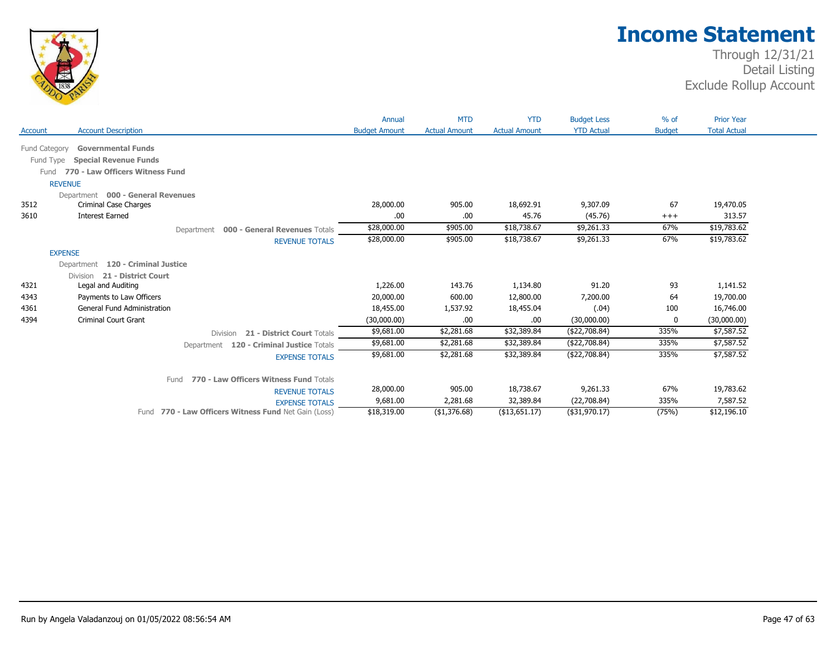

|               |                                                       | Annual               | <b>MTD</b>           | <b>YTD</b>           | <b>Budget Less</b> | $%$ of        | <b>Prior Year</b>   |  |
|---------------|-------------------------------------------------------|----------------------|----------------------|----------------------|--------------------|---------------|---------------------|--|
| Account       | <b>Account Description</b>                            | <b>Budget Amount</b> | <b>Actual Amount</b> | <b>Actual Amount</b> | <b>YTD Actual</b>  | <b>Budget</b> | <b>Total Actual</b> |  |
| Fund Category | <b>Governmental Funds</b>                             |                      |                      |                      |                    |               |                     |  |
|               | Fund Type<br><b>Special Revenue Funds</b>             |                      |                      |                      |                    |               |                     |  |
|               | 770 - Law Officers Witness Fund<br>Fund               |                      |                      |                      |                    |               |                     |  |
|               | <b>REVENUE</b>                                        |                      |                      |                      |                    |               |                     |  |
|               | Department 000 - General Revenues                     |                      |                      |                      |                    |               |                     |  |
| 3512          | Criminal Case Charges                                 | 28,000.00            | 905.00               | 18,692.91            | 9,307.09           | 67            | 19,470.05           |  |
| 3610          | <b>Interest Earned</b>                                | .00                  | .00                  | 45.76                | (45.76)            | $^{+++}$      | 313.57              |  |
|               | 000 - General Revenues Totals<br>Department           | \$28,000.00          | \$905.00             | \$18,738.67          | \$9,261.33         | 67%           | \$19,783.62         |  |
|               | <b>REVENUE TOTALS</b>                                 | \$28,000.00          | \$905.00             | \$18,738.67          | \$9,261.33         | 67%           | \$19,783.62         |  |
|               | <b>EXPENSE</b>                                        |                      |                      |                      |                    |               |                     |  |
|               | Department 120 - Criminal Justice                     |                      |                      |                      |                    |               |                     |  |
|               |                                                       |                      |                      |                      |                    |               |                     |  |
| 4321          | 21 - District Court<br>Division<br>Legal and Auditing | 1,226.00             | 143.76               | 1,134.80             | 91.20              | 93            | 1,141.52            |  |
| 4343          | Payments to Law Officers                              | 20,000.00            | 600.00               | 12,800.00            | 7,200.00           | 64            | 19,700.00           |  |
| 4361          | <b>General Fund Administration</b>                    | 18,455.00            | 1,537.92             | 18,455.04            | (.04)              | 100           | 16,746.00           |  |
| 4394          | <b>Criminal Court Grant</b>                           | (30,000.00)          | .00                  | .00.                 | (30,000.00)        | $\Omega$      | (30,000.00)         |  |
|               |                                                       | \$9,681.00           | \$2,281.68           | \$32,389.84          | (\$22,708.84)      | 335%          | \$7,587.52          |  |
|               | 21 - District Court Totals<br><b>Division</b>         |                      |                      |                      |                    |               |                     |  |
|               | Department 120 - Criminal Justice Totals              | \$9,681.00           | \$2,281.68           | \$32,389.84          | ( \$22,708.84)     | 335%          | \$7,587.52          |  |
|               | <b>EXPENSE TOTALS</b>                                 | \$9,681.00           | \$2,281.68           | \$32,389.84          | (\$22,708.84)      | 335%          | \$7,587.52          |  |
|               | 770 - Law Officers Witness Fund Totals<br>Fund        |                      |                      |                      |                    |               |                     |  |
|               | <b>REVENUE TOTALS</b>                                 | 28,000.00            | 905.00               | 18,738.67            | 9,261.33           | 67%           | 19,783.62           |  |
|               | <b>EXPENSE TOTALS</b>                                 | 9,681.00             | 2,281.68             | 32,389.84            | (22,708.84)        | 335%          | 7,587.52            |  |
|               | Fund 770 - Law Officers Witness Fund Net Gain (Loss)  | \$18,319.00          | ( \$1,376.68)        | $($ \$13,651.17)     | $($ \$31,970.17)   | (75%)         | \$12,196.10         |  |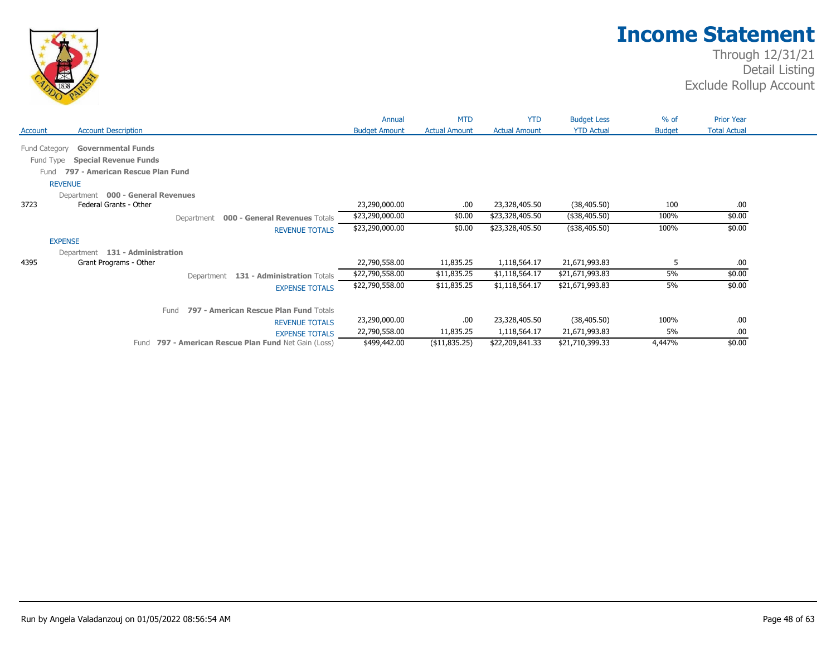

|                                                | Annual               | <b>MTD</b>           | <b>YTD</b>           | <b>Budget Less</b> | $%$ of        | <b>Prior Year</b>   |
|------------------------------------------------|----------------------|----------------------|----------------------|--------------------|---------------|---------------------|
| <b>Account Description</b><br>Account          | <b>Budget Amount</b> | <b>Actual Amount</b> | <b>Actual Amount</b> | <b>YTD Actual</b>  | <b>Budget</b> | <b>Total Actual</b> |
| Fund Category<br><b>Governmental Funds</b>     |                      |                      |                      |                    |               |                     |
| <b>Special Revenue Funds</b><br>Fund Type      |                      |                      |                      |                    |               |                     |
| 797 - American Rescue Plan Fund                |                      |                      |                      |                    |               |                     |
| Fund                                           |                      |                      |                      |                    |               |                     |
| <b>REVENUE</b>                                 |                      |                      |                      |                    |               |                     |
| Department 000 - General Revenues              |                      |                      |                      |                    |               |                     |
| Federal Grants - Other<br>3723                 | 23,290,000.00        | .00                  | 23,328,405.50        | (38, 405.50)       | 100           | .00                 |
| 000 - General Revenues Totals<br>Department    | \$23,290,000.00      | \$0.00               | \$23,328,405.50      | (\$38,405.50)      | 100%          | \$0.00              |
| <b>REVENUE TOTALS</b>                          | \$23,290,000.00      | \$0.00               | \$23,328,405.50      | (\$38,405.50)      | 100%          | \$0.00              |
| <b>EXPENSE</b>                                 |                      |                      |                      |                    |               |                     |
| Department 131 - Administration                |                      |                      |                      |                    |               |                     |
| 4395<br>Grant Programs - Other                 | 22,790,558.00        | 11,835.25            | 1,118,564.17         | 21,671,993.83      | 5             | .00                 |
| Department 131 - Administration Totals         | \$22,790,558.00      | \$11,835.25          | \$1,118,564.17       | \$21,671,993.83    | 5%            | \$0.00              |
| <b>EXPENSE TOTALS</b>                          | \$22,790,558.00      | \$11,835.25          | \$1,118,564.17       | \$21,671,993.83    | 5%            | \$0.00              |
| 797 - American Rescue Plan Fund Totals<br>Fund |                      |                      |                      |                    |               |                     |
| <b>REVENUE TOTALS</b>                          | 23,290,000.00        | .00                  | 23,328,405.50        | (38, 405.50)       | 100%          | .00                 |
| <b>EXPENSE TOTALS</b>                          | 22,790,558.00        | 11,835.25            | 1,118,564.17         | 21,671,993.83      | 5%            | .00                 |
|                                                |                      |                      |                      |                    |               |                     |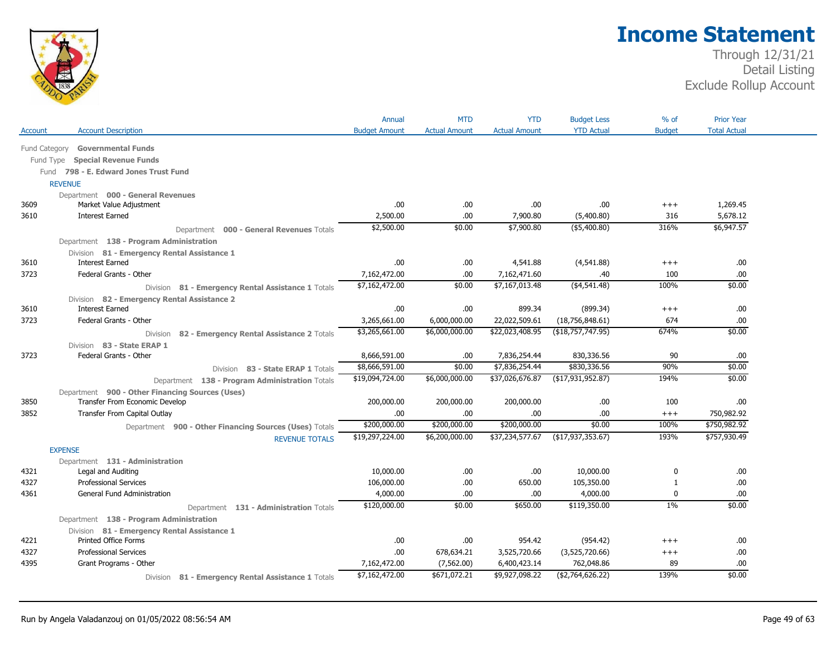

|               |                                                        | Annual               | <b>MTD</b>           | <b>YTD</b>           | <b>Budget Less</b>   | $%$ of        | <b>Prior Year</b>   |
|---------------|--------------------------------------------------------|----------------------|----------------------|----------------------|----------------------|---------------|---------------------|
| Account       | <b>Account Description</b>                             | <b>Budget Amount</b> | <b>Actual Amount</b> | <b>Actual Amount</b> | <b>YTD Actual</b>    | <b>Budget</b> | <b>Total Actual</b> |
| Fund Category | <b>Governmental Funds</b>                              |                      |                      |                      |                      |               |                     |
| Fund Type     | <b>Special Revenue Funds</b>                           |                      |                      |                      |                      |               |                     |
|               | Fund 798 - E. Edward Jones Trust Fund                  |                      |                      |                      |                      |               |                     |
|               | <b>REVENUE</b>                                         |                      |                      |                      |                      |               |                     |
|               | Department 000 - General Revenues                      |                      |                      |                      |                      |               |                     |
| 3609          | Market Value Adjustment                                | .00                  | .00                  | .00                  | .00                  | $^{+++}$      | 1,269.45            |
| 3610          | <b>Interest Earned</b>                                 | 2,500.00             | .00                  | 7,900.80             | (5,400.80)           | 316           | 5,678.12            |
|               | Department 000 - General Revenues Totals               | \$2,500.00           | \$0.00               | \$7,900.80           | (\$5,400.80)         | 316%          | \$6,947.57          |
|               | Department 138 - Program Administration                |                      |                      |                      |                      |               |                     |
|               | Division 81 - Emergency Rental Assistance 1            |                      |                      |                      |                      |               |                     |
| 3610          | <b>Interest Earned</b>                                 | .00.                 | .00                  | 4,541.88             | (4,541.88)           | $^{+++}$      | .00                 |
| 3723          | Federal Grants - Other                                 | 7,162,472.00         | .00                  | 7,162,471.60         | .40                  | 100           | .00                 |
|               | Division 81 - Emergency Rental Assistance 1 Totals     | \$7,162,472.00       | \$0.00               | \$7,167,013.48       | ( \$4,541.48)        | 100%          | \$0.00              |
|               | Division 82 - Emergency Rental Assistance 2            |                      |                      |                      |                      |               |                     |
| 3610          | <b>Interest Earned</b>                                 | .00.                 | .00                  | 899.34               | (899.34)             | $^{+++}$      | .00                 |
| 3723          | Federal Grants - Other                                 | 3,265,661.00         | 6,000,000.00         | 22,022,509.61        | (18,756,848.61)      | 674           | .00                 |
|               | 82 - Emergency Rental Assistance 2 Totals<br>Division  | \$3,265,661.00       | \$6,000,000.00       | \$22,023,408.95      | (\$18,757,747.95)    | 674%          | \$0.00              |
|               | Division 83 - State ERAP 1                             |                      |                      |                      |                      |               |                     |
| 3723          | Federal Grants - Other                                 | 8,666,591.00         | .00                  | 7,836,254.44         | 830,336.56           | 90            | .00                 |
|               | Division 83 - State ERAP 1 Totals                      | \$8,666,591.00       | \$0.00               | \$7,836,254.44       | \$830,336.56         | 90%           | \$0.00              |
|               | Department 138 - Program Administration Totals         | \$19,094,724.00      | \$6,000,000.00       | \$37,026,676.87      | $($ \$17,931,952.87) | 194%          | \$0.00              |
|               | Department 900 - Other Financing Sources (Uses)        |                      |                      |                      |                      |               |                     |
| 3850          | Transfer From Economic Develop                         | 200,000.00           | 200,000.00           | 200,000.00           | .00.                 | 100           | .00                 |
| 3852          | Transfer From Capital Outlay                           | .00                  | .00                  | .00                  | .00                  | $^{+++}$      | 750,982.92          |
|               | Department 900 - Other Financing Sources (Uses) Totals | \$200,000.00         | \$200,000.00         | \$200,000.00         | \$0.00               | 100%          | \$750,982.92        |
|               | <b>REVENUE TOTALS</b>                                  | \$19,297,224.00      | \$6,200,000.00       | \$37,234,577.67      | ( \$17,937,353.67)   | 193%          | \$757,930.49        |
|               | <b>EXPENSE</b>                                         |                      |                      |                      |                      |               |                     |
|               | Department 131 - Administration                        |                      |                      |                      |                      |               |                     |
| 4321          | Legal and Auditing                                     | 10,000.00            | .00                  | .00                  | 10,000.00            | 0             | .00                 |
| 4327          | <b>Professional Services</b>                           | 106,000.00           | .00                  | 650.00               | 105,350.00           | 1             | .00                 |
| 4361          | General Fund Administration                            | 4,000.00             | .00                  | .00                  | 4,000.00             | $\mathbf{0}$  | .00                 |
|               | Department 131 - Administration Totals                 | \$120,000.00         | \$0.00               | \$650.00             | \$119,350.00         | $1\%$         | \$0.00              |
|               | Department 138 - Program Administration                |                      |                      |                      |                      |               |                     |
|               | Division 81 - Emergency Rental Assistance 1            |                      |                      |                      |                      |               |                     |
| 4221          | <b>Printed Office Forms</b>                            | .00                  | .00                  | 954.42               | (954.42)             | $^{+++}$      | .00                 |
| 4327          | <b>Professional Services</b>                           | .00.                 | 678,634.21           | 3,525,720.66         | (3,525,720.66)       | $^{+++}$      | .00                 |
| 4395          | Grant Programs - Other                                 | 7,162,472.00         | (7,562.00)           | 6,400,423.14         | 762,048.86           | 89            | .00                 |
|               |                                                        | \$7,162,472.00       | \$671,072.21         | \$9,927,098.22       | (\$2,764,626.22)     | 139%          | \$0.00              |
|               | Division 81 - Emergency Rental Assistance 1 Totals     |                      |                      |                      |                      |               |                     |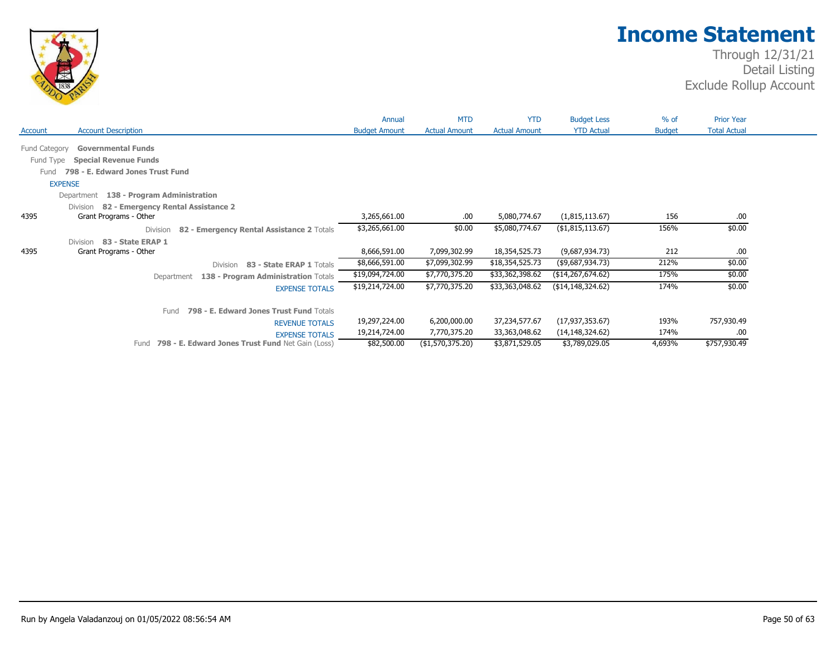

|               |                                                              | Annual               | <b>MTD</b>           | <b>YTD</b>           | <b>Budget Less</b>  | % of          | <b>Prior Year</b>   |
|---------------|--------------------------------------------------------------|----------------------|----------------------|----------------------|---------------------|---------------|---------------------|
| Account       | <b>Account Description</b>                                   | <b>Budget Amount</b> | <b>Actual Amount</b> | <b>Actual Amount</b> | <b>YTD Actual</b>   | <b>Budget</b> | <b>Total Actual</b> |
| Fund Category | <b>Governmental Funds</b>                                    |                      |                      |                      |                     |               |                     |
| Fund Type     | <b>Special Revenue Funds</b>                                 |                      |                      |                      |                     |               |                     |
| Fund          | 798 - E. Edward Jones Trust Fund                             |                      |                      |                      |                     |               |                     |
|               | <b>EXPENSE</b>                                               |                      |                      |                      |                     |               |                     |
|               | 138 - Program Administration<br>Department                   |                      |                      |                      |                     |               |                     |
|               | 82 - Emergency Rental Assistance 2<br>Division               |                      |                      |                      |                     |               |                     |
| 4395          | Grant Programs - Other                                       | 3,265,661.00         | .00.                 | 5,080,774.67         | (1,815,113.67)      | 156           | .00                 |
|               | 82 - Emergency Rental Assistance 2 Totals<br><b>Division</b> | \$3,265,661.00       | \$0.00               | \$5,080,774.67       | (\$1,815,113.67)    | 156%          | \$0.00              |
|               | 83 - State ERAP 1<br>Division                                |                      |                      |                      |                     |               |                     |
| 4395          | Grant Programs - Other                                       | 8,666,591.00         | 7,099,302.99         | 18,354,525.73        | (9,687,934.73)      | 212           | .00                 |
|               | 83 - State ERAP 1 Totals<br>Division                         | \$8,666,591.00       | \$7,099,302.99       | \$18,354,525.73      | (\$9,687,934.73)    | 212%          | \$0.00              |
|               | 138 - Program Administration Totals<br>Department            | \$19,094,724.00      | \$7,770,375.20       | \$33,362,398.62      | (\$14, 267, 674.62) | 175%          | \$0.00              |
|               | <b>EXPENSE TOTALS</b>                                        | \$19,214,724.00      | \$7,770,375.20       | \$33,363,048.62      | (\$14,148,324.62)   | 174%          | \$0.00              |
|               | 798 - E. Edward Jones Trust Fund Totals<br>Fund              |                      |                      |                      |                     |               |                     |
|               | <b>REVENUE TOTALS</b>                                        | 19,297,224.00        | 6,200,000.00         | 37,234,577.67        | (17,937,353.67)     | 193%          | 757,930.49          |
|               | <b>EXPENSE TOTALS</b>                                        | 19,214,724.00        | 7,770,375.20         | 33,363,048.62        | (14,148,324.62)     | 174%          | .00                 |
|               | 798 - E. Edward Jones Trust Fund Net Gain (Loss)<br>Fund     | \$82,500.00          | (\$1,570,375.20)     | \$3,871,529.05       | \$3,789,029.05      | 4,693%        | \$757,930.49        |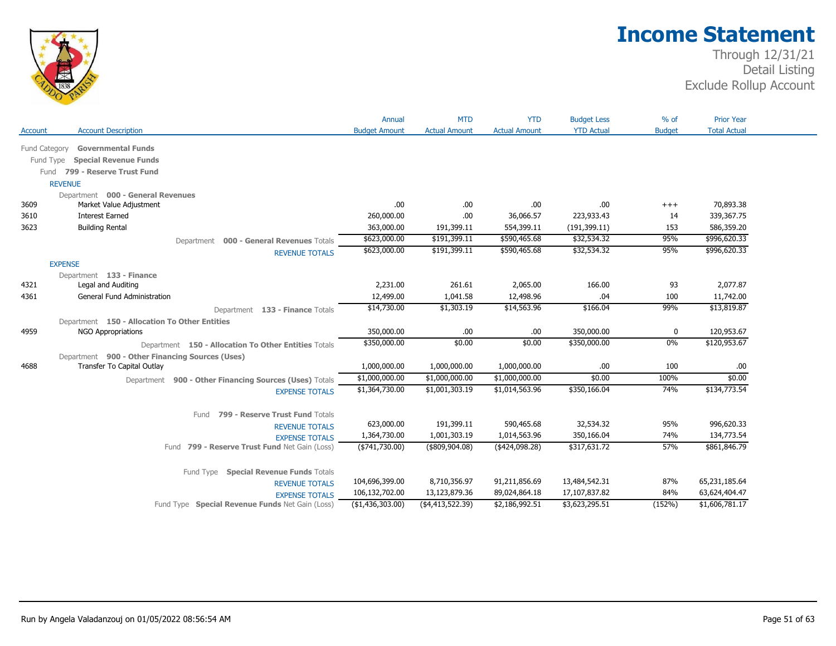

|                |                                                              | Annual                     | <b>MTD</b>           | <b>YTD</b>           | <b>Budget Less</b>         | $%$ of        | <b>Prior Year</b>          |
|----------------|--------------------------------------------------------------|----------------------------|----------------------|----------------------|----------------------------|---------------|----------------------------|
| <b>Account</b> | <b>Account Description</b>                                   | <b>Budget Amount</b>       | <b>Actual Amount</b> | <b>Actual Amount</b> | <b>YTD Actual</b>          | <b>Budget</b> | <b>Total Actual</b>        |
| Fund Category  | <b>Governmental Funds</b>                                    |                            |                      |                      |                            |               |                            |
|                | <b>Special Revenue Funds</b><br>Fund Type                    |                            |                      |                      |                            |               |                            |
|                | 799 - Reserve Trust Fund                                     |                            |                      |                      |                            |               |                            |
|                | Fund                                                         |                            |                      |                      |                            |               |                            |
|                | <b>REVENUE</b>                                               |                            |                      |                      |                            |               |                            |
| 3609           | Department 000 - General Revenues<br>Market Value Adjustment | .00                        | .00                  | .00                  | .00                        | $^{+++}$      | 70,893.38                  |
| 3610           | <b>Interest Earned</b>                                       | 260,000.00                 | .00                  | 36,066.57            | 223,933.43                 | 14            | 339,367.75                 |
| 3623           | <b>Building Rental</b>                                       | 363,000.00                 | 191,399.11           | 554,399.11           | (191, 399.11)              | 153           | 586,359.20                 |
|                |                                                              | \$623,000.00               | \$191,399.11         | \$590,465.68         | \$32,534.32                | 95%           | \$996,620.33               |
|                | Department 000 - General Revenues Totals                     | \$623,000.00               | \$191,399.11         | \$590,465.68         | \$32,534.32                | 95%           | \$996,620.33               |
|                | <b>REVENUE TOTALS</b>                                        |                            |                      |                      |                            |               |                            |
|                | <b>EXPENSE</b>                                               |                            |                      |                      |                            |               |                            |
| 4321           | Department 133 - Finance<br>Legal and Auditing               | 2,231.00                   | 261.61               | 2,065.00             | 166.00                     | 93            | 2,077.87                   |
| 4361           | <b>General Fund Administration</b>                           | 12,499.00                  | 1,041.58             | 12,498.96            | .04                        | 100           | 11,742.00                  |
|                |                                                              | \$14,730.00                | \$1,303.19           | \$14,563.96          | \$166.04                   | 99%           | \$13,819.87                |
|                | Department 133 - Finance Totals                              |                            |                      |                      |                            |               |                            |
|                | Department 150 - Allocation To Other Entities                |                            |                      |                      |                            |               |                            |
| 4959           | <b>NGO Appropriations</b>                                    | 350,000.00<br>\$350,000.00 | .00.<br>\$0.00       | .00<br>\$0.00        | 350,000.00<br>\$350,000.00 | 0<br>0%       | 120,953.67<br>\$120,953.67 |
|                | Department 150 - Allocation To Other Entities Totals         |                            |                      |                      |                            |               |                            |
|                | Department 900 - Other Financing Sources (Uses)              |                            |                      |                      |                            |               |                            |
| 4688           | Transfer To Capital Outlay                                   | 1,000,000.00               | 1,000,000.00         | 1,000,000.00         | .00                        | 100           | .00                        |
|                | Department 900 - Other Financing Sources (Uses) Totals       | \$1,000,000.00             | \$1,000,000.00       | \$1,000,000.00       | \$0.00                     | 100%          | \$0.00                     |
|                | <b>EXPENSE TOTALS</b>                                        | \$1,364,730.00             | \$1,001,303.19       | \$1,014,563.96       | \$350,166.04               | 74%           | \$134,773.54               |
|                |                                                              |                            |                      |                      |                            |               |                            |
|                | 799 - Reserve Trust Fund Totals<br>Fund                      |                            |                      |                      |                            |               |                            |
|                | <b>REVENUE TOTALS</b>                                        | 623,000.00                 | 191,399.11           | 590,465.68           | 32,534.32                  | 95%           | 996,620.33                 |
|                | <b>EXPENSE TOTALS</b>                                        | 1,364,730.00               | 1,001,303.19         | 1,014,563.96         | 350,166.04                 | 74%           | 134,773.54                 |
|                | Fund 799 - Reserve Trust Fund Net Gain (Loss)                | ( \$741, 730.00)           | $($ \$809,904.08)    | ( \$424,098.28)      | \$317,631.72               | 57%           | \$861,846.79               |
|                |                                                              |                            |                      |                      |                            |               |                            |
|                | Fund Type Special Revenue Funds Totals                       |                            |                      |                      |                            |               |                            |
|                | <b>REVENUE TOTALS</b>                                        | 104,696,399.00             | 8,710,356.97         | 91,211,856.69        | 13,484,542.31              | 87%           | 65,231,185.64              |
|                | <b>EXPENSE TOTALS</b>                                        | 106,132,702.00             | 13,123,879.36        | 89,024,864.18        | 17,107,837.82              | 84%           | 63,624,404.47              |
|                | Fund Type Special Revenue Funds Net Gain (Loss)              | (\$1,436,303.00)           | ( \$4,413,522.39)    | \$2,186,992.51       | \$3,623,295.51             | (152%)        | \$1,606,781.17             |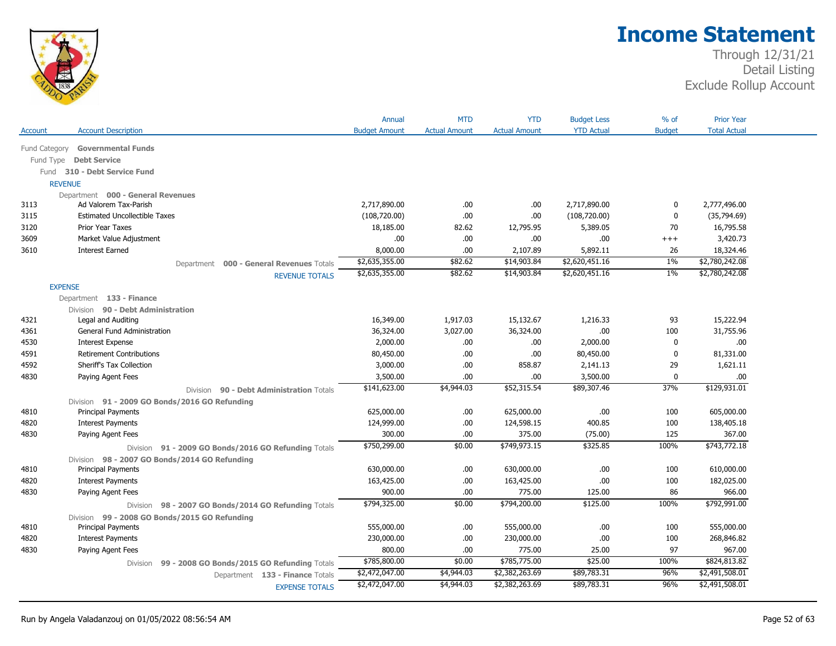

|               |                                                                | Annual               | <b>MTD</b>           | <b>YTD</b>           | <b>Budget Less</b> | $%$ of        | <b>Prior Year</b>   |
|---------------|----------------------------------------------------------------|----------------------|----------------------|----------------------|--------------------|---------------|---------------------|
| Account       | <b>Account Description</b>                                     | <b>Budget Amount</b> | <b>Actual Amount</b> | <b>Actual Amount</b> | <b>YTD Actual</b>  | <b>Budget</b> | <b>Total Actual</b> |
| Fund Category | <b>Governmental Funds</b>                                      |                      |                      |                      |                    |               |                     |
| Fund Type     | <b>Debt Service</b>                                            |                      |                      |                      |                    |               |                     |
|               | Fund 310 - Debt Service Fund                                   |                      |                      |                      |                    |               |                     |
|               | <b>REVENUE</b>                                                 |                      |                      |                      |                    |               |                     |
|               | Department 000 - General Revenues                              |                      |                      |                      |                    |               |                     |
| 3113          | Ad Valorem Tax-Parish                                          | 2,717,890.00         | .00                  | .00                  | 2,717,890.00       | 0             | 2,777,496.00        |
| 3115          | <b>Estimated Uncollectible Taxes</b>                           | (108, 720.00)        | .00                  | .00                  | (108, 720.00)      | $\mathbf 0$   | (35,794.69)         |
| 3120          | Prior Year Taxes                                               | 18,185.00            | 82.62                | 12,795.95            | 5,389.05           | 70            | 16,795.58           |
| 3609          | Market Value Adjustment                                        | .00.                 | .00                  | .00                  | .00.               | $^{+++}$      | 3,420.73            |
| 3610          | <b>Interest Earned</b>                                         | 8,000.00             | .00                  | 2,107.89             | 5,892.11           | 26            | 18,324.46           |
|               | Department 000 - General Revenues Totals                       | \$2,635,355.00       | \$82.62              | \$14,903.84          | \$2,620,451.16     | $1\%$         | \$2,780,242.08      |
|               | <b>REVENUE TOTALS</b>                                          | \$2,635,355.00       | \$82.62              | \$14,903.84          | \$2,620,451.16     | $1\%$         | \$2,780,242.08      |
|               | <b>EXPENSE</b>                                                 |                      |                      |                      |                    |               |                     |
|               | Department 133 - Finance                                       |                      |                      |                      |                    |               |                     |
|               | Division 90 - Debt Administration                              |                      |                      |                      |                    |               |                     |
| 4321          | Legal and Auditing                                             | 16,349.00            | 1,917.03             | 15,132.67            | 1,216.33           | 93            | 15,222.94           |
| 4361          | General Fund Administration                                    | 36,324.00            | 3,027.00             | 36,324.00            | .00                | 100           | 31,755.96           |
| 4530          | <b>Interest Expense</b>                                        | 2,000.00             | .00.                 | .00                  | 2,000.00           | $\mathbf 0$   | .00.                |
| 4591          | <b>Retirement Contributions</b>                                | 80,450.00            | .00                  | .00                  | 80,450.00          | $\mathbf{0}$  | 81,331.00           |
| 4592          | Sheriff's Tax Collection                                       | 3,000.00             | .00.                 | 858.87               | 2,141.13           | 29            | 1,621.11            |
| 4830          | Paying Agent Fees                                              | 3,500.00             | .00.                 | .00                  | 3,500.00           | $\mathbf 0$   | .00.                |
|               | Division 90 - Debt Administration Totals                       | \$141,623.00         | \$4,944.03           | \$52,315.54          | \$89,307.46        | 37%           | \$129,931.01        |
|               | Division 91 - 2009 GO Bonds/2016 GO Refunding                  |                      |                      |                      |                    |               |                     |
| 4810          | <b>Principal Payments</b>                                      | 625,000.00           | .00.                 | 625,000.00           | .00                | 100           | 605,000.00          |
| 4820          | <b>Interest Payments</b>                                       | 124,999.00           | .00.                 | 124,598.15           | 400.85             | 100           | 138,405.18          |
| 4830          | Paying Agent Fees                                              | 300.00               | .00.                 | 375.00               | (75.00)            | 125           | 367.00              |
|               | Division 91 - 2009 GO Bonds/2016 GO Refunding Totals           | \$750,299.00         | \$0.00               | \$749,973.15         | \$325.85           | 100%          | \$743,772.18        |
|               | Division 98 - 2007 GO Bonds/2014 GO Refunding                  |                      |                      |                      |                    |               |                     |
| 4810          | <b>Principal Payments</b>                                      | 630,000.00           | .00.                 | 630,000.00           | .00                | 100           | 610,000.00          |
| 4820          | <b>Interest Payments</b>                                       | 163,425.00           | .00                  | 163,425.00           | .00                | 100           | 182,025.00          |
| 4830          | Paying Agent Fees                                              | 900.00               | .00.                 | 775.00               | 125.00             | 86            | 966.00              |
|               | Division 98 - 2007 GO Bonds/2014 GO Refunding Totals           | \$794,325.00         | \$0.00               | \$794,200.00         | \$125.00           | 100%          | \$792,991.00        |
|               | Division 99 - 2008 GO Bonds/2015 GO Refunding                  |                      |                      |                      |                    |               |                     |
| 4810          | <b>Principal Payments</b>                                      | 555,000.00           | .00                  | 555,000.00           | .00                | 100           | 555,000.00          |
| 4820          | <b>Interest Payments</b>                                       | 230,000.00           | .00.                 | 230,000.00           | .00                | 100           | 268,846.82          |
| 4830          | Paying Agent Fees                                              | 800.00               | .00                  | 775.00               | 25.00              | 97            | 967.00              |
|               | 99 - 2008 GO Bonds/2015 GO Refunding Totals<br><b>Division</b> | \$785,800.00         | \$0.00               | \$785,775.00         | \$25.00            | 100%          | \$824,813.82        |
|               | Department 133 - Finance Totals                                | \$2,472,047.00       | \$4,944.03           | \$2,382,263.69       | \$89,783.31        | 96%           | \$2,491,508.01      |
|               |                                                                | \$2,472,047.00       | \$4,944.03           | \$2,382,263.69       | \$89,783.31        | 96%           | \$2,491,508.01      |
|               | <b>EXPENSE TOTALS</b>                                          |                      |                      |                      |                    |               |                     |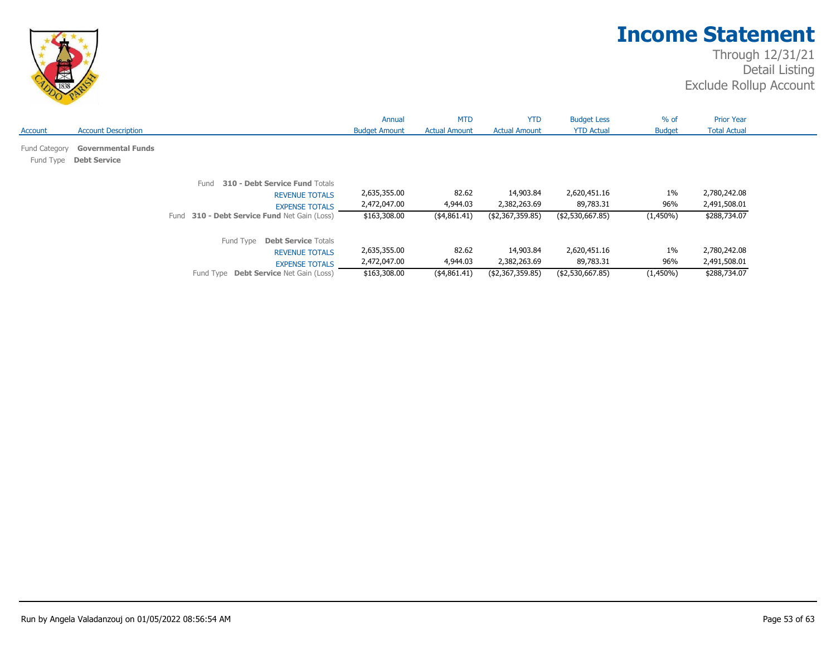

|                            |                                                  |                                                                                                                                            | Annual                                       | <b>MTD</b>                         | <b>YTD</b>                                    | <b>Budget Less</b>                            | $%$ of                      | <b>Prior Year</b>                            |
|----------------------------|--------------------------------------------------|--------------------------------------------------------------------------------------------------------------------------------------------|----------------------------------------------|------------------------------------|-----------------------------------------------|-----------------------------------------------|-----------------------------|----------------------------------------------|
| Account                    | <b>Account Description</b>                       |                                                                                                                                            | <b>Budget Amount</b>                         | <b>Actual Amount</b>               | <b>Actual Amount</b>                          | <b>YTD Actual</b>                             | <b>Budget</b>               | <b>Total Actual</b>                          |
| Fund Category<br>Fund Type | <b>Governmental Funds</b><br><b>Debt Service</b> |                                                                                                                                            |                                              |                                    |                                               |                                               |                             |                                              |
|                            |                                                  | 310 - Debt Service Fund Totals<br>Fund<br><b>REVENUE TOTALS</b><br><b>EXPENSE TOTALS</b><br>Fund 310 - Debt Service Fund Net Gain (Loss)   | 2,635,355.00<br>2,472,047.00<br>\$163,308.00 | 82.62<br>4,944.03<br>(4,861.41)    | 14,903.84<br>2,382,263.69<br>(\$2,367,359.85) | 2,620,451.16<br>89,783.31<br>(\$2,530,667.85) | $1\%$<br>96%<br>$(1,450\%)$ | 2,780,242.08<br>2,491,508.01<br>\$288,734.07 |
|                            |                                                  | Fund Type<br><b>Debt Service Totals</b><br><b>REVENUE TOTALS</b><br><b>EXPENSE TOTALS</b><br>Fund Type <b>Debt Service</b> Net Gain (Loss) | 2,635,355.00<br>2,472,047.00<br>\$163,308.00 | 82.62<br>4,944.03<br>( \$4,861.41) | 14,903.84<br>2,382,263.69<br>(\$2,367,359.85) | 2,620,451.16<br>89,783.31<br>(\$2,530,667.85) | $1\%$<br>96%<br>$(1,450\%)$ | 2,780,242.08<br>2,491,508.01<br>\$288,734.07 |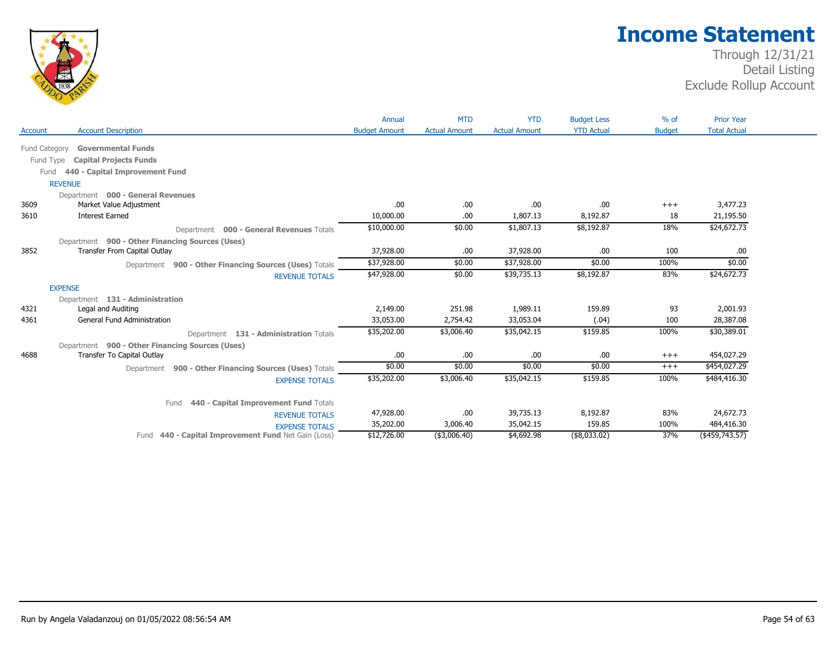

|                |                                                                                 | Annual               | <b>MTD</b>           | <b>YTD</b>           | <b>Budget Less</b> | $%$ of        | <b>Prior Year</b>          |
|----------------|---------------------------------------------------------------------------------|----------------------|----------------------|----------------------|--------------------|---------------|----------------------------|
| <b>Account</b> | <b>Account Description</b>                                                      | <b>Budget Amount</b> | <b>Actual Amount</b> | <b>Actual Amount</b> | <b>YTD Actual</b>  | <b>Budget</b> | <b>Total Actual</b>        |
|                | <b>Governmental Funds</b><br><b>Fund Category</b>                               |                      |                      |                      |                    |               |                            |
|                | Fund Type<br><b>Capital Projects Funds</b>                                      |                      |                      |                      |                    |               |                            |
|                | 440 - Capital Improvement Fund<br>Fund                                          |                      |                      |                      |                    |               |                            |
|                | <b>REVENUE</b>                                                                  |                      |                      |                      |                    |               |                            |
|                | Department 000 - General Revenues                                               |                      |                      |                      |                    |               |                            |
| 3609           | Market Value Adjustment                                                         | .00                  | .00.                 | .00                  | .00.               | $^{+++}$      | 3,477.23                   |
| 3610           | <b>Interest Earned</b>                                                          | 10,000.00            | .00                  | 1,807.13             | 8,192.87           | 18            | 21,195.50                  |
|                | Department 000 - General Revenues Totals                                        | \$10,000.00          | \$0.00               | \$1,807.13           | \$8,192.87         | 18%           | \$24,672.73                |
|                |                                                                                 |                      |                      |                      |                    |               |                            |
| 3852           | Department 900 - Other Financing Sources (Uses)<br>Transfer From Capital Outlay | 37,928.00            | .00.                 | 37,928.00            | .00.               | 100           | .00.                       |
|                |                                                                                 | \$37,928.00          | \$0.00               | \$37,928.00          | \$0.00             | 100%          | \$0.00                     |
|                | Department 900 - Other Financing Sources (Uses) Totals                          |                      |                      |                      |                    |               |                            |
|                | <b>REVENUE TOTALS</b>                                                           | \$47,928.00          | \$0.00               | \$39,735.13          | \$8,192.87         | 83%           | \$24,672.73                |
|                | <b>EXPENSE</b>                                                                  |                      |                      |                      |                    |               |                            |
|                | Department 131 - Administration                                                 |                      |                      |                      |                    |               |                            |
| 4321           | Legal and Auditing                                                              | 2,149.00             | 251.98               | 1,989.11             | 159.89             | 93            | 2,001.93                   |
| 4361           | <b>General Fund Administration</b>                                              | 33,053.00            | 2,754.42             | 33,053.04            | (.04)              | 100           | 28,387.08                  |
|                | Department 131 - Administration Totals                                          | \$35,202.00          | \$3,006.40           | \$35,042.15          | \$159.85           | 100%          | \$30,389.01                |
|                | Department 900 - Other Financing Sources (Uses)                                 |                      |                      |                      |                    |               |                            |
| 4688           | Transfer To Capital Outlay                                                      | .00                  | .00                  | .00                  | .00.               | $+++$         | 454,027.29                 |
|                | Department 900 - Other Financing Sources (Uses) Totals                          | \$0.00               | \$0.00               | \$0.00               | \$0.00             | $+++$         | \$454,027.29               |
|                | <b>EXPENSE TOTALS</b>                                                           | \$35,202.00          | \$3,006.40           | \$35,042.15          | \$159.85           | 100%          | \$484,416.30               |
|                |                                                                                 |                      |                      |                      |                    |               |                            |
|                | 440 - Capital Improvement Fund Totals<br>Fund                                   |                      |                      |                      |                    |               |                            |
|                | <b>REVENUE TOTALS</b>                                                           | 47,928.00            | .00.                 | 39,735.13            | 8,192.87           | 83%           | 24,672.73                  |
|                | <b>EXPENSE TOTALS</b>                                                           | 35,202.00            | 3,006.40             | 35,042.15            | 159.85             | 100%          | 484,416.30                 |
|                | Fund 440 - Capital Improvement Fund Net Gain (Loss)                             | \$12,726.00          | (\$3,006.40)         | \$4,692.98           | (\$8,033.02)       | 37%           | $(*459,743.\overline{57})$ |
|                |                                                                                 |                      |                      |                      |                    |               |                            |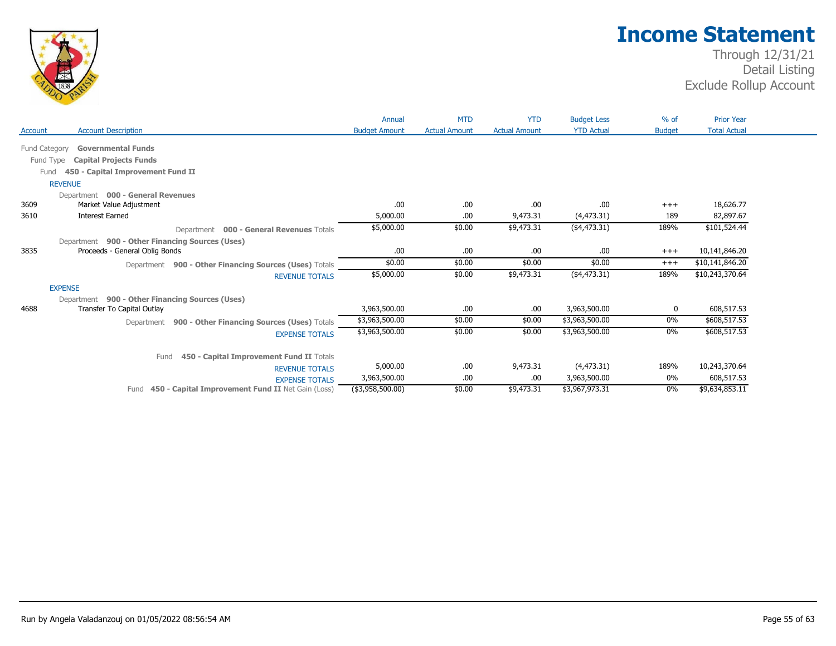

|                |                                                                                    | Annual               | <b>MTD</b>           | <b>YTD</b>           | <b>Budget Less</b> | $%$ of        | <b>Prior Year</b>   |
|----------------|------------------------------------------------------------------------------------|----------------------|----------------------|----------------------|--------------------|---------------|---------------------|
| <b>Account</b> | <b>Account Description</b>                                                         | <b>Budget Amount</b> | <b>Actual Amount</b> | <b>Actual Amount</b> | <b>YTD Actual</b>  | <b>Budget</b> | <b>Total Actual</b> |
| Fund Category  | <b>Governmental Funds</b>                                                          |                      |                      |                      |                    |               |                     |
|                | Fund Type<br><b>Capital Projects Funds</b>                                         |                      |                      |                      |                    |               |                     |
|                | 450 - Capital Improvement Fund II<br>Fund                                          |                      |                      |                      |                    |               |                     |
|                | <b>REVENUE</b>                                                                     |                      |                      |                      |                    |               |                     |
|                | Department 000 - General Revenues                                                  |                      |                      |                      |                    |               |                     |
| 3609           | Market Value Adjustment                                                            | .00                  | .00.                 | .00                  | .00                | $+++$         | 18,626.77           |
| 3610           | <b>Interest Earned</b>                                                             | 5,000.00             | .00.                 | 9,473.31             | (4, 473.31)        | 189           | 82,897.67           |
|                | <b>000 - General Revenues Totals</b><br>Department                                 | \$5,000.00           | \$0.00               | \$9,473.31           | ( \$4,473.31)      | 189%          | \$101,524.44        |
|                | Department 900 - Other Financing Sources (Uses)                                    |                      |                      |                      |                    |               |                     |
| 3835           | Proceeds - General Oblig Bonds                                                     | .00                  | .00.                 | .00                  | .00                | $^{+++}$      | 10,141,846.20       |
|                | Department 900 - Other Financing Sources (Uses) Totals                             | \$0.00               | \$0.00               | \$0.00               | \$0.00             | $^{+++}$      | \$10,141,846.20     |
|                | <b>REVENUE TOTALS</b>                                                              | \$5,000.00           | \$0.00               | \$9,473.31           | $(*4,473.31)$      | 189%          | \$10,243,370.64     |
|                | <b>EXPENSE</b>                                                                     |                      |                      |                      |                    |               |                     |
|                | Department 900 - Other Financing Sources (Uses)                                    |                      |                      |                      |                    |               |                     |
| 4688           | Transfer To Capital Outlay                                                         | 3,963,500.00         | .00.                 | .00                  | 3,963,500.00       | 0             | 608,517.53          |
|                | 900 - Other Financing Sources (Uses) Totals<br>Department                          | \$3,963,500.00       | \$0.00               | \$0.00               | \$3,963,500.00     | 0%            | \$608,517.53        |
|                | <b>EXPENSE TOTALS</b>                                                              | \$3,963,500.00       | \$0.00               | \$0.00               | \$3,963,500.00     | $0\%$         | \$608,517.53        |
|                | Fund                                                                               |                      |                      |                      |                    |               |                     |
|                | 450 - Capital Improvement Fund II Totals                                           | 5,000.00             | .00.                 | 9,473.31             | (4, 473.31)        | 189%          | 10,243,370.64       |
|                | <b>REVENUE TOTALS</b>                                                              | 3,963,500.00         | .00.                 | .00                  | 3,963,500.00       | 0%            | 608,517.53          |
|                | <b>EXPENSE TOTALS</b><br>450 - Capital Improvement Fund II Net Gain (Loss)<br>Fund | $(*3,958,500.00)$    | \$0.00               | \$9,473.31           | \$3,967,973.31     | $0\%$         | \$9,634,853.11      |
|                |                                                                                    |                      |                      |                      |                    |               |                     |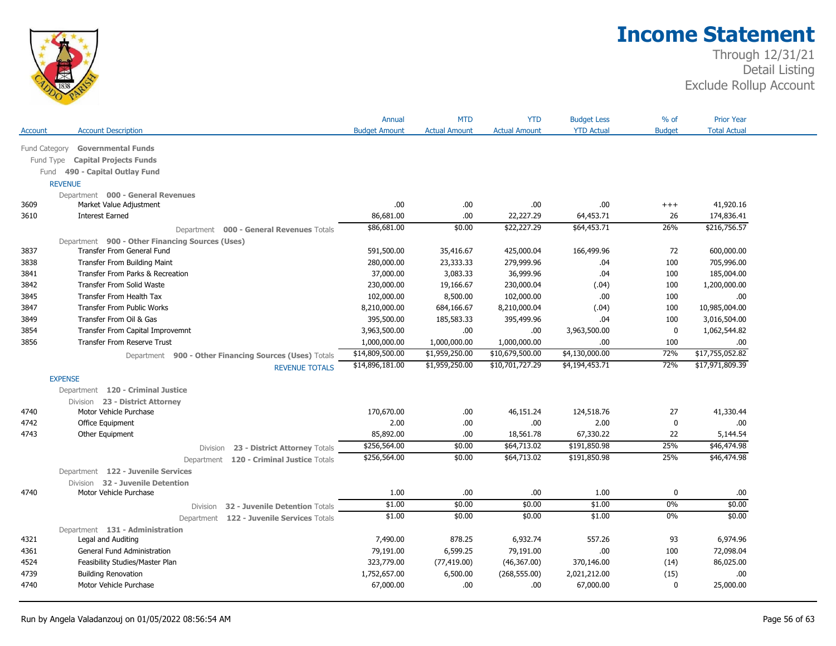

| <b>YTD Actual</b><br><b>Total Actual</b><br><b>Account Description</b><br><b>Budget Amount</b><br><b>Actual Amount</b><br><b>Actual Amount</b><br><b>Budget</b><br>Fund Category Governmental Funds<br><b>Capital Projects Funds</b><br>Fund Type<br>490 - Capital Outlay Fund<br>Fund<br><b>REVENUE</b><br>Department 000 - General Revenues<br>.00<br>.00<br>41,920.16<br>Market Value Adjustment<br>.00.<br>.00.<br>$^{+++}$<br><b>Interest Earned</b><br>86,681.00<br>.00<br>22,227.29<br>64,453.71<br>26<br>174,836.41<br>\$0.00<br>\$22,227.29<br>26%<br>\$216,756.57<br>\$86,681.00<br>\$64,453.71<br>Department 000 - General Revenues Totals<br>Department 900 - Other Financing Sources (Uses)<br>Transfer From General Fund<br>591,500.00<br>35,416.67<br>425,000.04<br>166,499.96<br>72<br>600,000.00<br>23,333.33<br>279,999.96<br>100<br>705,996.00<br>Transfer From Building Maint<br>280,000.00<br>.04<br>36,999.96<br>Transfer From Parks & Recreation<br>37,000.00<br>3,083.33<br>.04<br>100<br>185,004.00<br>230,000.00<br>19,166.67<br>230,000.04<br>100<br>1,200,000.00<br><b>Transfer From Solid Waste</b><br>(.04)<br>102,000.00<br>8,500.00<br>102,000.00<br>100<br>.00<br>Transfer From Health Tax<br>.00<br><b>Transfer From Public Works</b><br>8,210,000.00<br>684,166.67<br>8,210,000.04<br>100<br>10,985,004.00<br>(.04)<br>185,583.33<br>395,499.96<br>Transfer From Oil & Gas<br>395,500.00<br>.04<br>100<br>3,016,504.00<br>Transfer From Capital Improvemnt<br>.00<br>$\mathbf 0$<br>1,062,544.82<br>3,963,500.00<br>.00<br>3,963,500.00<br><b>Transfer From Reserve Trust</b><br>1,000,000.00<br>1,000,000.00<br>1,000,000.00<br>.00.<br>100<br>.00.<br>\$4,130,000.00<br>72%<br>\$17,755,052.82<br>\$14,809,500.00<br>\$1,959,250.00<br>\$10,679,500.00<br>Department 900 - Other Financing Sources (Uses) Totals<br>\$14,896,181.00<br>\$1,959,250.00<br>\$10,701,727.29<br>\$4,194,453.71<br>72%<br>\$17,971,809.39<br><b>REVENUE TOTALS</b><br><b>EXPENSE</b><br>Department 120 - Criminal Justice<br>Division 23 - District Attorney<br>Motor Vehicle Purchase<br>170,670.00<br>46,151.24<br>124,518.76<br>27<br>41,330.44<br>.00<br>2.00<br>2.00<br>.00.<br>Office Equipment<br>.00<br>.00<br>0<br>Other Equipment<br>85,892.00<br>.00<br>18,561.78<br>67,330.22<br>22<br>5,144.54<br>\$256,564.00<br>\$0.00<br>\$64,713.02<br>\$191,850.98<br>25%<br>\$46,474.98<br>23 - District Attorney Totals<br><b>Division</b><br>\$64,713.02<br>\$191,850.98<br>25%<br>\$46,474.98<br>\$256,564.00<br>\$0.00<br>Department 120 - Criminal Justice Totals<br>Department 122 - Juvenile Services<br>Division 32 - Juvenile Detention<br>Motor Vehicle Purchase<br>1.00<br>.00<br>.00<br>1.00<br>$\mathbf 0$<br>.00.<br>\$1.00<br>\$0.00<br>0%<br>\$0.00<br>\$1.00<br>\$0.00<br>32 - Juvenile Detention Totals<br><b>Division</b><br>\$1.00<br>0%<br>\$0.00<br>\$0.00<br>\$1.00<br>\$0.00<br>122 - Juvenile Services Totals<br>Department<br>Department 131 - Administration<br>878.25<br>6,932.74<br>557.26<br>6,974.96<br>Legal and Auditing<br>7,490.00<br>93<br><b>General Fund Administration</b><br>79,191.00<br>6,599.25<br>79,191.00<br>.00.<br>100<br>72,098.04<br>323,779.00<br>(46, 367.00)<br>86,025.00<br>Feasibility Studies/Master Plan<br>(77, 419.00)<br>370,146.00<br>(14) |         |                            | Annual       | <b>MTD</b> | <b>YTD</b>    | <b>Budget Less</b> | $%$ of | <b>Prior Year</b> |
|----------------------------------------------------------------------------------------------------------------------------------------------------------------------------------------------------------------------------------------------------------------------------------------------------------------------------------------------------------------------------------------------------------------------------------------------------------------------------------------------------------------------------------------------------------------------------------------------------------------------------------------------------------------------------------------------------------------------------------------------------------------------------------------------------------------------------------------------------------------------------------------------------------------------------------------------------------------------------------------------------------------------------------------------------------------------------------------------------------------------------------------------------------------------------------------------------------------------------------------------------------------------------------------------------------------------------------------------------------------------------------------------------------------------------------------------------------------------------------------------------------------------------------------------------------------------------------------------------------------------------------------------------------------------------------------------------------------------------------------------------------------------------------------------------------------------------------------------------------------------------------------------------------------------------------------------------------------------------------------------------------------------------------------------------------------------------------------------------------------------------------------------------------------------------------------------------------------------------------------------------------------------------------------------------------------------------------------------------------------------------------------------------------------------------------------------------------------------------------------------------------------------------------------------------------------------------------------------------------------------------------------------------------------------------------------------------------------------------------------------------------------------------------------------------------------------------------------------------------------------------------------------------------------------------------------------------------------------------------------------------------------------------------------------------------------------------------------------------------------------------------------------------------------------------------------------------------------------------------------------------------------------------------------------------------------------------|---------|----------------------------|--------------|------------|---------------|--------------------|--------|-------------------|
|                                                                                                                                                                                                                                                                                                                                                                                                                                                                                                                                                                                                                                                                                                                                                                                                                                                                                                                                                                                                                                                                                                                                                                                                                                                                                                                                                                                                                                                                                                                                                                                                                                                                                                                                                                                                                                                                                                                                                                                                                                                                                                                                                                                                                                                                                                                                                                                                                                                                                                                                                                                                                                                                                                                                                                                                                                                                                                                                                                                                                                                                                                                                                                                                                                                                                                                            | Account |                            |              |            |               |                    |        |                   |
|                                                                                                                                                                                                                                                                                                                                                                                                                                                                                                                                                                                                                                                                                                                                                                                                                                                                                                                                                                                                                                                                                                                                                                                                                                                                                                                                                                                                                                                                                                                                                                                                                                                                                                                                                                                                                                                                                                                                                                                                                                                                                                                                                                                                                                                                                                                                                                                                                                                                                                                                                                                                                                                                                                                                                                                                                                                                                                                                                                                                                                                                                                                                                                                                                                                                                                                            |         |                            |              |            |               |                    |        |                   |
|                                                                                                                                                                                                                                                                                                                                                                                                                                                                                                                                                                                                                                                                                                                                                                                                                                                                                                                                                                                                                                                                                                                                                                                                                                                                                                                                                                                                                                                                                                                                                                                                                                                                                                                                                                                                                                                                                                                                                                                                                                                                                                                                                                                                                                                                                                                                                                                                                                                                                                                                                                                                                                                                                                                                                                                                                                                                                                                                                                                                                                                                                                                                                                                                                                                                                                                            |         |                            |              |            |               |                    |        |                   |
|                                                                                                                                                                                                                                                                                                                                                                                                                                                                                                                                                                                                                                                                                                                                                                                                                                                                                                                                                                                                                                                                                                                                                                                                                                                                                                                                                                                                                                                                                                                                                                                                                                                                                                                                                                                                                                                                                                                                                                                                                                                                                                                                                                                                                                                                                                                                                                                                                                                                                                                                                                                                                                                                                                                                                                                                                                                                                                                                                                                                                                                                                                                                                                                                                                                                                                                            |         |                            |              |            |               |                    |        |                   |
|                                                                                                                                                                                                                                                                                                                                                                                                                                                                                                                                                                                                                                                                                                                                                                                                                                                                                                                                                                                                                                                                                                                                                                                                                                                                                                                                                                                                                                                                                                                                                                                                                                                                                                                                                                                                                                                                                                                                                                                                                                                                                                                                                                                                                                                                                                                                                                                                                                                                                                                                                                                                                                                                                                                                                                                                                                                                                                                                                                                                                                                                                                                                                                                                                                                                                                                            |         |                            |              |            |               |                    |        |                   |
|                                                                                                                                                                                                                                                                                                                                                                                                                                                                                                                                                                                                                                                                                                                                                                                                                                                                                                                                                                                                                                                                                                                                                                                                                                                                                                                                                                                                                                                                                                                                                                                                                                                                                                                                                                                                                                                                                                                                                                                                                                                                                                                                                                                                                                                                                                                                                                                                                                                                                                                                                                                                                                                                                                                                                                                                                                                                                                                                                                                                                                                                                                                                                                                                                                                                                                                            |         |                            |              |            |               |                    |        |                   |
|                                                                                                                                                                                                                                                                                                                                                                                                                                                                                                                                                                                                                                                                                                                                                                                                                                                                                                                                                                                                                                                                                                                                                                                                                                                                                                                                                                                                                                                                                                                                                                                                                                                                                                                                                                                                                                                                                                                                                                                                                                                                                                                                                                                                                                                                                                                                                                                                                                                                                                                                                                                                                                                                                                                                                                                                                                                                                                                                                                                                                                                                                                                                                                                                                                                                                                                            | 3609    |                            |              |            |               |                    |        |                   |
|                                                                                                                                                                                                                                                                                                                                                                                                                                                                                                                                                                                                                                                                                                                                                                                                                                                                                                                                                                                                                                                                                                                                                                                                                                                                                                                                                                                                                                                                                                                                                                                                                                                                                                                                                                                                                                                                                                                                                                                                                                                                                                                                                                                                                                                                                                                                                                                                                                                                                                                                                                                                                                                                                                                                                                                                                                                                                                                                                                                                                                                                                                                                                                                                                                                                                                                            | 3610    |                            |              |            |               |                    |        |                   |
|                                                                                                                                                                                                                                                                                                                                                                                                                                                                                                                                                                                                                                                                                                                                                                                                                                                                                                                                                                                                                                                                                                                                                                                                                                                                                                                                                                                                                                                                                                                                                                                                                                                                                                                                                                                                                                                                                                                                                                                                                                                                                                                                                                                                                                                                                                                                                                                                                                                                                                                                                                                                                                                                                                                                                                                                                                                                                                                                                                                                                                                                                                                                                                                                                                                                                                                            |         |                            |              |            |               |                    |        |                   |
|                                                                                                                                                                                                                                                                                                                                                                                                                                                                                                                                                                                                                                                                                                                                                                                                                                                                                                                                                                                                                                                                                                                                                                                                                                                                                                                                                                                                                                                                                                                                                                                                                                                                                                                                                                                                                                                                                                                                                                                                                                                                                                                                                                                                                                                                                                                                                                                                                                                                                                                                                                                                                                                                                                                                                                                                                                                                                                                                                                                                                                                                                                                                                                                                                                                                                                                            |         |                            |              |            |               |                    |        |                   |
|                                                                                                                                                                                                                                                                                                                                                                                                                                                                                                                                                                                                                                                                                                                                                                                                                                                                                                                                                                                                                                                                                                                                                                                                                                                                                                                                                                                                                                                                                                                                                                                                                                                                                                                                                                                                                                                                                                                                                                                                                                                                                                                                                                                                                                                                                                                                                                                                                                                                                                                                                                                                                                                                                                                                                                                                                                                                                                                                                                                                                                                                                                                                                                                                                                                                                                                            |         |                            |              |            |               |                    |        |                   |
|                                                                                                                                                                                                                                                                                                                                                                                                                                                                                                                                                                                                                                                                                                                                                                                                                                                                                                                                                                                                                                                                                                                                                                                                                                                                                                                                                                                                                                                                                                                                                                                                                                                                                                                                                                                                                                                                                                                                                                                                                                                                                                                                                                                                                                                                                                                                                                                                                                                                                                                                                                                                                                                                                                                                                                                                                                                                                                                                                                                                                                                                                                                                                                                                                                                                                                                            | 3837    |                            |              |            |               |                    |        |                   |
|                                                                                                                                                                                                                                                                                                                                                                                                                                                                                                                                                                                                                                                                                                                                                                                                                                                                                                                                                                                                                                                                                                                                                                                                                                                                                                                                                                                                                                                                                                                                                                                                                                                                                                                                                                                                                                                                                                                                                                                                                                                                                                                                                                                                                                                                                                                                                                                                                                                                                                                                                                                                                                                                                                                                                                                                                                                                                                                                                                                                                                                                                                                                                                                                                                                                                                                            | 3838    |                            |              |            |               |                    |        |                   |
|                                                                                                                                                                                                                                                                                                                                                                                                                                                                                                                                                                                                                                                                                                                                                                                                                                                                                                                                                                                                                                                                                                                                                                                                                                                                                                                                                                                                                                                                                                                                                                                                                                                                                                                                                                                                                                                                                                                                                                                                                                                                                                                                                                                                                                                                                                                                                                                                                                                                                                                                                                                                                                                                                                                                                                                                                                                                                                                                                                                                                                                                                                                                                                                                                                                                                                                            | 3841    |                            |              |            |               |                    |        |                   |
|                                                                                                                                                                                                                                                                                                                                                                                                                                                                                                                                                                                                                                                                                                                                                                                                                                                                                                                                                                                                                                                                                                                                                                                                                                                                                                                                                                                                                                                                                                                                                                                                                                                                                                                                                                                                                                                                                                                                                                                                                                                                                                                                                                                                                                                                                                                                                                                                                                                                                                                                                                                                                                                                                                                                                                                                                                                                                                                                                                                                                                                                                                                                                                                                                                                                                                                            | 3842    |                            |              |            |               |                    |        |                   |
|                                                                                                                                                                                                                                                                                                                                                                                                                                                                                                                                                                                                                                                                                                                                                                                                                                                                                                                                                                                                                                                                                                                                                                                                                                                                                                                                                                                                                                                                                                                                                                                                                                                                                                                                                                                                                                                                                                                                                                                                                                                                                                                                                                                                                                                                                                                                                                                                                                                                                                                                                                                                                                                                                                                                                                                                                                                                                                                                                                                                                                                                                                                                                                                                                                                                                                                            | 3845    |                            |              |            |               |                    |        |                   |
|                                                                                                                                                                                                                                                                                                                                                                                                                                                                                                                                                                                                                                                                                                                                                                                                                                                                                                                                                                                                                                                                                                                                                                                                                                                                                                                                                                                                                                                                                                                                                                                                                                                                                                                                                                                                                                                                                                                                                                                                                                                                                                                                                                                                                                                                                                                                                                                                                                                                                                                                                                                                                                                                                                                                                                                                                                                                                                                                                                                                                                                                                                                                                                                                                                                                                                                            | 3847    |                            |              |            |               |                    |        |                   |
|                                                                                                                                                                                                                                                                                                                                                                                                                                                                                                                                                                                                                                                                                                                                                                                                                                                                                                                                                                                                                                                                                                                                                                                                                                                                                                                                                                                                                                                                                                                                                                                                                                                                                                                                                                                                                                                                                                                                                                                                                                                                                                                                                                                                                                                                                                                                                                                                                                                                                                                                                                                                                                                                                                                                                                                                                                                                                                                                                                                                                                                                                                                                                                                                                                                                                                                            | 3849    |                            |              |            |               |                    |        |                   |
|                                                                                                                                                                                                                                                                                                                                                                                                                                                                                                                                                                                                                                                                                                                                                                                                                                                                                                                                                                                                                                                                                                                                                                                                                                                                                                                                                                                                                                                                                                                                                                                                                                                                                                                                                                                                                                                                                                                                                                                                                                                                                                                                                                                                                                                                                                                                                                                                                                                                                                                                                                                                                                                                                                                                                                                                                                                                                                                                                                                                                                                                                                                                                                                                                                                                                                                            | 3854    |                            |              |            |               |                    |        |                   |
|                                                                                                                                                                                                                                                                                                                                                                                                                                                                                                                                                                                                                                                                                                                                                                                                                                                                                                                                                                                                                                                                                                                                                                                                                                                                                                                                                                                                                                                                                                                                                                                                                                                                                                                                                                                                                                                                                                                                                                                                                                                                                                                                                                                                                                                                                                                                                                                                                                                                                                                                                                                                                                                                                                                                                                                                                                                                                                                                                                                                                                                                                                                                                                                                                                                                                                                            | 3856    |                            |              |            |               |                    |        |                   |
|                                                                                                                                                                                                                                                                                                                                                                                                                                                                                                                                                                                                                                                                                                                                                                                                                                                                                                                                                                                                                                                                                                                                                                                                                                                                                                                                                                                                                                                                                                                                                                                                                                                                                                                                                                                                                                                                                                                                                                                                                                                                                                                                                                                                                                                                                                                                                                                                                                                                                                                                                                                                                                                                                                                                                                                                                                                                                                                                                                                                                                                                                                                                                                                                                                                                                                                            |         |                            |              |            |               |                    |        |                   |
|                                                                                                                                                                                                                                                                                                                                                                                                                                                                                                                                                                                                                                                                                                                                                                                                                                                                                                                                                                                                                                                                                                                                                                                                                                                                                                                                                                                                                                                                                                                                                                                                                                                                                                                                                                                                                                                                                                                                                                                                                                                                                                                                                                                                                                                                                                                                                                                                                                                                                                                                                                                                                                                                                                                                                                                                                                                                                                                                                                                                                                                                                                                                                                                                                                                                                                                            |         |                            |              |            |               |                    |        |                   |
|                                                                                                                                                                                                                                                                                                                                                                                                                                                                                                                                                                                                                                                                                                                                                                                                                                                                                                                                                                                                                                                                                                                                                                                                                                                                                                                                                                                                                                                                                                                                                                                                                                                                                                                                                                                                                                                                                                                                                                                                                                                                                                                                                                                                                                                                                                                                                                                                                                                                                                                                                                                                                                                                                                                                                                                                                                                                                                                                                                                                                                                                                                                                                                                                                                                                                                                            |         |                            |              |            |               |                    |        |                   |
|                                                                                                                                                                                                                                                                                                                                                                                                                                                                                                                                                                                                                                                                                                                                                                                                                                                                                                                                                                                                                                                                                                                                                                                                                                                                                                                                                                                                                                                                                                                                                                                                                                                                                                                                                                                                                                                                                                                                                                                                                                                                                                                                                                                                                                                                                                                                                                                                                                                                                                                                                                                                                                                                                                                                                                                                                                                                                                                                                                                                                                                                                                                                                                                                                                                                                                                            |         |                            |              |            |               |                    |        |                   |
|                                                                                                                                                                                                                                                                                                                                                                                                                                                                                                                                                                                                                                                                                                                                                                                                                                                                                                                                                                                                                                                                                                                                                                                                                                                                                                                                                                                                                                                                                                                                                                                                                                                                                                                                                                                                                                                                                                                                                                                                                                                                                                                                                                                                                                                                                                                                                                                                                                                                                                                                                                                                                                                                                                                                                                                                                                                                                                                                                                                                                                                                                                                                                                                                                                                                                                                            |         |                            |              |            |               |                    |        |                   |
|                                                                                                                                                                                                                                                                                                                                                                                                                                                                                                                                                                                                                                                                                                                                                                                                                                                                                                                                                                                                                                                                                                                                                                                                                                                                                                                                                                                                                                                                                                                                                                                                                                                                                                                                                                                                                                                                                                                                                                                                                                                                                                                                                                                                                                                                                                                                                                                                                                                                                                                                                                                                                                                                                                                                                                                                                                                                                                                                                                                                                                                                                                                                                                                                                                                                                                                            | 4740    |                            |              |            |               |                    |        |                   |
|                                                                                                                                                                                                                                                                                                                                                                                                                                                                                                                                                                                                                                                                                                                                                                                                                                                                                                                                                                                                                                                                                                                                                                                                                                                                                                                                                                                                                                                                                                                                                                                                                                                                                                                                                                                                                                                                                                                                                                                                                                                                                                                                                                                                                                                                                                                                                                                                                                                                                                                                                                                                                                                                                                                                                                                                                                                                                                                                                                                                                                                                                                                                                                                                                                                                                                                            | 4742    |                            |              |            |               |                    |        |                   |
|                                                                                                                                                                                                                                                                                                                                                                                                                                                                                                                                                                                                                                                                                                                                                                                                                                                                                                                                                                                                                                                                                                                                                                                                                                                                                                                                                                                                                                                                                                                                                                                                                                                                                                                                                                                                                                                                                                                                                                                                                                                                                                                                                                                                                                                                                                                                                                                                                                                                                                                                                                                                                                                                                                                                                                                                                                                                                                                                                                                                                                                                                                                                                                                                                                                                                                                            | 4743    |                            |              |            |               |                    |        |                   |
|                                                                                                                                                                                                                                                                                                                                                                                                                                                                                                                                                                                                                                                                                                                                                                                                                                                                                                                                                                                                                                                                                                                                                                                                                                                                                                                                                                                                                                                                                                                                                                                                                                                                                                                                                                                                                                                                                                                                                                                                                                                                                                                                                                                                                                                                                                                                                                                                                                                                                                                                                                                                                                                                                                                                                                                                                                                                                                                                                                                                                                                                                                                                                                                                                                                                                                                            |         |                            |              |            |               |                    |        |                   |
|                                                                                                                                                                                                                                                                                                                                                                                                                                                                                                                                                                                                                                                                                                                                                                                                                                                                                                                                                                                                                                                                                                                                                                                                                                                                                                                                                                                                                                                                                                                                                                                                                                                                                                                                                                                                                                                                                                                                                                                                                                                                                                                                                                                                                                                                                                                                                                                                                                                                                                                                                                                                                                                                                                                                                                                                                                                                                                                                                                                                                                                                                                                                                                                                                                                                                                                            |         |                            |              |            |               |                    |        |                   |
|                                                                                                                                                                                                                                                                                                                                                                                                                                                                                                                                                                                                                                                                                                                                                                                                                                                                                                                                                                                                                                                                                                                                                                                                                                                                                                                                                                                                                                                                                                                                                                                                                                                                                                                                                                                                                                                                                                                                                                                                                                                                                                                                                                                                                                                                                                                                                                                                                                                                                                                                                                                                                                                                                                                                                                                                                                                                                                                                                                                                                                                                                                                                                                                                                                                                                                                            |         |                            |              |            |               |                    |        |                   |
|                                                                                                                                                                                                                                                                                                                                                                                                                                                                                                                                                                                                                                                                                                                                                                                                                                                                                                                                                                                                                                                                                                                                                                                                                                                                                                                                                                                                                                                                                                                                                                                                                                                                                                                                                                                                                                                                                                                                                                                                                                                                                                                                                                                                                                                                                                                                                                                                                                                                                                                                                                                                                                                                                                                                                                                                                                                                                                                                                                                                                                                                                                                                                                                                                                                                                                                            |         |                            |              |            |               |                    |        |                   |
|                                                                                                                                                                                                                                                                                                                                                                                                                                                                                                                                                                                                                                                                                                                                                                                                                                                                                                                                                                                                                                                                                                                                                                                                                                                                                                                                                                                                                                                                                                                                                                                                                                                                                                                                                                                                                                                                                                                                                                                                                                                                                                                                                                                                                                                                                                                                                                                                                                                                                                                                                                                                                                                                                                                                                                                                                                                                                                                                                                                                                                                                                                                                                                                                                                                                                                                            | 4740    |                            |              |            |               |                    |        |                   |
|                                                                                                                                                                                                                                                                                                                                                                                                                                                                                                                                                                                                                                                                                                                                                                                                                                                                                                                                                                                                                                                                                                                                                                                                                                                                                                                                                                                                                                                                                                                                                                                                                                                                                                                                                                                                                                                                                                                                                                                                                                                                                                                                                                                                                                                                                                                                                                                                                                                                                                                                                                                                                                                                                                                                                                                                                                                                                                                                                                                                                                                                                                                                                                                                                                                                                                                            |         |                            |              |            |               |                    |        |                   |
|                                                                                                                                                                                                                                                                                                                                                                                                                                                                                                                                                                                                                                                                                                                                                                                                                                                                                                                                                                                                                                                                                                                                                                                                                                                                                                                                                                                                                                                                                                                                                                                                                                                                                                                                                                                                                                                                                                                                                                                                                                                                                                                                                                                                                                                                                                                                                                                                                                                                                                                                                                                                                                                                                                                                                                                                                                                                                                                                                                                                                                                                                                                                                                                                                                                                                                                            |         |                            |              |            |               |                    |        |                   |
|                                                                                                                                                                                                                                                                                                                                                                                                                                                                                                                                                                                                                                                                                                                                                                                                                                                                                                                                                                                                                                                                                                                                                                                                                                                                                                                                                                                                                                                                                                                                                                                                                                                                                                                                                                                                                                                                                                                                                                                                                                                                                                                                                                                                                                                                                                                                                                                                                                                                                                                                                                                                                                                                                                                                                                                                                                                                                                                                                                                                                                                                                                                                                                                                                                                                                                                            |         |                            |              |            |               |                    |        |                   |
|                                                                                                                                                                                                                                                                                                                                                                                                                                                                                                                                                                                                                                                                                                                                                                                                                                                                                                                                                                                                                                                                                                                                                                                                                                                                                                                                                                                                                                                                                                                                                                                                                                                                                                                                                                                                                                                                                                                                                                                                                                                                                                                                                                                                                                                                                                                                                                                                                                                                                                                                                                                                                                                                                                                                                                                                                                                                                                                                                                                                                                                                                                                                                                                                                                                                                                                            |         |                            |              |            |               |                    |        |                   |
|                                                                                                                                                                                                                                                                                                                                                                                                                                                                                                                                                                                                                                                                                                                                                                                                                                                                                                                                                                                                                                                                                                                                                                                                                                                                                                                                                                                                                                                                                                                                                                                                                                                                                                                                                                                                                                                                                                                                                                                                                                                                                                                                                                                                                                                                                                                                                                                                                                                                                                                                                                                                                                                                                                                                                                                                                                                                                                                                                                                                                                                                                                                                                                                                                                                                                                                            | 4321    |                            |              |            |               |                    |        |                   |
|                                                                                                                                                                                                                                                                                                                                                                                                                                                                                                                                                                                                                                                                                                                                                                                                                                                                                                                                                                                                                                                                                                                                                                                                                                                                                                                                                                                                                                                                                                                                                                                                                                                                                                                                                                                                                                                                                                                                                                                                                                                                                                                                                                                                                                                                                                                                                                                                                                                                                                                                                                                                                                                                                                                                                                                                                                                                                                                                                                                                                                                                                                                                                                                                                                                                                                                            | 4361    |                            |              |            |               |                    |        |                   |
|                                                                                                                                                                                                                                                                                                                                                                                                                                                                                                                                                                                                                                                                                                                                                                                                                                                                                                                                                                                                                                                                                                                                                                                                                                                                                                                                                                                                                                                                                                                                                                                                                                                                                                                                                                                                                                                                                                                                                                                                                                                                                                                                                                                                                                                                                                                                                                                                                                                                                                                                                                                                                                                                                                                                                                                                                                                                                                                                                                                                                                                                                                                                                                                                                                                                                                                            | 4524    |                            |              |            |               |                    |        |                   |
|                                                                                                                                                                                                                                                                                                                                                                                                                                                                                                                                                                                                                                                                                                                                                                                                                                                                                                                                                                                                                                                                                                                                                                                                                                                                                                                                                                                                                                                                                                                                                                                                                                                                                                                                                                                                                                                                                                                                                                                                                                                                                                                                                                                                                                                                                                                                                                                                                                                                                                                                                                                                                                                                                                                                                                                                                                                                                                                                                                                                                                                                                                                                                                                                                                                                                                                            | 4739    | <b>Building Renovation</b> | 1,752,657.00 | 6,500.00   | (268, 555.00) | 2,021,212.00       | (15)   | .00.              |
| Motor Vehicle Purchase<br>.00<br>67,000.00<br>25,000.00<br>67,000.00<br>.00<br>$\mathbf{0}$                                                                                                                                                                                                                                                                                                                                                                                                                                                                                                                                                                                                                                                                                                                                                                                                                                                                                                                                                                                                                                                                                                                                                                                                                                                                                                                                                                                                                                                                                                                                                                                                                                                                                                                                                                                                                                                                                                                                                                                                                                                                                                                                                                                                                                                                                                                                                                                                                                                                                                                                                                                                                                                                                                                                                                                                                                                                                                                                                                                                                                                                                                                                                                                                                                | 4740    |                            |              |            |               |                    |        |                   |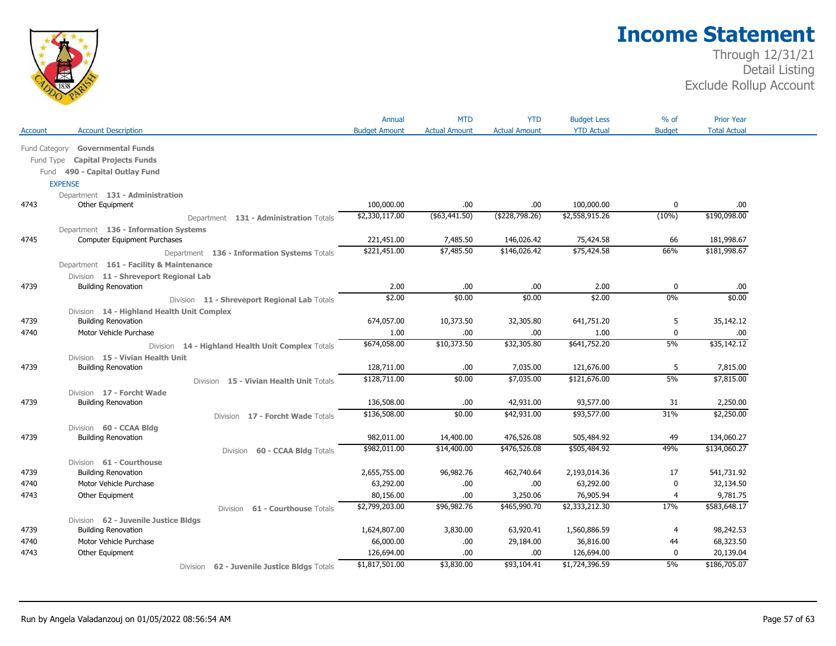

|               |                                                                     | Annual               | <b>MTD</b>           | <b>YTD</b>           | <b>Budget Less</b> | % of             | <b>Prior Year</b>   |
|---------------|---------------------------------------------------------------------|----------------------|----------------------|----------------------|--------------------|------------------|---------------------|
| Account       | <b>Account Description</b>                                          | <b>Budget Amount</b> | <b>Actual Amount</b> | <b>Actual Amount</b> | <b>YTD Actual</b>  | <b>Budget</b>    | <b>Total Actual</b> |
| Fund Category | <b>Governmental Funds</b>                                           |                      |                      |                      |                    |                  |                     |
| Fund Type     | <b>Capital Projects Funds</b>                                       |                      |                      |                      |                    |                  |                     |
|               | Fund 490 - Capital Outlay Fund                                      |                      |                      |                      |                    |                  |                     |
|               | <b>EXPENSE</b>                                                      |                      |                      |                      |                    |                  |                     |
|               | Department 131 - Administration                                     |                      |                      |                      |                    |                  |                     |
| 4743          | Other Equipment                                                     | 100,000.00           | .00.                 | .00.                 | 100,000.00         | $\mathbf 0$      | .00.                |
|               | Department 131 - Administration Totals                              | \$2,330,117.00       | $($ \$63,441.50)     | (\$228,798.26)       | \$2,558,915.26     | (10%)            | \$190,098.00        |
|               | Department 136 - Information Systems                                |                      |                      |                      |                    |                  |                     |
| 4745          | Computer Equipment Purchases                                        | 221,451.00           | 7,485.50             | 146,026.42           | 75,424.58          | 66               | 181,998.67          |
|               | Department 136 - Information Systems Totals                         | \$221,451.00         | \$7,485.50           | \$146,026.42         | \$75,424.58        | 66%              | \$181,998.67        |
|               |                                                                     |                      |                      |                      |                    |                  |                     |
|               | Department 161 - Facility & Maintenance                             |                      |                      |                      |                    |                  |                     |
| 4739          | Division 11 - Shreveport Regional Lab<br><b>Building Renovation</b> | 2.00                 | .00                  | .00.                 | 2.00               | 0                | .00                 |
|               |                                                                     | \$2.00               | \$0.00               | \$0.00               | \$2.00             | 0%               | \$0.00              |
|               | Division 11 - Shreveport Regional Lab Totals                        |                      |                      |                      |                    |                  |                     |
| 4739          | Division 14 - Highland Health Unit Complex                          |                      | 10,373.50            |                      |                    |                  |                     |
|               | <b>Building Renovation</b><br>Motor Vehicle Purchase                | 674,057.00<br>1.00   |                      | 32,305.80            | 641,751.20<br>1.00 | 5<br>$\mathbf 0$ | 35,142.12<br>.00    |
| 4740          |                                                                     | \$674,058.00         | .00<br>\$10,373.50   | .00.<br>\$32,305.80  | \$641,752.20       | 5%               | \$35,142.12         |
|               | 14 - Highland Health Unit Complex Totals<br>Division                |                      |                      |                      |                    |                  |                     |
|               | Division 15 - Vivian Health Unit                                    |                      |                      |                      |                    |                  |                     |
| 4739          | <b>Building Renovation</b>                                          | 128,711.00           | .00                  | 7,035.00             | 121,676.00         | 5                | 7,815.00            |
|               | Division 15 - Vivian Health Unit Totals                             | \$128,711.00         | \$0.00               | \$7,035.00           | \$121,676.00       | 5%               | \$7,815.00          |
|               | Division 17 - Forcht Wade                                           |                      |                      |                      |                    |                  |                     |
| 4739          | <b>Building Renovation</b>                                          | 136,508.00           | .00                  | 42,931.00            | 93,577.00          | 31               | 2,250.00            |
|               | 17 - Forcht Wade Totals<br>Division                                 | \$136,508.00         | \$0.00               | \$42,931.00          | \$93,577.00        | 31%              | \$2,250.00          |
|               | Division 60 - CCAA Bldg                                             |                      |                      |                      |                    |                  |                     |
| 4739          | <b>Building Renovation</b>                                          | 982,011.00           | 14,400.00            | 476,526.08           | 505,484.92         | 49               | 134,060.27          |
|               | 60 - CCAA Bldg Totals<br><b>Division</b>                            | \$982,011.00         | \$14,400.00          | \$476,526.08         | \$505,484.92       | 49%              | \$134,060.27        |
|               | Division 61 - Courthouse                                            |                      |                      |                      |                    |                  |                     |
| 4739          | <b>Building Renovation</b>                                          | 2,655,755.00         | 96,982.76            | 462,740.64           | 2,193,014.36       | 17               | 541,731.92          |
| 4740          | Motor Vehicle Purchase                                              | 63,292.00            | .00.                 | .00.                 | 63,292.00          | 0                | 32,134.50           |
| 4743          | Other Equipment                                                     | 80,156.00            | .00.                 | 3,250.06             | 76,905.94          | 4                | 9,781.75            |
|               | 61 - Courthouse Totals<br>Division                                  | \$2,799,203.00       | \$96,982.76          | \$465,990.70         | \$2,333,212.30     | 17%              | \$583,648.17        |
|               | Division 62 - Juvenile Justice Bldgs                                |                      |                      |                      |                    |                  |                     |
| 4739          | <b>Building Renovation</b>                                          | 1,624,807.00         | 3,830.00             | 63,920.41            | 1,560,886.59       | $\overline{4}$   | 98,242.53           |
| 4740          | Motor Vehicle Purchase                                              | 66,000.00            | .00.                 | 29,184.00            | 36,816.00          | 44               | 68,323.50           |
| 4743          | Other Equipment                                                     | 126,694.00           | .00                  | .00.                 | 126,694.00         | 0                | 20,139.04           |
|               | 62 - Juvenile Justice Bldgs Totals<br>Division                      | \$1,817,501.00       | \$3,830.00           | \$93,104.41          | \$1,724,396.59     | 5%               | \$186,705.07        |
|               |                                                                     |                      |                      |                      |                    |                  |                     |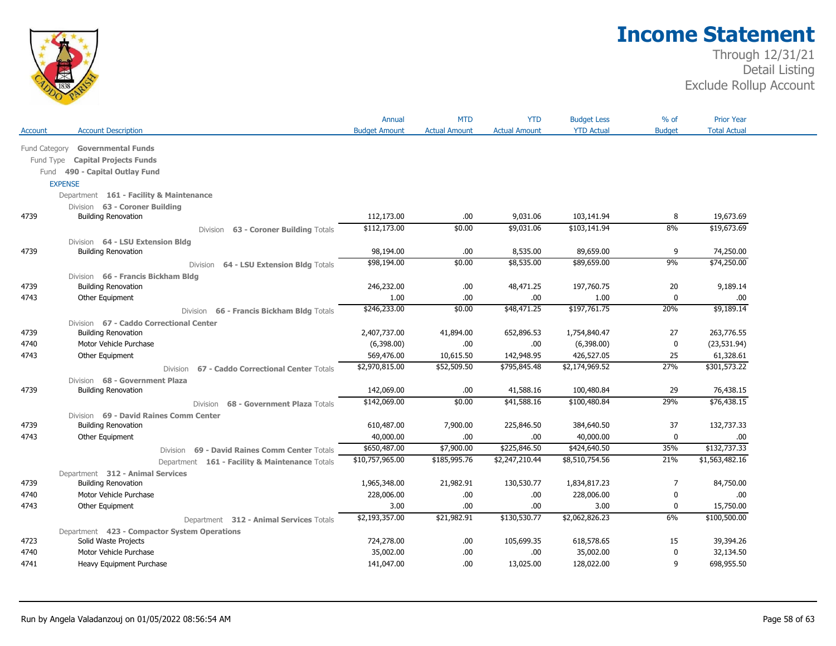

|               |                                                   | Annual               | <b>MTD</b>           | <b>YTD</b>           | <b>Budget Less</b> | % of          | <b>Prior Year</b>   |  |
|---------------|---------------------------------------------------|----------------------|----------------------|----------------------|--------------------|---------------|---------------------|--|
| Account       | <b>Account Description</b>                        | <b>Budget Amount</b> | <b>Actual Amount</b> | <b>Actual Amount</b> | <b>YTD Actual</b>  | <b>Budget</b> | <b>Total Actual</b> |  |
| Fund Category | <b>Governmental Funds</b>                         |                      |                      |                      |                    |               |                     |  |
| Fund Type     | <b>Capital Projects Funds</b>                     |                      |                      |                      |                    |               |                     |  |
|               | Fund 490 - Capital Outlay Fund                    |                      |                      |                      |                    |               |                     |  |
|               | <b>EXPENSE</b>                                    |                      |                      |                      |                    |               |                     |  |
|               | Department 161 - Facility & Maintenance           |                      |                      |                      |                    |               |                     |  |
|               | Division 63 - Coroner Building                    |                      |                      |                      |                    |               |                     |  |
| 4739          | <b>Building Renovation</b>                        | 112,173.00           | .00                  | 9,031.06             | 103,141.94         | 8             | 19,673.69           |  |
|               | 63 - Coroner Building Totals<br><b>Division</b>   | \$112,173.00         | \$0.00               | \$9,031.06           | \$103,141.94       | 8%            | \$19,673.69         |  |
|               | Division 64 - LSU Extension Bldg                  |                      |                      |                      |                    |               |                     |  |
| 4739          | <b>Building Renovation</b>                        | 98,194.00            | .00                  | 8,535.00             | 89,659.00          | 9             | 74,250.00           |  |
|               | 64 - LSU Extension Bldg Totals<br>Division        | \$98,194.00          | \$0.00               | \$8,535.00           | \$89,659.00        | 9%            | \$74,250.00         |  |
|               | Division 66 - Francis Bickham Bldg                |                      |                      |                      |                    |               |                     |  |
| 4739          | <b>Building Renovation</b>                        | 246,232.00           | .00.                 | 48,471.25            | 197,760.75         | 20            | 9,189.14            |  |
| 4743          | Other Equipment                                   | 1.00                 | .00                  | .00.                 | 1.00               | 0             | .00.                |  |
|               | Division 66 - Francis Bickham Bldg Totals         | \$246,233.00         | \$0.00               | \$48,471.25          | \$197,761.75       | 20%           | \$9,189.14          |  |
|               | Division 67 - Caddo Correctional Center           |                      |                      |                      |                    |               |                     |  |
| 4739          | <b>Building Renovation</b>                        | 2,407,737.00         | 41,894.00            | 652,896.53           | 1,754,840.47       | 27            | 263,776.55          |  |
| 4740          | Motor Vehicle Purchase                            | (6,398.00)           | .00.                 | .00.                 | (6,398.00)         | $\mathbf 0$   | (23, 531.94)        |  |
| 4743          | Other Equipment                                   | 569,476.00           | 10,615.50            | 142,948.95           | 426,527.05         | 25            | 61,328.61           |  |
|               | 67 - Caddo Correctional Center Totals<br>Division | \$2,970,815.00       | \$52,509.50          | \$795,845.48         | \$2,174,969.52     | 27%           | \$301,573.22        |  |
|               | Division 68 - Government Plaza                    |                      |                      |                      |                    |               |                     |  |
| 4739          | <b>Building Renovation</b>                        | 142,069.00           | .00.                 | 41,588.16            | 100,480.84         | 29            | 76,438.15           |  |
|               | 68 - Government Plaza Totals<br><b>Division</b>   | \$142,069.00         | \$0.00               | \$41,588.16          | \$100,480.84       | 29%           | \$76,438.15         |  |
|               | Division 69 - David Raines Comm Center            |                      |                      |                      |                    |               |                     |  |
| 4739          | <b>Building Renovation</b>                        | 610,487.00           | 7,900.00             | 225,846.50           | 384,640.50         | 37            | 132,737.33          |  |
| 4743          | Other Equipment                                   | 40,000.00            | .00                  | .00.                 | 40,000.00          | 0             | .00.                |  |
|               | Division 69 - David Raines Comm Center Totals     | \$650,487.00         | \$7,900.00           | \$225,846.50         | \$424,640.50       | 35%           | \$132,737.33        |  |
|               | Department 161 - Facility & Maintenance Totals    | \$10,757,965.00      | \$185,995.76         | \$2,247,210.44       | \$8,510,754.56     | 21%           | \$1,563,482.16      |  |
|               | Department 312 - Animal Services                  |                      |                      |                      |                    |               |                     |  |
| 4739          | <b>Building Renovation</b>                        | 1,965,348.00         | 21,982.91            | 130,530.77           | 1,834,817.23       | 7             | 84,750.00           |  |
| 4740          | Motor Vehicle Purchase                            | 228,006.00           | .00.                 | .00                  | 228,006.00         | 0             | .00                 |  |
| 4743          | Other Equipment                                   | 3.00                 | .00.                 | .00.                 | 3.00               | 0             | 15,750.00           |  |
|               | Department 312 - Animal Services Totals           | \$2,193,357.00       | \$21,982.91          | \$130,530.77         | \$2,062,826.23     | 6%            | \$100,500.00        |  |
|               | Department 423 - Compactor System Operations      |                      |                      |                      |                    |               |                     |  |
| 4723          | Solid Waste Projects                              | 724,278.00           | .00                  | 105,699.35           | 618,578.65         | 15            | 39,394.26           |  |
| 4740          | Motor Vehicle Purchase                            | 35,002.00            | .00                  | .00.                 | 35,002.00          | 0             | 32,134.50           |  |
| 4741          | Heavy Equipment Purchase                          | 141,047.00           | .00                  | 13,025.00            | 128,022.00         | 9             | 698,955.50          |  |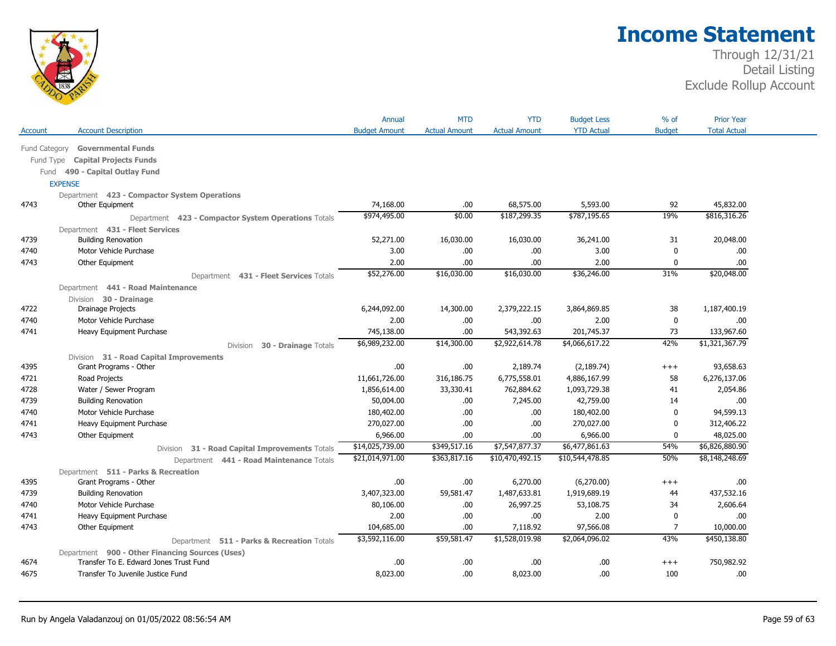

|               |                                                     | Annual               | <b>MTD</b>           | <b>YTD</b>           | <b>Budget Less</b> | $%$ of         | <b>Prior Year</b>   |  |
|---------------|-----------------------------------------------------|----------------------|----------------------|----------------------|--------------------|----------------|---------------------|--|
| Account       | <b>Account Description</b>                          | <b>Budget Amount</b> | <b>Actual Amount</b> | <b>Actual Amount</b> | <b>YTD Actual</b>  | <b>Budget</b>  | <b>Total Actual</b> |  |
| Fund Category | <b>Governmental Funds</b>                           |                      |                      |                      |                    |                |                     |  |
| Fund Type     | <b>Capital Projects Funds</b>                       |                      |                      |                      |                    |                |                     |  |
| Fund          | 490 - Capital Outlay Fund                           |                      |                      |                      |                    |                |                     |  |
|               | <b>EXPENSE</b>                                      |                      |                      |                      |                    |                |                     |  |
|               | Department 423 - Compactor System Operations        |                      |                      |                      |                    |                |                     |  |
| 4743          | Other Equipment                                     | 74,168.00            | .00                  | 68,575.00            | 5,593.00           | 92             | 45,832.00           |  |
|               | Department 423 - Compactor System Operations Totals | \$974,495.00         | \$0.00               | \$187,299.35         | \$787,195.65       | 19%            | \$816,316.26        |  |
|               | Department 431 - Fleet Services                     |                      |                      |                      |                    |                |                     |  |
| 4739          | <b>Building Renovation</b>                          | 52,271.00            | 16,030.00            | 16,030.00            | 36,241.00          | 31             | 20,048.00           |  |
| 4740          | Motor Vehicle Purchase                              | 3.00                 | .00                  | .00                  | 3.00               | 0              | .00                 |  |
| 4743          | Other Equipment                                     | 2.00                 | .00.                 | .00                  | 2.00               | 0              | .00.                |  |
|               | Department 431 - Fleet Services Totals              | \$52,276.00          | \$16,030.00          | \$16,030.00          | \$36,246.00        | 31%            | \$20,048.00         |  |
|               | Department 441 - Road Maintenance                   |                      |                      |                      |                    |                |                     |  |
|               | Division 30 - Drainage                              |                      |                      |                      |                    |                |                     |  |
| 4722          | <b>Drainage Projects</b>                            | 6,244,092.00         | 14,300.00            | 2,379,222.15         | 3,864,869.85       | 38             | 1,187,400.19        |  |
| 4740          | Motor Vehicle Purchase                              | 2.00                 | .00.                 | .00.                 | 2.00               | $\mathbf 0$    | .00                 |  |
| 4741          | Heavy Equipment Purchase                            | 745,138.00           | 00.                  | 543,392.63           | 201,745.37         | 73             | 133,967.60          |  |
|               | 30 - Drainage Totals<br>Division                    | \$6,989,232.00       | \$14,300.00          | \$2,922,614.78       | \$4,066,617.22     | 42%            | \$1,321,367.79      |  |
|               | Division 31 - Road Capital Improvements             |                      |                      |                      |                    |                |                     |  |
| 4395          | Grant Programs - Other                              | .00                  | .00                  | 2,189.74             | (2, 189.74)        | $++++$         | 93,658.63           |  |
| 4721          | Road Projects                                       | 11,661,726.00        | 316,186.75           | 6,775,558.01         | 4,886,167.99       | 58             | 6,276,137.06        |  |
| 4728          | Water / Sewer Program                               | 1,856,614.00         | 33,330.41            | 762,884.62           | 1,093,729.38       | 41             | 2,054.86            |  |
| 4739          | <b>Building Renovation</b>                          | 50,004.00            | .00.                 | 7,245.00             | 42,759.00          | 14             | .00.                |  |
| 4740          | Motor Vehicle Purchase                              | 180,402.00           | .00                  | .00.                 | 180,402.00         | 0              | 94,599.13           |  |
| 4741          | Heavy Equipment Purchase                            | 270,027.00           | .00                  | .00                  | 270,027.00         | $\mathbf{0}$   | 312,406.22          |  |
| 4743          | Other Equipment                                     | 6,966.00             | 00.                  | .00                  | 6,966.00           | 0              | 48,025.00           |  |
|               | 31 - Road Capital Improvements Totals<br>Division   | \$14,025,739.00      | \$349,517.16         | \$7,547,877.37       | \$6,477,861.63     | 54%            | \$6,826,880.90      |  |
|               | Department 441 - Road Maintenance Totals            | \$21,014,971.00      | \$363,817.16         | \$10,470,492.15      | \$10,544,478.85    | 50%            | \$8,148,248.69      |  |
|               | Department 511 - Parks & Recreation                 |                      |                      |                      |                    |                |                     |  |
| 4395          | Grant Programs - Other                              | .00                  | .00.                 | 6,270.00             | (6,270.00)         | $+++$          | .00                 |  |
| 4739          | <b>Building Renovation</b>                          | 3,407,323.00         | 59,581.47            | 1,487,633.81         | 1,919,689.19       | 44             | 437,532.16          |  |
| 4740          | Motor Vehicle Purchase                              | 80,106.00            | .00                  | 26,997.25            | 53,108.75          | 34             | 2,606.64            |  |
| 4741          | Heavy Equipment Purchase                            | 2.00                 | .00.                 | .00                  | 2.00               | $\mathbf 0$    | .00                 |  |
| 4743          | Other Equipment                                     | 104,685.00           | 00.                  | 7,118.92             | 97,566.08          | $\overline{7}$ | 10,000.00           |  |
|               | Department 511 - Parks & Recreation Totals          | \$3,592,116.00       | \$59,581.47          | \$1,528,019.98       | \$2,064,096.02     | 43%            | \$450,138.80        |  |
|               | Department 900 - Other Financing Sources (Uses)     |                      |                      |                      |                    |                |                     |  |
| 4674          | Transfer To E. Edward Jones Trust Fund              | .00                  | .00.                 | .00                  | .00                | $++++$         | 750,982.92          |  |
| 4675          | Transfer To Juvenile Justice Fund                   | 8,023.00             | .00                  | 8,023.00             | .00                | 100            | .00                 |  |
|               |                                                     |                      |                      |                      |                    |                |                     |  |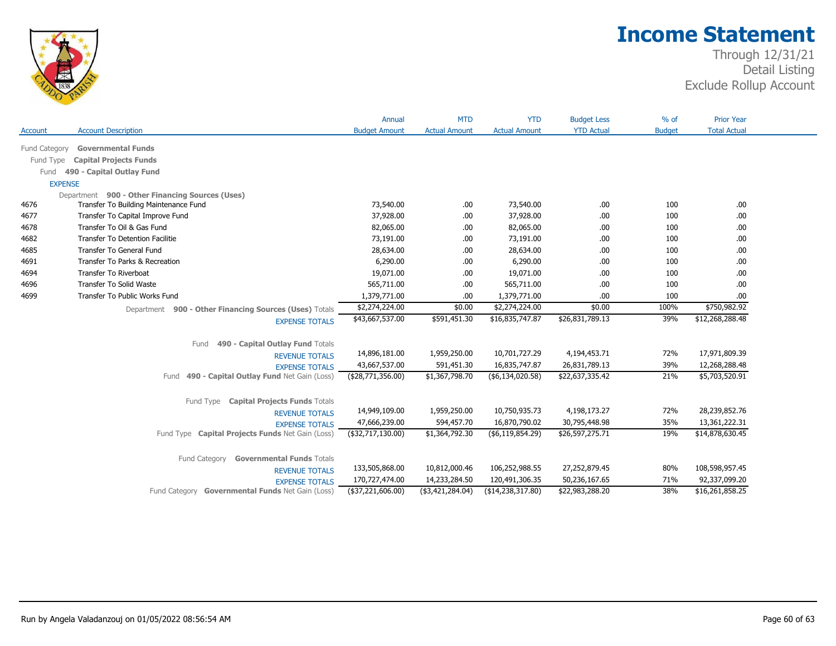

|                      |                                                                                          | Annual               | <b>MTD</b>           | <b>YTD</b>           | <b>Budget Less</b> | $%$ of        | <b>Prior Year</b>   |
|----------------------|------------------------------------------------------------------------------------------|----------------------|----------------------|----------------------|--------------------|---------------|---------------------|
| <b>Account</b>       | <b>Account Description</b>                                                               | <b>Budget Amount</b> | <b>Actual Amount</b> | <b>Actual Amount</b> | <b>YTD Actual</b>  | <b>Budget</b> | <b>Total Actual</b> |
|                      | <b>Governmental Funds</b>                                                                |                      |                      |                      |                    |               |                     |
| <b>Fund Category</b> |                                                                                          |                      |                      |                      |                    |               |                     |
| Fund Type            | <b>Capital Projects Funds</b>                                                            |                      |                      |                      |                    |               |                     |
| Fund                 | 490 - Capital Outlay Fund                                                                |                      |                      |                      |                    |               |                     |
|                      | <b>EXPENSE</b>                                                                           |                      |                      |                      |                    |               |                     |
| 4676                 | Department 900 - Other Financing Sources (Uses)<br>Transfer To Building Maintenance Fund | 73,540.00            | .00.                 | 73,540.00            | .00                | 100           | .00                 |
| 4677                 | Transfer To Capital Improve Fund                                                         | 37,928.00            | .00.                 | 37,928.00            | .00                | 100           | .00.                |
| 4678                 | Transfer To Oil & Gas Fund                                                               | 82,065.00            | .00.                 | 82,065.00            | .00                | 100           | .00.                |
| 4682                 | <b>Transfer To Detention Facilitie</b>                                                   | 73,191.00            | .00                  | 73,191.00            | .00                | 100           | .00                 |
| 4685                 | Transfer To General Fund                                                                 | 28,634.00            | .00.                 | 28,634.00            | .00                | 100           | .00.                |
| 4691                 | Transfer To Parks & Recreation                                                           | 6,290.00             | .00.                 | 6,290.00             | .00                | 100           | .00.                |
| 4694                 | Transfer To Riverboat                                                                    | 19,071.00            | .00                  | 19,071.00            | .00                | 100           | .00                 |
| 4696                 | Transfer To Solid Waste                                                                  | 565,711.00           | .00.                 | 565,711.00           | .00                | 100           | .00.                |
| 4699                 | Transfer To Public Works Fund                                                            | 1,379,771.00         | .00                  | 1,379,771.00         | .00                | 100           | .00                 |
|                      | Department 900 - Other Financing Sources (Uses) Totals                                   | \$2,274,224.00       | \$0.00               | \$2,274,224.00       | \$0.00             | 100%          | \$750,982.92        |
|                      | <b>EXPENSE TOTALS</b>                                                                    | \$43,667,537.00      | \$591,451.30         | \$16,835,747.87      | \$26,831,789.13    | 39%           | \$12,268,288.48     |
|                      |                                                                                          |                      |                      |                      |                    |               |                     |
|                      | 490 - Capital Outlay Fund Totals<br>Fund                                                 |                      |                      |                      |                    |               |                     |
|                      | <b>REVENUE TOTALS</b>                                                                    | 14,896,181.00        | 1,959,250.00         | 10,701,727.29        | 4,194,453.71       | 72%           | 17,971,809.39       |
|                      | <b>EXPENSE TOTALS</b>                                                                    | 43,667,537.00        | 591,451.30           | 16,835,747.87        | 26,831,789.13      | 39%           | 12,268,288.48       |
|                      | 490 - Capital Outlay Fund Net Gain (Loss)<br>Fund                                        | (\$28,771,356.00)    | \$1,367,798.70       | (\$6,134,020.58)     | \$22,637,335.42    | 21%           | \$5,703,520.91      |
|                      |                                                                                          |                      |                      |                      |                    |               |                     |
|                      | Fund Type Capital Projects Funds Totals                                                  |                      |                      |                      |                    |               |                     |
|                      | <b>REVENUE TOTALS</b>                                                                    | 14,949,109.00        | 1,959,250.00         | 10,750,935.73        | 4,198,173.27       | 72%           | 28,239,852.76       |
|                      | <b>EXPENSE TOTALS</b>                                                                    | 47,666,239.00        | 594,457.70           | 16,870,790.02        | 30,795,448.98      | 35%           | 13,361,222.31       |
|                      | Fund Type Capital Projects Funds Net Gain (Loss)                                         | $($ \$32,717,130.00) | \$1,364,792.30       | ( \$6,119,854.29)    | \$26,597,275.71    | 19%           | \$14,878,630.45     |
|                      |                                                                                          |                      |                      |                      |                    |               |                     |
|                      | Fund Category<br><b>Governmental Funds Totals</b>                                        |                      |                      |                      |                    |               |                     |
|                      | <b>REVENUE TOTALS</b>                                                                    | 133,505,868.00       | 10,812,000.46        | 106,252,988.55       | 27,252,879.45      | 80%           | 108,598,957.45      |
|                      | <b>EXPENSE TOTALS</b>                                                                    | 170,727,474.00       | 14,233,284.50        | 120,491,306.35       | 50,236,167.65      | 71%           | 92,337,099.20       |
|                      | Fund Category Governmental Funds Net Gain (Loss)                                         | (\$37,221,606.00)    | (\$3,421,284.04)     | (\$14,238,317.80)    | \$22,983,288.20    | 38%           | \$16,261,858.25     |
|                      |                                                                                          |                      |                      |                      |                    |               |                     |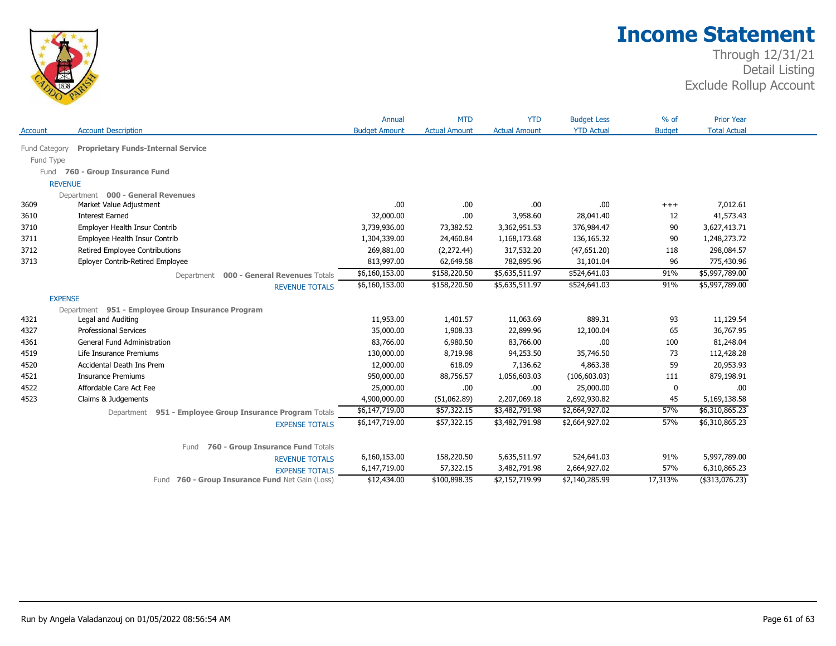

|                |                                                          | Annual               | <b>MTD</b>           | <b>YTD</b>           | <b>Budget Less</b> | $%$ of        | <b>Prior Year</b>   |
|----------------|----------------------------------------------------------|----------------------|----------------------|----------------------|--------------------|---------------|---------------------|
| <b>Account</b> | <b>Account Description</b>                               | <b>Budget Amount</b> | <b>Actual Amount</b> | <b>Actual Amount</b> | <b>YTD Actual</b>  | <b>Budget</b> | <b>Total Actual</b> |
| Fund Category  | <b>Proprietary Funds-Internal Service</b>                |                      |                      |                      |                    |               |                     |
| Fund Type      |                                                          |                      |                      |                      |                    |               |                     |
|                | Fund 760 - Group Insurance Fund                          |                      |                      |                      |                    |               |                     |
|                | <b>REVENUE</b>                                           |                      |                      |                      |                    |               |                     |
|                | Department 000 - General Revenues                        |                      |                      |                      |                    |               |                     |
| 3609           | Market Value Adjustment                                  | .00                  | .00                  | .00.                 | .00                | $^{+++}$      | 7,012.61            |
| 3610           | <b>Interest Earned</b>                                   | 32,000.00            | .00                  | 3,958.60             | 28,041.40          | 12            | 41,573.43           |
| 3710           | Employer Health Insur Contrib                            | 3,739,936.00         | 73,382.52            | 3,362,951.53         | 376,984.47         | 90            | 3,627,413.71        |
| 3711           | Employee Health Insur Contrib                            | 1,304,339.00         | 24,460.84            | 1,168,173.68         | 136,165.32         | 90            | 1,248,273.72        |
| 3712           | Retired Employee Contributions                           | 269,881.00           | (2,272.44)           | 317,532.20           | (47, 651.20)       | 118           | 298,084.57          |
| 3713           | Eployer Contrib-Retired Employee                         | 813,997.00           | 62,649.58            | 782,895.96           | 31,101.04          | 96            | 775,430.96          |
|                | 000 - General Revenues Totals<br>Department              | \$6,160,153.00       | \$158,220.50         | \$5,635,511.97       | \$524,641.03       | 91%           | \$5,997,789.00      |
|                | <b>REVENUE TOTALS</b>                                    | \$6,160,153.00       | \$158,220.50         | \$5,635,511.97       | \$524,641.03       | 91%           | \$5,997,789.00      |
|                | <b>EXPENSE</b>                                           |                      |                      |                      |                    |               |                     |
|                | Department 951 - Employee Group Insurance Program        |                      |                      |                      |                    |               |                     |
| 4321           | Legal and Auditing                                       | 11,953.00            | 1,401.57             | 11,063.69            | 889.31             | 93            | 11,129.54           |
| 4327           | <b>Professional Services</b>                             | 35,000.00            | 1,908.33             | 22,899.96            | 12,100.04          | 65            | 36,767.95           |
| 4361           | General Fund Administration                              | 83,766.00            | 6,980.50             | 83,766.00            | .00                | 100           | 81,248.04           |
| 4519           | Life Insurance Premiums                                  | 130,000.00           | 8,719.98             | 94,253.50            | 35,746.50          | 73            | 112,428.28          |
| 4520           | Accidental Death Ins Prem                                | 12,000.00            | 618.09               | 7,136.62             | 4,863.38           | 59            | 20,953.93           |
| 4521           | <b>Insurance Premiums</b>                                | 950,000.00           | 88,756.57            | 1,056,603.03         | (106, 603.03)      | 111           | 879,198.91          |
| 4522           | Affordable Care Act Fee                                  | 25,000.00            | .00                  | .00.                 | 25,000.00          | 0             | .00                 |
| 4523           | Claims & Judgements                                      | 4,900,000.00         | (51,062.89)          | 2,207,069.18         | 2,692,930.82       | 45            | 5,169,138.58        |
|                | Department 951 - Employee Group Insurance Program Totals | \$6,147,719.00       | \$57,322.15          | \$3,482,791.98       | \$2,664,927.02     | 57%           | \$6,310,865.23      |
|                | <b>EXPENSE TOTALS</b>                                    | \$6,147,719.00       | \$57,322.15          | \$3,482,791.98       | \$2,664,927.02     | 57%           | \$6,310,865.23      |
|                |                                                          |                      |                      |                      |                    |               |                     |
|                | 760 - Group Insurance Fund Totals<br>Fund                |                      |                      |                      |                    |               |                     |
|                | <b>REVENUE TOTALS</b>                                    | 6,160,153.00         | 158,220.50           | 5,635,511.97         | 524,641.03         | 91%           | 5,997,789.00        |
|                | <b>EXPENSE TOTALS</b>                                    | 6,147,719.00         | 57,322.15            | 3,482,791.98         | 2,664,927.02       | 57%           | 6,310,865.23        |
|                | 760 - Group Insurance Fund Net Gain (Loss)<br>Fund       | \$12,434.00          | \$100,898.35         | \$2,152,719.99       | \$2,140,285.99     | 17,313%       | $($ \$313,076.23)   |
|                |                                                          |                      |                      |                      |                    |               |                     |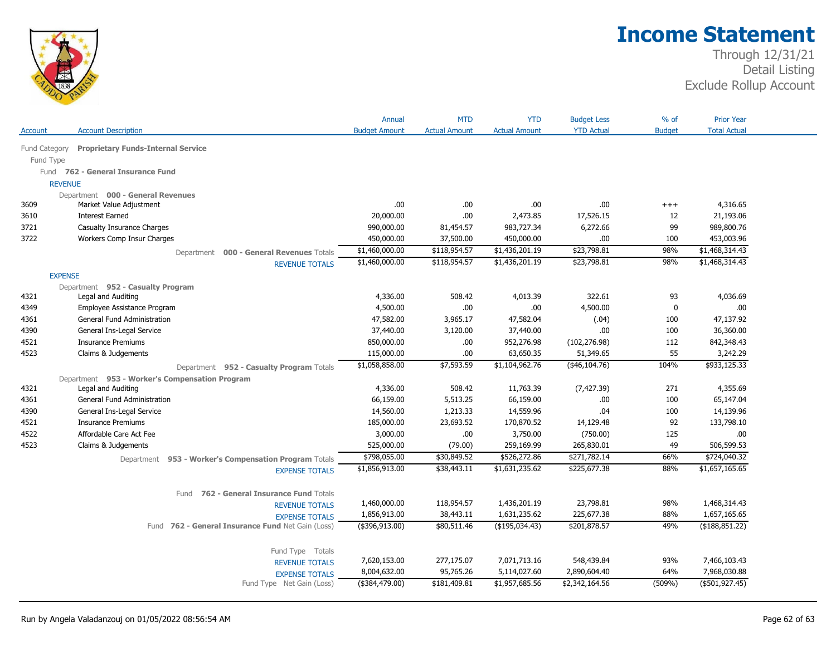

|                |                                                       | Annual               | <b>MTD</b>           | <b>YTD</b>           | <b>Budget Less</b> | $%$ of        | <b>Prior Year</b>   |
|----------------|-------------------------------------------------------|----------------------|----------------------|----------------------|--------------------|---------------|---------------------|
| Account        | <b>Account Description</b>                            | <b>Budget Amount</b> | <b>Actual Amount</b> | <b>Actual Amount</b> | <b>YTD Actual</b>  | <b>Budget</b> | <b>Total Actual</b> |
| Fund Category  | <b>Proprietary Funds-Internal Service</b>             |                      |                      |                      |                    |               |                     |
| Fund Type      |                                                       |                      |                      |                      |                    |               |                     |
|                | Fund 762 - General Insurance Fund                     |                      |                      |                      |                    |               |                     |
| <b>REVENUE</b> |                                                       |                      |                      |                      |                    |               |                     |
|                | Department 000 - General Revenues                     |                      |                      |                      |                    |               |                     |
| 3609           | Market Value Adjustment                               | .00                  | .00.                 | .00                  | .00                | $^{+++}$      | 4,316.65            |
| 3610           | <b>Interest Earned</b>                                | 20,000.00            | .00.                 | 2,473.85             | 17,526.15          | 12            | 21,193.06           |
| 3721           | Casualty Insurance Charges                            | 990,000.00           | 81,454.57            | 983,727.34           | 6,272.66           | 99            | 989,800.76          |
| 3722           | Workers Comp Insur Charges                            | 450,000.00           | 37,500.00            | 450,000.00           | .00                | 100           | 453,003.96          |
|                | Department 000 - General Revenues Totals              | \$1,460,000.00       | \$118,954.57         | \$1,436,201.19       | \$23,798.81        | 98%           | \$1,468,314.43      |
|                | <b>REVENUE TOTALS</b>                                 | \$1,460,000.00       | \$118,954.57         | \$1,436,201.19       | \$23,798.81        | 98%           | \$1,468,314.43      |
| <b>EXPENSE</b> |                                                       |                      |                      |                      |                    |               |                     |
|                | Department 952 - Casualty Program                     |                      |                      |                      |                    |               |                     |
| 4321           | Legal and Auditing                                    | 4,336.00             | 508.42               | 4,013.39             | 322.61             | 93            | 4,036.69            |
| 4349           | Employee Assistance Program                           | 4,500.00             | .00                  | .00                  | 4,500.00           | 0             | .00                 |
| 4361           | General Fund Administration                           | 47,582.00            | 3,965.17             | 47,582.04            | (.04)              | 100           | 47,137.92           |
| 4390           | General Ins-Legal Service                             | 37,440.00            | 3,120.00             | 37,440.00            | .00                | 100           | 36,360.00           |
| 4521           | <b>Insurance Premiums</b>                             | 850,000.00           | .00                  | 952,276.98           | (102, 276.98)      | 112           | 842,348.43          |
| 4523           | Claims & Judgements                                   | 115,000.00           | .00.                 | 63,650.35            | 51,349.65          | 55            | 3,242.29            |
|                | Department 952 - Casualty Program Totals              | \$1,058,858.00       | \$7,593.59           | \$1,104,962.76       | (46, 104.76)       | 104%          | \$933,125.33        |
|                | Department 953 - Worker's Compensation Program        |                      |                      |                      |                    |               |                     |
| 4321           | Legal and Auditing                                    | 4,336.00             | 508.42               | 11,763.39            | (7, 427.39)        | 271           | 4,355.69            |
| 4361           | General Fund Administration                           | 66,159.00            | 5,513.25             | 66,159.00            | .00                | 100           | 65,147.04           |
| 4390           | General Ins-Legal Service                             | 14,560.00            | 1,213.33             | 14,559.96            | .04                | 100           | 14,139.96           |
| 4521           | <b>Insurance Premiums</b>                             | 185,000.00           | 23,693.52            | 170,870.52           | 14,129.48          | 92            | 133,798.10          |
| 4522           | Affordable Care Act Fee                               | 3,000.00             | .00                  | 3,750.00             | (750.00)           | 125           | .00                 |
| 4523           | Claims & Judgements                                   | 525,000.00           | (79.00)              | 259,169.99           | 265,830.01         | 49            | 506,599.53          |
|                | Department 953 - Worker's Compensation Program Totals | \$798,055.00         | \$30,849.52          | \$526,272.86         | \$271,782.14       | 66%           | \$724,040.32        |
|                | <b>EXPENSE TOTALS</b>                                 | \$1,856,913.00       | \$38,443.11          | \$1,631,235.62       | \$225,677.38       | 88%           | \$1,657,165.65      |
|                | 762 - General Insurance Fund Totals<br>Fund           |                      |                      |                      |                    |               |                     |
|                | <b>REVENUE TOTALS</b>                                 | 1,460,000.00         | 118,954.57           | 1,436,201.19         | 23,798.81          | 98%           | 1,468,314.43        |
|                | <b>EXPENSE TOTALS</b>                                 | 1,856,913.00         | 38,443.11            | 1,631,235.62         | 225,677.38         | 88%           | 1,657,165.65        |
|                | Fund 762 - General Insurance Fund Net Gain (Loss)     | (\$396,913.00)       | \$80,511.46          | $($ \$195,034.43)    | \$201,878.57       | 49%           | ( \$188, 851.22)    |
|                | Fund Type Totals                                      |                      |                      |                      |                    |               |                     |
|                | <b>REVENUE TOTALS</b>                                 | 7,620,153.00         | 277,175.07           | 7,071,713.16         | 548,439.84         | 93%           | 7,466,103.43        |
|                | <b>EXPENSE TOTALS</b>                                 | 8,004,632.00         | 95,765.26            | 5,114,027.60         | 2,890,604.40       | 64%           | 7,968,030.88        |
|                | Fund Type Net Gain (Loss)                             | (\$384,479.00)       | \$181,409.81         | \$1,957,685.56       | \$2,342,164.56     | (509%)        | $($ \$501,927.45)   |